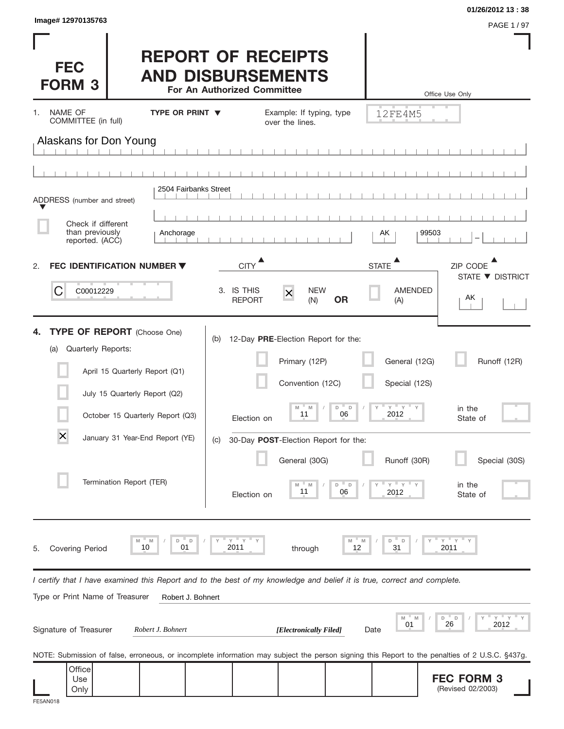| Image# 12970135763                                                                                                                                                                                                                                               |                        |                                          |                                                                                                                                                         |                                   |                                                                                          | 01/26/2012 13:38<br>PAGE 1 / 97                                           |
|------------------------------------------------------------------------------------------------------------------------------------------------------------------------------------------------------------------------------------------------------------------|------------------------|------------------------------------------|---------------------------------------------------------------------------------------------------------------------------------------------------------|-----------------------------------|------------------------------------------------------------------------------------------|---------------------------------------------------------------------------|
| <b>FEC</b><br><b>FORM 3</b>                                                                                                                                                                                                                                      |                        | For An Authorized Committee              | <b>REPORT OF RECEIPTS</b><br><b>AND DISBURSEMENTS</b>                                                                                                   |                                   |                                                                                          | Office Use Only                                                           |
| NAME OF<br>1.<br>COMMITTEE (in full)                                                                                                                                                                                                                             | <b>TYPE OR PRINT ▼</b> |                                          | Example: If typing, type<br>over the lines.                                                                                                             |                                   | 12FE4M5                                                                                  |                                                                           |
| Alaskans for Don Young                                                                                                                                                                                                                                           |                        |                                          |                                                                                                                                                         |                                   |                                                                                          |                                                                           |
|                                                                                                                                                                                                                                                                  |                        |                                          |                                                                                                                                                         |                                   |                                                                                          |                                                                           |
| ADDRESS (number and street)                                                                                                                                                                                                                                      | 2504 Fairbanks Street  |                                          |                                                                                                                                                         |                                   |                                                                                          |                                                                           |
| Check if different<br>than previously                                                                                                                                                                                                                            | Anchorage              |                                          |                                                                                                                                                         |                                   | 99503<br>AK                                                                              |                                                                           |
| reported. (ACC)<br><b>FEC IDENTIFICATION NUMBER ▼</b><br>2.                                                                                                                                                                                                      |                        | <b>CITY</b>                              |                                                                                                                                                         | <b>STATE</b>                      |                                                                                          | ZIP CODE                                                                  |
| С<br>C00012229                                                                                                                                                                                                                                                   |                        | 3. IS THIS<br><b>REPORT</b>              | <b>NEW</b><br>$\overline{\mathsf{x}}$<br>(N)                                                                                                            | <b>OR</b>                         | <b>AMENDED</b><br>(A)                                                                    | STATE ▼ DISTRICT<br>AK                                                    |
| <b>TYPE OF REPORT</b> (Choose One)<br>Quarterly Reports:<br>(a)<br>April 15 Quarterly Report (Q1)<br>July 15 Quarterly Report (Q2)<br>October 15 Quarterly Report (Q3)<br>$\overline{\mathsf{x}}$<br>January 31 Year-End Report (YE)<br>Termination Report (TER) |                        | (b)<br>Election on<br>(C)<br>Election on | 12-Day PRE-Election Report for the:<br>Primary (12P)<br>Convention (12C)<br>M<br>M<br>11<br>30-Day POST-Election Report for the:<br>General (30G)<br>11 | D<br>$\Box$<br>06<br>D<br>D<br>06 | General (12G)<br>Special (12S)<br>$Y$ $Y$ $Y$<br>2012<br>Runoff (30R)<br>$Y$ $Y$<br>2012 | Runoff (12R)<br>in the<br>State of<br>Special (30S)<br>in the<br>State of |
| M<br>10<br>Covering Period<br>5.                                                                                                                                                                                                                                 | M<br>D<br>D<br>01      | $Y$ $Y$<br>2011                          | through                                                                                                                                                 | M<br>M<br>12                      | D<br>$\Box$<br>31                                                                        | <b>F</b> Y<br>Y<br>2011                                                   |
| I certify that I have examined this Report and to the best of my knowledge and belief it is true, correct and complete.<br>Type or Print Name of Treasurer                                                                                                       | Robert J. Bohnert      |                                          |                                                                                                                                                         |                                   |                                                                                          |                                                                           |
| Signature of Treasurer                                                                                                                                                                                                                                           | Robert J. Bohnert      |                                          | [Electronically Filed]                                                                                                                                  | Date                              | M<br>M<br>01                                                                             | $Y'$ Y<br>D<br>- D<br>26<br>2012                                          |
| NOTE: Submission of false, erroneous, or incomplete information may subject the person signing this Report to the penalties of 2 U.S.C. §437g.                                                                                                                   |                        |                                          |                                                                                                                                                         |                                   |                                                                                          |                                                                           |
| Office<br>Use<br>Only<br><b>FE5AN018</b>                                                                                                                                                                                                                         |                        |                                          |                                                                                                                                                         |                                   |                                                                                          | <b>FEC FORM 3</b><br>(Revised 02/2003)                                    |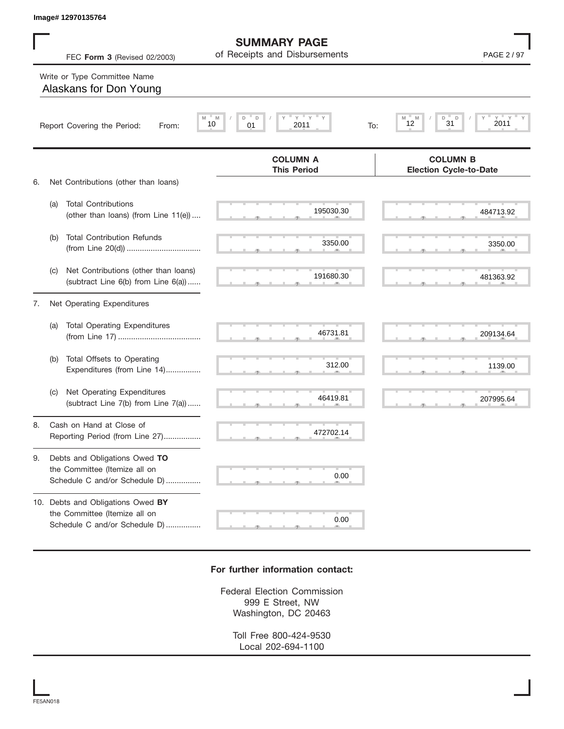|    |     | Image# 12970135764                                                                                  |                                                           |                                                     |
|----|-----|-----------------------------------------------------------------------------------------------------|-----------------------------------------------------------|-----------------------------------------------------|
|    |     | FEC Form 3 (Revised 02/2003)                                                                        | <b>SUMMARY PAGE</b><br>of Receipts and Disbursements      | PAGE 2 / 97                                         |
|    |     | Write or Type Committee Name<br>Alaskans for Don Young                                              |                                                           |                                                     |
|    |     | Report Covering the Period:<br>From:                                                                | $Y =$<br>Y<br>M<br>D<br>D<br>Υ<br>10<br>01<br>2011<br>To: | $Y = Y - Y$<br>D<br>D<br>M<br>M<br>31<br>2011<br>12 |
| 6. |     | Net Contributions (other than loans)                                                                | <b>COLUMN A</b><br><b>This Period</b>                     | <b>COLUMN B</b><br><b>Election Cycle-to-Date</b>    |
|    | (a) | <b>Total Contributions</b><br>(other than loans) (from Line 11(e))                                  | 195030.30                                                 | 484713.92                                           |
|    | (b) | <b>Total Contribution Refunds</b>                                                                   | 3350.00                                                   | 3350.00                                             |
|    | (C) | Net Contributions (other than loans)<br>(subtract Line 6(b) from Line 6(a))                         | 191680.30                                                 | 481363.92                                           |
| 7. |     | Net Operating Expenditures                                                                          |                                                           |                                                     |
|    | (a) | <b>Total Operating Expenditures</b>                                                                 | 46731.81                                                  | 209134.64                                           |
|    | (b) | Total Offsets to Operating<br>Expenditures (from Line 14)                                           | 312.00                                                    | 1139.00                                             |
|    | (C) | Net Operating Expenditures<br>(subtract Line 7(b) from Line 7(a))                                   | 46419.81                                                  | 207995.64                                           |
| 8. |     | Cash on Hand at Close of<br>Reporting Period (from Line 27)                                         | 472702.14                                                 |                                                     |
| 9. |     | Debts and Obligations Owed TO<br>the Committee (Itemize all on<br>Schedule C and/or Schedule D)     | 0.00                                                      |                                                     |
|    |     | 10. Debts and Obligations Owed BY<br>the Committee (Itemize all on<br>Schedule C and/or Schedule D) | 0.00                                                      |                                                     |

## **For further information contact:**

Federal Election Commission 999 E Street, NW Washington, DC 20463

> Toll Free 800-424-9530 Local 202-694-1100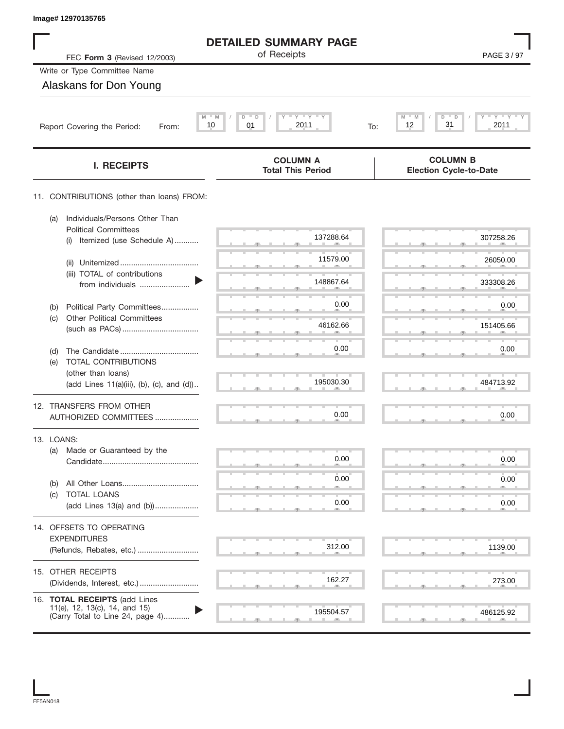| Image# 12970135765                                                                                 |                                                       |                                                    |
|----------------------------------------------------------------------------------------------------|-------------------------------------------------------|----------------------------------------------------|
|                                                                                                    | <b>DETAILED SUMMARY PAGE</b>                          |                                                    |
| FEC Form 3 (Revised 12/2003)                                                                       | of Receipts                                           | PAGE 3/97                                          |
| Write or Type Committee Name                                                                       |                                                       |                                                    |
| Alaskans for Don Young                                                                             |                                                       |                                                    |
| M<br>Report Covering the Period:<br>From:                                                          | $Y$ $Y$<br>$- M$<br>D<br>D<br>10<br>01<br>2011<br>To: | $Y$ $Y$ $Y$ $Y$<br>M<br>D<br>D<br>31<br>12<br>2011 |
|                                                                                                    |                                                       |                                                    |
| <b>I. RECEIPTS</b>                                                                                 | <b>COLUMN A</b><br><b>Total This Period</b>           | <b>COLUMN B</b><br><b>Election Cycle-to-Date</b>   |
| 11. CONTRIBUTIONS (other than loans) FROM:                                                         |                                                       |                                                    |
| Individuals/Persons Other Than<br>(a)<br><b>Political Committees</b>                               |                                                       |                                                    |
| Itemized (use Schedule A)<br>(i)                                                                   | 137288.64                                             | 307258.26                                          |
| (ii)                                                                                               | 11579.00                                              | 26050.00                                           |
| (iii) TOTAL of contributions<br>from individuals                                                   | 148867.64                                             | 333308.26                                          |
| Political Party Committees<br>(b)                                                                  | 0.00                                                  | 0.00                                               |
| <b>Other Political Committees</b><br>(c)                                                           | 46162.66                                              | 151405.66                                          |
|                                                                                                    | 0.00                                                  |                                                    |
| (d)<br>TOTAL CONTRIBUTIONS<br>(e)                                                                  |                                                       | 0.00                                               |
| (other than loans)<br>(add Lines 11(a)(iii), (b), (c), and (d))                                    | 195030.30                                             | 484713.92                                          |
| 12. TRANSFERS FROM OTHER                                                                           |                                                       |                                                    |
| AUTHORIZED COMMITTEES                                                                              | 0.00                                                  | 0.00                                               |
| 13. LOANS:                                                                                         |                                                       |                                                    |
| Made or Guaranteed by the<br>(a)                                                                   | 0.00                                                  | 0.00                                               |
|                                                                                                    | 0.00                                                  | 0.00                                               |
| (b)<br>TOTAL LOANS<br>(c)                                                                          |                                                       |                                                    |
| (add Lines 13(a) and (b))                                                                          | 0.00                                                  | 0.00                                               |
| 14. OFFSETS TO OPERATING                                                                           |                                                       |                                                    |
| <b>EXPENDITURES</b><br>(Refunds, Rebates, etc.)                                                    | 312.00                                                | 1139.00                                            |
| 15. OTHER RECEIPTS                                                                                 |                                                       |                                                    |
|                                                                                                    | 162.27                                                | 273.00                                             |
| 16. TOTAL RECEIPTS (add Lines<br>11(e), 12, 13(c), 14, and 15)<br>(Carry Total to Line 24, page 4) | 195504.57                                             | 486125.92                                          |
|                                                                                                    | m.                                                    |                                                    |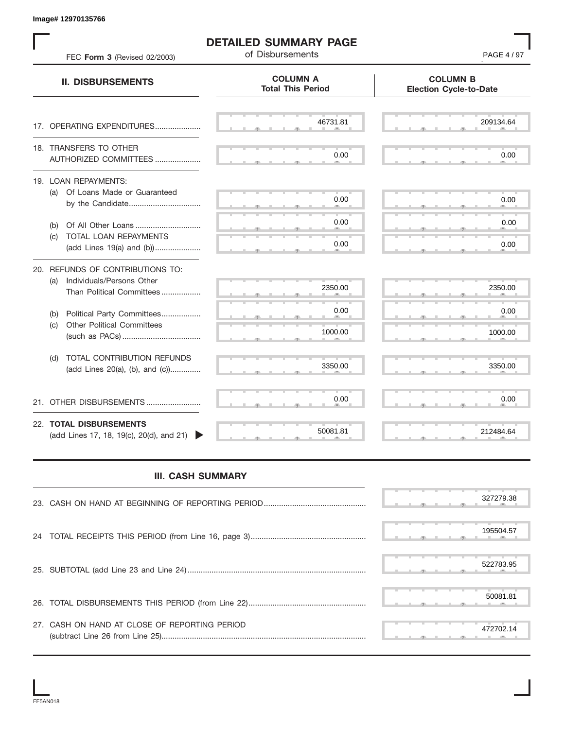S S S , , . S S S , , . S S S , , . S S S , , . S S S , , . S S S , , .  $\overline{S}$  s  $\overline{S}$  ,  $\overline{S}$  ,  $\overline{S}$  ,  $\overline{S}$  ,  $\overline{S}$  ,  $\overline{S}$  ,  $\overline{S}$  ,  $\overline{S}$  ,  $\overline{S}$  ,  $\overline{S}$  ,  $\overline{S}$  ,  $\overline{S}$  ,  $\overline{S}$  ,  $\overline{S}$  ,  $\overline{S}$  ,  $\overline{S}$  ,  $\overline{S}$  ,  $\overline{S}$  ,  $\overline{S}$  , S S S , , . S S S , , . S S S , , . S S S , , . S S S , , . S S S , , . S S S , , . S S S , , . S S S , , . S S S , , . S S S , , . S S S , , . . 212404.<br>- المسلم المسلم المسلم المسلم المسلم المسلم المسلم المسلم المسلم المسلم المسلم المسلم المسلم المسلم المسلم الم **COLUMN B Election Cycle-to-Date COLUMN A Total This Period** 17. OPERATING EXPENDITURES.................... 18. TRANSFERS TO OTHER AUTHORIZED COMMITTEES ..................... 19. LOAN REPAYMENTS: (a) Of Loans Made or Guaranteed by the Candidate ................................. (b) Of All Other Loans .............................. (c) TOTAL LOAN REPAYMENTS (add Lines 19(a) and (b)) ..................... 20. REFUNDS OF CONTRIBUTIONS TO: (a) Individuals/Persons Other Than Political Committees ................. (b) Political Party Committees.................. (c) Other Political Committees (such as PACs) .................................... (d) TOTAL CONTRIBUTION REFUNDS (add Lines 20(a), (b), and (c)).............. 21. OTHER DISBURSEMENTS ......................... 22. **TOTAL DISBURSEMENTS**   $(\text{add Lines 17}, 18, 19(c), 20(d), \text{and } 21)$ **II. DISBURSEMENTS DETAILED SUMMARY PAGE** FEC **Form 3** (Revised 02/2003) **COMPOSE 19 CONSTRESHED PAGE 4** / 97 , , . , , . Example 12701133765<br>
THE CHEM REPORTER TREE COMMENT ORDER COMMENT ORDER AND COLUMN TRACE<br>
THE CHEM REVISE OF DUMINIS COMMENT ORDER COMMENT ORDER COMMENT ORDER COMMENT ORDER COMMENT ORDER COMMENT ORDER COMMENT ORDER COMMEN

## **III. CASH SUMMARY**

|                                               | 327279.38 |
|-----------------------------------------------|-----------|
|                                               | 195504.57 |
|                                               | 522783.95 |
|                                               | 50081.81  |
| 27. CASH ON HAND AT CLOSE OF REPORTING PERIOD | 472702.14 |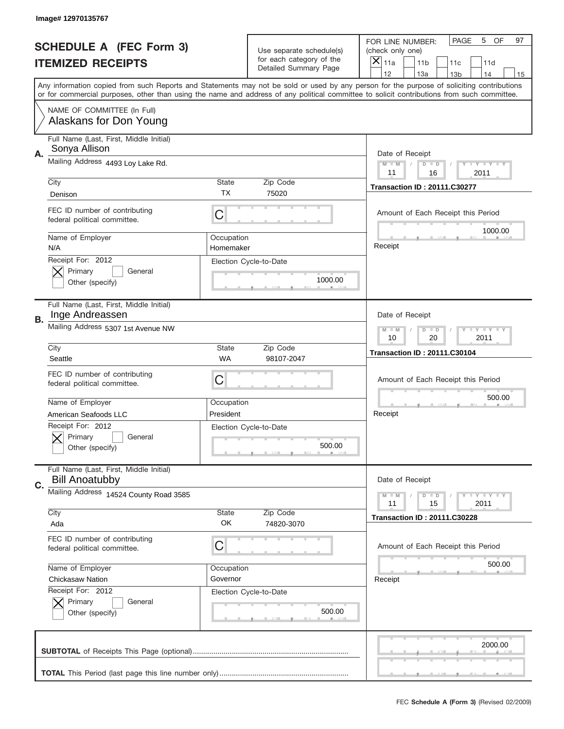|    | Image# 12970135767                                               |                                           |                                                   |                                                                                                                                                                                                                                                                                         |
|----|------------------------------------------------------------------|-------------------------------------------|---------------------------------------------------|-----------------------------------------------------------------------------------------------------------------------------------------------------------------------------------------------------------------------------------------------------------------------------------------|
|    | <b>SCHEDULE A (FEC Form 3)</b>                                   |                                           | Use separate schedule(s)                          | PAGE<br>5<br>OF<br>97<br>FOR LINE NUMBER:<br>(check only one)                                                                                                                                                                                                                           |
|    | <b>ITEMIZED RECEIPTS</b>                                         |                                           | for each category of the<br>Detailed Summary Page | ×<br>11a<br>11 <sub>b</sub><br>11c<br>11d                                                                                                                                                                                                                                               |
|    |                                                                  |                                           |                                                   | 12<br>13a<br>14<br>13 <sub>b</sub><br>15                                                                                                                                                                                                                                                |
|    |                                                                  |                                           |                                                   | Any information copied from such Reports and Statements may not be sold or used by any person for the purpose of soliciting contributions<br>or for commercial purposes, other than using the name and address of any political committee to solicit contributions from such committee. |
|    | NAME OF COMMITTEE (In Full)<br>Alaskans for Don Young            |                                           |                                                   |                                                                                                                                                                                                                                                                                         |
|    | Full Name (Last, First, Middle Initial)<br>Sonya Allison         |                                           |                                                   | Date of Receipt                                                                                                                                                                                                                                                                         |
| А. | Mailing Address 4493 Loy Lake Rd.                                |                                           |                                                   | $M$ $M$<br>Y I Y I Y I Y<br>$D$ $D$<br>11<br>16<br>2011                                                                                                                                                                                                                                 |
|    | City                                                             | State                                     | Zip Code                                          | <b>Transaction ID: 20111.C30277</b>                                                                                                                                                                                                                                                     |
|    | Denison                                                          | ТX                                        | 75020                                             |                                                                                                                                                                                                                                                                                         |
|    | FEC ID number of contributing<br>federal political committee.    | C                                         |                                                   | Amount of Each Receipt this Period<br>1000.00                                                                                                                                                                                                                                           |
|    | Name of Employer<br>N/A                                          | Occupation<br>Homemaker                   |                                                   | Receipt                                                                                                                                                                                                                                                                                 |
|    | Receipt For: 2012                                                |                                           | Election Cycle-to-Date                            |                                                                                                                                                                                                                                                                                         |
|    | Primary<br>General                                               |                                           |                                                   |                                                                                                                                                                                                                                                                                         |
|    | Other (specify)                                                  |                                           | 1000.00                                           |                                                                                                                                                                                                                                                                                         |
|    | Full Name (Last, First, Middle Initial)<br>Inge Andreassen       |                                           |                                                   | Date of Receipt                                                                                                                                                                                                                                                                         |
| В. | Mailing Address 5307 1st Avenue NW                               | $T$ $Y$ $Y$ $Y$ $Y$<br>$M$ $M$<br>$D$ $D$ |                                                   |                                                                                                                                                                                                                                                                                         |
|    |                                                                  | 10<br>20<br>2011                          |                                                   |                                                                                                                                                                                                                                                                                         |
|    | City                                                             | State<br><b>WA</b>                        | Zip Code                                          | <b>Transaction ID: 20111.C30104</b>                                                                                                                                                                                                                                                     |
|    | Seattle                                                          |                                           | 98107-2047                                        |                                                                                                                                                                                                                                                                                         |
|    | FEC ID number of contributing<br>federal political committee.    | C                                         |                                                   | Amount of Each Receipt this Period                                                                                                                                                                                                                                                      |
|    |                                                                  |                                           |                                                   |                                                                                                                                                                                                                                                                                         |
|    |                                                                  |                                           |                                                   | 500.00                                                                                                                                                                                                                                                                                  |
|    | Name of Employer                                                 | Occupation                                |                                                   |                                                                                                                                                                                                                                                                                         |
|    | American Seafoods LLC                                            | President                                 |                                                   | Receipt                                                                                                                                                                                                                                                                                 |
|    | Receipt For: 2012                                                |                                           | Election Cycle-to-Date                            |                                                                                                                                                                                                                                                                                         |
|    | General<br>Primary                                               |                                           |                                                   |                                                                                                                                                                                                                                                                                         |
|    | Other (specify)                                                  |                                           | 500.00                                            |                                                                                                                                                                                                                                                                                         |
|    | Full Name (Last, First, Middle Initial)<br><b>Bill Anoatubby</b> |                                           |                                                   | Date of Receipt                                                                                                                                                                                                                                                                         |
| C. | Mailing Address 14524 County Road 3585                           |                                           |                                                   | $T + Y = Y + Y$<br>$M - M$<br>$D$ $D$<br>11                                                                                                                                                                                                                                             |
|    | City                                                             | State                                     | Zip Code                                          | 2011<br>15                                                                                                                                                                                                                                                                              |
|    | Ada                                                              | OK                                        | 74820-3070                                        | <b>Transaction ID: 20111.C30228</b>                                                                                                                                                                                                                                                     |
|    | FEC ID number of contributing<br>federal political committee.    | C                                         |                                                   | Amount of Each Receipt this Period                                                                                                                                                                                                                                                      |
|    | Name of Employer                                                 | Occupation                                |                                                   | 500.00                                                                                                                                                                                                                                                                                  |
|    | <b>Chickasaw Nation</b>                                          | Governor                                  |                                                   | Receipt                                                                                                                                                                                                                                                                                 |
|    | Receipt For: 2012                                                |                                           | Election Cycle-to-Date                            |                                                                                                                                                                                                                                                                                         |
|    | Primary<br>General                                               |                                           |                                                   |                                                                                                                                                                                                                                                                                         |
|    | Other (specify)                                                  |                                           | 500.00                                            |                                                                                                                                                                                                                                                                                         |
|    |                                                                  |                                           |                                                   | 2000.00                                                                                                                                                                                                                                                                                 |
|    |                                                                  |                                           |                                                   |                                                                                                                                                                                                                                                                                         |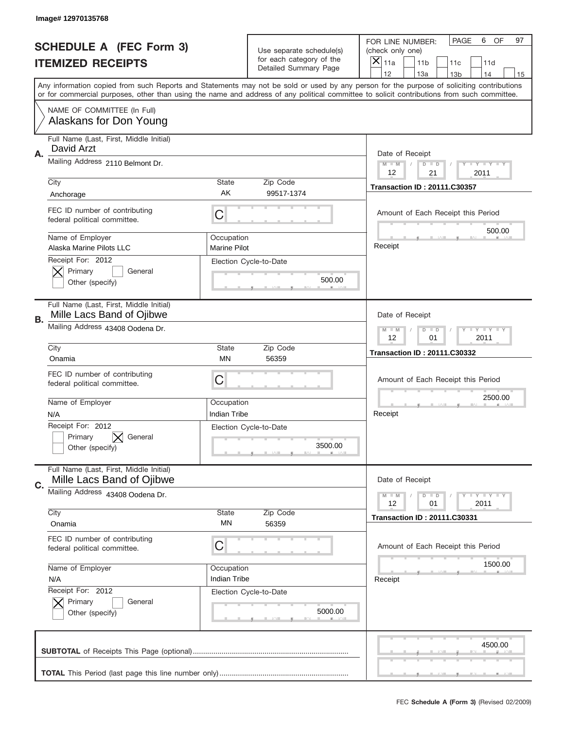|    | Image# 12970135768                                                   |                                                           |                                                   |                                                                                                                                                                                                                                                                                                                                     |
|----|----------------------------------------------------------------------|-----------------------------------------------------------|---------------------------------------------------|-------------------------------------------------------------------------------------------------------------------------------------------------------------------------------------------------------------------------------------------------------------------------------------------------------------------------------------|
|    | <b>SCHEDULE A (FEC Form 3)</b>                                       |                                                           | Use separate schedule(s)                          | PAGE<br>6<br>OF<br>97<br>FOR LINE NUMBER:<br>(check only one)                                                                                                                                                                                                                                                                       |
|    | <b>ITEMIZED RECEIPTS</b>                                             |                                                           | for each category of the<br>Detailed Summary Page | X<br>11a<br>11 <sub>b</sub><br>11c<br>11d                                                                                                                                                                                                                                                                                           |
|    |                                                                      |                                                           |                                                   | 12<br>13a<br>14<br>13 <sub>b</sub><br>15<br>Any information copied from such Reports and Statements may not be sold or used by any person for the purpose of soliciting contributions<br>or for commercial purposes, other than using the name and address of any political committee to solicit contributions from such committee. |
|    | NAME OF COMMITTEE (In Full)<br>Alaskans for Don Young                |                                                           |                                                   |                                                                                                                                                                                                                                                                                                                                     |
| Α. | Full Name (Last, First, Middle Initial)<br>David Arzt                |                                                           |                                                   | Date of Receipt                                                                                                                                                                                                                                                                                                                     |
|    | Mailing Address 2110 Belmont Dr.                                     |                                                           |                                                   | $M - M$<br>Y I Y I Y I Y<br>$D$ $D$<br>12<br>21<br>2011                                                                                                                                                                                                                                                                             |
|    | City<br>Anchorage                                                    | <b>State</b><br>AK                                        | Zip Code<br>99517-1374                            | <b>Transaction ID: 20111.C30357</b>                                                                                                                                                                                                                                                                                                 |
|    | FEC ID number of contributing<br>federal political committee.        | C                                                         |                                                   | Amount of Each Receipt this Period<br>500.00                                                                                                                                                                                                                                                                                        |
|    | Name of Employer<br>Alaska Marine Pilots LLC                         | Occupation<br><b>Marine Pilot</b>                         |                                                   | Receipt                                                                                                                                                                                                                                                                                                                             |
|    | Receipt For: 2012<br>Primary<br>General<br>Other (specify)           |                                                           | Election Cycle-to-Date<br>500.00                  |                                                                                                                                                                                                                                                                                                                                     |
| В. | Full Name (Last, First, Middle Initial)<br>Mille Lacs Band of Ojibwe |                                                           |                                                   | Date of Receipt                                                                                                                                                                                                                                                                                                                     |
|    | Mailing Address 43408 Oodena Dr.                                     | <b>LY LY LY</b><br>$M - M$<br>$D$ $D$<br>12<br>01<br>2011 |                                                   |                                                                                                                                                                                                                                                                                                                                     |
|    | City<br>Onamia                                                       | <b>State</b><br>ΜN                                        | Zip Code<br>56359                                 | <b>Transaction ID: 20111.C30332</b>                                                                                                                                                                                                                                                                                                 |
|    | FEC ID number of contributing<br>federal political committee.        | C                                                         |                                                   | Amount of Each Receipt this Period                                                                                                                                                                                                                                                                                                  |
|    |                                                                      |                                                           |                                                   | 2500.00                                                                                                                                                                                                                                                                                                                             |
|    | Name of Employer<br>N/A                                              | Occupation<br>Indian Tribe                                |                                                   | Receipt                                                                                                                                                                                                                                                                                                                             |
|    | Receipt For: 2012<br>General<br>Primary<br>Other (specify)           |                                                           | Election Cycle-to-Date<br>3500.00                 |                                                                                                                                                                                                                                                                                                                                     |
| C. | Full Name (Last, First, Middle Initial)<br>Mille Lacs Band of Ojibwe |                                                           |                                                   | Date of Receipt                                                                                                                                                                                                                                                                                                                     |
|    | Mailing Address 43408 Oodena Dr.                                     |                                                           |                                                   | $T - Y = Y - T Y$<br>$M - M$<br>$D$ $D$<br>12<br>2011<br>01                                                                                                                                                                                                                                                                         |
|    | City<br>Onamia                                                       | State<br>MN                                               | Zip Code<br>56359                                 | <b>Transaction ID: 20111.C30331</b>                                                                                                                                                                                                                                                                                                 |
|    | FEC ID number of contributing<br>federal political committee.        | C                                                         |                                                   | Amount of Each Receipt this Period                                                                                                                                                                                                                                                                                                  |
|    | Name of Employer<br>N/A                                              | Occupation<br>Indian Tribe                                |                                                   | 1500.00<br>Receipt                                                                                                                                                                                                                                                                                                                  |
|    | Receipt For: 2012<br>Primary<br>General<br>Other (specify)           |                                                           | Election Cycle-to-Date<br>5000.00                 |                                                                                                                                                                                                                                                                                                                                     |
|    |                                                                      |                                                           |                                                   | 4500.00                                                                                                                                                                                                                                                                                                                             |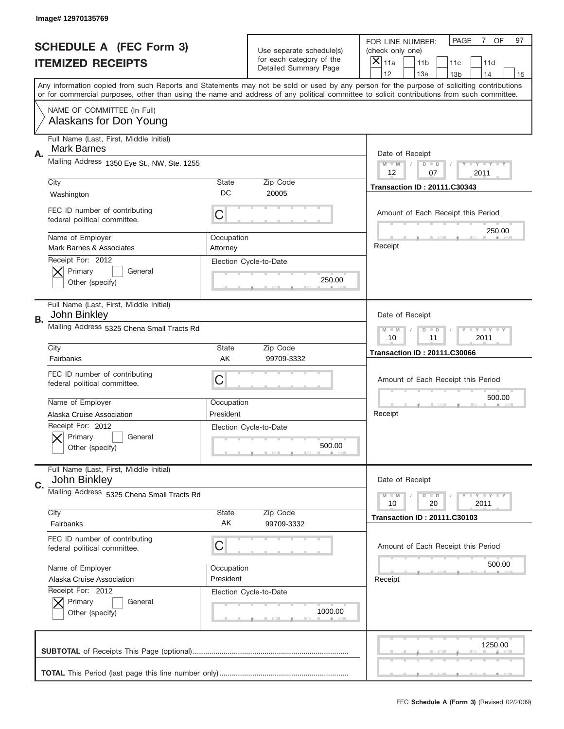|    | Image# 12970135769                                            |                                                      |                                                   |                                                                                                                                                                                                                                                                                         |
|----|---------------------------------------------------------------|------------------------------------------------------|---------------------------------------------------|-----------------------------------------------------------------------------------------------------------------------------------------------------------------------------------------------------------------------------------------------------------------------------------------|
|    | <b>SCHEDULE A (FEC Form 3)</b>                                |                                                      | Use separate schedule(s)                          | PAGE<br>7 OF<br>97<br>FOR LINE NUMBER:<br>(check only one)                                                                                                                                                                                                                              |
|    | <b>ITEMIZED RECEIPTS</b>                                      |                                                      | for each category of the<br>Detailed Summary Page | ×<br>11a<br>11 <sub>b</sub><br>11c<br>11d                                                                                                                                                                                                                                               |
|    |                                                               |                                                      |                                                   | 12<br>13a<br>14<br>13 <sub>b</sub><br>15                                                                                                                                                                                                                                                |
|    |                                                               |                                                      |                                                   | Any information copied from such Reports and Statements may not be sold or used by any person for the purpose of soliciting contributions<br>or for commercial purposes, other than using the name and address of any political committee to solicit contributions from such committee. |
|    | NAME OF COMMITTEE (In Full)<br>Alaskans for Don Young         |                                                      |                                                   |                                                                                                                                                                                                                                                                                         |
| Α. | Full Name (Last, First, Middle Initial)<br><b>Mark Barnes</b> |                                                      |                                                   | Date of Receipt                                                                                                                                                                                                                                                                         |
|    | Mailing Address 1350 Eye St., NW, Ste. 1255                   |                                                      |                                                   | $M$ $M$<br>Y I Y I Y I Y<br>$D$ $D$<br>12<br>07<br>2011                                                                                                                                                                                                                                 |
|    | City                                                          | State                                                | Zip Code                                          | <b>Transaction ID: 20111.C30343</b>                                                                                                                                                                                                                                                     |
|    | Washington                                                    | DC                                                   | 20005                                             |                                                                                                                                                                                                                                                                                         |
|    | FEC ID number of contributing<br>federal political committee. | C                                                    |                                                   | Amount of Each Receipt this Period<br>250.00                                                                                                                                                                                                                                            |
|    | Name of Employer<br>Mark Barnes & Associates                  | Occupation<br>Attorney                               |                                                   | Receipt                                                                                                                                                                                                                                                                                 |
|    | Receipt For: 2012<br>Primary<br>General<br>Other (specify)    |                                                      | Election Cycle-to-Date<br>250.00                  |                                                                                                                                                                                                                                                                                         |
|    | Full Name (Last, First, Middle Initial)<br>John Binkley       |                                                      |                                                   | Date of Receipt                                                                                                                                                                                                                                                                         |
| В. | Mailing Address 5325 Chena Small Tracts Rd                    | Y TY TY TY<br>$M - M$<br>$D$ $D$<br>10<br>11<br>2011 |                                                   |                                                                                                                                                                                                                                                                                         |
|    | City                                                          | State                                                | Zip Code                                          | <b>Transaction ID: 20111.C30066</b>                                                                                                                                                                                                                                                     |
|    | Fairbanks                                                     | AK                                                   | 99709-3332                                        |                                                                                                                                                                                                                                                                                         |
|    | FEC ID number of contributing<br>federal political committee. | C                                                    |                                                   | Amount of Each Receipt this Period                                                                                                                                                                                                                                                      |
|    |                                                               |                                                      |                                                   |                                                                                                                                                                                                                                                                                         |
|    | Name of Employer                                              | Occupation                                           |                                                   | 500.00                                                                                                                                                                                                                                                                                  |
|    | Alaska Cruise Association                                     | President                                            |                                                   | Receipt                                                                                                                                                                                                                                                                                 |
|    | Receipt For: 2012<br>General<br>Primary<br>Other (specify)    |                                                      | Election Cycle-to-Date<br>500.00                  |                                                                                                                                                                                                                                                                                         |
|    | Full Name (Last, First, Middle Initial)<br>John Binkley       |                                                      |                                                   | Date of Receipt                                                                                                                                                                                                                                                                         |
| C. | Mailing Address 5325 Chena Small Tracts Rd                    |                                                      |                                                   | Y FY FY FY<br>$M - M$<br>$D$ $D$<br>2011<br>10<br>20                                                                                                                                                                                                                                    |
|    | City<br>Fairbanks                                             | State<br>AK                                          | Zip Code<br>99709-3332                            | <b>Transaction ID: 20111.C30103</b>                                                                                                                                                                                                                                                     |
|    | FEC ID number of contributing<br>federal political committee. | C                                                    |                                                   | Amount of Each Receipt this Period                                                                                                                                                                                                                                                      |
|    | Name of Employer                                              | Occupation                                           |                                                   | 500.00                                                                                                                                                                                                                                                                                  |
|    | Alaska Cruise Association                                     | President                                            |                                                   | Receipt                                                                                                                                                                                                                                                                                 |
|    | Receipt For: 2012<br>Primary<br>General                       |                                                      | Election Cycle-to-Date                            |                                                                                                                                                                                                                                                                                         |
|    | Other (specify)                                               |                                                      | 1000.00                                           |                                                                                                                                                                                                                                                                                         |
|    |                                                               |                                                      |                                                   | 1250.00                                                                                                                                                                                                                                                                                 |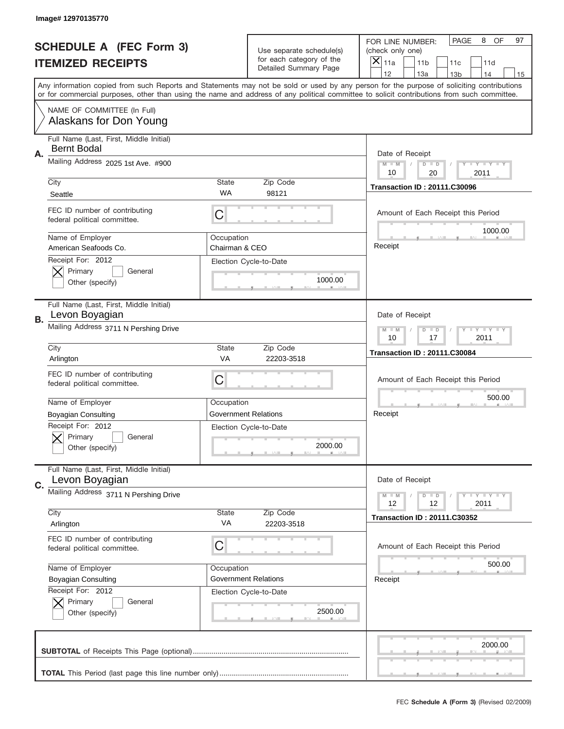|    | Image# 12970135770                                            |                                                         |                                                   |                                                                                                                                                                                                                                                                                                                                     |
|----|---------------------------------------------------------------|---------------------------------------------------------|---------------------------------------------------|-------------------------------------------------------------------------------------------------------------------------------------------------------------------------------------------------------------------------------------------------------------------------------------------------------------------------------------|
|    | <b>SCHEDULE A (FEC Form 3)</b>                                |                                                         | Use separate schedule(s)                          | PAGE<br>OF<br>8<br>97<br>FOR LINE NUMBER:<br>(check only one)                                                                                                                                                                                                                                                                       |
|    | <b>ITEMIZED RECEIPTS</b>                                      |                                                         | for each category of the<br>Detailed Summary Page | $\times$<br>11a<br>11 <sub>b</sub><br>11c<br>11d                                                                                                                                                                                                                                                                                    |
|    |                                                               |                                                         |                                                   | 12<br>13a<br>14<br>13 <sub>b</sub><br>15<br>Any information copied from such Reports and Statements may not be sold or used by any person for the purpose of soliciting contributions<br>or for commercial purposes, other than using the name and address of any political committee to solicit contributions from such committee. |
|    | NAME OF COMMITTEE (In Full)<br>Alaskans for Don Young         |                                                         |                                                   |                                                                                                                                                                                                                                                                                                                                     |
| Α. | Full Name (Last, First, Middle Initial)<br><b>Bernt Bodal</b> |                                                         |                                                   | Date of Receipt                                                                                                                                                                                                                                                                                                                     |
|    | Mailing Address 2025 1st Ave. #900                            |                                                         |                                                   | $M$ M<br>$D$ $D$<br>Y FY FY FY<br>10<br>20<br>2011                                                                                                                                                                                                                                                                                  |
|    | City<br>Seattle                                               | <b>State</b><br>WA                                      | Zip Code<br>98121                                 | <b>Transaction ID: 20111.C30096</b>                                                                                                                                                                                                                                                                                                 |
|    | FEC ID number of contributing<br>federal political committee. | C                                                       |                                                   | Amount of Each Receipt this Period<br>1000.00                                                                                                                                                                                                                                                                                       |
|    | Name of Employer<br>American Seafoods Co.                     | Occupation<br>Chairman & CEO                            |                                                   | Receipt                                                                                                                                                                                                                                                                                                                             |
|    | Receipt For: 2012<br>Primary<br>General<br>Other (specify)    |                                                         | Election Cycle-to-Date<br>1000.00                 |                                                                                                                                                                                                                                                                                                                                     |
| В. | Full Name (Last, First, Middle Initial)<br>Levon Boyagian     |                                                         |                                                   | Date of Receipt                                                                                                                                                                                                                                                                                                                     |
|    | Mailing Address 3711 N Pershing Drive                         | $D$ $D$<br>Y I Y I Y I Y<br>$M$ $M$<br>10<br>17<br>2011 |                                                   |                                                                                                                                                                                                                                                                                                                                     |
|    | City<br>Arlington                                             | <b>State</b><br>VA                                      | Zip Code<br>22203-3518                            | <b>Transaction ID: 20111.C30084</b>                                                                                                                                                                                                                                                                                                 |
|    | FEC ID number of contributing<br>federal political committee. | C                                                       |                                                   | Amount of Each Receipt this Period                                                                                                                                                                                                                                                                                                  |
|    | Name of Employer                                              | Occupation                                              |                                                   | 500.00                                                                                                                                                                                                                                                                                                                              |
|    | Boyagian Consulting                                           |                                                         | <b>Government Relations</b>                       | Receipt                                                                                                                                                                                                                                                                                                                             |
|    | Receipt For: 2012<br>General<br>Primary<br>Other (specify)    |                                                         | Election Cycle-to-Date<br>2000.00                 |                                                                                                                                                                                                                                                                                                                                     |
| C. | Full Name (Last, First, Middle Initial)<br>Levon Boyagian     |                                                         |                                                   | Date of Receipt                                                                                                                                                                                                                                                                                                                     |
|    | Mailing Address 3711 N Pershing Drive                         |                                                         |                                                   | $D$ $D$<br><b>LEY LEY LEY</b><br>$M - M$<br>12<br>12<br>2011                                                                                                                                                                                                                                                                        |
|    | City                                                          | <b>State</b>                                            | Zip Code                                          | <b>Transaction ID: 20111.C30352</b>                                                                                                                                                                                                                                                                                                 |
|    | Arlington                                                     | VA                                                      | 22203-3518                                        |                                                                                                                                                                                                                                                                                                                                     |
|    | FEC ID number of contributing<br>federal political committee. | C                                                       |                                                   | Amount of Each Receipt this Period                                                                                                                                                                                                                                                                                                  |
|    | Name of Employer                                              | Occupation                                              |                                                   | 500.00                                                                                                                                                                                                                                                                                                                              |
|    | <b>Boyagian Consulting</b>                                    |                                                         | <b>Government Relations</b>                       | Receipt                                                                                                                                                                                                                                                                                                                             |
|    | Receipt For: 2012<br>Primary<br>General<br>Other (specify)    |                                                         | Election Cycle-to-Date<br>2500.00                 |                                                                                                                                                                                                                                                                                                                                     |
|    |                                                               |                                                         |                                                   | 2000.00                                                                                                                                                                                                                                                                                                                             |
|    |                                                               |                                                         |                                                   |                                                                                                                                                                                                                                                                                                                                     |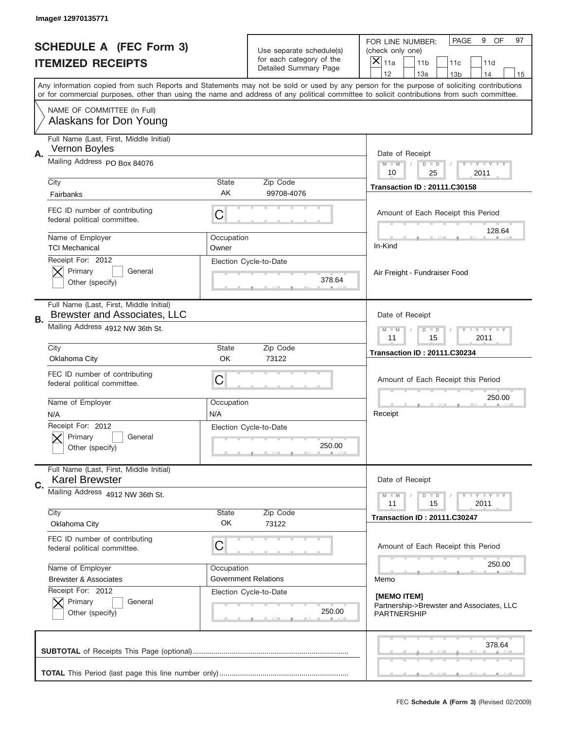|           | Image# 12970135771                                                             |                                                         |                                                      |                                                                                                                                                                                                                                                                                         |
|-----------|--------------------------------------------------------------------------------|---------------------------------------------------------|------------------------------------------------------|-----------------------------------------------------------------------------------------------------------------------------------------------------------------------------------------------------------------------------------------------------------------------------------------|
|           | <b>SCHEDULE A (FEC Form 3)</b>                                                 |                                                         | Use separate schedule(s)<br>for each category of the | OF<br>PAGE<br>9<br>97<br>FOR LINE NUMBER:<br>(check only one)<br>×                                                                                                                                                                                                                      |
|           | <b>ITEMIZED RECEIPTS</b>                                                       |                                                         | Detailed Summary Page                                | 11a<br>11 <sub>b</sub><br>11c<br>11d<br>12<br>13a<br>14<br>13 <sub>b</sub><br>15                                                                                                                                                                                                        |
|           |                                                                                |                                                         |                                                      | Any information copied from such Reports and Statements may not be sold or used by any person for the purpose of soliciting contributions<br>or for commercial purposes, other than using the name and address of any political committee to solicit contributions from such committee. |
|           | NAME OF COMMITTEE (In Full)<br>Alaskans for Don Young                          |                                                         |                                                      |                                                                                                                                                                                                                                                                                         |
| Α.        | Full Name (Last, First, Middle Initial)<br>Vernon Boyles                       |                                                         |                                                      | Date of Receipt                                                                                                                                                                                                                                                                         |
|           | Mailing Address PO Box 84076                                                   |                                                         |                                                      | $M - M$<br><b>LEY LEY LEY</b><br>$D$ $D$<br>10<br>25<br>2011                                                                                                                                                                                                                            |
|           | City<br>Fairbanks                                                              | State<br>AK                                             | Zip Code<br>99708-4076                               | <b>Transaction ID: 20111.C30158</b>                                                                                                                                                                                                                                                     |
|           | FEC ID number of contributing<br>federal political committee.                  | C                                                       |                                                      | Amount of Each Receipt this Period<br>128.64                                                                                                                                                                                                                                            |
|           | Name of Employer<br><b>TCI Mechanical</b>                                      | Occupation<br>Owner                                     |                                                      | In-Kind                                                                                                                                                                                                                                                                                 |
|           | Receipt For: 2012<br>Primary<br>General<br>Other (specify)                     |                                                         | Election Cycle-to-Date<br>378.64                     | Air Freight - Fundraiser Food                                                                                                                                                                                                                                                           |
| <b>B.</b> | Full Name (Last, First, Middle Initial)<br><b>Brewster and Associates, LLC</b> |                                                         |                                                      | Date of Receipt                                                                                                                                                                                                                                                                         |
|           | Mailing Address 4912 NW 36th St.                                               | $D$ $D$<br><b>LYLYLY</b><br>$M - M$<br>11<br>15<br>2011 |                                                      |                                                                                                                                                                                                                                                                                         |
|           | City<br>Oklahoma City                                                          | State<br><b>OK</b>                                      | Zip Code<br>73122                                    | <b>Transaction ID: 20111.C30234</b>                                                                                                                                                                                                                                                     |
|           | FEC ID number of contributing<br>federal political committee.                  | C                                                       |                                                      | Amount of Each Receipt this Period                                                                                                                                                                                                                                                      |
|           | Name of Employer                                                               | Occupation                                              |                                                      | 250.00                                                                                                                                                                                                                                                                                  |
|           | N/A                                                                            | N/A                                                     |                                                      | Receipt                                                                                                                                                                                                                                                                                 |
|           | Receipt For: 2012<br>General<br>Primary<br>Other (specify)                     |                                                         | Election Cycle-to-Date<br>250.00                     |                                                                                                                                                                                                                                                                                         |
| C.        | Full Name (Last, First, Middle Initial)<br><b>Karel Brewster</b>               |                                                         |                                                      | Date of Receipt                                                                                                                                                                                                                                                                         |
|           | Mailing Address 4912 NW 36th St.                                               |                                                         |                                                      | <b>LY LY LY</b><br>$M - M$<br>$D$ $D$<br>11<br>2011<br>15                                                                                                                                                                                                                               |
|           | City<br>Oklahoma City                                                          | State<br>OK                                             | Zip Code<br>73122                                    | <b>Transaction ID: 20111.C30247</b>                                                                                                                                                                                                                                                     |
|           | FEC ID number of contributing<br>federal political committee.                  | C                                                       |                                                      | Amount of Each Receipt this Period                                                                                                                                                                                                                                                      |
|           | Name of Employer                                                               | Occupation                                              |                                                      | 250.00                                                                                                                                                                                                                                                                                  |
|           | <b>Brewster &amp; Associates</b>                                               |                                                         | <b>Government Relations</b>                          | Memo                                                                                                                                                                                                                                                                                    |
|           | Receipt For: 2012<br>Primary<br>General                                        |                                                         | Election Cycle-to-Date<br>250.00                     | [MEMO ITEM]<br>Partnership->Brewster and Associates, LLC<br><b>PARTNERSHIP</b>                                                                                                                                                                                                          |
|           | Other (specify)                                                                |                                                         |                                                      |                                                                                                                                                                                                                                                                                         |
|           |                                                                                |                                                         |                                                      | 378.64                                                                                                                                                                                                                                                                                  |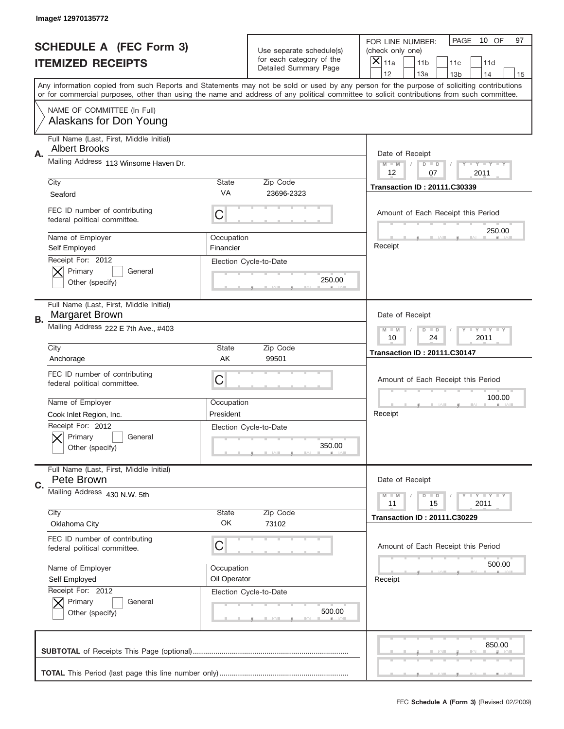|    | Image# 12970135772                                              |                                                         |                                                   |                                                                                                                                                                                                                                                                                                                                     |
|----|-----------------------------------------------------------------|---------------------------------------------------------|---------------------------------------------------|-------------------------------------------------------------------------------------------------------------------------------------------------------------------------------------------------------------------------------------------------------------------------------------------------------------------------------------|
|    | <b>SCHEDULE A (FEC Form 3)</b>                                  |                                                         | Use separate schedule(s)                          | PAGE<br>10 OF<br>97<br>FOR LINE NUMBER:<br>(check only one)                                                                                                                                                                                                                                                                         |
|    | <b>ITEMIZED RECEIPTS</b>                                        |                                                         | for each category of the<br>Detailed Summary Page | ×<br>11a<br>11 <sub>b</sub><br>11c<br>11d                                                                                                                                                                                                                                                                                           |
|    |                                                                 |                                                         |                                                   | 12<br>13a<br>14<br>13 <sub>b</sub><br>15<br>Any information copied from such Reports and Statements may not be sold or used by any person for the purpose of soliciting contributions<br>or for commercial purposes, other than using the name and address of any political committee to solicit contributions from such committee. |
|    | NAME OF COMMITTEE (In Full)<br>Alaskans for Don Young           |                                                         |                                                   |                                                                                                                                                                                                                                                                                                                                     |
| Α. | Full Name (Last, First, Middle Initial)<br><b>Albert Brooks</b> |                                                         |                                                   | Date of Receipt                                                                                                                                                                                                                                                                                                                     |
|    | Mailing Address 113 Winsome Haven Dr.                           |                                                         |                                                   | $M - M$<br><b>LEY LEY LEY</b><br>$D$ $D$<br>12<br>07<br>2011                                                                                                                                                                                                                                                                        |
|    | City<br>Seaford                                                 | State<br>VA                                             | Zip Code<br>23696-2323                            | <b>Transaction ID: 20111.C30339</b>                                                                                                                                                                                                                                                                                                 |
|    | FEC ID number of contributing<br>federal political committee.   | C                                                       |                                                   | Amount of Each Receipt this Period<br>250.00                                                                                                                                                                                                                                                                                        |
|    | Name of Employer<br>Self Employed                               | Occupation<br>Financier                                 |                                                   | Receipt                                                                                                                                                                                                                                                                                                                             |
|    | Receipt For: 2012<br>Primary<br>General<br>Other (specify)      |                                                         | Election Cycle-to-Date<br>250.00                  |                                                                                                                                                                                                                                                                                                                                     |
| В. | Full Name (Last, First, Middle Initial)<br>Margaret Brown       |                                                         |                                                   | Date of Receipt                                                                                                                                                                                                                                                                                                                     |
|    | Mailing Address 222 E 7th Ave., #403                            | $M - M$<br><b>LYLYLY</b><br>$D$ $D$<br>10<br>24<br>2011 |                                                   |                                                                                                                                                                                                                                                                                                                                     |
|    | City<br>Anchorage                                               | State<br>AK                                             | Zip Code<br>99501                                 | <b>Transaction ID: 20111.C30147</b>                                                                                                                                                                                                                                                                                                 |
|    | FEC ID number of contributing<br>federal political committee.   | C                                                       |                                                   | Amount of Each Receipt this Period                                                                                                                                                                                                                                                                                                  |
|    | Name of Employer<br>Cook Inlet Region, Inc.                     | Occupation<br>President                                 |                                                   | 100.00<br>Receipt                                                                                                                                                                                                                                                                                                                   |
|    | Receipt For: 2012<br>General<br>Primary<br>Other (specify)      |                                                         | Election Cycle-to-Date<br>350.00                  |                                                                                                                                                                                                                                                                                                                                     |
| C. | Full Name (Last, First, Middle Initial)<br>Pete Brown           |                                                         |                                                   | Date of Receipt                                                                                                                                                                                                                                                                                                                     |
|    | Mailing Address 430 N.W. 5th                                    |                                                         |                                                   | <b>LYLYLY</b><br>$M - M$<br>$D$ $D$<br>11<br>2011<br>15                                                                                                                                                                                                                                                                             |
|    | City<br>Oklahoma City                                           | State<br>OK                                             | Zip Code<br>73102                                 | <b>Transaction ID: 20111.C30229</b>                                                                                                                                                                                                                                                                                                 |
|    | FEC ID number of contributing<br>federal political committee.   | С                                                       |                                                   | Amount of Each Receipt this Period                                                                                                                                                                                                                                                                                                  |
|    | Name of Employer                                                | Occupation                                              |                                                   | 500.00                                                                                                                                                                                                                                                                                                                              |
|    | Self Employed<br>Receipt For: 2012                              | Oil Operator                                            | Election Cycle-to-Date                            | Receipt                                                                                                                                                                                                                                                                                                                             |
|    | Primary<br>General<br>Other (specify)                           |                                                         | 500.00                                            |                                                                                                                                                                                                                                                                                                                                     |
|    |                                                                 |                                                         |                                                   | 850.00                                                                                                                                                                                                                                                                                                                              |
|    |                                                                 |                                                         |                                                   |                                                                                                                                                                                                                                                                                                                                     |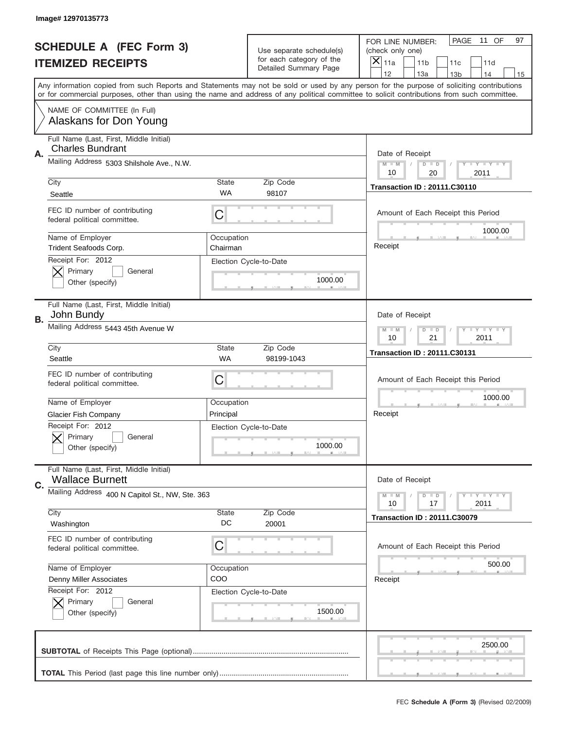|    | Image# 12970135773                                                 |                        |                                                   |                                                                                                                                                                                                                                                                                         |
|----|--------------------------------------------------------------------|------------------------|---------------------------------------------------|-----------------------------------------------------------------------------------------------------------------------------------------------------------------------------------------------------------------------------------------------------------------------------------------|
|    | <b>SCHEDULE A (FEC Form 3)</b>                                     |                        | Use separate schedule(s)                          | PAGE<br>11 OF<br>97<br>FOR LINE NUMBER:<br>(check only one)                                                                                                                                                                                                                             |
|    | <b>ITEMIZED RECEIPTS</b>                                           |                        | for each category of the<br>Detailed Summary Page | ×<br>11a<br>11 <sub>b</sub><br>11c<br>11d                                                                                                                                                                                                                                               |
|    |                                                                    |                        |                                                   | 12<br>13a<br>14<br>13 <sub>b</sub><br>15                                                                                                                                                                                                                                                |
|    |                                                                    |                        |                                                   | Any information copied from such Reports and Statements may not be sold or used by any person for the purpose of soliciting contributions<br>or for commercial purposes, other than using the name and address of any political committee to solicit contributions from such committee. |
|    | NAME OF COMMITTEE (In Full)<br>Alaskans for Don Young              |                        |                                                   |                                                                                                                                                                                                                                                                                         |
| А. | Full Name (Last, First, Middle Initial)<br><b>Charles Bundrant</b> |                        |                                                   | Date of Receipt                                                                                                                                                                                                                                                                         |
|    | Mailing Address 5303 Shilshole Ave., N.W.                          |                        |                                                   | $M$ $M$<br>Y I Y I Y I Y<br>$D$ $D$<br>10<br>20<br>2011                                                                                                                                                                                                                                 |
|    | City                                                               | State                  | Zip Code                                          | <b>Transaction ID: 20111.C30110</b>                                                                                                                                                                                                                                                     |
|    | Seattle                                                            | <b>WA</b>              | 98107                                             |                                                                                                                                                                                                                                                                                         |
|    | FEC ID number of contributing<br>federal political committee.      | C                      |                                                   | Amount of Each Receipt this Period<br>1000.00                                                                                                                                                                                                                                           |
|    | Name of Employer<br>Trident Seafoods Corp.                         | Occupation<br>Chairman |                                                   | Receipt                                                                                                                                                                                                                                                                                 |
|    | Receipt For: 2012<br>Primary<br>General<br>Other (specify)         |                        | Election Cycle-to-Date<br>1000.00                 |                                                                                                                                                                                                                                                                                         |
| В. | Full Name (Last, First, Middle Initial)<br>John Bundy              |                        |                                                   | Date of Receipt                                                                                                                                                                                                                                                                         |
|    | Mailing Address 5443 45th Avenue W                                 |                        |                                                   | $T$ $Y$ $Y$ $Y$ $Y$<br>$M - M$<br>$D$ $D$<br>10<br>21<br>2011                                                                                                                                                                                                                           |
|    | City                                                               | State                  | Zip Code                                          | <b>Transaction ID: 20111.C30131</b>                                                                                                                                                                                                                                                     |
|    | Seattle                                                            | <b>WA</b>              | 98199-1043                                        |                                                                                                                                                                                                                                                                                         |
|    | FEC ID number of contributing<br>federal political committee.      | C                      |                                                   | Amount of Each Receipt this Period                                                                                                                                                                                                                                                      |
|    | Name of Employer                                                   | Occupation             |                                                   | 1000.00                                                                                                                                                                                                                                                                                 |
|    | <b>Glacier Fish Company</b>                                        | Principal              |                                                   | Receipt                                                                                                                                                                                                                                                                                 |
|    | Receipt For: 2012<br>General<br>Primary<br>Other (specify)         |                        | Election Cycle-to-Date<br>1000.00                 |                                                                                                                                                                                                                                                                                         |
| C. | Full Name (Last, First, Middle Initial)<br><b>Wallace Burnett</b>  |                        |                                                   | Date of Receipt                                                                                                                                                                                                                                                                         |
|    | Mailing Address 400 N Capitol St., NW, Ste. 363                    |                        |                                                   | Y FY FY FY<br>$M - M$<br>$D$ $D$<br>2011<br>10<br>17                                                                                                                                                                                                                                    |
|    | City<br>Washington                                                 | State<br>DC            | Zip Code<br>20001                                 | <b>Transaction ID: 20111.C30079</b>                                                                                                                                                                                                                                                     |
|    | FEC ID number of contributing<br>federal political committee.      | C                      |                                                   | Amount of Each Receipt this Period                                                                                                                                                                                                                                                      |
|    | Name of Employer                                                   | Occupation             |                                                   | 500.00                                                                                                                                                                                                                                                                                  |
|    | Denny Miller Associates                                            | COO                    |                                                   | Receipt                                                                                                                                                                                                                                                                                 |
|    | Receipt For: 2012<br>Primary<br>General<br>Other (specify)         |                        | Election Cycle-to-Date<br>1500.00                 |                                                                                                                                                                                                                                                                                         |
|    |                                                                    |                        |                                                   | 2500.00                                                                                                                                                                                                                                                                                 |
|    |                                                                    |                        |                                                   |                                                                                                                                                                                                                                                                                         |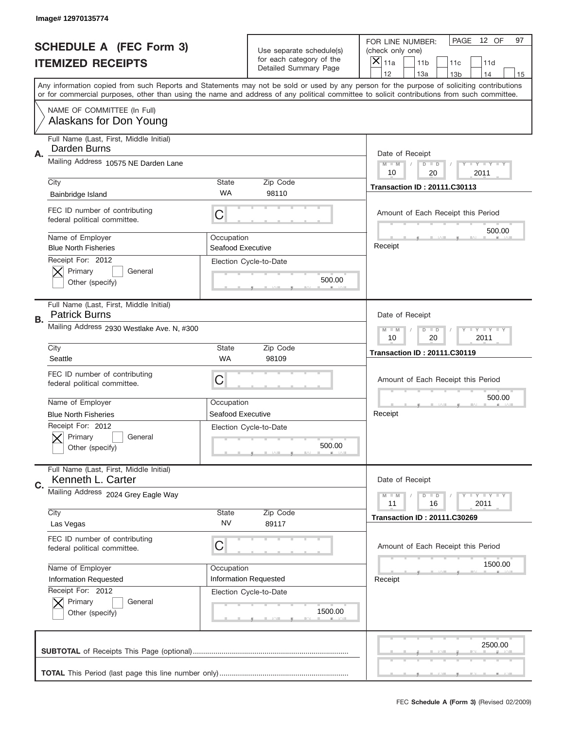|    | Image# 12970135774                                              |                                                           |                                                   |                                                                                                                                                                                                                                                                                         |
|----|-----------------------------------------------------------------|-----------------------------------------------------------|---------------------------------------------------|-----------------------------------------------------------------------------------------------------------------------------------------------------------------------------------------------------------------------------------------------------------------------------------------|
|    | <b>SCHEDULE A (FEC Form 3)</b>                                  |                                                           | Use separate schedule(s)                          | PAGE<br>12 OF<br>97<br>FOR LINE NUMBER:<br>(check only one)                                                                                                                                                                                                                             |
|    | <b>ITEMIZED RECEIPTS</b>                                        |                                                           | for each category of the<br>Detailed Summary Page | ×<br>11a<br>11 <sub>b</sub><br>11c<br>11d                                                                                                                                                                                                                                               |
|    |                                                                 |                                                           |                                                   | 12<br>13a<br>14<br>13 <sub>b</sub><br>15                                                                                                                                                                                                                                                |
|    |                                                                 |                                                           |                                                   | Any information copied from such Reports and Statements may not be sold or used by any person for the purpose of soliciting contributions<br>or for commercial purposes, other than using the name and address of any political committee to solicit contributions from such committee. |
|    | NAME OF COMMITTEE (In Full)<br>Alaskans for Don Young           |                                                           |                                                   |                                                                                                                                                                                                                                                                                         |
| Α. | Full Name (Last, First, Middle Initial)<br>Darden Burns         |                                                           |                                                   | Date of Receipt                                                                                                                                                                                                                                                                         |
|    | Mailing Address 10575 NE Darden Lane                            |                                                           |                                                   | $M - M$<br>$D$ $D$<br>Y FY FY FY<br>10<br>20<br>2011                                                                                                                                                                                                                                    |
|    | City                                                            | <b>State</b>                                              | Zip Code                                          | <b>Transaction ID: 20111.C30113</b>                                                                                                                                                                                                                                                     |
|    | Bainbridge Island                                               | WA                                                        | 98110                                             |                                                                                                                                                                                                                                                                                         |
|    | FEC ID number of contributing<br>federal political committee.   | C                                                         |                                                   | Amount of Each Receipt this Period<br>500.00                                                                                                                                                                                                                                            |
|    | Name of Employer<br><b>Blue North Fisheries</b>                 | Occupation<br>Seafood Executive                           |                                                   | Receipt                                                                                                                                                                                                                                                                                 |
|    | Receipt For: 2012<br>Primary<br>General<br>Other (specify)      |                                                           | Election Cycle-to-Date<br>500.00                  |                                                                                                                                                                                                                                                                                         |
| В. | Full Name (Last, First, Middle Initial)<br><b>Patrick Burns</b> |                                                           |                                                   | Date of Receipt                                                                                                                                                                                                                                                                         |
|    | Mailing Address 2930 Westlake Ave. N, #300                      | <b>LY LY LY</b><br>$M - M$<br>$D$ $D$<br>10<br>20<br>2011 |                                                   |                                                                                                                                                                                                                                                                                         |
|    | City                                                            | <b>State</b>                                              | Zip Code                                          | <b>Transaction ID: 20111.C30119</b>                                                                                                                                                                                                                                                     |
|    | Seattle                                                         | WA                                                        | 98109                                             |                                                                                                                                                                                                                                                                                         |
|    | FEC ID number of contributing<br>federal political committee.   | C                                                         |                                                   | Amount of Each Receipt this Period                                                                                                                                                                                                                                                      |
|    | Name of Employer                                                | Occupation                                                |                                                   | 500.00                                                                                                                                                                                                                                                                                  |
|    | <b>Blue North Fisheries</b>                                     | Seafood Executive                                         |                                                   | Receipt                                                                                                                                                                                                                                                                                 |
|    | Receipt For: 2012<br>General<br>Primary<br>Other (specify)      |                                                           | Election Cycle-to-Date<br>500.00                  |                                                                                                                                                                                                                                                                                         |
| C. | Full Name (Last, First, Middle Initial)<br>Kenneth L. Carter    |                                                           |                                                   | Date of Receipt                                                                                                                                                                                                                                                                         |
|    | Mailing Address 2024 Grey Eagle Way                             |                                                           |                                                   | <b>LY LY LY</b><br>$M - M$<br>$D$ $D$<br>11<br>2011<br>16                                                                                                                                                                                                                               |
|    | City<br>Las Vegas                                               | <b>State</b><br>NV                                        | Zip Code<br>89117                                 | <b>Transaction ID: 20111.C30269</b>                                                                                                                                                                                                                                                     |
|    | FEC ID number of contributing<br>federal political committee.   | С                                                         |                                                   | Amount of Each Receipt this Period                                                                                                                                                                                                                                                      |
|    | Name of Employer                                                | Occupation                                                |                                                   | 1500.00                                                                                                                                                                                                                                                                                 |
|    | <b>Information Requested</b>                                    |                                                           | Information Requested                             | Receipt                                                                                                                                                                                                                                                                                 |
|    |                                                                 |                                                           | Election Cycle-to-Date                            |                                                                                                                                                                                                                                                                                         |
|    | Receipt For: 2012<br>Primary<br>General<br>Other (specify)      |                                                           | 1500.00                                           |                                                                                                                                                                                                                                                                                         |
|    |                                                                 |                                                           |                                                   | 2500.00                                                                                                                                                                                                                                                                                 |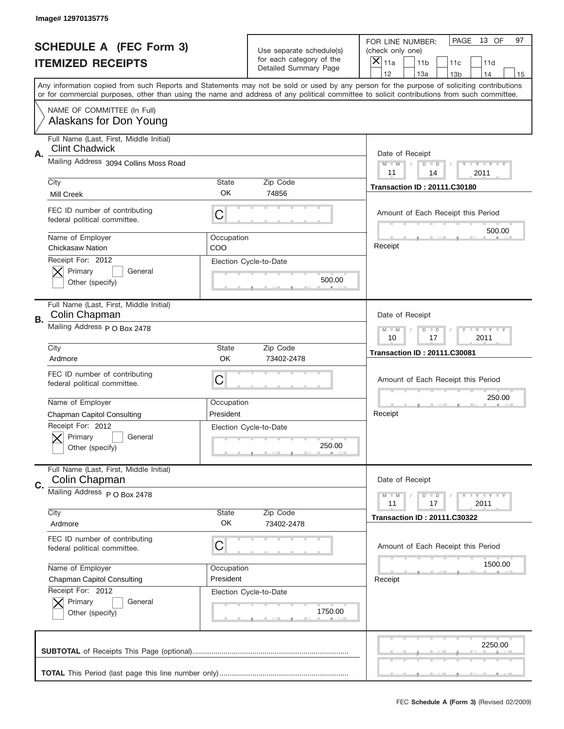|           | Image# 12970135775                                               |                                                         |                                                          |                                                                                                                                                                                                                                                                                         |
|-----------|------------------------------------------------------------------|---------------------------------------------------------|----------------------------------------------------------|-----------------------------------------------------------------------------------------------------------------------------------------------------------------------------------------------------------------------------------------------------------------------------------------|
|           | <b>SCHEDULE A (FEC Form 3)</b>                                   |                                                         | Use separate schedule(s)                                 | PAGE<br>13 OF<br>97<br>FOR LINE NUMBER:<br>(check only one)                                                                                                                                                                                                                             |
|           | <b>ITEMIZED RECEIPTS</b>                                         |                                                         | for each category of the<br><b>Detailed Summary Page</b> | $\overline{X} _{11a}$<br>11 <sub>b</sub><br>11c<br>11d                                                                                                                                                                                                                                  |
|           |                                                                  |                                                         |                                                          | 12<br>13a<br>14<br>13 <sub>b</sub><br>15                                                                                                                                                                                                                                                |
|           |                                                                  |                                                         |                                                          | Any information copied from such Reports and Statements may not be sold or used by any person for the purpose of soliciting contributions<br>or for commercial purposes, other than using the name and address of any political committee to solicit contributions from such committee. |
|           | NAME OF COMMITTEE (In Full)<br>Alaskans for Don Young            |                                                         |                                                          |                                                                                                                                                                                                                                                                                         |
|           | Full Name (Last, First, Middle Initial)<br><b>Clint Chadwick</b> |                                                         |                                                          | Date of Receipt                                                                                                                                                                                                                                                                         |
| Α.        | Mailing Address 3094 Collins Moss Road                           |                                                         |                                                          | $M - M$<br>Y FY FY FY<br>$D$ $D$<br>11<br>14<br>2011                                                                                                                                                                                                                                    |
|           | City                                                             | State                                                   | Zip Code                                                 | <b>Transaction ID: 20111.C30180</b>                                                                                                                                                                                                                                                     |
|           | Mill Creek                                                       | OK                                                      | 74856                                                    |                                                                                                                                                                                                                                                                                         |
|           | FEC ID number of contributing<br>federal political committee.    | C                                                       |                                                          | Amount of Each Receipt this Period<br>500.00                                                                                                                                                                                                                                            |
|           | Name of Employer<br>Chickasaw Nation                             | Occupation<br>COO                                       |                                                          | Receipt                                                                                                                                                                                                                                                                                 |
|           | Receipt For: 2012<br>Primary<br>General<br>Other (specify)       |                                                         | Election Cycle-to-Date<br>500.00                         |                                                                                                                                                                                                                                                                                         |
| <b>B.</b> | Full Name (Last, First, Middle Initial)<br>Colin Chapman         |                                                         |                                                          | Date of Receipt                                                                                                                                                                                                                                                                         |
|           | Mailing Address P O Box 2478                                     | $D$ $D$<br>Y I Y I Y I Y<br>$M - M$<br>10<br>17<br>2011 |                                                          |                                                                                                                                                                                                                                                                                         |
|           | City                                                             | State                                                   | Zip Code                                                 | <b>Transaction ID: 20111.C30081</b>                                                                                                                                                                                                                                                     |
|           | Ardmore                                                          | OK                                                      | 73402-2478                                               |                                                                                                                                                                                                                                                                                         |
|           | FEC ID number of contributing<br>federal political committee.    | C                                                       |                                                          | Amount of Each Receipt this Period                                                                                                                                                                                                                                                      |
|           | Name of Employer                                                 | Occupation                                              |                                                          | 250.00                                                                                                                                                                                                                                                                                  |
|           | Chapman Capitol Consulting                                       | President                                               |                                                          | Receipt                                                                                                                                                                                                                                                                                 |
|           | Receipt For: 2012<br>General<br>Primary<br>Other (specify)       |                                                         | Election Cycle-to-Date<br>250.00                         |                                                                                                                                                                                                                                                                                         |
| C.        | Full Name (Last, First, Middle Initial)<br>Colin Chapman         |                                                         |                                                          | Date of Receipt                                                                                                                                                                                                                                                                         |
|           | Mailing Address P O Box 2478                                     |                                                         |                                                          | <b>LYLYLY</b><br>$M - M$<br>$D$ $D$<br>11<br>2011<br>17                                                                                                                                                                                                                                 |
|           | City<br>Ardmore                                                  | <b>State</b><br>OK                                      | Zip Code<br>73402-2478                                   | <b>Transaction ID: 20111.C30322</b>                                                                                                                                                                                                                                                     |
|           | FEC ID number of contributing<br>federal political committee.    | C                                                       |                                                          | Amount of Each Receipt this Period                                                                                                                                                                                                                                                      |
|           | Name of Employer                                                 | Occupation                                              |                                                          | 1500.00                                                                                                                                                                                                                                                                                 |
|           | <b>Chapman Capitol Consulting</b>                                | President                                               |                                                          | Receipt                                                                                                                                                                                                                                                                                 |
|           | Receipt For: 2012<br>Primary<br>General<br>Other (specify)       |                                                         | Election Cycle-to-Date<br>1750.00                        |                                                                                                                                                                                                                                                                                         |
|           |                                                                  |                                                         |                                                          | 2250.00                                                                                                                                                                                                                                                                                 |
|           |                                                                  |                                                         |                                                          |                                                                                                                                                                                                                                                                                         |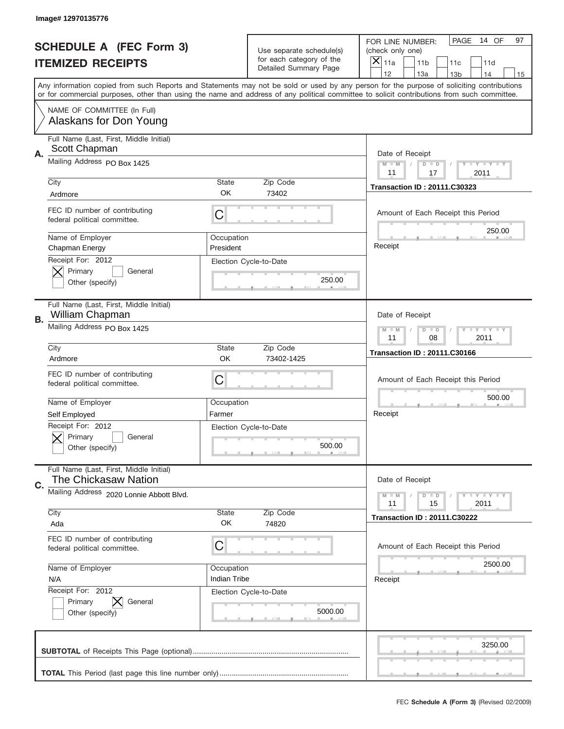|           | Image#12970135776                                               |                                                         |                                                          |                                                                                                                                                                                                                                                                                         |
|-----------|-----------------------------------------------------------------|---------------------------------------------------------|----------------------------------------------------------|-----------------------------------------------------------------------------------------------------------------------------------------------------------------------------------------------------------------------------------------------------------------------------------------|
|           | <b>SCHEDULE A (FEC Form 3)</b>                                  |                                                         | Use separate schedule(s)                                 | PAGE<br>14 OF<br>97<br>FOR LINE NUMBER:<br>(check only one)                                                                                                                                                                                                                             |
|           | <b>ITEMIZED RECEIPTS</b>                                        |                                                         | for each category of the<br><b>Detailed Summary Page</b> | $\overline{X} _{11a}$<br>11 <sub>b</sub><br>11c<br>11d                                                                                                                                                                                                                                  |
|           |                                                                 |                                                         |                                                          | 12<br>13a<br>14<br>13 <sub>b</sub><br>15                                                                                                                                                                                                                                                |
|           |                                                                 |                                                         |                                                          | Any information copied from such Reports and Statements may not be sold or used by any person for the purpose of soliciting contributions<br>or for commercial purposes, other than using the name and address of any political committee to solicit contributions from such committee. |
|           | NAME OF COMMITTEE (In Full)<br>Alaskans for Don Young           |                                                         |                                                          |                                                                                                                                                                                                                                                                                         |
|           | Full Name (Last, First, Middle Initial)<br>Scott Chapman        |                                                         |                                                          |                                                                                                                                                                                                                                                                                         |
| Α.        | Mailing Address PO Box 1425                                     |                                                         |                                                          | Date of Receipt<br>$M - M$<br>$D$ $D$<br>Y FY FY FY<br>11<br>17<br>2011                                                                                                                                                                                                                 |
|           | City                                                            | State                                                   | Zip Code                                                 |                                                                                                                                                                                                                                                                                         |
|           | Ardmore                                                         | OK                                                      | 73402                                                    | <b>Transaction ID: 20111.C30323</b>                                                                                                                                                                                                                                                     |
|           | FEC ID number of contributing<br>federal political committee.   | C                                                       |                                                          | Amount of Each Receipt this Period<br>250.00                                                                                                                                                                                                                                            |
|           | Name of Employer<br>Chapman Energy                              | Occupation<br>President                                 |                                                          | Receipt                                                                                                                                                                                                                                                                                 |
|           | Receipt For: 2012<br>Primary<br>General<br>Other (specify)      |                                                         | Election Cycle-to-Date<br>250.00                         |                                                                                                                                                                                                                                                                                         |
| <b>B.</b> | Full Name (Last, First, Middle Initial)<br>William Chapman      |                                                         |                                                          | Date of Receipt                                                                                                                                                                                                                                                                         |
|           | Mailing Address PO Box 1425                                     | $D$ $D$<br>Y I Y I Y I Y<br>$M - M$<br>11<br>08<br>2011 |                                                          |                                                                                                                                                                                                                                                                                         |
|           | City                                                            | State                                                   | Zip Code                                                 | <b>Transaction ID: 20111.C30166</b>                                                                                                                                                                                                                                                     |
|           | Ardmore                                                         | <b>OK</b>                                               | 73402-1425                                               |                                                                                                                                                                                                                                                                                         |
|           | FEC ID number of contributing<br>federal political committee.   | C                                                       |                                                          | Amount of Each Receipt this Period                                                                                                                                                                                                                                                      |
|           | Name of Employer                                                | Occupation                                              |                                                          | 500.00                                                                                                                                                                                                                                                                                  |
|           | Self Employed                                                   | Farmer                                                  |                                                          | Receipt                                                                                                                                                                                                                                                                                 |
|           | Receipt For: 2012<br>General<br>Primary<br>Other (specify)      |                                                         | Election Cycle-to-Date<br>500.00                         |                                                                                                                                                                                                                                                                                         |
| C.        | Full Name (Last, First, Middle Initial)<br>The Chickasaw Nation |                                                         |                                                          | Date of Receipt                                                                                                                                                                                                                                                                         |
|           | Mailing Address 2020 Lonnie Abbott Blvd.                        |                                                         |                                                          | $D$ $D$<br><b>LYLYLY</b><br>$M - M$<br>11<br>15<br>2011                                                                                                                                                                                                                                 |
|           | City<br>Ada                                                     | <b>State</b><br>OK                                      | Zip Code<br>74820                                        | <b>Transaction ID: 20111.C30222</b>                                                                                                                                                                                                                                                     |
|           | FEC ID number of contributing<br>federal political committee.   | C                                                       |                                                          | Amount of Each Receipt this Period                                                                                                                                                                                                                                                      |
|           | Name of Employer                                                | Occupation                                              |                                                          | 2500.00                                                                                                                                                                                                                                                                                 |
|           | N/A                                                             | Indian Tribe                                            |                                                          | Receipt                                                                                                                                                                                                                                                                                 |
|           | Receipt For: 2012<br>Primary<br>General<br>Other (specify)      |                                                         | Election Cycle-to-Date<br>5000.00                        |                                                                                                                                                                                                                                                                                         |
|           |                                                                 |                                                         |                                                          | 3250.00                                                                                                                                                                                                                                                                                 |
|           |                                                                 |                                                         |                                                          |                                                                                                                                                                                                                                                                                         |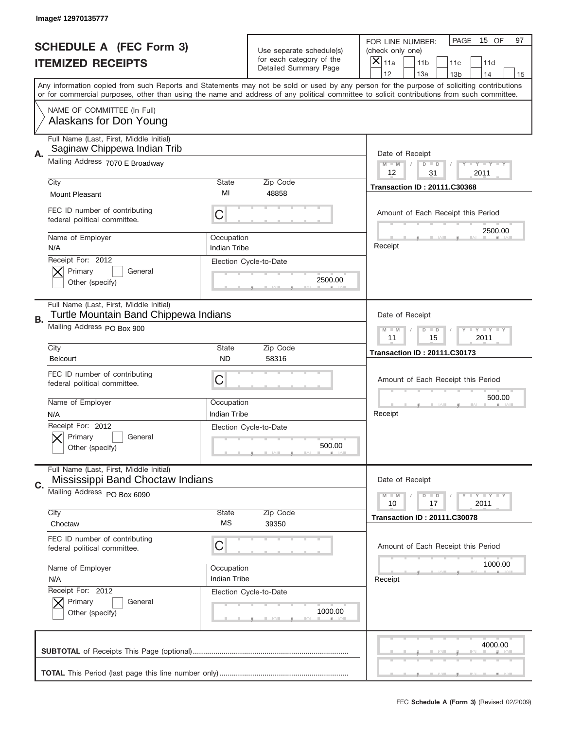|    | Image# 12970135777                                                               |                                                         |                                                   |                                                                                                                                                                                       |
|----|----------------------------------------------------------------------------------|---------------------------------------------------------|---------------------------------------------------|---------------------------------------------------------------------------------------------------------------------------------------------------------------------------------------|
|    | <b>SCHEDULE A (FEC Form 3)</b>                                                   |                                                         | Use separate schedule(s)                          | PAGE<br>15 OF<br>97<br>FOR LINE NUMBER:<br>(check only one)                                                                                                                           |
|    | <b>ITEMIZED RECEIPTS</b>                                                         |                                                         | for each category of the<br>Detailed Summary Page | ×<br>11a<br>11 <sub>b</sub><br>11c<br>11d                                                                                                                                             |
|    |                                                                                  |                                                         |                                                   | 12<br>13a<br>14<br>13 <sub>b</sub><br>15<br>Any information copied from such Reports and Statements may not be sold or used by any person for the purpose of soliciting contributions |
|    |                                                                                  |                                                         |                                                   | or for commercial purposes, other than using the name and address of any political committee to solicit contributions from such committee.                                            |
|    | NAME OF COMMITTEE (In Full)<br>Alaskans for Don Young                            |                                                         |                                                   |                                                                                                                                                                                       |
| Α. | Full Name (Last, First, Middle Initial)<br>Saginaw Chippewa Indian Trib          |                                                         |                                                   | Date of Receipt                                                                                                                                                                       |
|    | Mailing Address 7070 E Broadway                                                  |                                                         |                                                   | $M - M$<br><b>LEY LEY LEY</b><br>$D$ $D$<br>12<br>31<br>2011                                                                                                                          |
|    | City<br><b>Mount Pleasant</b>                                                    | State<br>MI                                             | Zip Code<br>48858                                 | <b>Transaction ID: 20111.C30368</b>                                                                                                                                                   |
|    | FEC ID number of contributing<br>federal political committee.                    | C                                                       |                                                   | Amount of Each Receipt this Period                                                                                                                                                    |
|    | Name of Employer<br>N/A                                                          | Occupation<br><b>Indian Tribe</b>                       |                                                   | 2500.00<br>Receipt                                                                                                                                                                    |
|    | Receipt For: 2012<br>Primary<br>General<br>Other (specify)                       |                                                         | Election Cycle-to-Date<br>2500.00                 |                                                                                                                                                                                       |
| В. | Full Name (Last, First, Middle Initial)<br>Turtle Mountain Band Chippewa Indians |                                                         |                                                   | Date of Receipt                                                                                                                                                                       |
|    | Mailing Address PO Box 900                                                       | <b>LYLYLY</b><br>$M - M$<br>$D$ $D$<br>11<br>15<br>2011 |                                                   |                                                                                                                                                                                       |
|    | City<br><b>Belcourt</b>                                                          | <b>State</b><br><b>ND</b>                               | Zip Code<br>58316                                 | <b>Transaction ID: 20111.C30173</b>                                                                                                                                                   |
|    | FEC ID number of contributing<br>federal political committee.                    | C                                                       |                                                   | Amount of Each Receipt this Period                                                                                                                                                    |
|    | Name of Employer<br>N/A                                                          | Occupation<br><b>Indian Tribe</b>                       |                                                   | 500.00<br>Receipt                                                                                                                                                                     |
|    | Receipt For: 2012                                                                |                                                         | Election Cycle-to-Date                            |                                                                                                                                                                                       |
|    | Primary<br>General<br>Other (specify)                                            |                                                         | 500.00                                            |                                                                                                                                                                                       |
|    |                                                                                  |                                                         |                                                   |                                                                                                                                                                                       |
| C. | Full Name (Last, First, Middle Initial)<br>Mississippi Band Choctaw Indians      |                                                         |                                                   | Date of Receipt                                                                                                                                                                       |
|    | Mailing Address PO Box 6090                                                      |                                                         |                                                   | <b>LYLYLY</b><br>$M - M$<br>$D$ $D$<br>10<br>2011<br>17                                                                                                                               |
|    | City<br>Choctaw                                                                  | <b>State</b><br>MS                                      | Zip Code<br>39350                                 | <b>Transaction ID: 20111.C30078</b>                                                                                                                                                   |
|    | FEC ID number of contributing<br>federal political committee.                    | С                                                       |                                                   | Amount of Each Receipt this Period                                                                                                                                                    |
|    | Name of Employer                                                                 | Occupation                                              |                                                   | 1000.00                                                                                                                                                                               |
|    | N/A                                                                              | Indian Tribe                                            |                                                   | Receipt                                                                                                                                                                               |
|    | Receipt For: 2012<br>Primary<br>General<br>Other (specify)                       |                                                         | Election Cycle-to-Date<br>1000.00                 |                                                                                                                                                                                       |
|    |                                                                                  |                                                         |                                                   | 4000.00                                                                                                                                                                               |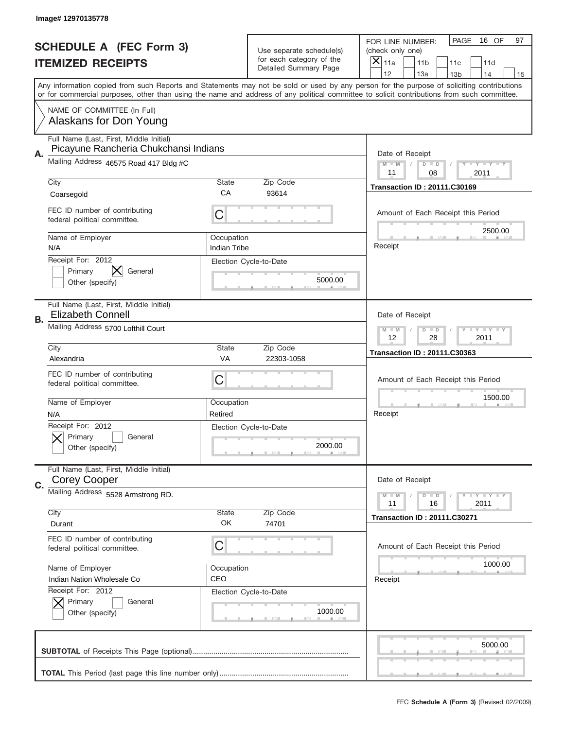|    | Image# 12970135778                                                               |                                                            |                                                   |                                                                                                                                                                                                                                                                                                                                     |
|----|----------------------------------------------------------------------------------|------------------------------------------------------------|---------------------------------------------------|-------------------------------------------------------------------------------------------------------------------------------------------------------------------------------------------------------------------------------------------------------------------------------------------------------------------------------------|
|    | <b>SCHEDULE A (FEC Form 3)</b>                                                   |                                                            | Use separate schedule(s)                          | PAGE<br>16 OF<br>97<br>FOR LINE NUMBER:<br>(check only one)                                                                                                                                                                                                                                                                         |
|    | <b>ITEMIZED RECEIPTS</b>                                                         |                                                            | for each category of the<br>Detailed Summary Page | $\times$<br>11a<br>11 <sub>b</sub><br>11c<br>11d                                                                                                                                                                                                                                                                                    |
|    |                                                                                  |                                                            |                                                   | 12<br>13a<br>14<br>13 <sub>b</sub><br>15<br>Any information copied from such Reports and Statements may not be sold or used by any person for the purpose of soliciting contributions<br>or for commercial purposes, other than using the name and address of any political committee to solicit contributions from such committee. |
|    | NAME OF COMMITTEE (In Full)<br>Alaskans for Don Young                            |                                                            |                                                   |                                                                                                                                                                                                                                                                                                                                     |
| Α. | Full Name (Last, First, Middle Initial)<br>Picayune Rancheria Chukchansi Indians |                                                            |                                                   | Date of Receipt                                                                                                                                                                                                                                                                                                                     |
|    | Mailing Address 46575 Road 417 Bldg #C                                           |                                                            |                                                   | $M - M$<br>Y FY FY FY<br>$D$ $D$<br>11<br>08<br>2011                                                                                                                                                                                                                                                                                |
|    | City<br>Coarsegold                                                               | <b>State</b><br>CA                                         | Zip Code<br>93614                                 | <b>Transaction ID: 20111.C30169</b>                                                                                                                                                                                                                                                                                                 |
|    | FEC ID number of contributing<br>federal political committee.                    | C                                                          |                                                   | Amount of Each Receipt this Period                                                                                                                                                                                                                                                                                                  |
|    | Name of Employer<br>N/A                                                          | Occupation<br><b>Indian Tribe</b>                          |                                                   | 2500.00<br>Receipt                                                                                                                                                                                                                                                                                                                  |
|    | Receipt For: 2012<br>Primary<br>General<br>Other (specify)                       |                                                            | Election Cycle-to-Date<br>5000.00                 |                                                                                                                                                                                                                                                                                                                                     |
| В. | Full Name (Last, First, Middle Initial)<br><b>Elizabeth Connell</b>              |                                                            |                                                   | Date of Receipt                                                                                                                                                                                                                                                                                                                     |
|    | Mailing Address 5700 Lofthill Court                                              | <b>THEY THEY</b><br>$M - M$<br>$D$ $D$<br>12<br>28<br>2011 |                                                   |                                                                                                                                                                                                                                                                                                                                     |
|    | City<br>Alexandria                                                               | <b>State</b><br>VA                                         | Zip Code<br>22303-1058                            | <b>Transaction ID: 20111.C30363</b>                                                                                                                                                                                                                                                                                                 |
|    | FEC ID number of contributing<br>federal political committee.                    | C                                                          |                                                   | Amount of Each Receipt this Period                                                                                                                                                                                                                                                                                                  |
|    | Name of Employer<br>N/A                                                          | Occupation<br>Retired                                      |                                                   | 1500.00<br>Receipt                                                                                                                                                                                                                                                                                                                  |
|    | Receipt For: 2012<br>General<br>Primary<br>Other (specify)                       |                                                            | Election Cycle-to-Date<br>2000.00                 |                                                                                                                                                                                                                                                                                                                                     |
| C. | Full Name (Last, First, Middle Initial)<br><b>Corey Cooper</b>                   |                                                            |                                                   | Date of Receipt                                                                                                                                                                                                                                                                                                                     |
|    | Mailing Address 5528 Armstrong RD.                                               |                                                            |                                                   | $D$ $D$<br><b>LYLYLY</b><br>$M - M$<br>16<br>2011<br>11                                                                                                                                                                                                                                                                             |
|    | City<br>Durant                                                                   | <b>State</b><br>OK                                         | Zip Code<br>74701                                 | <b>Transaction ID: 20111.C30271</b>                                                                                                                                                                                                                                                                                                 |
|    | FEC ID number of contributing<br>federal political committee.                    | C                                                          |                                                   | Amount of Each Receipt this Period                                                                                                                                                                                                                                                                                                  |
|    | Name of Employer<br>Indian Nation Wholesale Co                                   | Occupation<br>CEO                                          |                                                   | 1000.00<br>Receipt                                                                                                                                                                                                                                                                                                                  |
|    | Receipt For: 2012<br>Primary<br>General<br>Other (specify)                       |                                                            | Election Cycle-to-Date<br>1000.00                 |                                                                                                                                                                                                                                                                                                                                     |
|    |                                                                                  |                                                            |                                                   | 5000.00                                                                                                                                                                                                                                                                                                                             |
|    |                                                                                  |                                                            |                                                   |                                                                                                                                                                                                                                                                                                                                     |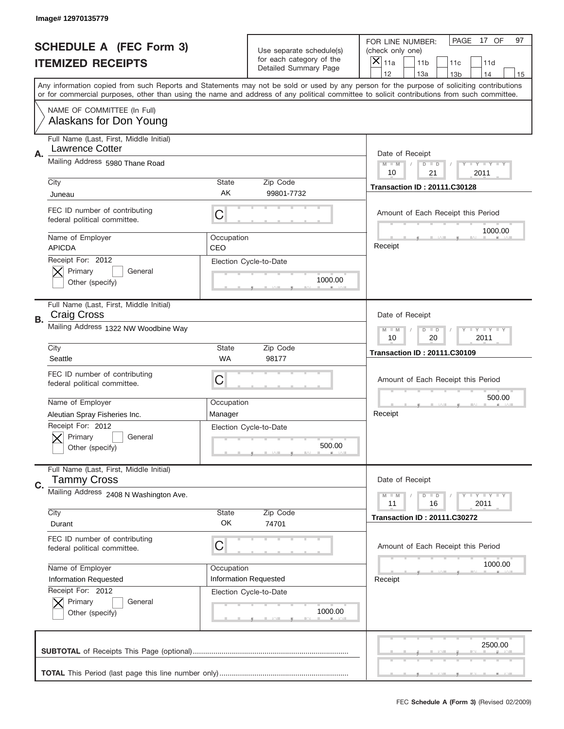|    | Image# 12970135779                                                |                                                         |                                                          |                                                                                                                                                                                       |
|----|-------------------------------------------------------------------|---------------------------------------------------------|----------------------------------------------------------|---------------------------------------------------------------------------------------------------------------------------------------------------------------------------------------|
|    | <b>SCHEDULE A (FEC Form 3)</b>                                    |                                                         | Use separate schedule(s)                                 | PAGE<br>17 OF<br>97<br>FOR LINE NUMBER:<br>(check only one)                                                                                                                           |
|    | <b>ITEMIZED RECEIPTS</b>                                          |                                                         | for each category of the<br><b>Detailed Summary Page</b> | $\overline{X} _{11a}$<br>11 <sub>b</sub><br>11c<br>11d                                                                                                                                |
|    |                                                                   |                                                         |                                                          | 12<br>13a<br>14<br>13 <sub>b</sub><br>15<br>Any information copied from such Reports and Statements may not be sold or used by any person for the purpose of soliciting contributions |
|    |                                                                   |                                                         |                                                          | or for commercial purposes, other than using the name and address of any political committee to solicit contributions from such committee.                                            |
|    | NAME OF COMMITTEE (In Full)<br>Alaskans for Don Young             |                                                         |                                                          |                                                                                                                                                                                       |
| Α. | Full Name (Last, First, Middle Initial)<br><b>Lawrence Cotter</b> |                                                         |                                                          | Date of Receipt                                                                                                                                                                       |
|    | Mailing Address 5980 Thane Road                                   |                                                         |                                                          | $M$ $M$<br>Y FY FY FY<br>$D$ $D$<br>10<br>21<br>2011                                                                                                                                  |
|    | City                                                              | State                                                   | Zip Code                                                 | <b>Transaction ID: 20111.C30128</b>                                                                                                                                                   |
|    | Juneau                                                            | AK                                                      | 99801-7732                                               |                                                                                                                                                                                       |
|    | FEC ID number of contributing<br>federal political committee.     | C                                                       |                                                          | Amount of Each Receipt this Period                                                                                                                                                    |
|    | Name of Employer<br><b>APICDA</b>                                 | Occupation<br>CEO                                       |                                                          | 1000.00<br>Receipt                                                                                                                                                                    |
|    | Receipt For: 2012<br>Primary<br>General                           |                                                         | Election Cycle-to-Date                                   |                                                                                                                                                                                       |
|    | Other (specify)                                                   |                                                         | 1000.00                                                  |                                                                                                                                                                                       |
| В. | Full Name (Last, First, Middle Initial)<br>Craig Cross            |                                                         |                                                          | Date of Receipt                                                                                                                                                                       |
|    | Mailing Address 1322 NW Woodbine Way                              | $D$ $D$<br>Y I Y I Y I Y<br>$M - M$<br>10<br>20<br>2011 |                                                          |                                                                                                                                                                                       |
|    | City<br>Seattle                                                   | <b>State</b><br>WA                                      | Zip Code<br>98177                                        | <b>Transaction ID: 20111.C30109</b>                                                                                                                                                   |
|    | FEC ID number of contributing<br>federal political committee.     | C                                                       |                                                          | Amount of Each Receipt this Period                                                                                                                                                    |
|    | Name of Employer                                                  | Occupation                                              |                                                          | 500.00                                                                                                                                                                                |
|    | Aleutian Spray Fisheries Inc.                                     | Manager                                                 |                                                          | Receipt                                                                                                                                                                               |
|    | Receipt For: 2012<br>General<br>Primary<br>Other (specify)        |                                                         | Election Cycle-to-Date<br>500.00                         |                                                                                                                                                                                       |
| C. | Full Name (Last, First, Middle Initial)<br><b>Tammy Cross</b>     |                                                         |                                                          | Date of Receipt                                                                                                                                                                       |
|    | Mailing Address 2408 N Washington Ave.                            |                                                         |                                                          | $D$ $D$<br><b>LYLYLY</b><br>$M - M$<br>11<br>16<br>2011                                                                                                                               |
|    | City                                                              | <b>State</b>                                            | Zip Code                                                 | <b>Transaction ID: 20111.C30272</b>                                                                                                                                                   |
|    | Durant                                                            | OK                                                      | 74701                                                    |                                                                                                                                                                                       |
|    | FEC ID number of contributing<br>federal political committee.     | C                                                       |                                                          | Amount of Each Receipt this Period                                                                                                                                                    |
|    | Name of Employer                                                  | Occupation                                              |                                                          | 1000.00                                                                                                                                                                               |
|    | <b>Information Requested</b>                                      |                                                         | Information Requested                                    | Receipt                                                                                                                                                                               |
|    | Receipt For: 2012<br>Primary<br>General                           |                                                         | Election Cycle-to-Date                                   |                                                                                                                                                                                       |
|    | Other (specify)                                                   |                                                         | 1000.00                                                  |                                                                                                                                                                                       |
|    |                                                                   |                                                         |                                                          | 2500.00                                                                                                                                                                               |
|    |                                                                   |                                                         |                                                          |                                                                                                                                                                                       |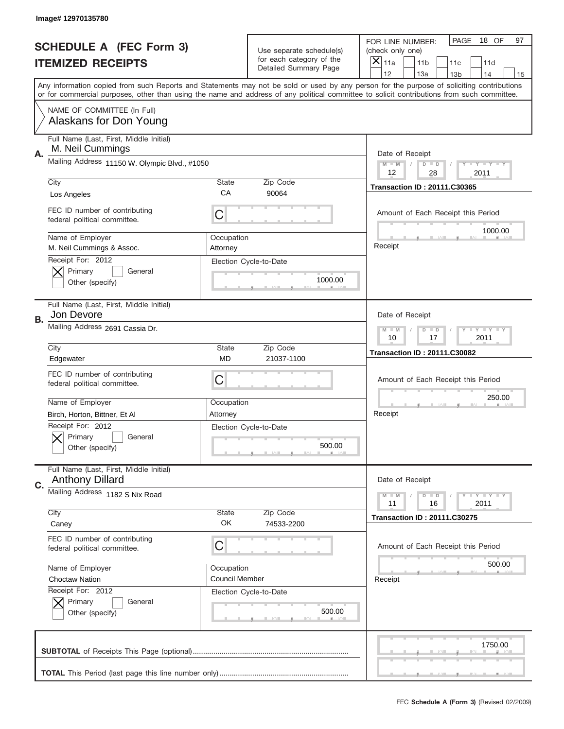|    | Image# 12970135780                                                |                        |                                                   |                                                                                                                                                                                                                                                                                         |
|----|-------------------------------------------------------------------|------------------------|---------------------------------------------------|-----------------------------------------------------------------------------------------------------------------------------------------------------------------------------------------------------------------------------------------------------------------------------------------|
|    | <b>SCHEDULE A (FEC Form 3)</b>                                    |                        | Use separate schedule(s)                          | PAGE<br>18 OF<br>97<br>FOR LINE NUMBER:<br>(check only one)                                                                                                                                                                                                                             |
|    | <b>ITEMIZED RECEIPTS</b>                                          |                        | for each category of the<br>Detailed Summary Page | X<br>11a<br>11 <sub>b</sub><br>11c<br>11d                                                                                                                                                                                                                                               |
|    |                                                                   |                        |                                                   | 12<br>13a<br>14<br>13 <sub>b</sub><br>15                                                                                                                                                                                                                                                |
|    |                                                                   |                        |                                                   | Any information copied from such Reports and Statements may not be sold or used by any person for the purpose of soliciting contributions<br>or for commercial purposes, other than using the name and address of any political committee to solicit contributions from such committee. |
|    | NAME OF COMMITTEE (In Full)<br>Alaskans for Don Young             |                        |                                                   |                                                                                                                                                                                                                                                                                         |
|    | Full Name (Last, First, Middle Initial)<br>M. Neil Cummings       |                        |                                                   |                                                                                                                                                                                                                                                                                         |
| Α. | Mailing Address 11150 W. Olympic Blvd., #1050                     |                        |                                                   | Date of Receipt<br>$M - M$<br>$T$ $Y$ $Y$ $Y$ $Y$ $Y$<br>$D$ $D$                                                                                                                                                                                                                        |
|    | City                                                              | <b>State</b>           | Zip Code                                          | 12<br>28<br>2011                                                                                                                                                                                                                                                                        |
|    | Los Angeles                                                       | CA                     | 90064                                             | <b>Transaction ID: 20111.C30365</b>                                                                                                                                                                                                                                                     |
|    | FEC ID number of contributing<br>federal political committee.     | C                      |                                                   | Amount of Each Receipt this Period<br>1000.00                                                                                                                                                                                                                                           |
|    | Name of Employer<br>M. Neil Cummings & Assoc.                     | Occupation<br>Attorney |                                                   | Receipt                                                                                                                                                                                                                                                                                 |
|    | Receipt For: 2012<br>Primary<br>General<br>Other (specify)        |                        | Election Cycle-to-Date<br>1000.00                 |                                                                                                                                                                                                                                                                                         |
| В. | Full Name (Last, First, Middle Initial)<br>Jon Devore             |                        |                                                   | Date of Receipt                                                                                                                                                                                                                                                                         |
|    | Mailing Address 2691 Cassia Dr.                                   |                        |                                                   | $T$ $Y$ $T$ $Y$ $T$ $Y$<br>$M - M$<br>$D$ $D$<br>10<br>17<br>2011                                                                                                                                                                                                                       |
|    | City                                                              | <b>State</b>           | Zip Code                                          | <b>Transaction ID: 20111.C30082</b>                                                                                                                                                                                                                                                     |
|    | Edgewater                                                         | <b>MD</b>              | 21037-1100                                        |                                                                                                                                                                                                                                                                                         |
|    | FEC ID number of contributing<br>federal political committee.     | C                      |                                                   | Amount of Each Receipt this Period                                                                                                                                                                                                                                                      |
|    | Name of Employer                                                  | Occupation             |                                                   | 250.00                                                                                                                                                                                                                                                                                  |
|    | Birch, Horton, Bittner, Et Al                                     | Attorney               |                                                   | Receipt                                                                                                                                                                                                                                                                                 |
|    | Receipt For: 2012<br>General<br>Primary<br>Other (specify)        |                        | Election Cycle-to-Date<br>500.00                  |                                                                                                                                                                                                                                                                                         |
| C. | Full Name (Last, First, Middle Initial)<br><b>Anthony Dillard</b> |                        |                                                   | Date of Receipt                                                                                                                                                                                                                                                                         |
|    | Mailing Address 1182 S Nix Road                                   |                        |                                                   | <b>TEY TEY TEY</b><br>$M - M$<br>$D$ $D$<br>2011<br>11<br>16                                                                                                                                                                                                                            |
|    | City                                                              | <b>State</b><br>OK     | Zip Code                                          | <b>Transaction ID: 20111.C30275</b>                                                                                                                                                                                                                                                     |
|    | Caney                                                             |                        | 74533-2200                                        |                                                                                                                                                                                                                                                                                         |
|    | FEC ID number of contributing<br>federal political committee.     | C                      |                                                   | Amount of Each Receipt this Period                                                                                                                                                                                                                                                      |
|    | Name of Employer                                                  | Occupation             |                                                   | 500.00                                                                                                                                                                                                                                                                                  |
|    | <b>Choctaw Nation</b>                                             | Council Member         |                                                   | Receipt                                                                                                                                                                                                                                                                                 |
|    | Receipt For: 2012<br>Primary<br>General<br>Other (specify)        |                        | Election Cycle-to-Date<br>500.00                  |                                                                                                                                                                                                                                                                                         |
|    |                                                                   |                        |                                                   | 1750.00                                                                                                                                                                                                                                                                                 |
|    |                                                                   |                        |                                                   |                                                                                                                                                                                                                                                                                         |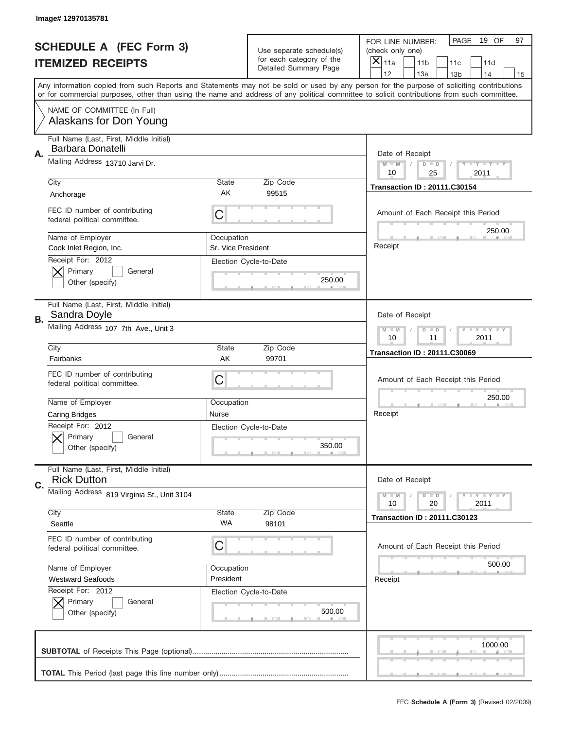|    | Image# 12970135781                                            |                                                            |                                                   |                                                                                                                                                                                                                                                                                         |
|----|---------------------------------------------------------------|------------------------------------------------------------|---------------------------------------------------|-----------------------------------------------------------------------------------------------------------------------------------------------------------------------------------------------------------------------------------------------------------------------------------------|
|    | <b>SCHEDULE A (FEC Form 3)</b>                                |                                                            | Use separate schedule(s)                          | PAGE<br>19 OF<br>97<br>FOR LINE NUMBER:<br>(check only one)                                                                                                                                                                                                                             |
|    | <b>ITEMIZED RECEIPTS</b>                                      |                                                            | for each category of the<br>Detailed Summary Page | $\overline{X} _{11a}$<br>11 <sub>b</sub><br>11c<br>11d                                                                                                                                                                                                                                  |
|    |                                                               |                                                            |                                                   | 12<br>13a<br>14<br>13 <sub>b</sub><br>15                                                                                                                                                                                                                                                |
|    |                                                               |                                                            |                                                   | Any information copied from such Reports and Statements may not be sold or used by any person for the purpose of soliciting contributions<br>or for commercial purposes, other than using the name and address of any political committee to solicit contributions from such committee. |
|    | NAME OF COMMITTEE (In Full)<br>Alaskans for Don Young         |                                                            |                                                   |                                                                                                                                                                                                                                                                                         |
|    | Full Name (Last, First, Middle Initial)<br>Barbara Donatelli  |                                                            |                                                   |                                                                                                                                                                                                                                                                                         |
| Α. | Mailing Address 13710 Jarvi Dr.                               |                                                            |                                                   | Date of Receipt<br><b>LYLYLY</b>                                                                                                                                                                                                                                                        |
|    |                                                               |                                                            |                                                   | $M - M$<br>$D$ $D$<br>10<br>25<br>2011                                                                                                                                                                                                                                                  |
|    | City                                                          | <b>State</b>                                               | Zip Code                                          | <b>Transaction ID: 20111.C30154</b>                                                                                                                                                                                                                                                     |
|    | Anchorage                                                     | AK                                                         | 99515                                             |                                                                                                                                                                                                                                                                                         |
|    | FEC ID number of contributing<br>federal political committee. | C                                                          |                                                   | Amount of Each Receipt this Period<br>250.00                                                                                                                                                                                                                                            |
|    | Name of Employer<br>Cook Inlet Region, Inc.                   | Occupation<br>Sr. Vice President                           |                                                   | Receipt                                                                                                                                                                                                                                                                                 |
|    | Receipt For: 2012                                             |                                                            | Election Cycle-to-Date                            |                                                                                                                                                                                                                                                                                         |
|    | Primary<br>General<br>Other (specify)                         |                                                            | 250.00                                            |                                                                                                                                                                                                                                                                                         |
|    |                                                               |                                                            |                                                   |                                                                                                                                                                                                                                                                                         |
| В. | Full Name (Last, First, Middle Initial)<br>Sandra Doyle       |                                                            |                                                   | Date of Receipt                                                                                                                                                                                                                                                                         |
|    | Mailing Address 107 7th Ave., Unit 3                          | $D$ $D$<br><b>THEY THEY</b><br>$M - M$<br>10<br>11<br>2011 |                                                   |                                                                                                                                                                                                                                                                                         |
|    | City                                                          | <b>State</b>                                               | Zip Code                                          | <b>Transaction ID: 20111.C30069</b>                                                                                                                                                                                                                                                     |
|    | Fairbanks                                                     | AK                                                         | 99701                                             |                                                                                                                                                                                                                                                                                         |
|    | FEC ID number of contributing<br>federal political committee. | C                                                          |                                                   | Amount of Each Receipt this Period                                                                                                                                                                                                                                                      |
|    | Name of Employer                                              | Occupation                                                 |                                                   | 250.00                                                                                                                                                                                                                                                                                  |
|    | <b>Caring Bridges</b>                                         | Nurse                                                      |                                                   | Receipt                                                                                                                                                                                                                                                                                 |
|    | Receipt For: 2012                                             |                                                            | Election Cycle-to-Date                            |                                                                                                                                                                                                                                                                                         |
|    | General<br>Primary                                            |                                                            |                                                   |                                                                                                                                                                                                                                                                                         |
|    | Other (specify)                                               |                                                            | 350.00                                            |                                                                                                                                                                                                                                                                                         |
| C. | Full Name (Last, First, Middle Initial)<br><b>Rick Dutton</b> |                                                            |                                                   | Date of Receipt                                                                                                                                                                                                                                                                         |
|    | Mailing Address 819 Virginia St., Unit 3104                   |                                                            |                                                   | <b>LYLYLY</b><br>$M - M$<br>$D$ $D$<br>20<br>2011<br>10                                                                                                                                                                                                                                 |
|    | City                                                          | <b>State</b>                                               | Zip Code                                          | <b>Transaction ID: 20111.C30123</b>                                                                                                                                                                                                                                                     |
|    | Seattle                                                       | WA                                                         | 98101                                             |                                                                                                                                                                                                                                                                                         |
|    | FEC ID number of contributing<br>federal political committee. | С                                                          |                                                   | Amount of Each Receipt this Period                                                                                                                                                                                                                                                      |
|    | Name of Employer                                              | Occupation                                                 |                                                   | 500.00                                                                                                                                                                                                                                                                                  |
|    | <b>Westward Seafoods</b>                                      | President                                                  |                                                   | Receipt                                                                                                                                                                                                                                                                                 |
|    | Receipt For: 2012                                             |                                                            | Election Cycle-to-Date                            |                                                                                                                                                                                                                                                                                         |
|    |                                                               |                                                            |                                                   |                                                                                                                                                                                                                                                                                         |
|    | Primary<br>General<br>Other (specify)                         |                                                            | 500.00                                            |                                                                                                                                                                                                                                                                                         |
|    |                                                               |                                                            |                                                   | 1000.00                                                                                                                                                                                                                                                                                 |
|    |                                                               |                                                            |                                                   |                                                                                                                                                                                                                                                                                         |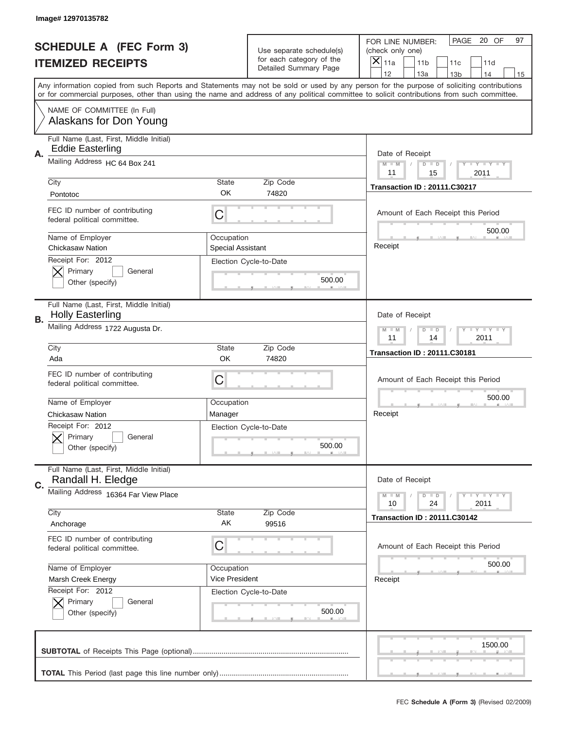|    | Image# 12970135782                                                 |                          |                                                   |                                                                                                                                                                                                                                                                                         |
|----|--------------------------------------------------------------------|--------------------------|---------------------------------------------------|-----------------------------------------------------------------------------------------------------------------------------------------------------------------------------------------------------------------------------------------------------------------------------------------|
|    | <b>SCHEDULE A (FEC Form 3)</b>                                     |                          | Use separate schedule(s)                          | PAGE<br>20 OF<br>97<br>FOR LINE NUMBER:<br>(check only one)                                                                                                                                                                                                                             |
|    | <b>ITEMIZED RECEIPTS</b>                                           |                          | for each category of the<br>Detailed Summary Page | ×<br>11a<br>11 <sub>b</sub><br>11c<br>11d                                                                                                                                                                                                                                               |
|    |                                                                    |                          |                                                   | 12<br>13a<br>14<br>13 <sub>b</sub><br>15                                                                                                                                                                                                                                                |
|    |                                                                    |                          |                                                   | Any information copied from such Reports and Statements may not be sold or used by any person for the purpose of soliciting contributions<br>or for commercial purposes, other than using the name and address of any political committee to solicit contributions from such committee. |
|    | NAME OF COMMITTEE (In Full)<br>Alaskans for Don Young              |                          |                                                   |                                                                                                                                                                                                                                                                                         |
|    | Full Name (Last, First, Middle Initial)<br><b>Eddie Easterling</b> |                          |                                                   |                                                                                                                                                                                                                                                                                         |
| А. | Mailing Address HC 64 Box 241                                      |                          |                                                   | Date of Receipt<br>$M$ $M$<br>Y TY TY TY<br>$D$ $D$<br>11<br>15<br>2011                                                                                                                                                                                                                 |
|    | City                                                               | State                    | Zip Code                                          | <b>Transaction ID: 20111.C30217</b>                                                                                                                                                                                                                                                     |
|    | Pontotoc                                                           | OK                       | 74820                                             |                                                                                                                                                                                                                                                                                         |
|    | FEC ID number of contributing<br>federal political committee.      | C                        |                                                   | Amount of Each Receipt this Period<br>500.00                                                                                                                                                                                                                                            |
|    | Name of Employer                                                   | Occupation               |                                                   | Receipt                                                                                                                                                                                                                                                                                 |
|    | <b>Chickasaw Nation</b>                                            | <b>Special Assistant</b> |                                                   |                                                                                                                                                                                                                                                                                         |
|    | Receipt For: 2012<br>Primary<br>General                            |                          | Election Cycle-to-Date                            |                                                                                                                                                                                                                                                                                         |
|    | Other (specify)                                                    |                          | 500.00                                            |                                                                                                                                                                                                                                                                                         |
|    |                                                                    |                          |                                                   |                                                                                                                                                                                                                                                                                         |
| В. | Full Name (Last, First, Middle Initial)<br><b>Holly Easterling</b> |                          |                                                   | Date of Receipt                                                                                                                                                                                                                                                                         |
|    | Mailing Address 1722 Augusta Dr.                                   |                          |                                                   | Y TY TY TY<br>$M - M$<br>$D$ $D$                                                                                                                                                                                                                                                        |
|    |                                                                    |                          |                                                   | 11<br>14<br>2011                                                                                                                                                                                                                                                                        |
|    | City<br>Ada                                                        | State<br>OK              | Zip Code<br>74820                                 | <b>Transaction ID: 20111.C30181</b>                                                                                                                                                                                                                                                     |
|    |                                                                    |                          |                                                   |                                                                                                                                                                                                                                                                                         |
|    | FEC ID number of contributing<br>federal political committee.      | C                        |                                                   | Amount of Each Receipt this Period                                                                                                                                                                                                                                                      |
|    |                                                                    |                          |                                                   | 500.00                                                                                                                                                                                                                                                                                  |
|    | Name of Employer                                                   | Occupation               |                                                   |                                                                                                                                                                                                                                                                                         |
|    |                                                                    |                          |                                                   |                                                                                                                                                                                                                                                                                         |
|    | <b>Chickasaw Nation</b>                                            | Manager                  |                                                   | Receipt                                                                                                                                                                                                                                                                                 |
|    | Receipt For: 2012                                                  |                          | Election Cycle-to-Date                            |                                                                                                                                                                                                                                                                                         |
|    | General<br>Primary                                                 |                          | 500.00                                            |                                                                                                                                                                                                                                                                                         |
|    | Other (specify)                                                    |                          |                                                   |                                                                                                                                                                                                                                                                                         |
|    | Full Name (Last, First, Middle Initial)<br>Randall H. Eledge       |                          |                                                   | Date of Receipt                                                                                                                                                                                                                                                                         |
| C. | Mailing Address 16364 Far View Place                               |                          |                                                   | $T - Y = Y - T Y$<br>$M - M$<br>$D$ $D$<br>2011<br>10<br>24                                                                                                                                                                                                                             |
|    | City                                                               | State                    | Zip Code                                          | <b>Transaction ID: 20111.C30142</b>                                                                                                                                                                                                                                                     |
|    | Anchorage                                                          | AK                       | 99516                                             |                                                                                                                                                                                                                                                                                         |
|    | FEC ID number of contributing<br>federal political committee.      | C                        |                                                   | Amount of Each Receipt this Period                                                                                                                                                                                                                                                      |
|    | Name of Employer                                                   | Occupation               |                                                   | 500.00                                                                                                                                                                                                                                                                                  |
|    | Marsh Creek Energy                                                 | Vice President           |                                                   | Receipt                                                                                                                                                                                                                                                                                 |
|    | Receipt For: 2012                                                  |                          | Election Cycle-to-Date                            |                                                                                                                                                                                                                                                                                         |
|    | Primary<br>General                                                 |                          |                                                   |                                                                                                                                                                                                                                                                                         |
|    | Other (specify)                                                    |                          | 500.00                                            |                                                                                                                                                                                                                                                                                         |
|    |                                                                    |                          |                                                   | 1500.00                                                                                                                                                                                                                                                                                 |
|    |                                                                    |                          |                                                   |                                                                                                                                                                                                                                                                                         |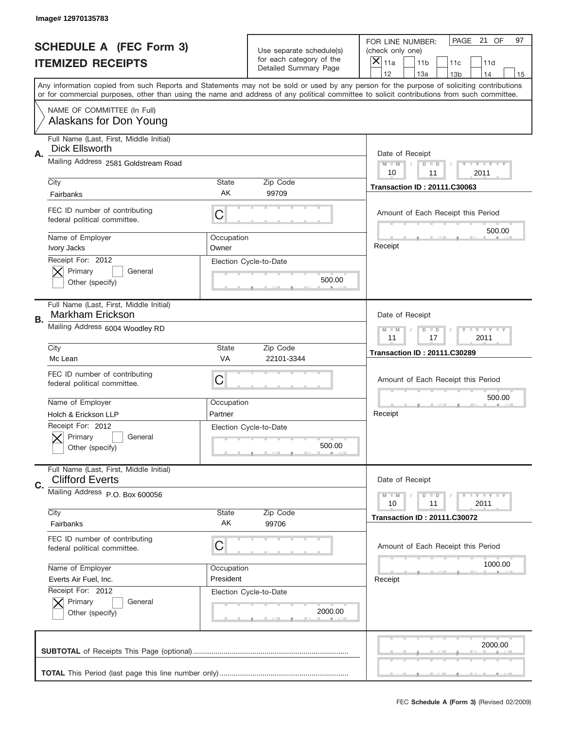|    | Image# 12970135783                                                 |                                  |                                                   |                                                                                                                                                                                                                                                                                         |
|----|--------------------------------------------------------------------|----------------------------------|---------------------------------------------------|-----------------------------------------------------------------------------------------------------------------------------------------------------------------------------------------------------------------------------------------------------------------------------------------|
|    | <b>SCHEDULE A (FEC Form 3)</b>                                     |                                  | Use separate schedule(s)                          | PAGE<br>21 OF<br>97<br>FOR LINE NUMBER:<br>(check only one)                                                                                                                                                                                                                             |
|    | <b>ITEMIZED RECEIPTS</b>                                           |                                  | for each category of the<br>Detailed Summary Page | $\times$<br>11a<br>11 <sub>b</sub><br>11c<br>11d                                                                                                                                                                                                                                        |
|    |                                                                    |                                  |                                                   | 12<br>13a<br>13 <sub>b</sub><br>14<br>15                                                                                                                                                                                                                                                |
|    |                                                                    |                                  |                                                   | Any information copied from such Reports and Statements may not be sold or used by any person for the purpose of soliciting contributions<br>or for commercial purposes, other than using the name and address of any political committee to solicit contributions from such committee. |
|    | NAME OF COMMITTEE (In Full)<br>Alaskans for Don Young              |                                  |                                                   |                                                                                                                                                                                                                                                                                         |
| Α. | Full Name (Last, First, Middle Initial)<br>Dick Ellsworth          |                                  |                                                   | Date of Receipt                                                                                                                                                                                                                                                                         |
|    | Mailing Address 2581 Goldstream Road                               |                                  |                                                   | $M$ $M$<br>Y TY TY TY<br>$D$ $D$<br>10<br>2011<br>11                                                                                                                                                                                                                                    |
|    | City                                                               | State                            | Zip Code                                          | <b>Transaction ID: 20111.C30063</b>                                                                                                                                                                                                                                                     |
|    | Fairbanks                                                          | AK                               | 99709                                             |                                                                                                                                                                                                                                                                                         |
|    | FEC ID number of contributing<br>federal political committee.      | C                                |                                                   | Amount of Each Receipt this Period<br>500.00                                                                                                                                                                                                                                            |
|    | Name of Employer                                                   | Occupation                       |                                                   |                                                                                                                                                                                                                                                                                         |
|    | <b>Ivory Jacks</b>                                                 | Owner                            |                                                   | Receipt                                                                                                                                                                                                                                                                                 |
|    | Receipt For: 2012<br>Primary<br>General                            |                                  | Election Cycle-to-Date                            |                                                                                                                                                                                                                                                                                         |
|    | Other (specify)                                                    |                                  | 500.00                                            |                                                                                                                                                                                                                                                                                         |
|    |                                                                    |                                  |                                                   |                                                                                                                                                                                                                                                                                         |
| В. | Full Name (Last, First, Middle Initial)<br><b>Markham Erickson</b> |                                  |                                                   | Date of Receipt                                                                                                                                                                                                                                                                         |
|    | Mailing Address 6004 Woodley RD                                    | Y TY TY TY<br>$D$ $D$<br>$M - M$ |                                                   |                                                                                                                                                                                                                                                                                         |
|    | City                                                               | State                            | Zip Code                                          | 11<br>17<br>2011                                                                                                                                                                                                                                                                        |
|    |                                                                    |                                  |                                                   |                                                                                                                                                                                                                                                                                         |
|    | Mc Lean                                                            | <b>VA</b>                        | 22101-3344                                        | <b>Transaction ID: 20111.C30289</b>                                                                                                                                                                                                                                                     |
|    | FEC ID number of contributing<br>federal political committee.      | C                                |                                                   | Amount of Each Receipt this Period                                                                                                                                                                                                                                                      |
|    |                                                                    |                                  |                                                   | 500.00                                                                                                                                                                                                                                                                                  |
|    | Name of Employer<br>Holch & Erickson LLP                           | Occupation<br>Partner            |                                                   | Receipt                                                                                                                                                                                                                                                                                 |
|    | Receipt For: 2012                                                  |                                  | Election Cycle-to-Date                            |                                                                                                                                                                                                                                                                                         |
|    | Primary<br>General                                                 |                                  |                                                   |                                                                                                                                                                                                                                                                                         |
|    | Other (specify)                                                    |                                  | 500.00                                            |                                                                                                                                                                                                                                                                                         |
|    | Full Name (Last, First, Middle Initial)<br><b>Clifford Everts</b>  |                                  |                                                   | Date of Receipt                                                                                                                                                                                                                                                                         |
| C. | Mailing Address P.O. Box 600056                                    |                                  |                                                   | $T$ $Y$ $Y$ $Y$ $Y$<br>$M - M$<br>$D$ $D$                                                                                                                                                                                                                                               |
|    |                                                                    |                                  |                                                   | 2011<br>10<br>11                                                                                                                                                                                                                                                                        |
|    | City                                                               | State                            | Zip Code                                          | <b>Transaction ID: 20111.C30072</b>                                                                                                                                                                                                                                                     |
|    | Fairbanks                                                          | AK                               | 99706                                             |                                                                                                                                                                                                                                                                                         |
|    | FEC ID number of contributing<br>federal political committee.      | C                                |                                                   | Amount of Each Receipt this Period                                                                                                                                                                                                                                                      |
|    | Name of Employer                                                   | Occupation                       |                                                   | 1000.00                                                                                                                                                                                                                                                                                 |
|    | Everts Air Fuel, Inc.                                              | President                        |                                                   | Receipt                                                                                                                                                                                                                                                                                 |
|    | Receipt For: 2012                                                  |                                  | Election Cycle-to-Date                            |                                                                                                                                                                                                                                                                                         |
|    | Primary<br>General                                                 |                                  |                                                   |                                                                                                                                                                                                                                                                                         |
|    | Other (specify)                                                    |                                  | 2000.00                                           |                                                                                                                                                                                                                                                                                         |
|    |                                                                    |                                  |                                                   | 2000.00                                                                                                                                                                                                                                                                                 |
|    |                                                                    |                                  |                                                   |                                                                                                                                                                                                                                                                                         |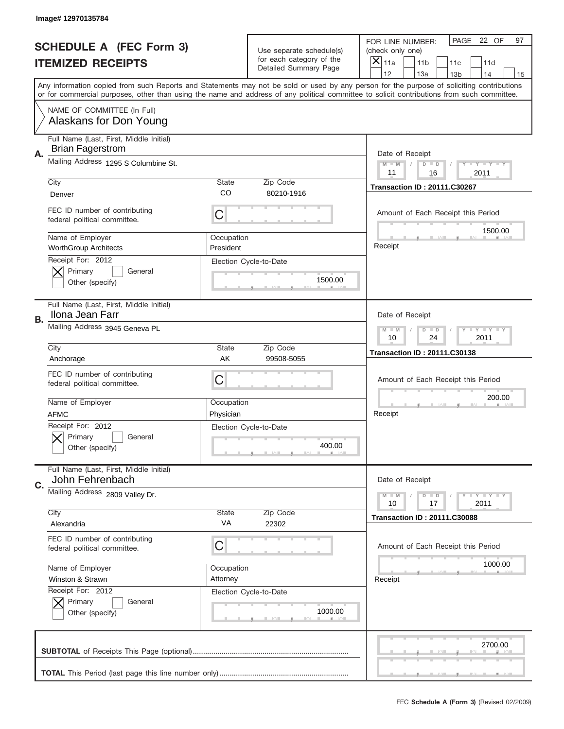|                                                                                                                                                                       | Image# 12970135784                                                 |                         |                                                   |                                                                                                                                            |
|-----------------------------------------------------------------------------------------------------------------------------------------------------------------------|--------------------------------------------------------------------|-------------------------|---------------------------------------------------|--------------------------------------------------------------------------------------------------------------------------------------------|
|                                                                                                                                                                       | <b>SCHEDULE A (FEC Form 3)</b>                                     |                         | Use separate schedule(s)                          | PAGE<br>22 OF<br>97<br>FOR LINE NUMBER:<br>(check only one)                                                                                |
| <b>ITEMIZED RECEIPTS</b><br>Any information copied from such Reports and Statements may not be sold or used by any person for the purpose of soliciting contributions |                                                                    |                         | for each category of the<br>Detailed Summary Page | ×<br>11a<br>11 <sub>b</sub><br>11c<br>11d                                                                                                  |
|                                                                                                                                                                       |                                                                    |                         |                                                   | 12<br>13a<br>14<br>13 <sub>b</sub><br>15                                                                                                   |
|                                                                                                                                                                       |                                                                    |                         |                                                   | or for commercial purposes, other than using the name and address of any political committee to solicit contributions from such committee. |
|                                                                                                                                                                       | NAME OF COMMITTEE (In Full)<br>Alaskans for Don Young              |                         |                                                   |                                                                                                                                            |
| А.                                                                                                                                                                    | Full Name (Last, First, Middle Initial)<br><b>Brian Fagerstrom</b> |                         |                                                   | Date of Receipt                                                                                                                            |
|                                                                                                                                                                       | Mailing Address 1295 S Columbine St.                               |                         |                                                   | $M - M$<br>$T$ $Y$ $Y$ $Y$ $Y$ $Y$<br>$D$ $D$<br>11<br>16<br>2011                                                                          |
|                                                                                                                                                                       | City                                                               | <b>State</b>            | Zip Code                                          | <b>Transaction ID: 20111.C30267</b>                                                                                                        |
|                                                                                                                                                                       | Denver                                                             | CO                      | 80210-1916                                        |                                                                                                                                            |
|                                                                                                                                                                       | FEC ID number of contributing<br>federal political committee.      | C                       |                                                   | Amount of Each Receipt this Period<br>1500.00                                                                                              |
|                                                                                                                                                                       | Name of Employer<br><b>WorthGroup Architects</b>                   | Occupation<br>President |                                                   | Receipt                                                                                                                                    |
|                                                                                                                                                                       | Receipt For: 2012                                                  |                         | Election Cycle-to-Date                            |                                                                                                                                            |
|                                                                                                                                                                       | Primary<br>General                                                 |                         | 1500.00                                           |                                                                                                                                            |
|                                                                                                                                                                       | Other (specify)                                                    |                         |                                                   |                                                                                                                                            |
| В.                                                                                                                                                                    | Full Name (Last, First, Middle Initial)<br>Ilona Jean Farr         |                         |                                                   | Date of Receipt                                                                                                                            |
|                                                                                                                                                                       | Mailing Address 3945 Geneva PL                                     |                         |                                                   | <b>LY LY LY</b><br>$M - M$<br>$D$ $D$                                                                                                      |
|                                                                                                                                                                       |                                                                    |                         |                                                   | 10<br>24<br>2011                                                                                                                           |
|                                                                                                                                                                       | City<br>Anchorage                                                  | <b>State</b><br>AK      | Zip Code<br>99508-5055                            | <b>Transaction ID: 20111.C30138</b>                                                                                                        |
|                                                                                                                                                                       |                                                                    |                         |                                                   |                                                                                                                                            |
|                                                                                                                                                                       |                                                                    |                         |                                                   |                                                                                                                                            |
|                                                                                                                                                                       | FEC ID number of contributing<br>federal political committee.      | C                       |                                                   | Amount of Each Receipt this Period                                                                                                         |
|                                                                                                                                                                       |                                                                    |                         |                                                   |                                                                                                                                            |
|                                                                                                                                                                       | Name of Employer                                                   | Occupation              |                                                   | 200.00                                                                                                                                     |
|                                                                                                                                                                       | <b>AFMC</b>                                                        | Physician               |                                                   | Receipt                                                                                                                                    |
|                                                                                                                                                                       | Receipt For: 2012<br>General                                       |                         | Election Cycle-to-Date                            |                                                                                                                                            |
|                                                                                                                                                                       | Primary<br>Other (specify)                                         |                         | 400.00                                            |                                                                                                                                            |
|                                                                                                                                                                       | Full Name (Last, First, Middle Initial)<br>John Fehrenbach         |                         |                                                   | Date of Receipt                                                                                                                            |
| C.                                                                                                                                                                    | Mailing Address 2809 Valley Dr.                                    |                         |                                                   | Y FY FY FY<br>$M - M$<br>$D$ $D$<br>17<br>2011<br>10                                                                                       |
|                                                                                                                                                                       | City                                                               | State                   | Zip Code                                          | <b>Transaction ID: 20111.C30088</b>                                                                                                        |
|                                                                                                                                                                       | Alexandria                                                         | VA                      | 22302                                             |                                                                                                                                            |
|                                                                                                                                                                       | FEC ID number of contributing<br>federal political committee.      | C                       |                                                   | Amount of Each Receipt this Period                                                                                                         |
|                                                                                                                                                                       | Name of Employer                                                   | Occupation              |                                                   | 1000.00                                                                                                                                    |
|                                                                                                                                                                       | Winston & Strawn                                                   | Attorney                |                                                   | Receipt                                                                                                                                    |
|                                                                                                                                                                       | Receipt For: 2012                                                  |                         | Election Cycle-to-Date                            |                                                                                                                                            |
|                                                                                                                                                                       | Primary<br>General                                                 |                         |                                                   |                                                                                                                                            |
|                                                                                                                                                                       | Other (specify)                                                    |                         | 1000.00                                           |                                                                                                                                            |
|                                                                                                                                                                       |                                                                    |                         |                                                   | 2700.00                                                                                                                                    |
|                                                                                                                                                                       |                                                                    |                         |                                                   |                                                                                                                                            |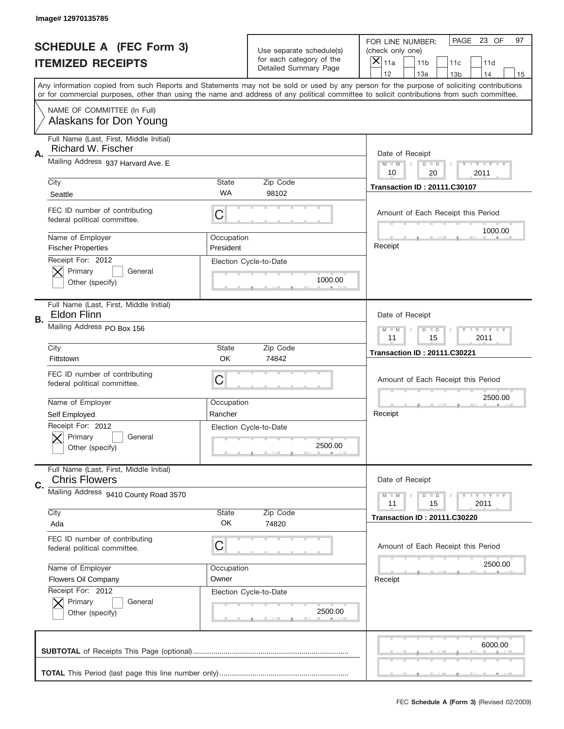|    | Image# 12970135785                                              |                         |                                                   |                                                                                                                                                                                       |
|----|-----------------------------------------------------------------|-------------------------|---------------------------------------------------|---------------------------------------------------------------------------------------------------------------------------------------------------------------------------------------|
|    | <b>SCHEDULE A (FEC Form 3)</b>                                  |                         | Use separate schedule(s)                          | PAGE<br>23 OF<br>97<br>FOR LINE NUMBER:<br>(check only one)                                                                                                                           |
|    | <b>ITEMIZED RECEIPTS</b>                                        |                         | for each category of the<br>Detailed Summary Page | X<br>11a<br>11 <sub>b</sub><br>11c<br>11d                                                                                                                                             |
|    |                                                                 |                         |                                                   | 12<br>13a<br>14<br>13 <sub>b</sub><br>15<br>Any information copied from such Reports and Statements may not be sold or used by any person for the purpose of soliciting contributions |
|    |                                                                 |                         |                                                   | or for commercial purposes, other than using the name and address of any political committee to solicit contributions from such committee.                                            |
|    | NAME OF COMMITTEE (In Full)<br>Alaskans for Don Young           |                         |                                                   |                                                                                                                                                                                       |
| Α. | Full Name (Last, First, Middle Initial)<br>Richard W. Fischer   |                         |                                                   | Date of Receipt                                                                                                                                                                       |
|    | Mailing Address 937 Harvard Ave. E                              |                         |                                                   | $M - M$<br>Y I Y I Y I Y<br>$D$ $D$<br>20<br>10<br>2011                                                                                                                               |
|    | City                                                            | <b>State</b>            | Zip Code                                          | <b>Transaction ID: 20111.C30107</b>                                                                                                                                                   |
|    | Seattle                                                         | <b>WA</b>               | 98102                                             |                                                                                                                                                                                       |
|    | FEC ID number of contributing<br>federal political committee.   | C                       |                                                   | Amount of Each Receipt this Period<br>1000.00                                                                                                                                         |
|    | Name of Employer<br><b>Fischer Properties</b>                   | Occupation<br>President |                                                   | Receipt                                                                                                                                                                               |
|    | Receipt For: 2012<br>Primary<br>General<br>Other (specify)      |                         | Election Cycle-to-Date<br>1000.00                 |                                                                                                                                                                                       |
|    | Full Name (Last, First, Middle Initial)<br><b>Eldon Flinn</b>   |                         |                                                   | Date of Receipt                                                                                                                                                                       |
| В. | Mailing Address PO Box 156                                      |                         |                                                   | $T$ $Y$ $T$ $Y$ $T$ $Y$<br>$M - M$<br>$D$ $D$<br>11<br>15<br>2011                                                                                                                     |
|    | City                                                            | <b>State</b>            | Zip Code                                          | <b>Transaction ID: 20111.C30221</b>                                                                                                                                                   |
|    | Fittstown                                                       | <b>OK</b>               | 74842                                             |                                                                                                                                                                                       |
|    | FEC ID number of contributing<br>federal political committee.   | C                       |                                                   | Amount of Each Receipt this Period                                                                                                                                                    |
|    | Name of Employer                                                | Occupation              |                                                   | 2500.00                                                                                                                                                                               |
|    |                                                                 |                         |                                                   |                                                                                                                                                                                       |
|    | Self Employed                                                   | Rancher                 |                                                   | Receipt                                                                                                                                                                               |
|    | Receipt For: 2012<br>General<br>Primary<br>Other (specify)      |                         | Election Cycle-to-Date<br>2500.00                 |                                                                                                                                                                                       |
|    | Full Name (Last, First, Middle Initial)<br><b>Chris Flowers</b> |                         |                                                   | Date of Receipt                                                                                                                                                                       |
| C. | Mailing Address 9410 County Road 3570                           |                         |                                                   | <b>TEY TEY TEY</b><br>$M - M$<br>$D$ $D$<br>2011<br>11<br>15                                                                                                                          |
|    | City                                                            | <b>State</b>            | Zip Code                                          | <b>Transaction ID: 20111.C30220</b>                                                                                                                                                   |
|    | Ada                                                             | OK                      | 74820                                             |                                                                                                                                                                                       |
|    | FEC ID number of contributing<br>federal political committee.   | C                       |                                                   | Amount of Each Receipt this Period                                                                                                                                                    |
|    | Name of Employer                                                | Occupation              |                                                   | 2500.00                                                                                                                                                                               |
|    | Flowers Oil Company                                             | Owner                   |                                                   | Receipt                                                                                                                                                                               |
|    | Receipt For: 2012<br>Primary<br>General<br>Other (specify)      |                         | Election Cycle-to-Date<br>2500.00                 |                                                                                                                                                                                       |
|    |                                                                 |                         |                                                   | 6000.00                                                                                                                                                                               |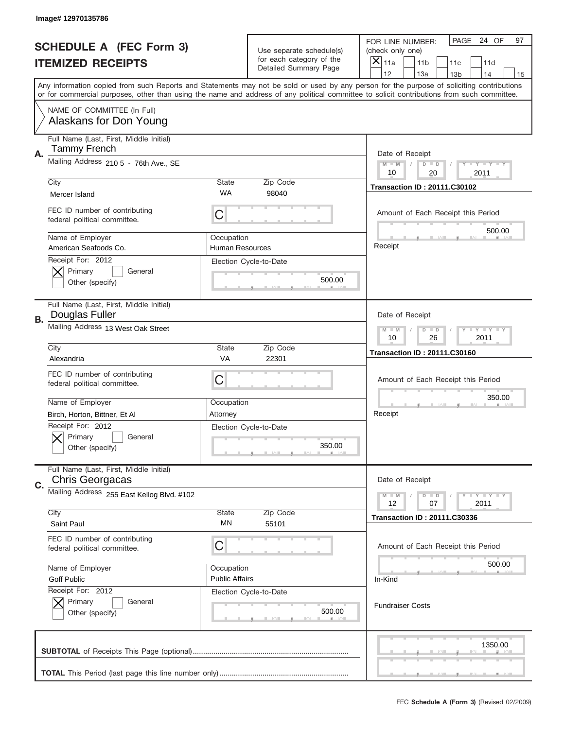|    | Image# 12970135786                                                          |                                      |                                  |                                                                                                                                                                                                                                                                                         |
|----|-----------------------------------------------------------------------------|--------------------------------------|----------------------------------|-----------------------------------------------------------------------------------------------------------------------------------------------------------------------------------------------------------------------------------------------------------------------------------------|
|    | <b>SCHEDULE A (FEC Form 3)</b>                                              |                                      | Use separate schedule(s)         | PAGE 24 OF<br>97<br>FOR LINE NUMBER:<br>(check only one)                                                                                                                                                                                                                                |
|    | <b>ITEMIZED RECEIPTS</b>                                                    |                                      | for each category of the         | ×<br>11a<br>11 <sub>b</sub><br>11c<br>11d                                                                                                                                                                                                                                               |
|    |                                                                             |                                      | Detailed Summary Page            | 12<br>13a<br>14<br>13 <sub>b</sub><br>15                                                                                                                                                                                                                                                |
|    |                                                                             |                                      |                                  | Any information copied from such Reports and Statements may not be sold or used by any person for the purpose of soliciting contributions<br>or for commercial purposes, other than using the name and address of any political committee to solicit contributions from such committee. |
|    | NAME OF COMMITTEE (In Full)<br>Alaskans for Don Young                       |                                      |                                  |                                                                                                                                                                                                                                                                                         |
| А. | Full Name (Last, First, Middle Initial)<br><b>Tammy French</b>              |                                      |                                  | Date of Receipt                                                                                                                                                                                                                                                                         |
|    | Mailing Address 210 5 - 76th Ave., SE                                       |                                      |                                  | <b>LY LY LY</b><br>$M - M$<br>$D$ $D$<br>10<br>20<br>2011                                                                                                                                                                                                                               |
|    | City<br>Mercer Island                                                       | <b>State</b><br>WA                   | Zip Code<br>98040                | <b>Transaction ID: 20111.C30102</b>                                                                                                                                                                                                                                                     |
|    | FEC ID number of contributing<br>federal political committee.               | C                                    |                                  | Amount of Each Receipt this Period<br>500.00                                                                                                                                                                                                                                            |
|    | Name of Employer<br>American Seafoods Co.                                   | Occupation<br><b>Human Resources</b> |                                  | Receipt                                                                                                                                                                                                                                                                                 |
|    | Receipt For: 2012<br>Primary<br>General<br>Other (specify)                  |                                      | Election Cycle-to-Date<br>500.00 |                                                                                                                                                                                                                                                                                         |
| В. | Full Name (Last, First, Middle Initial)<br>Douglas Fuller                   |                                      |                                  | Date of Receipt                                                                                                                                                                                                                                                                         |
|    | Mailing Address 13 West Oak Street                                          |                                      |                                  | $T - Y = -Y - I - Y$<br>$M$ $M$<br>$D$ $D$<br>10<br>26<br>2011                                                                                                                                                                                                                          |
|    | City                                                                        | <b>State</b>                         | Zip Code                         | <b>Transaction ID: 20111.C30160</b>                                                                                                                                                                                                                                                     |
|    | Alexandria<br>FEC ID number of contributing<br>federal political committee. | <b>VA</b><br>C                       | 22301                            | Amount of Each Receipt this Period                                                                                                                                                                                                                                                      |
|    | Name of Employer                                                            | Occupation                           |                                  | 350.00                                                                                                                                                                                                                                                                                  |
|    | Birch, Horton, Bittner, Et Al<br>Receipt For: 2012                          | Attorney                             |                                  | Receipt                                                                                                                                                                                                                                                                                 |
|    | General<br>Primary<br>Other (specify)                                       |                                      | Election Cycle-to-Date<br>350.00 |                                                                                                                                                                                                                                                                                         |
| C. | Full Name (Last, First, Middle Initial)<br>Chris Georgacas                  |                                      |                                  | Date of Receipt                                                                                                                                                                                                                                                                         |
|    | Mailing Address 255 East Kellog Blvd. #102                                  |                                      | Zip Code                         | <b>LYLYLY</b><br>$M$ M<br>$D$ $D$<br>2011<br>12<br>07                                                                                                                                                                                                                                   |
|    | City<br>Saint Paul                                                          | State<br>ΜN                          | 55101                            | <b>Transaction ID: 20111.C30336</b>                                                                                                                                                                                                                                                     |
|    |                                                                             |                                      |                                  |                                                                                                                                                                                                                                                                                         |
|    | FEC ID number of contributing<br>federal political committee.               | C                                    |                                  | Amount of Each Receipt this Period                                                                                                                                                                                                                                                      |
|    | Name of Employer                                                            | Occupation                           |                                  | 500.00                                                                                                                                                                                                                                                                                  |
|    | <b>Goff Public</b>                                                          | <b>Public Affairs</b>                |                                  | In-Kind                                                                                                                                                                                                                                                                                 |
|    | Receipt For: 2012<br>Primary<br>General<br>Other (specify)                  |                                      | Election Cycle-to-Date<br>500.00 | <b>Fundraiser Costs</b>                                                                                                                                                                                                                                                                 |
|    |                                                                             |                                      |                                  | 1350.00                                                                                                                                                                                                                                                                                 |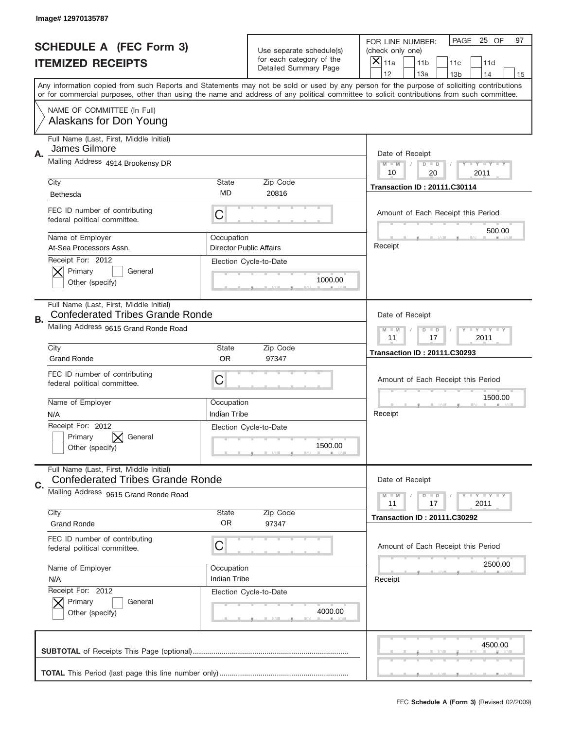|                          | Image# 12970135787                                                                 |                            |                                                   |                                                                                                                                                                                                                                                                                                                                     |
|--------------------------|------------------------------------------------------------------------------------|----------------------------|---------------------------------------------------|-------------------------------------------------------------------------------------------------------------------------------------------------------------------------------------------------------------------------------------------------------------------------------------------------------------------------------------|
|                          | <b>SCHEDULE A (FEC Form 3)</b>                                                     |                            | Use separate schedule(s)                          | PAGE<br>25 OF<br>97<br>FOR LINE NUMBER:<br>(check only one)                                                                                                                                                                                                                                                                         |
| <b>ITEMIZED RECEIPTS</b> |                                                                                    |                            | for each category of the<br>Detailed Summary Page | ×<br>11a<br>11 <sub>b</sub><br>11c<br>11d                                                                                                                                                                                                                                                                                           |
|                          |                                                                                    |                            |                                                   | 12<br>13a<br>14<br>13 <sub>b</sub><br>15<br>Any information copied from such Reports and Statements may not be sold or used by any person for the purpose of soliciting contributions<br>or for commercial purposes, other than using the name and address of any political committee to solicit contributions from such committee. |
|                          | NAME OF COMMITTEE (In Full)<br>Alaskans for Don Young                              |                            |                                                   |                                                                                                                                                                                                                                                                                                                                     |
| Α.                       | Full Name (Last, First, Middle Initial)<br>James Gilmore                           |                            |                                                   | Date of Receipt                                                                                                                                                                                                                                                                                                                     |
|                          | Mailing Address 4914 Brookensy DR                                                  |                            |                                                   | <b>THEY THEY</b><br>$M - M$<br>$D$ $D$<br>20<br>10<br>2011                                                                                                                                                                                                                                                                          |
|                          | City<br><b>Bethesda</b>                                                            | <b>State</b><br>MD         | Zip Code<br>20816                                 | <b>Transaction ID: 20111.C30114</b>                                                                                                                                                                                                                                                                                                 |
|                          | FEC ID number of contributing<br>federal political committee.                      | C                          |                                                   | Amount of Each Receipt this Period<br>500.00                                                                                                                                                                                                                                                                                        |
|                          | Name of Employer<br>At-Sea Processors Assn.                                        | Occupation                 | <b>Director Public Affairs</b>                    | Receipt                                                                                                                                                                                                                                                                                                                             |
|                          | Receipt For: 2012<br>Primary<br>General<br>Other (specify)                         |                            | Election Cycle-to-Date<br>1000.00                 |                                                                                                                                                                                                                                                                                                                                     |
| В.                       | Full Name (Last, First, Middle Initial)<br><b>Confederated Tribes Grande Ronde</b> |                            |                                                   | Date of Receipt                                                                                                                                                                                                                                                                                                                     |
|                          | Mailing Address 9615 Grand Ronde Road                                              |                            |                                                   | <b>LY LY LY</b><br>$M - M$<br>$D$ $D$<br>11<br>17<br>2011                                                                                                                                                                                                                                                                           |
|                          | City<br><b>Grand Ronde</b>                                                         | <b>State</b><br><b>OR</b>  | Zip Code<br>97347                                 | <b>Transaction ID: 20111.C30293</b>                                                                                                                                                                                                                                                                                                 |
|                          | FEC ID number of contributing<br>federal political committee.                      | C                          |                                                   | Amount of Each Receipt this Period                                                                                                                                                                                                                                                                                                  |
|                          |                                                                                    |                            |                                                   | 1500.00                                                                                                                                                                                                                                                                                                                             |
|                          | Name of Employer<br>N/A                                                            | Occupation<br>Indian Tribe |                                                   | Receipt                                                                                                                                                                                                                                                                                                                             |
|                          | Receipt For: 2012<br>General<br>Primary<br>Other (specify)                         |                            | Election Cycle-to-Date<br>1500.00                 |                                                                                                                                                                                                                                                                                                                                     |
|                          | Full Name (Last, First, Middle Initial)<br><b>Confederated Tribes Grande Ronde</b> |                            |                                                   | Date of Receipt                                                                                                                                                                                                                                                                                                                     |
| C.                       | Mailing Address 9615 Grand Ronde Road                                              |                            |                                                   | Y FY FY FY<br>$M - M$<br>$D$ $D$<br>2011<br>11<br>17                                                                                                                                                                                                                                                                                |
|                          | City<br><b>Grand Ronde</b>                                                         | <b>State</b><br><b>OR</b>  | Zip Code<br>97347                                 | <b>Transaction ID: 20111.C30292</b>                                                                                                                                                                                                                                                                                                 |
|                          | FEC ID number of contributing<br>federal political committee.                      | C                          |                                                   | Amount of Each Receipt this Period                                                                                                                                                                                                                                                                                                  |
|                          | Name of Employer<br>N/A                                                            | Occupation<br>Indian Tribe |                                                   | 2500.00<br>Receipt                                                                                                                                                                                                                                                                                                                  |
|                          | Receipt For: 2012<br>Primary<br>General<br>Other (specify)                         |                            | Election Cycle-to-Date<br>4000.00                 |                                                                                                                                                                                                                                                                                                                                     |
|                          |                                                                                    |                            |                                                   | 4500.00                                                                                                                                                                                                                                                                                                                             |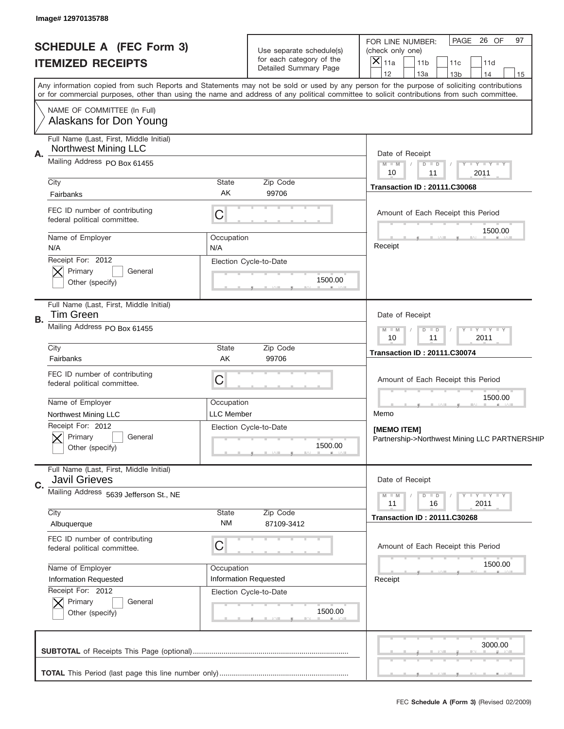| PAGE 26 OF<br>97<br>FOR LINE NUMBER:<br><b>SCHEDULE A (FEC Form 3)</b><br>Use separate schedule(s)<br>(check only one)<br>for each category of the<br>×<br>11a<br>11 <sub>b</sub><br>11c<br>11d<br>Detailed Summary Page<br>12<br>13a<br>14<br>13 <sub>b</sub><br>15<br>Any information copied from such Reports and Statements may not be sold or used by any person for the purpose of soliciting contributions<br>or for commercial purposes, other than using the name and address of any political committee to solicit contributions from such committee.<br>NAME OF COMMITTEE (In Full)<br>Alaskans for Don Young<br>Full Name (Last, First, Middle Initial)<br><b>Northwest Mining LLC</b><br>Α.<br>Date of Receipt<br>Mailing Address PO Box 61455<br>$M$ $M$<br>$Y - Y - Y - Y - Y$<br>$D$ $D$<br>$\sqrt{2}$<br>2011<br>10<br>11<br>City<br>State<br>Zip Code<br><b>Transaction ID: 20111.C30068</b><br>AK<br>99706<br>Fairbanks<br>FEC ID number of contributing<br>C<br>Amount of Each Receipt this Period<br>federal political committee.<br>1500.00<br>Name of Employer<br>Occupation<br>Receipt<br>N/A<br>N/A<br>Receipt For: 2012<br>Election Cycle-to-Date<br>Primary<br>General<br>1500.00<br>Other (specify)<br>Full Name (Last, First, Middle Initial)<br>Tim Green<br>Date of Receipt<br>В.<br>Mailing Address PO Box 61455<br>$M - M$<br>$Y - Y - Y - Y - Y$<br>$D$ $D$<br>11<br>2011<br>10<br>City<br>State<br>Zip Code<br><b>Transaction ID: 20111.C30074</b><br>AK<br>Fairbanks<br>99706<br>FEC ID number of contributing<br>C<br>Amount of Each Receipt this Period<br>federal political committee.<br>1500.00<br>Name of Employer<br>Occupation<br><b>LLC Member</b><br>Memo<br>Northwest Mining LLC<br>Receipt For: 2012<br>Election Cycle-to-Date<br>[MEMO ITEM]<br>General<br>Primary<br>Partnership->Northwest Mining LLC PARTNERSHIP<br>1500.00<br>Other (specify)<br>Full Name (Last, First, Middle Initial)<br><b>Javil Grieves</b><br>Date of Receipt<br>C.<br>Mailing Address 5639 Jefferson St., NE<br><b>LY LY LY</b><br>$M - M$<br>$D$ $D$<br>11<br>2011<br>16<br>City<br>Zip Code<br>State<br><b>Transaction ID: 20111.C30268</b><br>ΝM<br>Albuquerque<br>87109-3412<br>FEC ID number of contributing<br>C<br>Amount of Each Receipt this Period<br>federal political committee.<br>1500.00<br>Name of Employer<br>Occupation<br><b>Information Requested</b><br><b>Information Requested</b><br>Receipt<br>Receipt For: 2012<br>Election Cycle-to-Date<br>Primary<br>General<br>1500.00<br>Other (specify)<br>3000.00 |                          | Image# 12970135788 |  |  |  |  |  |  |  |
|----------------------------------------------------------------------------------------------------------------------------------------------------------------------------------------------------------------------------------------------------------------------------------------------------------------------------------------------------------------------------------------------------------------------------------------------------------------------------------------------------------------------------------------------------------------------------------------------------------------------------------------------------------------------------------------------------------------------------------------------------------------------------------------------------------------------------------------------------------------------------------------------------------------------------------------------------------------------------------------------------------------------------------------------------------------------------------------------------------------------------------------------------------------------------------------------------------------------------------------------------------------------------------------------------------------------------------------------------------------------------------------------------------------------------------------------------------------------------------------------------------------------------------------------------------------------------------------------------------------------------------------------------------------------------------------------------------------------------------------------------------------------------------------------------------------------------------------------------------------------------------------------------------------------------------------------------------------------------------------------------------------------------------------------------------------------------------------------------------------------------------------------------------------------------------------------------------------------------------------------------------------------------------------------------------------------------------------------------------------------------------------------------------------------------------------------------------------------------------------------------------------------------------------------------------------|--------------------------|--------------------|--|--|--|--|--|--|--|
|                                                                                                                                                                                                                                                                                                                                                                                                                                                                                                                                                                                                                                                                                                                                                                                                                                                                                                                                                                                                                                                                                                                                                                                                                                                                                                                                                                                                                                                                                                                                                                                                                                                                                                                                                                                                                                                                                                                                                                                                                                                                                                                                                                                                                                                                                                                                                                                                                                                                                                                                                                |                          |                    |  |  |  |  |  |  |  |
|                                                                                                                                                                                                                                                                                                                                                                                                                                                                                                                                                                                                                                                                                                                                                                                                                                                                                                                                                                                                                                                                                                                                                                                                                                                                                                                                                                                                                                                                                                                                                                                                                                                                                                                                                                                                                                                                                                                                                                                                                                                                                                                                                                                                                                                                                                                                                                                                                                                                                                                                                                |                          |                    |  |  |  |  |  |  |  |
|                                                                                                                                                                                                                                                                                                                                                                                                                                                                                                                                                                                                                                                                                                                                                                                                                                                                                                                                                                                                                                                                                                                                                                                                                                                                                                                                                                                                                                                                                                                                                                                                                                                                                                                                                                                                                                                                                                                                                                                                                                                                                                                                                                                                                                                                                                                                                                                                                                                                                                                                                                | <b>ITEMIZED RECEIPTS</b> |                    |  |  |  |  |  |  |  |
|                                                                                                                                                                                                                                                                                                                                                                                                                                                                                                                                                                                                                                                                                                                                                                                                                                                                                                                                                                                                                                                                                                                                                                                                                                                                                                                                                                                                                                                                                                                                                                                                                                                                                                                                                                                                                                                                                                                                                                                                                                                                                                                                                                                                                                                                                                                                                                                                                                                                                                                                                                |                          |                    |  |  |  |  |  |  |  |
|                                                                                                                                                                                                                                                                                                                                                                                                                                                                                                                                                                                                                                                                                                                                                                                                                                                                                                                                                                                                                                                                                                                                                                                                                                                                                                                                                                                                                                                                                                                                                                                                                                                                                                                                                                                                                                                                                                                                                                                                                                                                                                                                                                                                                                                                                                                                                                                                                                                                                                                                                                |                          |                    |  |  |  |  |  |  |  |
|                                                                                                                                                                                                                                                                                                                                                                                                                                                                                                                                                                                                                                                                                                                                                                                                                                                                                                                                                                                                                                                                                                                                                                                                                                                                                                                                                                                                                                                                                                                                                                                                                                                                                                                                                                                                                                                                                                                                                                                                                                                                                                                                                                                                                                                                                                                                                                                                                                                                                                                                                                |                          |                    |  |  |  |  |  |  |  |
|                                                                                                                                                                                                                                                                                                                                                                                                                                                                                                                                                                                                                                                                                                                                                                                                                                                                                                                                                                                                                                                                                                                                                                                                                                                                                                                                                                                                                                                                                                                                                                                                                                                                                                                                                                                                                                                                                                                                                                                                                                                                                                                                                                                                                                                                                                                                                                                                                                                                                                                                                                |                          |                    |  |  |  |  |  |  |  |
|                                                                                                                                                                                                                                                                                                                                                                                                                                                                                                                                                                                                                                                                                                                                                                                                                                                                                                                                                                                                                                                                                                                                                                                                                                                                                                                                                                                                                                                                                                                                                                                                                                                                                                                                                                                                                                                                                                                                                                                                                                                                                                                                                                                                                                                                                                                                                                                                                                                                                                                                                                |                          |                    |  |  |  |  |  |  |  |
|                                                                                                                                                                                                                                                                                                                                                                                                                                                                                                                                                                                                                                                                                                                                                                                                                                                                                                                                                                                                                                                                                                                                                                                                                                                                                                                                                                                                                                                                                                                                                                                                                                                                                                                                                                                                                                                                                                                                                                                                                                                                                                                                                                                                                                                                                                                                                                                                                                                                                                                                                                |                          |                    |  |  |  |  |  |  |  |
|                                                                                                                                                                                                                                                                                                                                                                                                                                                                                                                                                                                                                                                                                                                                                                                                                                                                                                                                                                                                                                                                                                                                                                                                                                                                                                                                                                                                                                                                                                                                                                                                                                                                                                                                                                                                                                                                                                                                                                                                                                                                                                                                                                                                                                                                                                                                                                                                                                                                                                                                                                |                          |                    |  |  |  |  |  |  |  |
|                                                                                                                                                                                                                                                                                                                                                                                                                                                                                                                                                                                                                                                                                                                                                                                                                                                                                                                                                                                                                                                                                                                                                                                                                                                                                                                                                                                                                                                                                                                                                                                                                                                                                                                                                                                                                                                                                                                                                                                                                                                                                                                                                                                                                                                                                                                                                                                                                                                                                                                                                                |                          |                    |  |  |  |  |  |  |  |
|                                                                                                                                                                                                                                                                                                                                                                                                                                                                                                                                                                                                                                                                                                                                                                                                                                                                                                                                                                                                                                                                                                                                                                                                                                                                                                                                                                                                                                                                                                                                                                                                                                                                                                                                                                                                                                                                                                                                                                                                                                                                                                                                                                                                                                                                                                                                                                                                                                                                                                                                                                |                          |                    |  |  |  |  |  |  |  |
|                                                                                                                                                                                                                                                                                                                                                                                                                                                                                                                                                                                                                                                                                                                                                                                                                                                                                                                                                                                                                                                                                                                                                                                                                                                                                                                                                                                                                                                                                                                                                                                                                                                                                                                                                                                                                                                                                                                                                                                                                                                                                                                                                                                                                                                                                                                                                                                                                                                                                                                                                                |                          |                    |  |  |  |  |  |  |  |
|                                                                                                                                                                                                                                                                                                                                                                                                                                                                                                                                                                                                                                                                                                                                                                                                                                                                                                                                                                                                                                                                                                                                                                                                                                                                                                                                                                                                                                                                                                                                                                                                                                                                                                                                                                                                                                                                                                                                                                                                                                                                                                                                                                                                                                                                                                                                                                                                                                                                                                                                                                |                          |                    |  |  |  |  |  |  |  |
|                                                                                                                                                                                                                                                                                                                                                                                                                                                                                                                                                                                                                                                                                                                                                                                                                                                                                                                                                                                                                                                                                                                                                                                                                                                                                                                                                                                                                                                                                                                                                                                                                                                                                                                                                                                                                                                                                                                                                                                                                                                                                                                                                                                                                                                                                                                                                                                                                                                                                                                                                                |                          |                    |  |  |  |  |  |  |  |
|                                                                                                                                                                                                                                                                                                                                                                                                                                                                                                                                                                                                                                                                                                                                                                                                                                                                                                                                                                                                                                                                                                                                                                                                                                                                                                                                                                                                                                                                                                                                                                                                                                                                                                                                                                                                                                                                                                                                                                                                                                                                                                                                                                                                                                                                                                                                                                                                                                                                                                                                                                |                          |                    |  |  |  |  |  |  |  |
|                                                                                                                                                                                                                                                                                                                                                                                                                                                                                                                                                                                                                                                                                                                                                                                                                                                                                                                                                                                                                                                                                                                                                                                                                                                                                                                                                                                                                                                                                                                                                                                                                                                                                                                                                                                                                                                                                                                                                                                                                                                                                                                                                                                                                                                                                                                                                                                                                                                                                                                                                                |                          |                    |  |  |  |  |  |  |  |
|                                                                                                                                                                                                                                                                                                                                                                                                                                                                                                                                                                                                                                                                                                                                                                                                                                                                                                                                                                                                                                                                                                                                                                                                                                                                                                                                                                                                                                                                                                                                                                                                                                                                                                                                                                                                                                                                                                                                                                                                                                                                                                                                                                                                                                                                                                                                                                                                                                                                                                                                                                |                          |                    |  |  |  |  |  |  |  |
|                                                                                                                                                                                                                                                                                                                                                                                                                                                                                                                                                                                                                                                                                                                                                                                                                                                                                                                                                                                                                                                                                                                                                                                                                                                                                                                                                                                                                                                                                                                                                                                                                                                                                                                                                                                                                                                                                                                                                                                                                                                                                                                                                                                                                                                                                                                                                                                                                                                                                                                                                                |                          |                    |  |  |  |  |  |  |  |
|                                                                                                                                                                                                                                                                                                                                                                                                                                                                                                                                                                                                                                                                                                                                                                                                                                                                                                                                                                                                                                                                                                                                                                                                                                                                                                                                                                                                                                                                                                                                                                                                                                                                                                                                                                                                                                                                                                                                                                                                                                                                                                                                                                                                                                                                                                                                                                                                                                                                                                                                                                |                          |                    |  |  |  |  |  |  |  |
|                                                                                                                                                                                                                                                                                                                                                                                                                                                                                                                                                                                                                                                                                                                                                                                                                                                                                                                                                                                                                                                                                                                                                                                                                                                                                                                                                                                                                                                                                                                                                                                                                                                                                                                                                                                                                                                                                                                                                                                                                                                                                                                                                                                                                                                                                                                                                                                                                                                                                                                                                                |                          |                    |  |  |  |  |  |  |  |
|                                                                                                                                                                                                                                                                                                                                                                                                                                                                                                                                                                                                                                                                                                                                                                                                                                                                                                                                                                                                                                                                                                                                                                                                                                                                                                                                                                                                                                                                                                                                                                                                                                                                                                                                                                                                                                                                                                                                                                                                                                                                                                                                                                                                                                                                                                                                                                                                                                                                                                                                                                |                          |                    |  |  |  |  |  |  |  |
|                                                                                                                                                                                                                                                                                                                                                                                                                                                                                                                                                                                                                                                                                                                                                                                                                                                                                                                                                                                                                                                                                                                                                                                                                                                                                                                                                                                                                                                                                                                                                                                                                                                                                                                                                                                                                                                                                                                                                                                                                                                                                                                                                                                                                                                                                                                                                                                                                                                                                                                                                                |                          |                    |  |  |  |  |  |  |  |
|                                                                                                                                                                                                                                                                                                                                                                                                                                                                                                                                                                                                                                                                                                                                                                                                                                                                                                                                                                                                                                                                                                                                                                                                                                                                                                                                                                                                                                                                                                                                                                                                                                                                                                                                                                                                                                                                                                                                                                                                                                                                                                                                                                                                                                                                                                                                                                                                                                                                                                                                                                |                          |                    |  |  |  |  |  |  |  |
|                                                                                                                                                                                                                                                                                                                                                                                                                                                                                                                                                                                                                                                                                                                                                                                                                                                                                                                                                                                                                                                                                                                                                                                                                                                                                                                                                                                                                                                                                                                                                                                                                                                                                                                                                                                                                                                                                                                                                                                                                                                                                                                                                                                                                                                                                                                                                                                                                                                                                                                                                                |                          |                    |  |  |  |  |  |  |  |
|                                                                                                                                                                                                                                                                                                                                                                                                                                                                                                                                                                                                                                                                                                                                                                                                                                                                                                                                                                                                                                                                                                                                                                                                                                                                                                                                                                                                                                                                                                                                                                                                                                                                                                                                                                                                                                                                                                                                                                                                                                                                                                                                                                                                                                                                                                                                                                                                                                                                                                                                                                |                          |                    |  |  |  |  |  |  |  |
|                                                                                                                                                                                                                                                                                                                                                                                                                                                                                                                                                                                                                                                                                                                                                                                                                                                                                                                                                                                                                                                                                                                                                                                                                                                                                                                                                                                                                                                                                                                                                                                                                                                                                                                                                                                                                                                                                                                                                                                                                                                                                                                                                                                                                                                                                                                                                                                                                                                                                                                                                                |                          |                    |  |  |  |  |  |  |  |
|                                                                                                                                                                                                                                                                                                                                                                                                                                                                                                                                                                                                                                                                                                                                                                                                                                                                                                                                                                                                                                                                                                                                                                                                                                                                                                                                                                                                                                                                                                                                                                                                                                                                                                                                                                                                                                                                                                                                                                                                                                                                                                                                                                                                                                                                                                                                                                                                                                                                                                                                                                |                          |                    |  |  |  |  |  |  |  |
|                                                                                                                                                                                                                                                                                                                                                                                                                                                                                                                                                                                                                                                                                                                                                                                                                                                                                                                                                                                                                                                                                                                                                                                                                                                                                                                                                                                                                                                                                                                                                                                                                                                                                                                                                                                                                                                                                                                                                                                                                                                                                                                                                                                                                                                                                                                                                                                                                                                                                                                                                                |                          |                    |  |  |  |  |  |  |  |
|                                                                                                                                                                                                                                                                                                                                                                                                                                                                                                                                                                                                                                                                                                                                                                                                                                                                                                                                                                                                                                                                                                                                                                                                                                                                                                                                                                                                                                                                                                                                                                                                                                                                                                                                                                                                                                                                                                                                                                                                                                                                                                                                                                                                                                                                                                                                                                                                                                                                                                                                                                |                          |                    |  |  |  |  |  |  |  |
|                                                                                                                                                                                                                                                                                                                                                                                                                                                                                                                                                                                                                                                                                                                                                                                                                                                                                                                                                                                                                                                                                                                                                                                                                                                                                                                                                                                                                                                                                                                                                                                                                                                                                                                                                                                                                                                                                                                                                                                                                                                                                                                                                                                                                                                                                                                                                                                                                                                                                                                                                                |                          |                    |  |  |  |  |  |  |  |
|                                                                                                                                                                                                                                                                                                                                                                                                                                                                                                                                                                                                                                                                                                                                                                                                                                                                                                                                                                                                                                                                                                                                                                                                                                                                                                                                                                                                                                                                                                                                                                                                                                                                                                                                                                                                                                                                                                                                                                                                                                                                                                                                                                                                                                                                                                                                                                                                                                                                                                                                                                |                          |                    |  |  |  |  |  |  |  |
|                                                                                                                                                                                                                                                                                                                                                                                                                                                                                                                                                                                                                                                                                                                                                                                                                                                                                                                                                                                                                                                                                                                                                                                                                                                                                                                                                                                                                                                                                                                                                                                                                                                                                                                                                                                                                                                                                                                                                                                                                                                                                                                                                                                                                                                                                                                                                                                                                                                                                                                                                                |                          |                    |  |  |  |  |  |  |  |
|                                                                                                                                                                                                                                                                                                                                                                                                                                                                                                                                                                                                                                                                                                                                                                                                                                                                                                                                                                                                                                                                                                                                                                                                                                                                                                                                                                                                                                                                                                                                                                                                                                                                                                                                                                                                                                                                                                                                                                                                                                                                                                                                                                                                                                                                                                                                                                                                                                                                                                                                                                |                          |                    |  |  |  |  |  |  |  |
|                                                                                                                                                                                                                                                                                                                                                                                                                                                                                                                                                                                                                                                                                                                                                                                                                                                                                                                                                                                                                                                                                                                                                                                                                                                                                                                                                                                                                                                                                                                                                                                                                                                                                                                                                                                                                                                                                                                                                                                                                                                                                                                                                                                                                                                                                                                                                                                                                                                                                                                                                                |                          |                    |  |  |  |  |  |  |  |
|                                                                                                                                                                                                                                                                                                                                                                                                                                                                                                                                                                                                                                                                                                                                                                                                                                                                                                                                                                                                                                                                                                                                                                                                                                                                                                                                                                                                                                                                                                                                                                                                                                                                                                                                                                                                                                                                                                                                                                                                                                                                                                                                                                                                                                                                                                                                                                                                                                                                                                                                                                |                          |                    |  |  |  |  |  |  |  |
|                                                                                                                                                                                                                                                                                                                                                                                                                                                                                                                                                                                                                                                                                                                                                                                                                                                                                                                                                                                                                                                                                                                                                                                                                                                                                                                                                                                                                                                                                                                                                                                                                                                                                                                                                                                                                                                                                                                                                                                                                                                                                                                                                                                                                                                                                                                                                                                                                                                                                                                                                                |                          |                    |  |  |  |  |  |  |  |
|                                                                                                                                                                                                                                                                                                                                                                                                                                                                                                                                                                                                                                                                                                                                                                                                                                                                                                                                                                                                                                                                                                                                                                                                                                                                                                                                                                                                                                                                                                                                                                                                                                                                                                                                                                                                                                                                                                                                                                                                                                                                                                                                                                                                                                                                                                                                                                                                                                                                                                                                                                |                          |                    |  |  |  |  |  |  |  |
|                                                                                                                                                                                                                                                                                                                                                                                                                                                                                                                                                                                                                                                                                                                                                                                                                                                                                                                                                                                                                                                                                                                                                                                                                                                                                                                                                                                                                                                                                                                                                                                                                                                                                                                                                                                                                                                                                                                                                                                                                                                                                                                                                                                                                                                                                                                                                                                                                                                                                                                                                                |                          |                    |  |  |  |  |  |  |  |
|                                                                                                                                                                                                                                                                                                                                                                                                                                                                                                                                                                                                                                                                                                                                                                                                                                                                                                                                                                                                                                                                                                                                                                                                                                                                                                                                                                                                                                                                                                                                                                                                                                                                                                                                                                                                                                                                                                                                                                                                                                                                                                                                                                                                                                                                                                                                                                                                                                                                                                                                                                |                          |                    |  |  |  |  |  |  |  |
|                                                                                                                                                                                                                                                                                                                                                                                                                                                                                                                                                                                                                                                                                                                                                                                                                                                                                                                                                                                                                                                                                                                                                                                                                                                                                                                                                                                                                                                                                                                                                                                                                                                                                                                                                                                                                                                                                                                                                                                                                                                                                                                                                                                                                                                                                                                                                                                                                                                                                                                                                                |                          |                    |  |  |  |  |  |  |  |
|                                                                                                                                                                                                                                                                                                                                                                                                                                                                                                                                                                                                                                                                                                                                                                                                                                                                                                                                                                                                                                                                                                                                                                                                                                                                                                                                                                                                                                                                                                                                                                                                                                                                                                                                                                                                                                                                                                                                                                                                                                                                                                                                                                                                                                                                                                                                                                                                                                                                                                                                                                |                          |                    |  |  |  |  |  |  |  |
|                                                                                                                                                                                                                                                                                                                                                                                                                                                                                                                                                                                                                                                                                                                                                                                                                                                                                                                                                                                                                                                                                                                                                                                                                                                                                                                                                                                                                                                                                                                                                                                                                                                                                                                                                                                                                                                                                                                                                                                                                                                                                                                                                                                                                                                                                                                                                                                                                                                                                                                                                                |                          |                    |  |  |  |  |  |  |  |
|                                                                                                                                                                                                                                                                                                                                                                                                                                                                                                                                                                                                                                                                                                                                                                                                                                                                                                                                                                                                                                                                                                                                                                                                                                                                                                                                                                                                                                                                                                                                                                                                                                                                                                                                                                                                                                                                                                                                                                                                                                                                                                                                                                                                                                                                                                                                                                                                                                                                                                                                                                |                          |                    |  |  |  |  |  |  |  |
|                                                                                                                                                                                                                                                                                                                                                                                                                                                                                                                                                                                                                                                                                                                                                                                                                                                                                                                                                                                                                                                                                                                                                                                                                                                                                                                                                                                                                                                                                                                                                                                                                                                                                                                                                                                                                                                                                                                                                                                                                                                                                                                                                                                                                                                                                                                                                                                                                                                                                                                                                                |                          |                    |  |  |  |  |  |  |  |
|                                                                                                                                                                                                                                                                                                                                                                                                                                                                                                                                                                                                                                                                                                                                                                                                                                                                                                                                                                                                                                                                                                                                                                                                                                                                                                                                                                                                                                                                                                                                                                                                                                                                                                                                                                                                                                                                                                                                                                                                                                                                                                                                                                                                                                                                                                                                                                                                                                                                                                                                                                |                          |                    |  |  |  |  |  |  |  |
|                                                                                                                                                                                                                                                                                                                                                                                                                                                                                                                                                                                                                                                                                                                                                                                                                                                                                                                                                                                                                                                                                                                                                                                                                                                                                                                                                                                                                                                                                                                                                                                                                                                                                                                                                                                                                                                                                                                                                                                                                                                                                                                                                                                                                                                                                                                                                                                                                                                                                                                                                                |                          |                    |  |  |  |  |  |  |  |
|                                                                                                                                                                                                                                                                                                                                                                                                                                                                                                                                                                                                                                                                                                                                                                                                                                                                                                                                                                                                                                                                                                                                                                                                                                                                                                                                                                                                                                                                                                                                                                                                                                                                                                                                                                                                                                                                                                                                                                                                                                                                                                                                                                                                                                                                                                                                                                                                                                                                                                                                                                |                          |                    |  |  |  |  |  |  |  |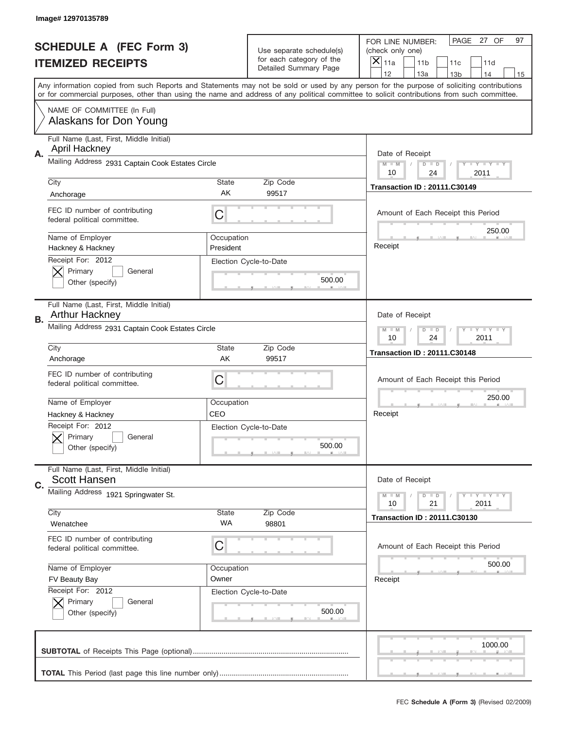|                          | Image# 12970135789                                              |                         |                                                   |                                                                                                                                                                                                                                                                                                                                     |
|--------------------------|-----------------------------------------------------------------|-------------------------|---------------------------------------------------|-------------------------------------------------------------------------------------------------------------------------------------------------------------------------------------------------------------------------------------------------------------------------------------------------------------------------------------|
|                          | <b>SCHEDULE A (FEC Form 3)</b>                                  |                         | Use separate schedule(s)                          | PAGE<br>27 OF<br>97<br>FOR LINE NUMBER:<br>(check only one)                                                                                                                                                                                                                                                                         |
| <b>ITEMIZED RECEIPTS</b> |                                                                 |                         | for each category of the<br>Detailed Summary Page | ×<br>11a<br>11 <sub>b</sub><br>11c<br>11d                                                                                                                                                                                                                                                                                           |
|                          |                                                                 |                         |                                                   | 12<br>13a<br>14<br>13 <sub>b</sub><br>15<br>Any information copied from such Reports and Statements may not be sold or used by any person for the purpose of soliciting contributions<br>or for commercial purposes, other than using the name and address of any political committee to solicit contributions from such committee. |
|                          | NAME OF COMMITTEE (In Full)<br>Alaskans for Don Young           |                         |                                                   |                                                                                                                                                                                                                                                                                                                                     |
| Α.                       | Full Name (Last, First, Middle Initial)<br><b>April Hackney</b> |                         |                                                   | Date of Receipt                                                                                                                                                                                                                                                                                                                     |
|                          | Mailing Address 2931 Captain Cook Estates Circle                |                         |                                                   | $M$ $M$<br>Y I Y I Y I Y<br>$D$ $D$<br>10<br>24<br>2011                                                                                                                                                                                                                                                                             |
|                          | City<br>Anchorage                                               | State<br>AK             | Zip Code<br>99517                                 | <b>Transaction ID: 20111.C30149</b>                                                                                                                                                                                                                                                                                                 |
|                          | FEC ID number of contributing<br>federal political committee.   | C                       |                                                   | Amount of Each Receipt this Period                                                                                                                                                                                                                                                                                                  |
|                          | Name of Employer<br>Hackney & Hackney                           | Occupation<br>President |                                                   | 250.00<br>Receipt                                                                                                                                                                                                                                                                                                                   |
|                          | Receipt For: 2012<br>Primary<br>General<br>Other (specify)      |                         | Election Cycle-to-Date<br>500.00                  |                                                                                                                                                                                                                                                                                                                                     |
| В.                       | Full Name (Last, First, Middle Initial)<br>Arthur Hackney       |                         |                                                   | Date of Receipt                                                                                                                                                                                                                                                                                                                     |
|                          | Mailing Address 2931 Captain Cook Estates Circle                |                         |                                                   | $T$ $Y$ $Y$ $Y$ $Y$<br>$M - M$<br>$D$ $D$<br>10<br>24<br>2011                                                                                                                                                                                                                                                                       |
|                          | City<br>Anchorage                                               | State<br>AK             | Zip Code<br>99517                                 | <b>Transaction ID: 20111.C30148</b>                                                                                                                                                                                                                                                                                                 |
|                          | FEC ID number of contributing<br>federal political committee.   | C                       |                                                   | Amount of Each Receipt this Period                                                                                                                                                                                                                                                                                                  |
|                          | Name of Employer<br>Hackney & Hackney                           | Occupation<br>CEO       |                                                   | 250.00<br>Receipt                                                                                                                                                                                                                                                                                                                   |
|                          | Receipt For: 2012<br>General<br>Primary                         |                         | Election Cycle-to-Date                            |                                                                                                                                                                                                                                                                                                                                     |
|                          | Other (specify)                                                 |                         | 500.00                                            |                                                                                                                                                                                                                                                                                                                                     |
| C.                       | Full Name (Last, First, Middle Initial)<br><b>Scott Hansen</b>  |                         |                                                   | Date of Receipt                                                                                                                                                                                                                                                                                                                     |
|                          | Mailing Address 1921 Springwater St.                            |                         |                                                   | $T$ $Y$ $Y$ $Y$ $Y$<br>$M - M$<br>$D$ $D$<br>21<br>2011<br>10                                                                                                                                                                                                                                                                       |
|                          | City<br>Wenatchee                                               | State<br>WA             | Zip Code<br>98801                                 | <b>Transaction ID: 20111.C30130</b>                                                                                                                                                                                                                                                                                                 |
|                          | FEC ID number of contributing<br>federal political committee.   | C                       |                                                   | Amount of Each Receipt this Period                                                                                                                                                                                                                                                                                                  |
|                          | Name of Employer                                                | Occupation              |                                                   | 500.00                                                                                                                                                                                                                                                                                                                              |
|                          | FV Beauty Bay<br>Receipt For: 2012<br>Primary<br>General        | Owner                   | Election Cycle-to-Date                            | Receipt                                                                                                                                                                                                                                                                                                                             |
|                          | Other (specify)                                                 |                         | 500.00                                            |                                                                                                                                                                                                                                                                                                                                     |
|                          |                                                                 |                         |                                                   | 1000.00                                                                                                                                                                                                                                                                                                                             |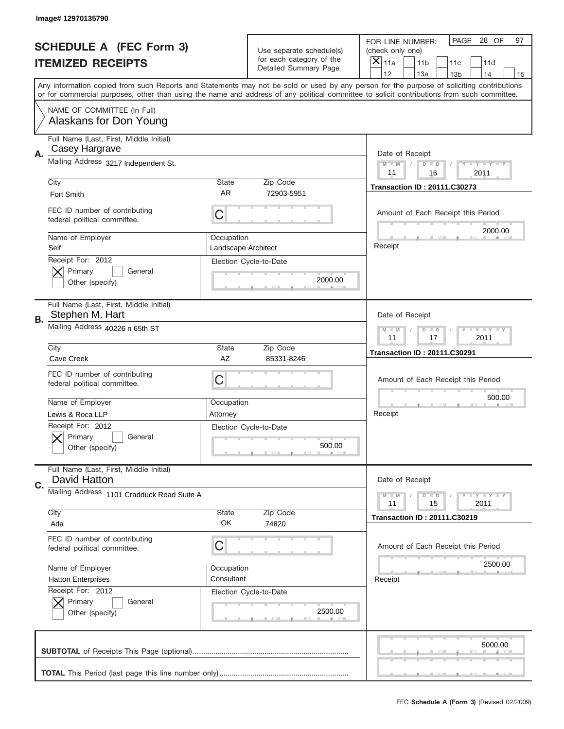|    | Image# 12970135790                                            |                                   |                                                   |                                                                                                                                                                                                                                                                                         |
|----|---------------------------------------------------------------|-----------------------------------|---------------------------------------------------|-----------------------------------------------------------------------------------------------------------------------------------------------------------------------------------------------------------------------------------------------------------------------------------------|
|    | <b>SCHEDULE A (FEC Form 3)</b>                                |                                   | Use separate schedule(s)                          | PAGE<br>28 OF<br>97<br>FOR LINE NUMBER:<br>(check only one)                                                                                                                                                                                                                             |
|    | <b>ITEMIZED RECEIPTS</b>                                      |                                   | for each category of the<br>Detailed Summary Page | ×<br>11a<br>11 <sub>b</sub><br>11c<br>11d                                                                                                                                                                                                                                               |
|    |                                                               |                                   |                                                   | 12<br>13a<br>14<br>13 <sub>b</sub><br>15                                                                                                                                                                                                                                                |
|    |                                                               |                                   |                                                   | Any information copied from such Reports and Statements may not be sold or used by any person for the purpose of soliciting contributions<br>or for commercial purposes, other than using the name and address of any political committee to solicit contributions from such committee. |
|    | NAME OF COMMITTEE (In Full)<br>Alaskans for Don Young         |                                   |                                                   |                                                                                                                                                                                                                                                                                         |
|    | Full Name (Last, First, Middle Initial)<br>Casey Hargrave     |                                   |                                                   |                                                                                                                                                                                                                                                                                         |
| А. | Mailing Address 3217 Independent St.                          |                                   |                                                   | Date of Receipt<br>$M$ $M$<br>Y I Y I Y I Y<br>$D$ $D$<br>11<br>16<br>2011                                                                                                                                                                                                              |
|    | City                                                          | State                             | Zip Code                                          | <b>Transaction ID: 20111.C30273</b>                                                                                                                                                                                                                                                     |
|    | Fort Smith                                                    | AR                                | 72903-5951                                        |                                                                                                                                                                                                                                                                                         |
|    | FEC ID number of contributing<br>federal political committee. | C                                 |                                                   | Amount of Each Receipt this Period<br>2000.00                                                                                                                                                                                                                                           |
|    | Name of Employer<br>Self                                      | Occupation<br>Landscape Architect |                                                   | Receipt                                                                                                                                                                                                                                                                                 |
|    | Receipt For: 2012                                             |                                   | Election Cycle-to-Date                            |                                                                                                                                                                                                                                                                                         |
|    | Primary<br>General<br>Other (specify)                         |                                   | 2000.00                                           |                                                                                                                                                                                                                                                                                         |
| В. | Full Name (Last, First, Middle Initial)<br>Stephen M. Hart    |                                   |                                                   | Date of Receipt                                                                                                                                                                                                                                                                         |
|    | Mailing Address 40226 n 65th ST                               |                                   |                                                   | Y TY TY TY<br>$M - M$<br>$D$ $D$<br>11<br>17<br>2011                                                                                                                                                                                                                                    |
|    | City                                                          | State                             | Zip Code                                          | <b>Transaction ID: 20111.C30291</b>                                                                                                                                                                                                                                                     |
|    | Cave Creek                                                    | AZ                                | 85331-8246                                        |                                                                                                                                                                                                                                                                                         |
|    | FEC ID number of contributing<br>federal political committee. | C                                 |                                                   | Amount of Each Receipt this Period                                                                                                                                                                                                                                                      |
|    | Name of Employer                                              | Occupation                        |                                                   | 500.00                                                                                                                                                                                                                                                                                  |
|    | Lewis & Roca LLP                                              | Attorney                          |                                                   | Receipt                                                                                                                                                                                                                                                                                 |
|    | Receipt For: 2012<br>General<br>Primary<br>Other (specify)    |                                   | Election Cycle-to-Date<br>500.00                  |                                                                                                                                                                                                                                                                                         |
| C. | Full Name (Last, First, Middle Initial)<br>David Hatton       |                                   |                                                   | Date of Receipt                                                                                                                                                                                                                                                                         |
|    | Mailing Address 1101 Cradduck Road Suite A                    |                                   |                                                   | $T$ $Y$ $Y$ $Y$ $Y$<br>$M - M$<br>$D$ $D$<br>2011<br>11<br>15                                                                                                                                                                                                                           |
|    | City<br>Ada                                                   | State<br>OK                       | Zip Code<br>74820                                 | <b>Transaction ID: 20111.C30219</b>                                                                                                                                                                                                                                                     |
|    |                                                               |                                   |                                                   |                                                                                                                                                                                                                                                                                         |
|    | FEC ID number of contributing<br>federal political committee. | C                                 |                                                   | Amount of Each Receipt this Period                                                                                                                                                                                                                                                      |
|    | Name of Employer                                              | Occupation                        |                                                   | 2500.00                                                                                                                                                                                                                                                                                 |
|    | <b>Hatton Enterprises</b><br>Receipt For: 2012                | Consultant                        |                                                   | Receipt                                                                                                                                                                                                                                                                                 |
|    | Primary<br>General                                            |                                   | Election Cycle-to-Date                            |                                                                                                                                                                                                                                                                                         |
|    | Other (specify)                                               |                                   | 2500.00                                           |                                                                                                                                                                                                                                                                                         |
|    |                                                               |                                   |                                                   | 5000.00                                                                                                                                                                                                                                                                                 |
|    |                                                               |                                   |                                                   |                                                                                                                                                                                                                                                                                         |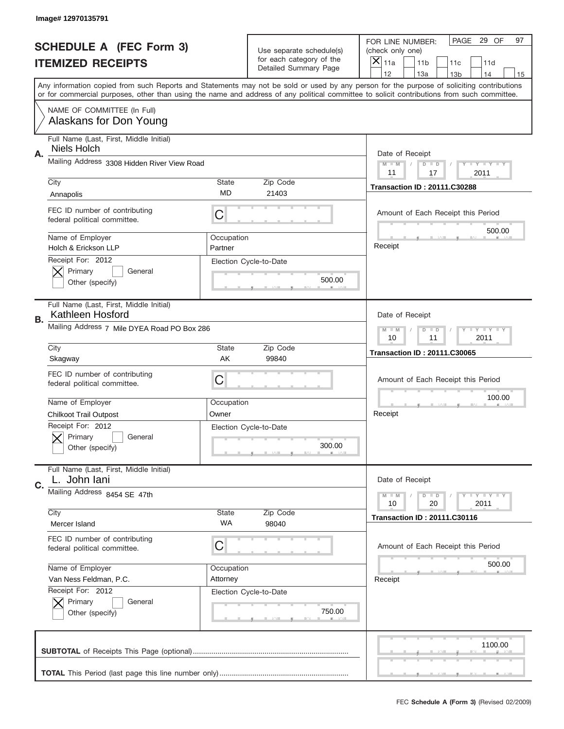|    | Image# 12970135791                                            |                                                      |                                                   |                                                                                                                                                                                                                                                                                         |
|----|---------------------------------------------------------------|------------------------------------------------------|---------------------------------------------------|-----------------------------------------------------------------------------------------------------------------------------------------------------------------------------------------------------------------------------------------------------------------------------------------|
|    | <b>SCHEDULE A (FEC Form 3)</b>                                |                                                      | Use separate schedule(s)                          | PAGE<br>29 OF<br>97<br>FOR LINE NUMBER:<br>(check only one)                                                                                                                                                                                                                             |
|    | <b>ITEMIZED RECEIPTS</b>                                      |                                                      | for each category of the<br>Detailed Summary Page | $\times$<br>11a<br>11 <sub>b</sub><br>11c<br>11d                                                                                                                                                                                                                                        |
|    |                                                               |                                                      |                                                   | 12<br>13a<br>13 <sub>b</sub><br>14<br>15                                                                                                                                                                                                                                                |
|    |                                                               |                                                      |                                                   | Any information copied from such Reports and Statements may not be sold or used by any person for the purpose of soliciting contributions<br>or for commercial purposes, other than using the name and address of any political committee to solicit contributions from such committee. |
|    | NAME OF COMMITTEE (In Full)<br>Alaskans for Don Young         |                                                      |                                                   |                                                                                                                                                                                                                                                                                         |
| Α. | Full Name (Last, First, Middle Initial)<br>Niels Holch        |                                                      |                                                   | Date of Receipt                                                                                                                                                                                                                                                                         |
|    | Mailing Address 3308 Hidden River View Road                   |                                                      |                                                   | $M$ $M$<br>Y TY TY TY<br>$D$ $D$<br>11<br>17<br>2011                                                                                                                                                                                                                                    |
|    | City                                                          | State                                                | Zip Code                                          | <b>Transaction ID: 20111.C30288</b>                                                                                                                                                                                                                                                     |
|    | Annapolis                                                     | MD                                                   | 21403                                             |                                                                                                                                                                                                                                                                                         |
|    | FEC ID number of contributing<br>federal political committee. | C                                                    |                                                   | Amount of Each Receipt this Period<br>500.00                                                                                                                                                                                                                                            |
|    | Name of Employer<br>Holch & Erickson LLP                      | Occupation<br>Partner                                |                                                   | Receipt                                                                                                                                                                                                                                                                                 |
|    | Receipt For: 2012<br>Primary<br>General                       |                                                      | Election Cycle-to-Date                            |                                                                                                                                                                                                                                                                                         |
|    | Other (specify)                                               |                                                      | 500.00                                            |                                                                                                                                                                                                                                                                                         |
|    | Full Name (Last, First, Middle Initial)<br>Kathleen Hosford   |                                                      |                                                   | Date of Receipt                                                                                                                                                                                                                                                                         |
| В. | Mailing Address 7 Mile DYEA Road PO Box 286                   | Y TY TY TY<br>$M - M$<br>$D$ $D$<br>10<br>11<br>2011 |                                                   |                                                                                                                                                                                                                                                                                         |
|    | City                                                          | State                                                | Zip Code                                          | <b>Transaction ID: 20111.C30065</b>                                                                                                                                                                                                                                                     |
|    | Skagway                                                       | AK                                                   | 99840                                             |                                                                                                                                                                                                                                                                                         |
|    | FEC ID number of contributing<br>federal political committee. | C                                                    |                                                   | Amount of Each Receipt this Period                                                                                                                                                                                                                                                      |
|    | Name of Employer                                              | Occupation                                           |                                                   | 100.00                                                                                                                                                                                                                                                                                  |
|    | <b>Chilkoot Trail Outpost</b>                                 | Owner                                                |                                                   | Receipt                                                                                                                                                                                                                                                                                 |
|    | Receipt For: 2012<br>General<br>Primary<br>Other (specify)    |                                                      | Election Cycle-to-Date<br>300.00                  |                                                                                                                                                                                                                                                                                         |
|    | Full Name (Last, First, Middle Initial)<br>L. John lani       |                                                      |                                                   | Date of Receipt                                                                                                                                                                                                                                                                         |
| C. | Mailing Address 8454 SE 47th                                  |                                                      |                                                   | Y LY LY LY<br>$M - M$<br>$D$ $D$<br>2011<br>10<br>20                                                                                                                                                                                                                                    |
|    | City                                                          | State                                                | Zip Code                                          | <b>Transaction ID: 20111.C30116</b>                                                                                                                                                                                                                                                     |
|    | Mercer Island                                                 | WA                                                   | 98040                                             |                                                                                                                                                                                                                                                                                         |
|    | FEC ID number of contributing<br>federal political committee. | C                                                    |                                                   | Amount of Each Receipt this Period                                                                                                                                                                                                                                                      |
|    | Name of Employer                                              | Occupation                                           |                                                   | 500.00                                                                                                                                                                                                                                                                                  |
|    | Van Ness Feldman, P.C.                                        | Attorney                                             |                                                   | Receipt                                                                                                                                                                                                                                                                                 |
|    | Receipt For: 2012                                             |                                                      | Election Cycle-to-Date                            |                                                                                                                                                                                                                                                                                         |
|    | Primary<br>General<br>Other (specify)                         |                                                      | 750.00                                            |                                                                                                                                                                                                                                                                                         |
|    |                                                               |                                                      |                                                   | 1100.00                                                                                                                                                                                                                                                                                 |
|    |                                                               |                                                      |                                                   |                                                                                                                                                                                                                                                                                         |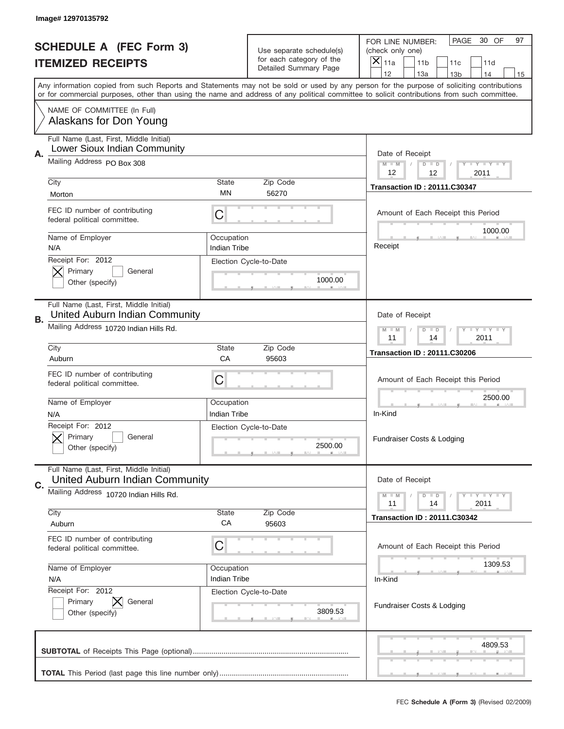|    | Image# 12970135792                                                        |                                   |                                                      |                                                                                                                                                                                                                                                                                                                                     |  |
|----|---------------------------------------------------------------------------|-----------------------------------|------------------------------------------------------|-------------------------------------------------------------------------------------------------------------------------------------------------------------------------------------------------------------------------------------------------------------------------------------------------------------------------------------|--|
|    | <b>SCHEDULE A (FEC Form 3)</b>                                            |                                   | Use separate schedule(s)<br>for each category of the | PAGE<br>30 OF<br>97<br>FOR LINE NUMBER:<br>(check only one)                                                                                                                                                                                                                                                                         |  |
|    | <b>ITEMIZED RECEIPTS</b>                                                  |                                   | Detailed Summary Page                                | ×<br>11a<br>11 <sub>b</sub><br>11c<br>11d                                                                                                                                                                                                                                                                                           |  |
|    |                                                                           |                                   |                                                      | 12<br>13a<br>14<br>13 <sub>b</sub><br>15<br>Any information copied from such Reports and Statements may not be sold or used by any person for the purpose of soliciting contributions<br>or for commercial purposes, other than using the name and address of any political committee to solicit contributions from such committee. |  |
|    | NAME OF COMMITTEE (In Full)<br>Alaskans for Don Young                     |                                   |                                                      |                                                                                                                                                                                                                                                                                                                                     |  |
| Α. | Full Name (Last, First, Middle Initial)<br>Lower Sioux Indian Community   |                                   |                                                      | Date of Receipt                                                                                                                                                                                                                                                                                                                     |  |
|    | Mailing Address PO Box 308                                                |                                   |                                                      | $M - M$<br><b>LEY LEY LEY</b><br>$D$ $D$<br>12<br>12<br>2011                                                                                                                                                                                                                                                                        |  |
|    | City<br>Morton                                                            | State<br>ΜN                       | Zip Code<br>56270                                    | <b>Transaction ID: 20111.C30347</b>                                                                                                                                                                                                                                                                                                 |  |
|    | FEC ID number of contributing<br>federal political committee.             | C                                 |                                                      | Amount of Each Receipt this Period<br>1000.00                                                                                                                                                                                                                                                                                       |  |
|    | Name of Employer<br>N/A                                                   | Occupation<br><b>Indian Tribe</b> |                                                      | Receipt                                                                                                                                                                                                                                                                                                                             |  |
|    | Receipt For: 2012<br>Primary<br>General<br>Other (specify)                |                                   | Election Cycle-to-Date<br>1000.00                    |                                                                                                                                                                                                                                                                                                                                     |  |
| В. | Full Name (Last, First, Middle Initial)<br>United Auburn Indian Community |                                   |                                                      | Date of Receipt                                                                                                                                                                                                                                                                                                                     |  |
|    | Mailing Address 10720 Indian Hills Rd.                                    |                                   |                                                      | <b>LYLYLY</b><br>$M - M$<br>$D$ $D$<br>11<br>14<br>2011                                                                                                                                                                                                                                                                             |  |
|    | City<br>Auburn                                                            | State<br>CA                       | Zip Code<br>95603                                    | <b>Transaction ID: 20111.C30206</b>                                                                                                                                                                                                                                                                                                 |  |
|    | FEC ID number of contributing<br>federal political committee.             | C                                 |                                                      | Amount of Each Receipt this Period                                                                                                                                                                                                                                                                                                  |  |
|    | Name of Employer<br>N/A                                                   | Occupation<br>Indian Tribe        |                                                      | 2500.00<br>In-Kind                                                                                                                                                                                                                                                                                                                  |  |
|    | Receipt For: 2012<br>General<br>Primary<br>Other (specify)                |                                   | Election Cycle-to-Date<br>2500.00                    | Fundraiser Costs & Lodging                                                                                                                                                                                                                                                                                                          |  |
| C. | Full Name (Last, First, Middle Initial)<br>United Auburn Indian Community |                                   |                                                      | Date of Receipt                                                                                                                                                                                                                                                                                                                     |  |
|    | Mailing Address 10720 Indian Hills Rd.                                    |                                   |                                                      | <b>LYLYLY</b><br>$M - M$<br>$D$ $D$<br>2011<br>11<br>14                                                                                                                                                                                                                                                                             |  |
|    | City<br>Auburn                                                            | State<br>CA                       | Zip Code<br>95603                                    | <b>Transaction ID: 20111.C30342</b>                                                                                                                                                                                                                                                                                                 |  |
|    | FEC ID number of contributing<br>federal political committee.             | C                                 |                                                      | Amount of Each Receipt this Period                                                                                                                                                                                                                                                                                                  |  |
|    | Name of Employer<br>N/A                                                   | Occupation<br>Indian Tribe        |                                                      | 1309.53<br>In-Kind                                                                                                                                                                                                                                                                                                                  |  |
|    | Receipt For: 2012<br>Primary<br>General<br>Other (specify)                |                                   | Election Cycle-to-Date<br>3809.53                    | Fundraiser Costs & Lodging                                                                                                                                                                                                                                                                                                          |  |
|    |                                                                           |                                   |                                                      | 4809.53                                                                                                                                                                                                                                                                                                                             |  |
|    |                                                                           |                                   |                                                      |                                                                                                                                                                                                                                                                                                                                     |  |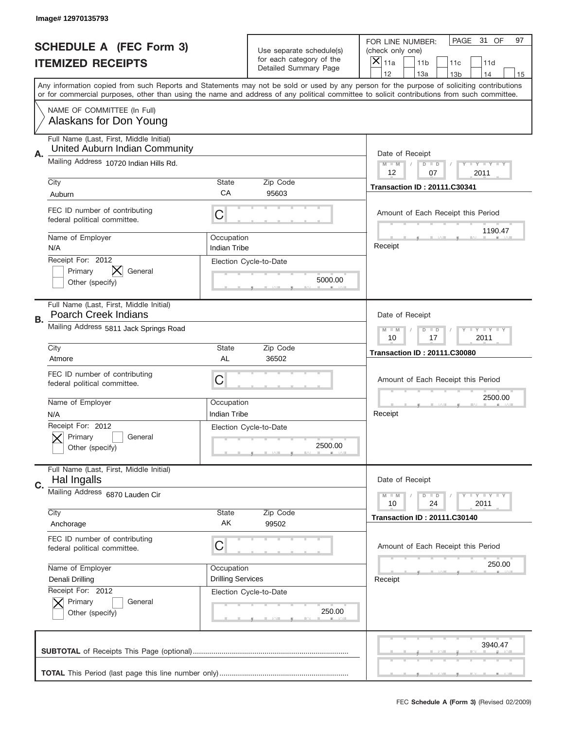|    | Image#12970135793                                                         |                                                         |                                                   |                                                                                                                                                                                       |
|----|---------------------------------------------------------------------------|---------------------------------------------------------|---------------------------------------------------|---------------------------------------------------------------------------------------------------------------------------------------------------------------------------------------|
|    | <b>SCHEDULE A (FEC Form 3)</b>                                            |                                                         | Use separate schedule(s)                          | PAGE<br>31 OF<br>97<br>FOR LINE NUMBER:<br>(check only one)                                                                                                                           |
|    | <b>ITEMIZED RECEIPTS</b>                                                  |                                                         | for each category of the<br>Detailed Summary Page | $\overline{X} _{11a}$<br>11 <sub>b</sub><br>11c<br>11d                                                                                                                                |
|    |                                                                           |                                                         |                                                   | 12<br>13a<br>14<br>13 <sub>b</sub><br>15<br>Any information copied from such Reports and Statements may not be sold or used by any person for the purpose of soliciting contributions |
|    |                                                                           |                                                         |                                                   | or for commercial purposes, other than using the name and address of any political committee to solicit contributions from such committee.                                            |
|    | NAME OF COMMITTEE (In Full)<br>Alaskans for Don Young                     |                                                         |                                                   |                                                                                                                                                                                       |
| Α. | Full Name (Last, First, Middle Initial)<br>United Auburn Indian Community |                                                         |                                                   | Date of Receipt                                                                                                                                                                       |
|    | Mailing Address 10720 Indian Hills Rd.                                    |                                                         |                                                   | <b>LEY LEY LEY</b><br>$M - M$<br>$D$ $D$<br>12<br>07<br>2011                                                                                                                          |
|    | City                                                                      | <b>State</b>                                            | Zip Code                                          | <b>Transaction ID: 20111.C30341</b>                                                                                                                                                   |
|    | Auburn                                                                    | CA                                                      | 95603                                             |                                                                                                                                                                                       |
|    | FEC ID number of contributing<br>federal political committee.             | C                                                       |                                                   | Amount of Each Receipt this Period<br>1190.47                                                                                                                                         |
|    | Name of Employer<br>N/A                                                   | Occupation<br><b>Indian Tribe</b>                       |                                                   | Receipt                                                                                                                                                                               |
|    | Receipt For: 2012<br>Primary<br>General<br>Other (specify)                |                                                         | Election Cycle-to-Date<br>5000.00                 |                                                                                                                                                                                       |
| В. | Full Name (Last, First, Middle Initial)<br><b>Poarch Creek Indians</b>    |                                                         |                                                   | Date of Receipt                                                                                                                                                                       |
|    | Mailing Address 5811 Jack Springs Road                                    | $D$ $D$<br><b>LYLYLY</b><br>$M - M$<br>10<br>17<br>2011 |                                                   |                                                                                                                                                                                       |
|    | City                                                                      | <b>State</b>                                            | Zip Code                                          | <b>Transaction ID: 20111.C30080</b>                                                                                                                                                   |
|    | Atmore                                                                    | AL                                                      | 36502                                             |                                                                                                                                                                                       |
|    | FEC ID number of contributing<br>federal political committee.             | C                                                       |                                                   | Amount of Each Receipt this Period                                                                                                                                                    |
|    |                                                                           |                                                         |                                                   | 2500.00                                                                                                                                                                               |
|    | Name of Employer                                                          | Occupation                                              |                                                   |                                                                                                                                                                                       |
|    | N/A                                                                       | Indian Tribe                                            |                                                   | Receipt                                                                                                                                                                               |
|    | Receipt For: 2012<br>General<br>Primary<br>Other (specify)                |                                                         | Election Cycle-to-Date<br>2500.00                 |                                                                                                                                                                                       |
| C. | Full Name (Last, First, Middle Initial)<br>Hal Ingalls                    |                                                         |                                                   | Date of Receipt                                                                                                                                                                       |
|    | Mailing Address 6870 Lauden Cir                                           |                                                         |                                                   | <b>LY LY LY</b><br>$M - M$<br>$D$ $D$<br>24<br>2011<br>10                                                                                                                             |
|    | City<br>Anchorage                                                         | State<br>AK                                             | Zip Code<br>99502                                 | <b>Transaction ID: 20111.C30140</b>                                                                                                                                                   |
|    | FEC ID number of contributing<br>federal political committee.             | С                                                       |                                                   | Amount of Each Receipt this Period                                                                                                                                                    |
|    | Name of Employer                                                          | Occupation                                              |                                                   | 250.00                                                                                                                                                                                |
|    | Denali Drilling                                                           | <b>Drilling Services</b>                                |                                                   | Receipt                                                                                                                                                                               |
|    | Receipt For: 2012<br>Primary<br>General<br>Other (specify)                |                                                         | Election Cycle-to-Date<br>250.00                  |                                                                                                                                                                                       |
|    |                                                                           |                                                         |                                                   | 3940.47                                                                                                                                                                               |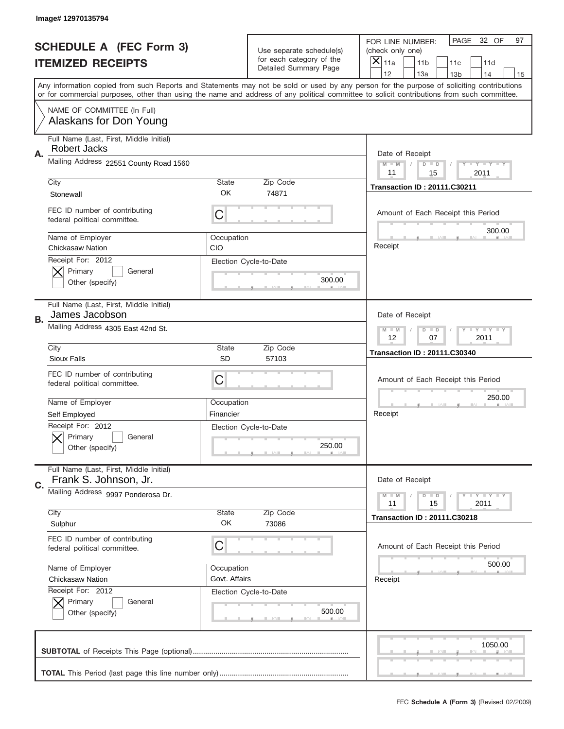|                          | Image# 12970135794                                               |                    |                                                   |                                                                                                                                                                                       |
|--------------------------|------------------------------------------------------------------|--------------------|---------------------------------------------------|---------------------------------------------------------------------------------------------------------------------------------------------------------------------------------------|
|                          | <b>SCHEDULE A (FEC Form 3)</b>                                   |                    | Use separate schedule(s)                          | PAGE<br>32 OF<br>97<br>FOR LINE NUMBER:<br>(check only one)                                                                                                                           |
| <b>ITEMIZED RECEIPTS</b> |                                                                  |                    | for each category of the<br>Detailed Summary Page | ×<br>11a<br>11 <sub>b</sub><br>11c<br>11d                                                                                                                                             |
|                          |                                                                  |                    |                                                   | 12<br>13a<br>14<br>13 <sub>b</sub><br>15<br>Any information copied from such Reports and Statements may not be sold or used by any person for the purpose of soliciting contributions |
|                          |                                                                  |                    |                                                   | or for commercial purposes, other than using the name and address of any political committee to solicit contributions from such committee.                                            |
|                          | NAME OF COMMITTEE (In Full)<br>Alaskans for Don Young            |                    |                                                   |                                                                                                                                                                                       |
| Α.                       | Full Name (Last, First, Middle Initial)<br><b>Robert Jacks</b>   |                    |                                                   | Date of Receipt                                                                                                                                                                       |
|                          | Mailing Address 22551 County Road 1560                           |                    |                                                   | $M$ $M$<br>Y TY TY TY<br>$D$ $D$<br>11<br>15<br>2011                                                                                                                                  |
|                          | City                                                             | State              | Zip Code                                          | <b>Transaction ID: 20111.C30211</b>                                                                                                                                                   |
|                          | Stonewall                                                        | OK                 | 74871                                             |                                                                                                                                                                                       |
|                          | FEC ID number of contributing<br>federal political committee.    | C                  |                                                   | Amount of Each Receipt this Period<br>300.00                                                                                                                                          |
|                          | Name of Employer<br><b>Chickasaw Nation</b>                      | Occupation<br>CIO  |                                                   | Receipt                                                                                                                                                                               |
|                          | Receipt For: 2012<br>Primary<br>General                          |                    | Election Cycle-to-Date<br>300.00                  |                                                                                                                                                                                       |
|                          | Other (specify)                                                  |                    |                                                   |                                                                                                                                                                                       |
| В.                       | Full Name (Last, First, Middle Initial)<br>James Jacobson        |                    |                                                   | Date of Receipt                                                                                                                                                                       |
|                          | Mailing Address 4305 East 42nd St.                               |                    |                                                   | Y TY TY TY<br>$M - M$<br>$D$ $D$<br>12<br>07<br>2011                                                                                                                                  |
|                          | City<br><b>Sioux Falls</b>                                       | State<br><b>SD</b> | Zip Code<br>57103                                 | <b>Transaction ID: 20111.C30340</b>                                                                                                                                                   |
|                          |                                                                  |                    |                                                   |                                                                                                                                                                                       |
|                          | FEC ID number of contributing<br>federal political committee.    | C                  |                                                   | Amount of Each Receipt this Period                                                                                                                                                    |
|                          | Name of Employer                                                 | Occupation         |                                                   | 250.00                                                                                                                                                                                |
|                          | Self Employed                                                    | Financier          |                                                   | Receipt                                                                                                                                                                               |
|                          | Receipt For: 2012<br>General<br>Primary<br>Other (specify)       |                    | Election Cycle-to-Date<br>250.00                  |                                                                                                                                                                                       |
|                          |                                                                  |                    |                                                   |                                                                                                                                                                                       |
| C.                       | Full Name (Last, First, Middle Initial)<br>Frank S. Johnson, Jr. |                    |                                                   | Date of Receipt                                                                                                                                                                       |
|                          | Mailing Address 9997 Ponderosa Dr.                               |                    |                                                   | <b>TEY TEY TEY</b><br>$M - M$<br>$D$ $D$<br>2011<br>11<br>15                                                                                                                          |
|                          | City<br>Sulphur                                                  | State<br>OK        | Zip Code<br>73086                                 | <b>Transaction ID: 20111.C30218</b>                                                                                                                                                   |
|                          | FEC ID number of contributing<br>federal political committee.    | C                  |                                                   | Amount of Each Receipt this Period                                                                                                                                                    |
|                          | Name of Employer                                                 | Occupation         |                                                   | 500.00                                                                                                                                                                                |
|                          | <b>Chickasaw Nation</b>                                          | Govt. Affairs      |                                                   | Receipt                                                                                                                                                                               |
|                          | Receipt For: 2012                                                |                    | Election Cycle-to-Date                            |                                                                                                                                                                                       |
|                          | Primary<br>General<br>Other (specify)                            |                    | 500.00                                            |                                                                                                                                                                                       |
|                          |                                                                  |                    |                                                   | 1050.00                                                                                                                                                                               |
|                          |                                                                  |                    |                                                   |                                                                                                                                                                                       |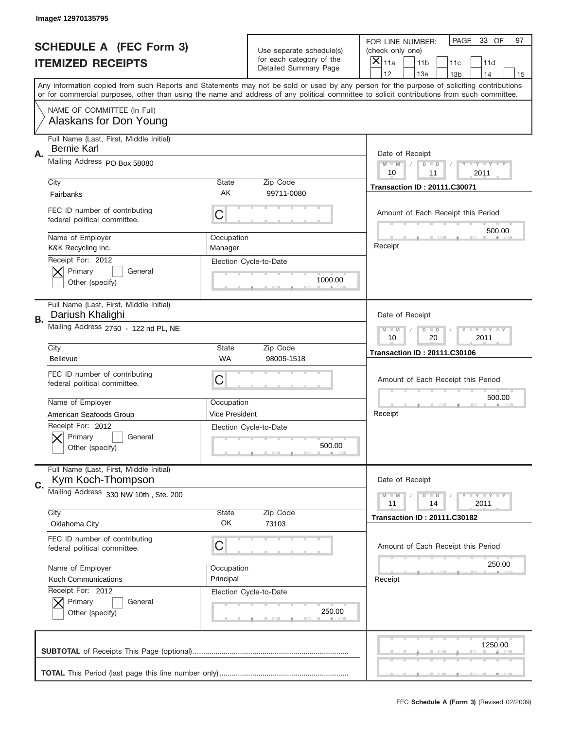|                          | Image# 12970135795                                            |                       |                                                   |                                                                                                                                                                                                                                                                                         |
|--------------------------|---------------------------------------------------------------|-----------------------|---------------------------------------------------|-----------------------------------------------------------------------------------------------------------------------------------------------------------------------------------------------------------------------------------------------------------------------------------------|
|                          | <b>SCHEDULE A (FEC Form 3)</b>                                |                       | Use separate schedule(s)                          | PAGE<br>33 OF<br>97<br>FOR LINE NUMBER:<br>(check only one)                                                                                                                                                                                                                             |
| <b>ITEMIZED RECEIPTS</b> |                                                               |                       | for each category of the<br>Detailed Summary Page | ×<br>11a<br>11 <sub>b</sub><br>11c<br>11d                                                                                                                                                                                                                                               |
|                          |                                                               |                       |                                                   | 12<br>13a<br>13 <sub>b</sub><br>14<br>15                                                                                                                                                                                                                                                |
|                          |                                                               |                       |                                                   | Any information copied from such Reports and Statements may not be sold or used by any person for the purpose of soliciting contributions<br>or for commercial purposes, other than using the name and address of any political committee to solicit contributions from such committee. |
|                          | NAME OF COMMITTEE (In Full)<br>Alaskans for Don Young         |                       |                                                   |                                                                                                                                                                                                                                                                                         |
| Α.                       | Full Name (Last, First, Middle Initial)<br><b>Bernie Karl</b> |                       |                                                   | Date of Receipt                                                                                                                                                                                                                                                                         |
|                          | Mailing Address PO Box 58080                                  |                       |                                                   | $M$ $M$<br>Y I Y I Y I Y<br>$D$ $D$<br>10<br>2011<br>11                                                                                                                                                                                                                                 |
|                          | City                                                          | State                 | Zip Code                                          | <b>Transaction ID: 20111.C30071</b>                                                                                                                                                                                                                                                     |
|                          | Fairbanks                                                     | AK                    | 99711-0080                                        |                                                                                                                                                                                                                                                                                         |
|                          | FEC ID number of contributing<br>federal political committee. | C                     |                                                   | Amount of Each Receipt this Period<br>500.00                                                                                                                                                                                                                                            |
|                          | Name of Employer<br>K&K Recycling Inc.                        | Occupation<br>Manager |                                                   | Receipt                                                                                                                                                                                                                                                                                 |
|                          | Receipt For: 2012                                             |                       | Election Cycle-to-Date                            |                                                                                                                                                                                                                                                                                         |
|                          | Primary<br>General<br>Other (specify)                         |                       | 1000.00                                           |                                                                                                                                                                                                                                                                                         |
|                          | Full Name (Last, First, Middle Initial)<br>Dariush Khalighi   |                       |                                                   | Date of Receipt                                                                                                                                                                                                                                                                         |
| В.                       | Mailing Address 2750 - 122 nd PL, NE                          |                       |                                                   | $T$ $Y$ $Y$ $Y$ $Y$<br>$M - M$<br>$D$ $D$                                                                                                                                                                                                                                               |
|                          | City                                                          | State                 | Zip Code                                          | 10<br>20<br>2011                                                                                                                                                                                                                                                                        |
|                          | <b>Bellevue</b>                                               | <b>WA</b>             | 98005-1518                                        | <b>Transaction ID: 20111.C30106</b>                                                                                                                                                                                                                                                     |
|                          | FEC ID number of contributing<br>federal political committee. | C                     |                                                   | Amount of Each Receipt this Period                                                                                                                                                                                                                                                      |
|                          | Name of Employer                                              | Occupation            |                                                   | 500.00                                                                                                                                                                                                                                                                                  |
|                          | American Seafoods Group                                       | Vice President        |                                                   | Receipt                                                                                                                                                                                                                                                                                 |
|                          | Receipt For: 2012<br>General<br>Primary<br>Other (specify)    |                       | Election Cycle-to-Date<br>500.00                  |                                                                                                                                                                                                                                                                                         |
| C.                       | Full Name (Last, First, Middle Initial)<br>Kym Koch-Thompson  |                       |                                                   | Date of Receipt                                                                                                                                                                                                                                                                         |
|                          | Mailing Address 330 NW 10th, Ste. 200                         |                       |                                                   | <b>LYLYLY</b><br>$M$ $M$<br>$\overline{D}$<br>$\blacksquare$<br>2011<br>11<br>14                                                                                                                                                                                                        |
|                          | City<br>Oklahoma City                                         | State<br>OK           | Zip Code<br>73103                                 | <b>Transaction ID: 20111.C30182</b>                                                                                                                                                                                                                                                     |
|                          |                                                               |                       |                                                   |                                                                                                                                                                                                                                                                                         |
|                          | FEC ID number of contributing<br>federal political committee. | C                     |                                                   | Amount of Each Receipt this Period                                                                                                                                                                                                                                                      |
|                          | Name of Employer                                              | Occupation            |                                                   | 250.00                                                                                                                                                                                                                                                                                  |
|                          | Koch Communications                                           | Principal             |                                                   | Receipt                                                                                                                                                                                                                                                                                 |
|                          | Receipt For: 2012<br>Primary<br>General                       |                       | Election Cycle-to-Date                            |                                                                                                                                                                                                                                                                                         |
|                          | Other (specify)                                               |                       | 250.00                                            |                                                                                                                                                                                                                                                                                         |
|                          |                                                               |                       |                                                   | 1250.00                                                                                                                                                                                                                                                                                 |
|                          |                                                               |                       |                                                   |                                                                                                                                                                                                                                                                                         |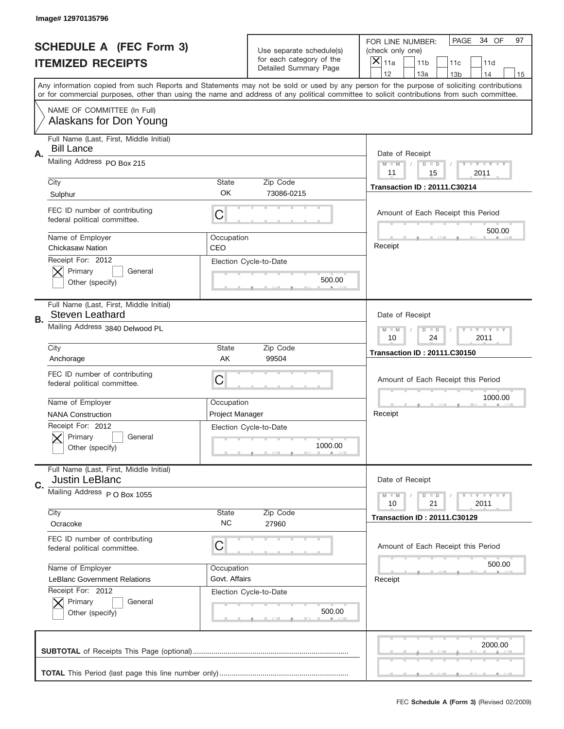|    | Image# 12970135796                                                |                        |                                                   |                                                                                                                                                                                       |
|----|-------------------------------------------------------------------|------------------------|---------------------------------------------------|---------------------------------------------------------------------------------------------------------------------------------------------------------------------------------------|
|    | <b>SCHEDULE A (FEC Form 3)</b>                                    |                        | Use separate schedule(s)                          | PAGE<br>34 OF<br>97<br>FOR LINE NUMBER:<br>(check only one)                                                                                                                           |
|    | <b>ITEMIZED RECEIPTS</b>                                          |                        | for each category of the<br>Detailed Summary Page | X<br>11a<br>11 <sub>b</sub><br>11c<br>11d                                                                                                                                             |
|    |                                                                   |                        |                                                   | 12<br>13a<br>14<br>13 <sub>b</sub><br>15<br>Any information copied from such Reports and Statements may not be sold or used by any person for the purpose of soliciting contributions |
|    |                                                                   |                        |                                                   | or for commercial purposes, other than using the name and address of any political committee to solicit contributions from such committee.                                            |
|    | NAME OF COMMITTEE (In Full)<br>Alaskans for Don Young             |                        |                                                   |                                                                                                                                                                                       |
| Α. | Full Name (Last, First, Middle Initial)<br><b>Bill Lance</b>      |                        |                                                   | Date of Receipt                                                                                                                                                                       |
|    | Mailing Address PO Box 215                                        |                        |                                                   | $M - M$<br>Y I Y I Y I Y<br>$D$ $D$<br>11<br>15<br>2011                                                                                                                               |
|    | City<br>Sulphur                                                   | <b>State</b><br>OK     | Zip Code<br>73086-0215                            | <b>Transaction ID: 20111.C30214</b>                                                                                                                                                   |
|    | FEC ID number of contributing<br>federal political committee.     | C                      |                                                   | Amount of Each Receipt this Period<br>500.00                                                                                                                                          |
|    | Name of Employer<br><b>Chickasaw Nation</b>                       | Occupation<br>CEO      |                                                   | Receipt                                                                                                                                                                               |
|    | Receipt For: 2012<br>Primary<br>General<br>Other (specify)        |                        | Election Cycle-to-Date<br>500.00                  |                                                                                                                                                                                       |
| В. | Full Name (Last, First, Middle Initial)<br><b>Steven Leathard</b> |                        |                                                   | Date of Receipt                                                                                                                                                                       |
|    | Mailing Address 3840 Delwood PL                                   |                        |                                                   | <b>LY LY LY</b><br>$M - M$<br>$D$ $D$<br>10<br>24<br>2011                                                                                                                             |
|    | City                                                              | <b>State</b>           | Zip Code                                          | <b>Transaction ID: 20111.C30150</b>                                                                                                                                                   |
|    | Anchorage                                                         | AK                     | 99504                                             |                                                                                                                                                                                       |
|    | FEC ID number of contributing<br>federal political committee.     | C                      |                                                   | Amount of Each Receipt this Period                                                                                                                                                    |
|    | Name of Employer                                                  | Occupation             |                                                   | 1000.00                                                                                                                                                                               |
|    | <b>NANA Construction</b>                                          | <b>Project Manager</b> |                                                   | Receipt                                                                                                                                                                               |
|    | Receipt For: 2012<br>General<br>Primary<br>Other (specify)        |                        | Election Cycle-to-Date<br>1000.00                 |                                                                                                                                                                                       |
| C. | Full Name (Last, First, Middle Initial)<br><b>Justin LeBlanc</b>  |                        |                                                   | Date of Receipt                                                                                                                                                                       |
|    | Mailing Address P O Box 1055                                      |                        |                                                   | <b>TEY TEY TEY</b><br>$M - M$<br>$D$ $D$<br>21<br>2011<br>10                                                                                                                          |
|    | City<br>Ocracoke                                                  | State<br><b>NC</b>     | Zip Code<br>27960                                 | <b>Transaction ID: 20111.C30129</b>                                                                                                                                                   |
|    | FEC ID number of contributing<br>federal political committee.     | C                      |                                                   | Amount of Each Receipt this Period                                                                                                                                                    |
|    | Name of Employer                                                  | Occupation             |                                                   | 500.00                                                                                                                                                                                |
|    | LeBlanc Government Relations                                      | Govt. Affairs          |                                                   | Receipt                                                                                                                                                                               |
|    | Receipt For: 2012<br>Primary<br>General<br>Other (specify)        |                        | Election Cycle-to-Date<br>500.00                  |                                                                                                                                                                                       |
|    |                                                                   |                        |                                                   | 2000.00                                                                                                                                                                               |
|    |                                                                   |                        |                                                   |                                                                                                                                                                                       |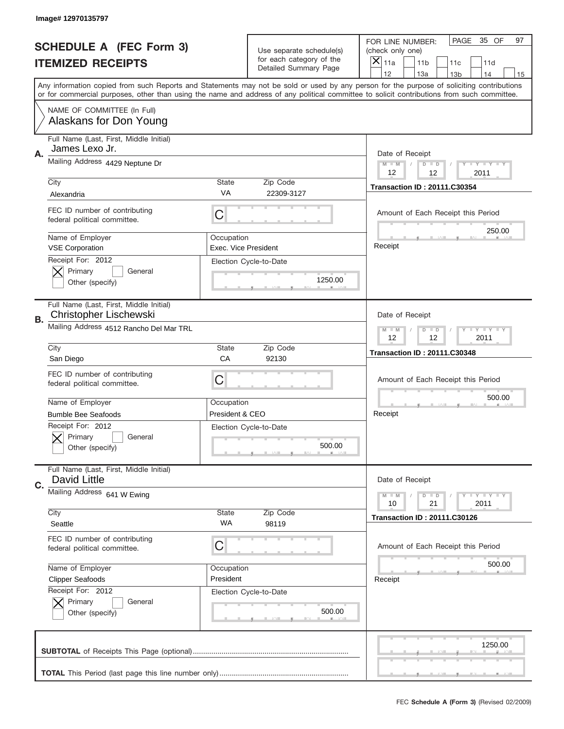|                          | Image# 12970135797                                                       |                                    |                                                   |                                                                                                                                                                                       |
|--------------------------|--------------------------------------------------------------------------|------------------------------------|---------------------------------------------------|---------------------------------------------------------------------------------------------------------------------------------------------------------------------------------------|
|                          | <b>SCHEDULE A (FEC Form 3)</b>                                           |                                    | Use separate schedule(s)                          | PAGE<br>35 OF<br>97<br>FOR LINE NUMBER:<br>(check only one)                                                                                                                           |
| <b>ITEMIZED RECEIPTS</b> |                                                                          |                                    | for each category of the<br>Detailed Summary Page | ×<br>11a<br>11 <sub>b</sub><br>11c<br>11d                                                                                                                                             |
|                          |                                                                          |                                    |                                                   | 12<br>13a<br>14<br>13 <sub>b</sub><br>15<br>Any information copied from such Reports and Statements may not be sold or used by any person for the purpose of soliciting contributions |
|                          |                                                                          |                                    |                                                   | or for commercial purposes, other than using the name and address of any political committee to solicit contributions from such committee.                                            |
|                          | NAME OF COMMITTEE (In Full)<br>Alaskans for Don Young                    |                                    |                                                   |                                                                                                                                                                                       |
| Α.                       | Full Name (Last, First, Middle Initial)<br>James Lexo Jr.                |                                    |                                                   | Date of Receipt                                                                                                                                                                       |
|                          | Mailing Address 4429 Neptune Dr                                          |                                    |                                                   | $M - M$<br>Y I Y I Y I Y<br>$D$ $D$<br>12<br>12<br>2011                                                                                                                               |
|                          | City                                                                     | <b>State</b>                       | Zip Code                                          | <b>Transaction ID: 20111.C30354</b>                                                                                                                                                   |
|                          | Alexandria                                                               | VA                                 | 22309-3127                                        |                                                                                                                                                                                       |
|                          | FEC ID number of contributing<br>federal political committee.            | C                                  |                                                   | Amount of Each Receipt this Period<br>250.00                                                                                                                                          |
|                          | Name of Employer<br><b>VSE Corporation</b>                               | Occupation<br>Exec. Vice President |                                                   | Receipt                                                                                                                                                                               |
|                          | Receipt For: 2012<br>Primary<br>General<br>Other (specify)               |                                    | Election Cycle-to-Date<br>1250.00                 |                                                                                                                                                                                       |
| В.                       | Full Name (Last, First, Middle Initial)<br><b>Christopher Lischewski</b> |                                    |                                                   | Date of Receipt                                                                                                                                                                       |
|                          | Mailing Address 4512 Rancho Del Mar TRL                                  |                                    |                                                   | $T$ $Y$ $T$ $Y$ $T$ $Y$<br>$M - M$<br>$D$ $D$<br>12<br>12<br>2011                                                                                                                     |
|                          | City                                                                     | <b>State</b>                       | Zip Code                                          | <b>Transaction ID: 20111.C30348</b>                                                                                                                                                   |
|                          | San Diego                                                                | CA                                 | 92130                                             |                                                                                                                                                                                       |
|                          | FEC ID number of contributing<br>federal political committee.            | C                                  |                                                   | Amount of Each Receipt this Period                                                                                                                                                    |
|                          | Name of Employer                                                         | Occupation                         |                                                   | 500.00                                                                                                                                                                                |
|                          | <b>Bumble Bee Seafoods</b>                                               | President & CEO                    |                                                   | Receipt                                                                                                                                                                               |
|                          | Receipt For: 2012<br>General<br>Primary<br>Other (specify)               |                                    | Election Cycle-to-Date<br>500.00                  |                                                                                                                                                                                       |
| C.                       | Full Name (Last, First, Middle Initial)<br>David Little                  |                                    |                                                   | Date of Receipt                                                                                                                                                                       |
|                          | Mailing Address 641 W Ewing                                              |                                    |                                                   | <b>TEY TEY TEY</b><br>$M - M$<br>$D$ $D$<br>21<br>2011<br>10                                                                                                                          |
|                          |                                                                          | State                              | Zip Code                                          |                                                                                                                                                                                       |
|                          | City<br>Seattle                                                          | WA                                 | 98119                                             | <b>Transaction ID: 20111.C30126</b>                                                                                                                                                   |
|                          | FEC ID number of contributing<br>federal political committee.            | C                                  |                                                   | Amount of Each Receipt this Period                                                                                                                                                    |
|                          | Name of Employer                                                         | Occupation                         |                                                   | 500.00                                                                                                                                                                                |
|                          | <b>Clipper Seafoods</b>                                                  | President                          |                                                   | Receipt                                                                                                                                                                               |
|                          | Receipt For: 2012<br>Primary<br>General<br>Other (specify)               |                                    | Election Cycle-to-Date<br>500.00                  |                                                                                                                                                                                       |
|                          |                                                                          |                                    |                                                   | 1250.00                                                                                                                                                                               |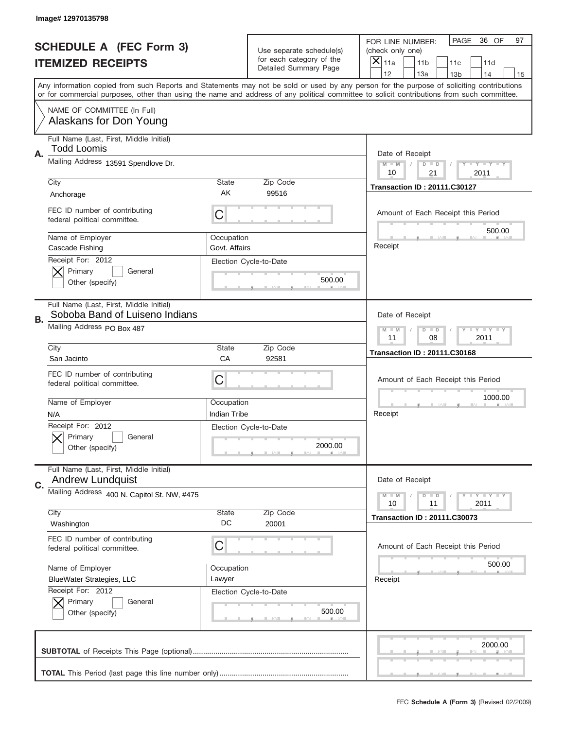|                          | Image# 12970135798                                                        |                             |                                                   |                                                                                                                                                                                                                                                                                         |
|--------------------------|---------------------------------------------------------------------------|-----------------------------|---------------------------------------------------|-----------------------------------------------------------------------------------------------------------------------------------------------------------------------------------------------------------------------------------------------------------------------------------------|
|                          | <b>SCHEDULE A (FEC Form 3)</b>                                            |                             | Use separate schedule(s)                          | PAGE<br>36 OF<br>97<br>FOR LINE NUMBER:<br>(check only one)                                                                                                                                                                                                                             |
| <b>ITEMIZED RECEIPTS</b> |                                                                           |                             | for each category of the<br>Detailed Summary Page | ×<br>11a<br>11 <sub>b</sub><br>11c<br>11d                                                                                                                                                                                                                                               |
|                          |                                                                           |                             |                                                   | 12<br>13a<br>14<br>13 <sub>b</sub><br>15                                                                                                                                                                                                                                                |
|                          |                                                                           |                             |                                                   | Any information copied from such Reports and Statements may not be sold or used by any person for the purpose of soliciting contributions<br>or for commercial purposes, other than using the name and address of any political committee to solicit contributions from such committee. |
|                          | NAME OF COMMITTEE (In Full)<br>Alaskans for Don Young                     |                             |                                                   |                                                                                                                                                                                                                                                                                         |
| Α.                       | Full Name (Last, First, Middle Initial)<br><b>Todd Loomis</b>             |                             |                                                   | Date of Receipt                                                                                                                                                                                                                                                                         |
|                          | Mailing Address 13591 Spendlove Dr.                                       |                             |                                                   | $M - M$<br><b>THEY THEY</b><br>$D$ $D$<br>21<br>10<br>2011                                                                                                                                                                                                                              |
|                          | City                                                                      | <b>State</b>                | Zip Code                                          | <b>Transaction ID: 20111.C30127</b>                                                                                                                                                                                                                                                     |
|                          | Anchorage                                                                 | AK                          | 99516                                             |                                                                                                                                                                                                                                                                                         |
|                          | FEC ID number of contributing<br>federal political committee.             | C                           |                                                   | Amount of Each Receipt this Period<br>500.00                                                                                                                                                                                                                                            |
|                          | Name of Employer<br>Cascade Fishing                                       | Occupation<br>Govt. Affairs |                                                   | Receipt                                                                                                                                                                                                                                                                                 |
|                          | Receipt For: 2012<br>Primary<br>General<br>Other (specify)                |                             | Election Cycle-to-Date<br>500.00                  |                                                                                                                                                                                                                                                                                         |
| В.                       | Full Name (Last, First, Middle Initial)<br>Soboba Band of Luiseno Indians |                             |                                                   | Date of Receipt                                                                                                                                                                                                                                                                         |
|                          | Mailing Address PO Box 487                                                |                             |                                                   | <b>LY LY LY</b><br>$M - M$<br>$D$ $D$<br>11<br>08<br>2011                                                                                                                                                                                                                               |
|                          | City                                                                      | <b>State</b>                | Zip Code                                          | <b>Transaction ID: 20111.C30168</b>                                                                                                                                                                                                                                                     |
|                          | San Jacinto                                                               | CA                          | 92581                                             |                                                                                                                                                                                                                                                                                         |
|                          | FEC ID number of contributing<br>federal political committee.             | C                           |                                                   | Amount of Each Receipt this Period                                                                                                                                                                                                                                                      |
|                          | Name of Employer                                                          | Occupation                  |                                                   | 1000.00                                                                                                                                                                                                                                                                                 |
|                          | N/A                                                                       | Indian Tribe                |                                                   | Receipt                                                                                                                                                                                                                                                                                 |
|                          | Receipt For: 2012<br>General<br>Primary<br>Other (specify)                |                             | Election Cycle-to-Date<br>2000.00                 |                                                                                                                                                                                                                                                                                         |
| C.                       | Full Name (Last, First, Middle Initial)<br><b>Andrew Lundquist</b>        |                             |                                                   | Date of Receipt                                                                                                                                                                                                                                                                         |
|                          | Mailing Address 400 N. Capitol St. NW, #475                               |                             |                                                   | $T + Y = Y + Y$<br>$M - M$<br>$D$ $D$<br>2011<br>10<br>11                                                                                                                                                                                                                               |
|                          | City<br>Washington                                                        | State<br>DC                 | Zip Code<br>20001                                 | <b>Transaction ID: 20111.C30073</b>                                                                                                                                                                                                                                                     |
|                          | FEC ID number of contributing<br>federal political committee.             | C                           |                                                   | Amount of Each Receipt this Period                                                                                                                                                                                                                                                      |
|                          | Name of Employer                                                          | Occupation                  |                                                   | 500.00                                                                                                                                                                                                                                                                                  |
|                          | <b>BlueWater Strategies, LLC</b>                                          | Lawyer                      |                                                   | Receipt                                                                                                                                                                                                                                                                                 |
|                          | Receipt For: 2012<br>Primary<br>General<br>Other (specify)                |                             | Election Cycle-to-Date<br>500.00                  |                                                                                                                                                                                                                                                                                         |
|                          |                                                                           |                             |                                                   | 2000.00                                                                                                                                                                                                                                                                                 |
|                          |                                                                           |                             |                                                   |                                                                                                                                                                                                                                                                                         |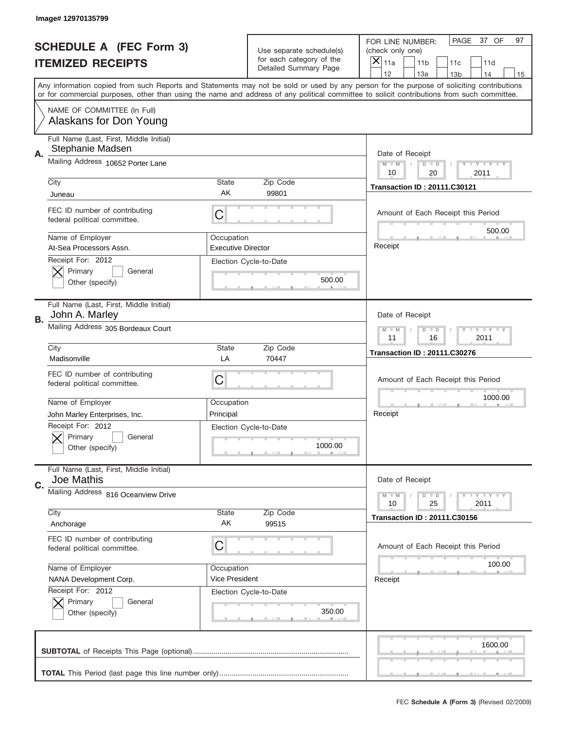|    | Image# 12970135799                                            |                                                                   |                                                   |                                                                                                                                                                                                                                                                                                                                     |
|----|---------------------------------------------------------------|-------------------------------------------------------------------|---------------------------------------------------|-------------------------------------------------------------------------------------------------------------------------------------------------------------------------------------------------------------------------------------------------------------------------------------------------------------------------------------|
|    | <b>SCHEDULE A (FEC Form 3)</b>                                |                                                                   | Use separate schedule(s)                          | PAGE<br>37 OF<br>97<br>FOR LINE NUMBER:<br>(check only one)                                                                                                                                                                                                                                                                         |
|    | <b>ITEMIZED RECEIPTS</b>                                      |                                                                   | for each category of the<br>Detailed Summary Page | ×<br>11a<br>11 <sub>b</sub><br>11c<br>11d                                                                                                                                                                                                                                                                                           |
|    |                                                               |                                                                   |                                                   | 12<br>13a<br>14<br>13 <sub>b</sub><br>15<br>Any information copied from such Reports and Statements may not be sold or used by any person for the purpose of soliciting contributions<br>or for commercial purposes, other than using the name and address of any political committee to solicit contributions from such committee. |
|    | NAME OF COMMITTEE (In Full)<br>Alaskans for Don Young         |                                                                   |                                                   |                                                                                                                                                                                                                                                                                                                                     |
| Α. | Full Name (Last, First, Middle Initial)<br>Stephanie Madsen   |                                                                   |                                                   | Date of Receipt                                                                                                                                                                                                                                                                                                                     |
|    | Mailing Address 10652 Porter Lane                             |                                                                   |                                                   | $M - M$<br>Y I Y I Y I Y<br>$D$ $D$<br>10<br>20<br>2011                                                                                                                                                                                                                                                                             |
|    | City<br>Juneau                                                | State<br>AK                                                       | Zip Code<br>99801                                 | <b>Transaction ID: 20111.C30121</b>                                                                                                                                                                                                                                                                                                 |
|    | FEC ID number of contributing<br>federal political committee. | C                                                                 |                                                   | Amount of Each Receipt this Period<br>500.00                                                                                                                                                                                                                                                                                        |
|    | Name of Employer<br>At-Sea Processors Assn.                   | Occupation<br><b>Executive Director</b>                           |                                                   | Receipt                                                                                                                                                                                                                                                                                                                             |
|    | Receipt For: 2012<br>Primary<br>General<br>Other (specify)    |                                                                   | Election Cycle-to-Date<br>500.00                  |                                                                                                                                                                                                                                                                                                                                     |
| В. | Full Name (Last, First, Middle Initial)<br>John A. Marley     |                                                                   |                                                   | Date of Receipt                                                                                                                                                                                                                                                                                                                     |
|    | Mailing Address 305 Bordeaux Court                            | $T$ $Y$ $T$ $Y$ $T$ $Y$<br>$M - M$<br>$D$ $D$<br>11<br>16<br>2011 |                                                   |                                                                                                                                                                                                                                                                                                                                     |
|    | City<br>Madisonville                                          | State<br>LA                                                       | Zip Code<br>70447                                 | <b>Transaction ID: 20111.C30276</b>                                                                                                                                                                                                                                                                                                 |
|    | FEC ID number of contributing<br>federal political committee. | C                                                                 |                                                   | Amount of Each Receipt this Period                                                                                                                                                                                                                                                                                                  |
|    | Name of Employer                                              | Occupation                                                        |                                                   | 1000.00                                                                                                                                                                                                                                                                                                                             |
|    | John Marley Enterprises, Inc.                                 | Principal                                                         |                                                   | Receipt                                                                                                                                                                                                                                                                                                                             |
|    | Receipt For: 2012<br>General<br>Primary<br>Other (specify)    |                                                                   | Election Cycle-to-Date<br>1000.00                 |                                                                                                                                                                                                                                                                                                                                     |
| C. | Full Name (Last, First, Middle Initial)<br>Joe Mathis         |                                                                   |                                                   | Date of Receipt                                                                                                                                                                                                                                                                                                                     |
|    | Mailing Address 816 Oceanview Drive<br>City                   | State                                                             | Zip Code                                          | <b>TEY LY LY</b><br>$M - M$<br>$D$ $D$<br>25<br>2011<br>10                                                                                                                                                                                                                                                                          |
|    | Anchorage                                                     | AK                                                                | 99515                                             | <b>Transaction ID: 20111.C30156</b>                                                                                                                                                                                                                                                                                                 |
|    | FEC ID number of contributing<br>federal political committee. | C                                                                 |                                                   | Amount of Each Receipt this Period                                                                                                                                                                                                                                                                                                  |
|    | Name of Employer                                              | Occupation                                                        |                                                   | 100.00                                                                                                                                                                                                                                                                                                                              |
|    | NANA Development Corp.                                        | Vice President                                                    |                                                   | Receipt                                                                                                                                                                                                                                                                                                                             |
|    | Receipt For: 2012<br>Primary<br>General<br>Other (specify)    |                                                                   | Election Cycle-to-Date<br>350.00                  |                                                                                                                                                                                                                                                                                                                                     |
|    |                                                               |                                                                   |                                                   | 1600.00                                                                                                                                                                                                                                                                                                                             |
|    |                                                               |                                                                   |                                                   |                                                                                                                                                                                                                                                                                                                                     |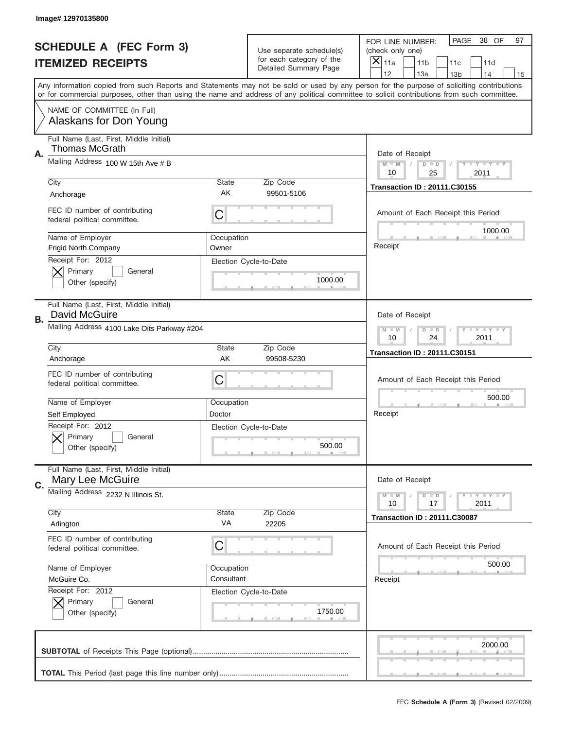|    | Image# 12970135800                                               |                                                           |                                                   |                                                                                                                                                                                                                                                                                                                                     |
|----|------------------------------------------------------------------|-----------------------------------------------------------|---------------------------------------------------|-------------------------------------------------------------------------------------------------------------------------------------------------------------------------------------------------------------------------------------------------------------------------------------------------------------------------------------|
|    | <b>SCHEDULE A (FEC Form 3)</b>                                   |                                                           | Use separate schedule(s)                          | PAGE<br>38 OF<br>97<br>FOR LINE NUMBER:<br>(check only one)                                                                                                                                                                                                                                                                         |
|    | <b>ITEMIZED RECEIPTS</b>                                         |                                                           | for each category of the<br>Detailed Summary Page | ×<br>11a<br>11 <sub>b</sub><br>11c<br>11d                                                                                                                                                                                                                                                                                           |
|    |                                                                  |                                                           |                                                   | 12<br>13a<br>14<br>13 <sub>b</sub><br>15<br>Any information copied from such Reports and Statements may not be sold or used by any person for the purpose of soliciting contributions<br>or for commercial purposes, other than using the name and address of any political committee to solicit contributions from such committee. |
|    | NAME OF COMMITTEE (In Full)<br>Alaskans for Don Young            |                                                           |                                                   |                                                                                                                                                                                                                                                                                                                                     |
|    | Full Name (Last, First, Middle Initial)<br><b>Thomas McGrath</b> |                                                           |                                                   |                                                                                                                                                                                                                                                                                                                                     |
| Α. | Mailing Address 100 W 15th Ave # B                               |                                                           |                                                   | Date of Receipt<br>$M - M$<br>$T - Y = -Y$<br>$D$ $D$<br>10<br>25<br>2011                                                                                                                                                                                                                                                           |
|    | City<br>Anchorage                                                | <b>State</b><br>AK                                        | Zip Code<br>99501-5106                            | <b>Transaction ID: 20111.C30155</b>                                                                                                                                                                                                                                                                                                 |
|    | FEC ID number of contributing<br>federal political committee.    | C                                                         |                                                   | Amount of Each Receipt this Period                                                                                                                                                                                                                                                                                                  |
|    | Name of Employer<br>Frigid North Company<br>Receipt For: 2012    | Occupation<br>Owner                                       |                                                   | 1000.00<br>Receipt                                                                                                                                                                                                                                                                                                                  |
|    | Primary<br>General<br>Other (specify)                            |                                                           | Election Cycle-to-Date<br>1000.00                 |                                                                                                                                                                                                                                                                                                                                     |
| В. | Full Name (Last, First, Middle Initial)<br>David McGuire         |                                                           |                                                   | Date of Receipt                                                                                                                                                                                                                                                                                                                     |
|    | Mailing Address 4100 Lake Oits Parkway #204                      | <b>LY LY LY</b><br>$M - M$<br>$D$ $D$<br>10<br>24<br>2011 |                                                   |                                                                                                                                                                                                                                                                                                                                     |
|    | City<br>Anchorage                                                | <b>State</b><br>AK                                        | Zip Code<br>99508-5230                            | <b>Transaction ID: 20111.C30151</b>                                                                                                                                                                                                                                                                                                 |
|    | FEC ID number of contributing<br>federal political committee.    | C                                                         |                                                   | Amount of Each Receipt this Period                                                                                                                                                                                                                                                                                                  |
|    | Name of Employer<br>Self Employed                                | Occupation<br>Doctor                                      |                                                   | 500.00<br>Receipt                                                                                                                                                                                                                                                                                                                   |
|    | Receipt For: 2012<br>General<br>Primary<br>Other (specify)       |                                                           | Election Cycle-to-Date<br>500.00                  |                                                                                                                                                                                                                                                                                                                                     |
| C. | Full Name (Last, First, Middle Initial)<br>Mary Lee McGuire      |                                                           |                                                   | Date of Receipt                                                                                                                                                                                                                                                                                                                     |
|    | Mailing Address 2232 N Illinois St.                              |                                                           |                                                   | Y FY FY FY<br>$M - M$<br>$D$ $D$<br>17<br>2011<br>10                                                                                                                                                                                                                                                                                |
|    | City<br>Arlington                                                | State<br>VA                                               | Zip Code<br>22205                                 | <b>Transaction ID: 20111.C30087</b>                                                                                                                                                                                                                                                                                                 |
|    | FEC ID number of contributing<br>federal political committee.    | C                                                         |                                                   | Amount of Each Receipt this Period                                                                                                                                                                                                                                                                                                  |
|    | Name of Employer<br>McGuire Co.                                  | Occupation<br>Consultant                                  |                                                   | 500.00<br>Receipt                                                                                                                                                                                                                                                                                                                   |
|    | Receipt For: 2012<br>Primary<br>General<br>Other (specify)       |                                                           | Election Cycle-to-Date<br>1750.00                 |                                                                                                                                                                                                                                                                                                                                     |
|    |                                                                  |                                                           |                                                   | 2000.00                                                                                                                                                                                                                                                                                                                             |
|    |                                                                  |                                                           |                                                   |                                                                                                                                                                                                                                                                                                                                     |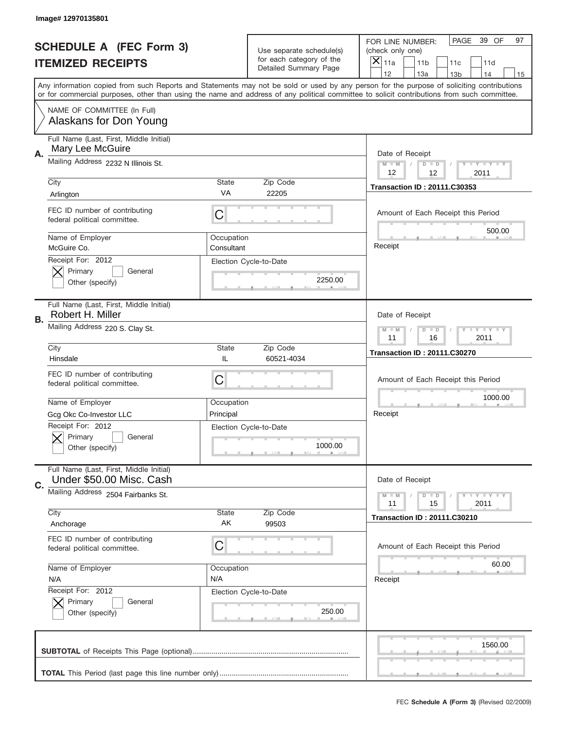|    | Image#12970135801                                                                     |                                                      |                                                      |                                                                                                                                                                                                                                                                                                                  |
|----|---------------------------------------------------------------------------------------|------------------------------------------------------|------------------------------------------------------|------------------------------------------------------------------------------------------------------------------------------------------------------------------------------------------------------------------------------------------------------------------------------------------------------------------|
|    | <b>SCHEDULE A (FEC Form 3)</b>                                                        |                                                      | Use separate schedule(s)<br>for each category of the | PAGE<br>39 OF<br>97<br>FOR LINE NUMBER:<br>(check only one)                                                                                                                                                                                                                                                      |
|    | <b>ITEMIZED RECEIPTS</b>                                                              |                                                      | Detailed Summary Page                                | $\times$<br>11a<br>11 <sub>b</sub><br>11c<br>11d<br>12<br>13a<br>14                                                                                                                                                                                                                                              |
|    |                                                                                       |                                                      |                                                      | 13 <sub>b</sub><br>15<br>Any information copied from such Reports and Statements may not be sold or used by any person for the purpose of soliciting contributions<br>or for commercial purposes, other than using the name and address of any political committee to solicit contributions from such committee. |
|    | NAME OF COMMITTEE (In Full)<br>Alaskans for Don Young                                 |                                                      |                                                      |                                                                                                                                                                                                                                                                                                                  |
| Α. | Full Name (Last, First, Middle Initial)<br>Mary Lee McGuire                           |                                                      |                                                      | Date of Receipt                                                                                                                                                                                                                                                                                                  |
|    | Mailing Address 2232 N Illinois St.                                                   |                                                      |                                                      | $M$ $M$<br>Y FY FY FY<br>$D$ $D$<br>12<br>12<br>2011                                                                                                                                                                                                                                                             |
|    | City<br>Arlington                                                                     | State<br>VA                                          | Zip Code<br>22205                                    | <b>Transaction ID: 20111.C30353</b>                                                                                                                                                                                                                                                                              |
|    | FEC ID number of contributing<br>federal political committee.                         | C                                                    |                                                      | Amount of Each Receipt this Period<br>500.00                                                                                                                                                                                                                                                                     |
|    | Name of Employer<br>McGuire Co.                                                       | Occupation<br>Consultant                             |                                                      | Receipt                                                                                                                                                                                                                                                                                                          |
|    | Receipt For: 2012<br>Primary<br>General<br>Other (specify)                            |                                                      | Election Cycle-to-Date<br>2250.00                    |                                                                                                                                                                                                                                                                                                                  |
| В. | Full Name (Last, First, Middle Initial)<br>Robert H. Miller                           |                                                      |                                                      | Date of Receipt                                                                                                                                                                                                                                                                                                  |
|    | Mailing Address 220 S. Clay St.                                                       | Y TY TY TY<br>$M - M$<br>$D$ $D$<br>11<br>16<br>2011 |                                                      |                                                                                                                                                                                                                                                                                                                  |
|    | City<br>Hinsdale                                                                      | State<br>IL                                          | Zip Code<br>60521-4034                               | <b>Transaction ID: 20111.C30270</b>                                                                                                                                                                                                                                                                              |
|    | FEC ID number of contributing<br>federal political committee.                         | C                                                    |                                                      | Amount of Each Receipt this Period                                                                                                                                                                                                                                                                               |
|    | Name of Employer                                                                      | Occupation                                           |                                                      | 1000.00                                                                                                                                                                                                                                                                                                          |
|    | Gcg Okc Co-Investor LLC<br>Receipt For: 2012<br>General<br>Primary<br>Other (specify) | Principal                                            | Election Cycle-to-Date<br>1000.00                    | Receipt                                                                                                                                                                                                                                                                                                          |
|    | Full Name (Last, First, Middle Initial)                                               |                                                      |                                                      |                                                                                                                                                                                                                                                                                                                  |
| C. | Under \$50.00 Misc. Cash<br>Mailing Address 2504 Fairbanks St.                        |                                                      |                                                      | Date of Receipt                                                                                                                                                                                                                                                                                                  |
|    | City                                                                                  | State                                                | Zip Code                                             | Y LY LY LY<br>$M - M$<br>$D$ $D$<br>2011<br>11<br>15                                                                                                                                                                                                                                                             |
|    | Anchorage                                                                             | AK                                                   | 99503                                                | <b>Transaction ID: 20111.C30210</b>                                                                                                                                                                                                                                                                              |
|    | FEC ID number of contributing<br>federal political committee.                         | C                                                    |                                                      | Amount of Each Receipt this Period                                                                                                                                                                                                                                                                               |
|    | Name of Employer<br>N/A                                                               | Occupation<br>N/A                                    |                                                      | 60.00<br>Receipt                                                                                                                                                                                                                                                                                                 |
|    | Receipt For: 2012<br>Primary<br>General<br>Other (specify)                            |                                                      | Election Cycle-to-Date<br>250.00                     |                                                                                                                                                                                                                                                                                                                  |
|    |                                                                                       |                                                      |                                                      | 1560.00                                                                                                                                                                                                                                                                                                          |
|    |                                                                                       |                                                      |                                                      |                                                                                                                                                                                                                                                                                                                  |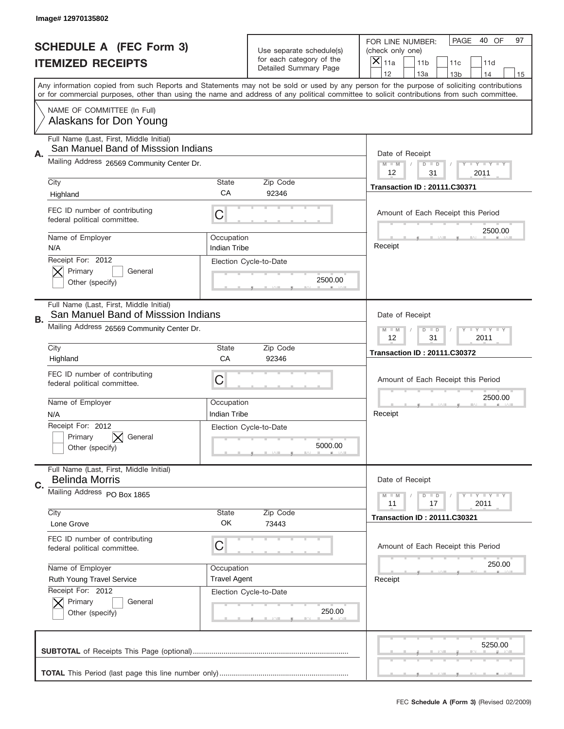|    | Image# 12970135802                                                             |                                                           |                                                   |                                                                                                                                                                                       |
|----|--------------------------------------------------------------------------------|-----------------------------------------------------------|---------------------------------------------------|---------------------------------------------------------------------------------------------------------------------------------------------------------------------------------------|
|    | <b>SCHEDULE A (FEC Form 3)</b>                                                 |                                                           | Use separate schedule(s)                          | PAGE<br>40 OF<br>97<br>FOR LINE NUMBER:<br>(check only one)                                                                                                                           |
|    | <b>ITEMIZED RECEIPTS</b>                                                       |                                                           | for each category of the<br>Detailed Summary Page | ×<br>11a<br>11 <sub>b</sub><br>11c<br>11d                                                                                                                                             |
|    |                                                                                |                                                           |                                                   | 12<br>13a<br>14<br>13 <sub>b</sub><br>15<br>Any information copied from such Reports and Statements may not be sold or used by any person for the purpose of soliciting contributions |
|    |                                                                                |                                                           |                                                   | or for commercial purposes, other than using the name and address of any political committee to solicit contributions from such committee.                                            |
|    | NAME OF COMMITTEE (In Full)<br>Alaskans for Don Young                          |                                                           |                                                   |                                                                                                                                                                                       |
| Α. | Full Name (Last, First, Middle Initial)<br>San Manuel Band of Misssion Indians |                                                           |                                                   | Date of Receipt                                                                                                                                                                       |
|    | Mailing Address 26569 Community Center Dr.                                     |                                                           |                                                   | $M - M$<br>$T - Y = -Y$<br>$D$ $D$<br>12<br>31<br>2011                                                                                                                                |
|    | City                                                                           | State                                                     | Zip Code                                          | <b>Transaction ID: 20111.C30371</b>                                                                                                                                                   |
|    | Highland                                                                       | CA                                                        | 92346                                             |                                                                                                                                                                                       |
|    | FEC ID number of contributing<br>federal political committee.                  | C                                                         |                                                   | Amount of Each Receipt this Period<br>2500.00                                                                                                                                         |
|    | Name of Employer<br>N/A                                                        | Occupation<br><b>Indian Tribe</b>                         |                                                   | Receipt                                                                                                                                                                               |
|    | Receipt For: 2012<br>Primary<br>General                                        |                                                           | Election Cycle-to-Date                            |                                                                                                                                                                                       |
|    | Other (specify)                                                                |                                                           | 2500.00                                           |                                                                                                                                                                                       |
| В. | Full Name (Last, First, Middle Initial)<br>San Manuel Band of Misssion Indians |                                                           |                                                   | Date of Receipt                                                                                                                                                                       |
|    | Mailing Address 26569 Community Center Dr.                                     | <b>LY LY LY</b><br>$M - M$<br>$D$ $D$<br>12<br>31<br>2011 |                                                   |                                                                                                                                                                                       |
|    | City                                                                           | State                                                     | Zip Code                                          | <b>Transaction ID: 20111.C30372</b>                                                                                                                                                   |
|    | Highland                                                                       | CA                                                        | 92346                                             |                                                                                                                                                                                       |
|    | FEC ID number of contributing<br>federal political committee.                  | C                                                         |                                                   | Amount of Each Receipt this Period                                                                                                                                                    |
|    | Name of Employer                                                               | Occupation                                                |                                                   | 2500.00                                                                                                                                                                               |
|    | N/A                                                                            | Indian Tribe                                              |                                                   | Receipt                                                                                                                                                                               |
|    | Receipt For: 2012<br>Primary<br>General<br>Other (specify)                     |                                                           | Election Cycle-to-Date<br>5000.00                 |                                                                                                                                                                                       |
|    | Full Name (Last, First, Middle Initial)<br><b>Belinda Morris</b>               |                                                           |                                                   | Date of Receipt                                                                                                                                                                       |
| C. | Mailing Address PO Box 1865                                                    |                                                           |                                                   | Y I Y I Y I Y<br>$M - M$<br>$D$ $D$<br>2011<br>11<br>17                                                                                                                               |
|    | City                                                                           | State                                                     | Zip Code                                          | <b>Transaction ID: 20111.C30321</b>                                                                                                                                                   |
|    | Lone Grove                                                                     | OK                                                        | 73443                                             |                                                                                                                                                                                       |
|    | FEC ID number of contributing<br>federal political committee.                  | C                                                         |                                                   | Amount of Each Receipt this Period                                                                                                                                                    |
|    | Name of Employer                                                               | Occupation                                                |                                                   | 250.00                                                                                                                                                                                |
|    | Ruth Young Travel Service                                                      | <b>Travel Agent</b>                                       |                                                   | Receipt                                                                                                                                                                               |
|    | Receipt For: 2012                                                              |                                                           | Election Cycle-to-Date                            |                                                                                                                                                                                       |
|    | Primary<br>General<br>Other (specify)                                          |                                                           | 250.00                                            |                                                                                                                                                                                       |
|    |                                                                                |                                                           |                                                   | 5250.00                                                                                                                                                                               |
|    |                                                                                |                                                           |                                                   |                                                                                                                                                                                       |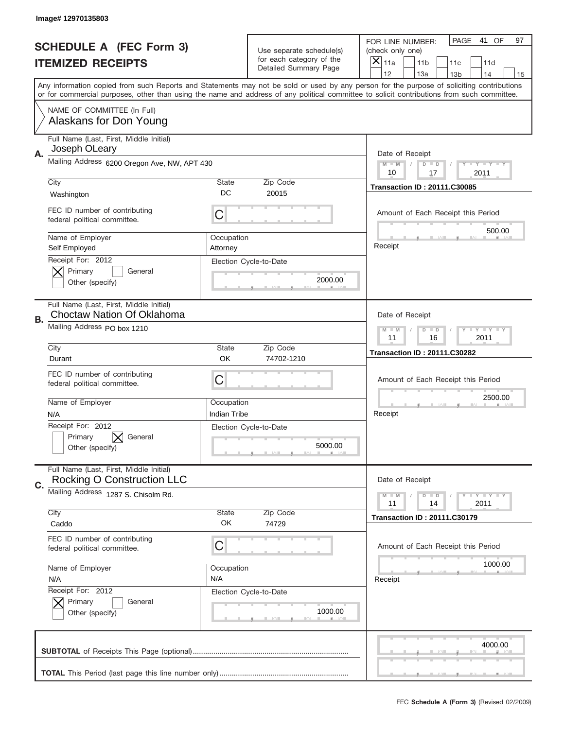|    | Image# 12970135803                                                           |                                                           |                                                   |                                                                                                                                                                                                                                                                                                                                     |
|----|------------------------------------------------------------------------------|-----------------------------------------------------------|---------------------------------------------------|-------------------------------------------------------------------------------------------------------------------------------------------------------------------------------------------------------------------------------------------------------------------------------------------------------------------------------------|
|    | <b>SCHEDULE A (FEC Form 3)</b>                                               |                                                           | Use separate schedule(s)                          | PAGE<br>41 OF<br>97<br>FOR LINE NUMBER:<br>(check only one)                                                                                                                                                                                                                                                                         |
|    | <b>ITEMIZED RECEIPTS</b>                                                     |                                                           | for each category of the<br>Detailed Summary Page | ×<br>11a<br>11 <sub>b</sub><br>11c<br>11d                                                                                                                                                                                                                                                                                           |
|    |                                                                              |                                                           |                                                   | 12<br>13a<br>14<br>13 <sub>b</sub><br>15<br>Any information copied from such Reports and Statements may not be sold or used by any person for the purpose of soliciting contributions<br>or for commercial purposes, other than using the name and address of any political committee to solicit contributions from such committee. |
|    | NAME OF COMMITTEE (In Full)<br>Alaskans for Don Young                        |                                                           |                                                   |                                                                                                                                                                                                                                                                                                                                     |
| Α. | Full Name (Last, First, Middle Initial)<br>Joseph OLeary                     |                                                           |                                                   | Date of Receipt                                                                                                                                                                                                                                                                                                                     |
|    | Mailing Address 6200 Oregon Ave, NW, APT 430                                 |                                                           |                                                   | $M - M$<br>$T - Y = -Y$<br>$D$ $D$<br>10<br>17<br>2011                                                                                                                                                                                                                                                                              |
|    | City<br>Washington                                                           | <b>State</b><br>DC                                        | Zip Code<br>20015                                 | <b>Transaction ID: 20111.C30085</b>                                                                                                                                                                                                                                                                                                 |
|    | FEC ID number of contributing<br>federal political committee.                | C                                                         |                                                   | Amount of Each Receipt this Period<br>500.00                                                                                                                                                                                                                                                                                        |
|    | Name of Employer<br>Self Employed                                            | Occupation<br>Attorney                                    |                                                   | Receipt                                                                                                                                                                                                                                                                                                                             |
|    | Receipt For: 2012<br>Primary<br>General<br>Other (specify)                   |                                                           | Election Cycle-to-Date<br>2000.00                 |                                                                                                                                                                                                                                                                                                                                     |
| В. | Full Name (Last, First, Middle Initial)<br><b>Choctaw Nation Of Oklahoma</b> |                                                           |                                                   | Date of Receipt                                                                                                                                                                                                                                                                                                                     |
|    | Mailing Address PO box 1210                                                  | <b>LY LY LY</b><br>$M - M$<br>$D$ $D$<br>11<br>16<br>2011 |                                                   |                                                                                                                                                                                                                                                                                                                                     |
|    | City<br>Durant                                                               | <b>State</b><br><b>OK</b>                                 | Zip Code<br>74702-1210                            | <b>Transaction ID: 20111.C30282</b>                                                                                                                                                                                                                                                                                                 |
|    | FEC ID number of contributing<br>federal political committee.                | C                                                         |                                                   | Amount of Each Receipt this Period                                                                                                                                                                                                                                                                                                  |
|    | Name of Employer<br>N/A                                                      | Occupation<br>Indian Tribe                                |                                                   | 2500.00<br>Receipt                                                                                                                                                                                                                                                                                                                  |
|    | Receipt For: 2012<br>General<br>Primary<br>Other (specify)                   |                                                           | Election Cycle-to-Date<br>5000.00                 |                                                                                                                                                                                                                                                                                                                                     |
| C. | Full Name (Last, First, Middle Initial)<br>Rocking O Construction LLC        |                                                           |                                                   | Date of Receipt                                                                                                                                                                                                                                                                                                                     |
|    | Mailing Address 1287 S. Chisolm Rd.<br>City                                  | State                                                     | Zip Code                                          | Y LY LY LY<br>$M - M$<br>$D$ $D$<br>2011<br>11<br>14                                                                                                                                                                                                                                                                                |
|    | Caddo                                                                        | OK                                                        | 74729                                             | <b>Transaction ID: 20111.C30179</b>                                                                                                                                                                                                                                                                                                 |
|    | FEC ID number of contributing<br>federal political committee.                | C                                                         |                                                   | Amount of Each Receipt this Period<br>1000.00                                                                                                                                                                                                                                                                                       |
|    | Name of Employer<br>N/A                                                      | Occupation<br>N/A                                         |                                                   | Receipt                                                                                                                                                                                                                                                                                                                             |
|    | Receipt For: 2012<br>Primary<br>General<br>Other (specify)                   |                                                           | Election Cycle-to-Date<br>1000.00                 |                                                                                                                                                                                                                                                                                                                                     |
|    |                                                                              |                                                           |                                                   | 4000.00                                                                                                                                                                                                                                                                                                                             |
|    |                                                                              |                                                           |                                                   |                                                                                                                                                                                                                                                                                                                                     |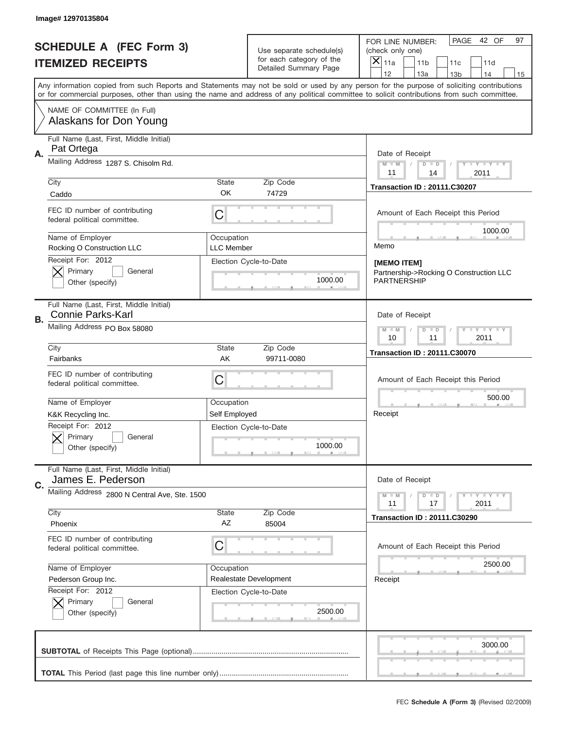|    | Image# 12970135804                                                  |                                 |                                                   |                                                                                                                                                                                                                                                                                                                                     |
|----|---------------------------------------------------------------------|---------------------------------|---------------------------------------------------|-------------------------------------------------------------------------------------------------------------------------------------------------------------------------------------------------------------------------------------------------------------------------------------------------------------------------------------|
|    | <b>SCHEDULE A (FEC Form 3)</b>                                      |                                 | Use separate schedule(s)                          | PAGE 42 OF<br>97<br>FOR LINE NUMBER:<br>(check only one)                                                                                                                                                                                                                                                                            |
|    | <b>ITEMIZED RECEIPTS</b>                                            |                                 | for each category of the<br>Detailed Summary Page | $\times$<br>11a<br>11 <sub>b</sub><br>11c<br>11d                                                                                                                                                                                                                                                                                    |
|    |                                                                     |                                 |                                                   | 12<br>13a<br>14<br>13 <sub>b</sub><br>15<br>Any information copied from such Reports and Statements may not be sold or used by any person for the purpose of soliciting contributions<br>or for commercial purposes, other than using the name and address of any political committee to solicit contributions from such committee. |
|    | NAME OF COMMITTEE (In Full)<br>Alaskans for Don Young               |                                 |                                                   |                                                                                                                                                                                                                                                                                                                                     |
| А. | Full Name (Last, First, Middle Initial)<br>Pat Ortega               |                                 |                                                   | Date of Receipt                                                                                                                                                                                                                                                                                                                     |
|    | Mailing Address 1287 S. Chisolm Rd.                                 |                                 |                                                   | $M$ M<br><b>LEY LEY LEY</b><br>$D$ $D$<br>11<br>2011<br>14                                                                                                                                                                                                                                                                          |
|    | City<br>Caddo                                                       | State<br>OK                     | Zip Code<br>74729                                 | <b>Transaction ID: 20111.C30207</b>                                                                                                                                                                                                                                                                                                 |
|    | FEC ID number of contributing<br>federal political committee.       | C                               |                                                   | Amount of Each Receipt this Period<br>1000.00                                                                                                                                                                                                                                                                                       |
|    | Name of Employer<br>Rocking O Construction LLC                      | Occupation<br><b>LLC Member</b> |                                                   | Memo                                                                                                                                                                                                                                                                                                                                |
|    | Receipt For: 2012<br>Primary<br>General<br>Other (specify)          |                                 | Election Cycle-to-Date<br>1000.00                 | [MEMO ITEM]<br>Partnership->Rocking O Construction LLC<br>PARTNERSHIP                                                                                                                                                                                                                                                               |
| В. | Full Name (Last, First, Middle Initial)<br><b>Connie Parks-Karl</b> |                                 |                                                   | Date of Receipt                                                                                                                                                                                                                                                                                                                     |
|    | Mailing Address PO Box 58080                                        |                                 |                                                   | $D$ $D$<br>$T - Y = Y - T Y$<br>$M - M$<br>10<br>11<br>2011                                                                                                                                                                                                                                                                         |
|    | City<br>Fairbanks                                                   | State<br>AK                     | Zip Code<br>99711-0080                            | <b>Transaction ID: 20111.C30070</b>                                                                                                                                                                                                                                                                                                 |
|    | FEC ID number of contributing                                       | C                               |                                                   | Amount of Each Receipt this Period                                                                                                                                                                                                                                                                                                  |
|    | federal political committee.                                        |                                 |                                                   |                                                                                                                                                                                                                                                                                                                                     |
|    | Name of Employer                                                    | Occupation                      |                                                   | 500.00                                                                                                                                                                                                                                                                                                                              |
|    | K&K Recycling Inc.                                                  | Self Employed                   |                                                   | Receipt                                                                                                                                                                                                                                                                                                                             |
|    | Receipt For: 2012<br>Primary<br>General<br>Other (specify)          |                                 | Election Cycle-to-Date<br>1000.00                 |                                                                                                                                                                                                                                                                                                                                     |
| C. | Full Name (Last, First, Middle Initial)<br>James E. Pederson        |                                 |                                                   | Date of Receipt                                                                                                                                                                                                                                                                                                                     |
|    | Mailing Address 2800 N Central Ave, Ste. 1500                       |                                 |                                                   | <b>LEY LEY LEY</b><br>$M - M$<br>$D$ $D$<br>2011<br>11<br>17                                                                                                                                                                                                                                                                        |
|    | City<br>Phoenix                                                     | State<br>AZ                     | Zip Code<br>85004                                 | <b>Transaction ID: 20111.C30290</b>                                                                                                                                                                                                                                                                                                 |
|    | FEC ID number of contributing<br>federal political committee.       | C                               |                                                   | Amount of Each Receipt this Period                                                                                                                                                                                                                                                                                                  |
|    | Name of Employer                                                    | Occupation                      |                                                   | 2500.00                                                                                                                                                                                                                                                                                                                             |
|    | Pederson Group Inc.                                                 |                                 | Realestate Development                            | Receipt                                                                                                                                                                                                                                                                                                                             |
|    | Receipt For: 2012<br>Primary<br>General<br>Other (specify)          |                                 | Election Cycle-to-Date<br>2500.00                 |                                                                                                                                                                                                                                                                                                                                     |
|    |                                                                     |                                 |                                                   | 3000.00                                                                                                                                                                                                                                                                                                                             |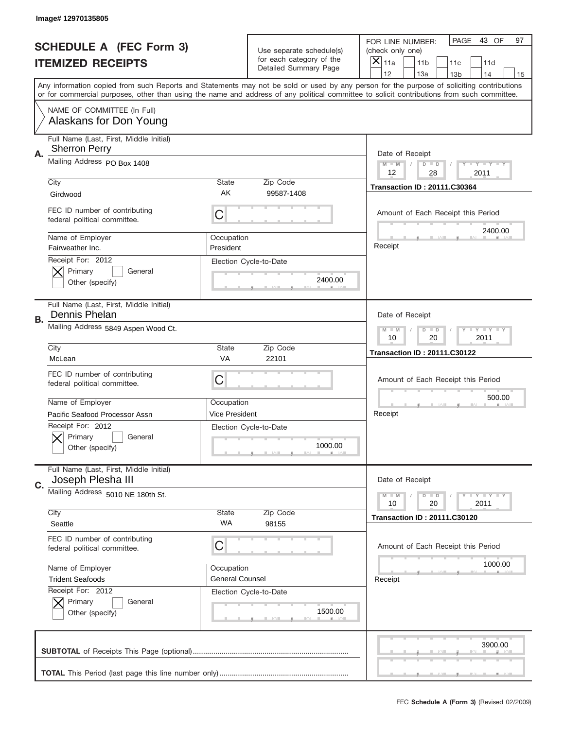|    | Image# 12970135805                                              |                         |                                                   |                                                                                                                                                                                                                                                                                         |
|----|-----------------------------------------------------------------|-------------------------|---------------------------------------------------|-----------------------------------------------------------------------------------------------------------------------------------------------------------------------------------------------------------------------------------------------------------------------------------------|
|    | <b>SCHEDULE A (FEC Form 3)</b>                                  |                         | Use separate schedule(s)                          | PAGE<br>43 OF<br>97<br>FOR LINE NUMBER:<br>(check only one)                                                                                                                                                                                                                             |
|    | <b>ITEMIZED RECEIPTS</b>                                        |                         | for each category of the<br>Detailed Summary Page | ×<br>11a<br>11 <sub>b</sub><br>11c<br>11d                                                                                                                                                                                                                                               |
|    |                                                                 |                         |                                                   | 12<br>13a<br>14<br>13 <sub>b</sub><br>15                                                                                                                                                                                                                                                |
|    |                                                                 |                         |                                                   | Any information copied from such Reports and Statements may not be sold or used by any person for the purpose of soliciting contributions<br>or for commercial purposes, other than using the name and address of any political committee to solicit contributions from such committee. |
|    | NAME OF COMMITTEE (In Full)<br>Alaskans for Don Young           |                         |                                                   |                                                                                                                                                                                                                                                                                         |
|    | Full Name (Last, First, Middle Initial)<br><b>Sherron Perry</b> |                         |                                                   | Date of Receipt                                                                                                                                                                                                                                                                         |
| А. | Mailing Address PO Box 1408                                     |                         |                                                   | $M$ $M$<br>Y TY TY TY<br>$D$ $D$<br>12<br>28<br>2011                                                                                                                                                                                                                                    |
|    | City                                                            | State                   | Zip Code                                          | <b>Transaction ID: 20111.C30364</b>                                                                                                                                                                                                                                                     |
|    | Girdwood                                                        | AK                      | 99587-1408                                        |                                                                                                                                                                                                                                                                                         |
|    | FEC ID number of contributing<br>federal political committee.   | C                       |                                                   | Amount of Each Receipt this Period<br>2400.00                                                                                                                                                                                                                                           |
|    | Name of Employer<br>Fairweather Inc.                            | Occupation<br>President |                                                   | Receipt                                                                                                                                                                                                                                                                                 |
|    | Receipt For: 2012<br>Primary<br>General<br>Other (specify)      |                         | Election Cycle-to-Date<br>2400.00                 |                                                                                                                                                                                                                                                                                         |
|    | Full Name (Last, First, Middle Initial)<br>Dennis Phelan        |                         |                                                   | Date of Receipt                                                                                                                                                                                                                                                                         |
| В. | Mailing Address 5849 Aspen Wood Ct.                             |                         |                                                   | Y TY TY TY<br>$M - M$<br>$D$ $D$                                                                                                                                                                                                                                                        |
|    |                                                                 | 10<br>20<br>2011        |                                                   |                                                                                                                                                                                                                                                                                         |
|    | City                                                            | State                   | Zip Code                                          | <b>Transaction ID: 20111.C30122</b>                                                                                                                                                                                                                                                     |
|    | McLean                                                          | VA                      | 22101                                             |                                                                                                                                                                                                                                                                                         |
|    | FEC ID number of contributing<br>federal political committee.   | C                       |                                                   | Amount of Each Receipt this Period                                                                                                                                                                                                                                                      |
|    | Name of Employer                                                | Occupation              |                                                   | 500.00                                                                                                                                                                                                                                                                                  |
|    | Pacific Seafood Processor Assn                                  | Vice President          |                                                   | Receipt                                                                                                                                                                                                                                                                                 |
|    | Receipt For: 2012<br>Primary<br>General<br>Other (specify)      |                         | Election Cycle-to-Date<br>1000.00                 |                                                                                                                                                                                                                                                                                         |
|    | Full Name (Last, First, Middle Initial)                         |                         |                                                   |                                                                                                                                                                                                                                                                                         |
| C. | Joseph Plesha III                                               |                         |                                                   | Date of Receipt                                                                                                                                                                                                                                                                         |
|    | Mailing Address 5010 NE 180th St.                               |                         |                                                   | $T$ $Y$ $Y$ $Y$ $Y$<br>$M - M$<br>$D$ $D$<br>2011<br>10<br>20                                                                                                                                                                                                                           |
|    |                                                                 |                         |                                                   |                                                                                                                                                                                                                                                                                         |
|    | City<br>Seattle                                                 | State<br>WA             | Zip Code<br>98155                                 | <b>Transaction ID: 20111.C30120</b>                                                                                                                                                                                                                                                     |
|    | FEC ID number of contributing<br>federal political committee.   | C                       |                                                   | Amount of Each Receipt this Period                                                                                                                                                                                                                                                      |
|    | Name of Employer                                                | Occupation              |                                                   | 1000.00                                                                                                                                                                                                                                                                                 |
|    | <b>Trident Seafoods</b>                                         | <b>General Counsel</b>  |                                                   | Receipt                                                                                                                                                                                                                                                                                 |
|    | Receipt For: 2012                                               |                         | Election Cycle-to-Date                            |                                                                                                                                                                                                                                                                                         |
|    | Primary<br>General<br>Other (specify)                           |                         | 1500.00                                           |                                                                                                                                                                                                                                                                                         |
|    |                                                                 |                         |                                                   | 3900.00                                                                                                                                                                                                                                                                                 |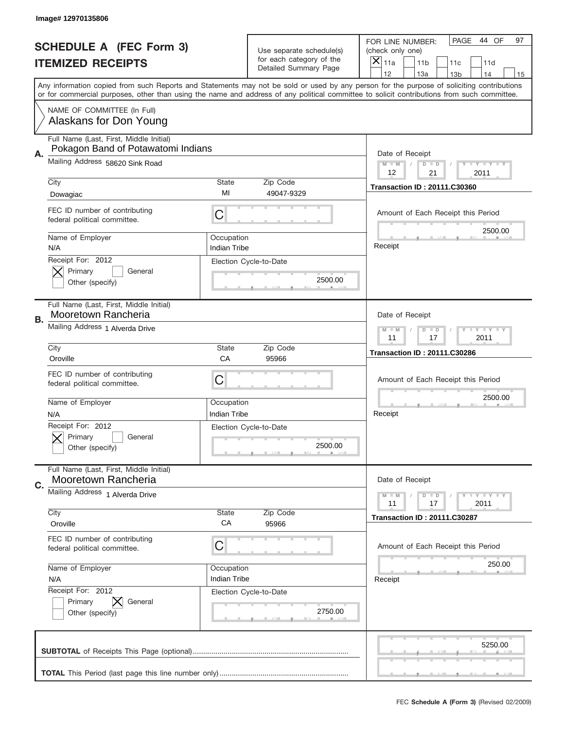|    | Image# 12970135806                                                            |                                                         |                                                   |                                                                                                                                                                                                                                                                                                                                     |
|----|-------------------------------------------------------------------------------|---------------------------------------------------------|---------------------------------------------------|-------------------------------------------------------------------------------------------------------------------------------------------------------------------------------------------------------------------------------------------------------------------------------------------------------------------------------------|
|    | <b>SCHEDULE A (FEC Form 3)</b>                                                |                                                         | Use separate schedule(s)                          | PAGE<br>44 OF<br>97<br>FOR LINE NUMBER:<br>(check only one)                                                                                                                                                                                                                                                                         |
|    | <b>ITEMIZED RECEIPTS</b>                                                      |                                                         | for each category of the<br>Detailed Summary Page | $\times$<br>11a<br>11 <sub>b</sub><br>11c<br>11d                                                                                                                                                                                                                                                                                    |
|    |                                                                               |                                                         |                                                   | 12<br>13a<br>14<br>13 <sub>b</sub><br>15<br>Any information copied from such Reports and Statements may not be sold or used by any person for the purpose of soliciting contributions<br>or for commercial purposes, other than using the name and address of any political committee to solicit contributions from such committee. |
|    | NAME OF COMMITTEE (In Full)<br>Alaskans for Don Young                         |                                                         |                                                   |                                                                                                                                                                                                                                                                                                                                     |
| А. | Full Name (Last, First, Middle Initial)<br>Pokagon Band of Potawatomi Indians |                                                         |                                                   | Date of Receipt                                                                                                                                                                                                                                                                                                                     |
|    | Mailing Address 58620 Sink Road                                               |                                                         |                                                   | $M$ M<br><b>LEY LEY LEY</b><br>$D$ $D$<br>12<br>21<br>2011                                                                                                                                                                                                                                                                          |
|    | City<br>Dowagiac                                                              | State<br>MI                                             | Zip Code<br>49047-9329                            | <b>Transaction ID: 20111.C30360</b>                                                                                                                                                                                                                                                                                                 |
|    | FEC ID number of contributing<br>federal political committee.                 | C                                                       |                                                   | Amount of Each Receipt this Period                                                                                                                                                                                                                                                                                                  |
|    | Name of Employer<br>N/A                                                       | Occupation<br><b>Indian Tribe</b>                       |                                                   | 2500.00<br>Receipt                                                                                                                                                                                                                                                                                                                  |
|    | Receipt For: 2012<br>Primary<br>General<br>Other (specify)                    |                                                         | Election Cycle-to-Date<br>2500.00                 |                                                                                                                                                                                                                                                                                                                                     |
| В. | Full Name (Last, First, Middle Initial)<br>Mooretown Rancheria                |                                                         |                                                   | Date of Receipt                                                                                                                                                                                                                                                                                                                     |
|    | Mailing Address 1 Alverda Drive                                               | $D$ $D$<br><b>LYLYLY</b><br>$M - M$<br>11<br>17<br>2011 |                                                   |                                                                                                                                                                                                                                                                                                                                     |
|    | City<br>Oroville                                                              | State<br>CA                                             | Zip Code<br>95966                                 | <b>Transaction ID: 20111.C30286</b>                                                                                                                                                                                                                                                                                                 |
|    | FEC ID number of contributing<br>federal political committee.                 | C                                                       |                                                   | Amount of Each Receipt this Period                                                                                                                                                                                                                                                                                                  |
|    | Name of Employer<br>N/A                                                       | Occupation<br><b>Indian Tribe</b>                       |                                                   | 2500.00<br>Receipt                                                                                                                                                                                                                                                                                                                  |
|    | Receipt For: 2012<br>General<br>Primary<br>Other (specify)                    |                                                         | Election Cycle-to-Date<br>2500.00                 |                                                                                                                                                                                                                                                                                                                                     |
| C. | Full Name (Last, First, Middle Initial)<br>Mooretown Rancheria                |                                                         |                                                   | Date of Receipt                                                                                                                                                                                                                                                                                                                     |
|    | Mailing Address 1 Alverda Drive                                               |                                                         |                                                   | $D$ $D$<br><b>LY LY LY</b><br>$M - M$<br>2011<br>11<br>17                                                                                                                                                                                                                                                                           |
|    | City<br>Oroville                                                              | State<br>CA                                             | Zip Code<br>95966                                 | <b>Transaction ID: 20111.C30287</b>                                                                                                                                                                                                                                                                                                 |
|    | FEC ID number of contributing<br>federal political committee.                 | C                                                       |                                                   | Amount of Each Receipt this Period                                                                                                                                                                                                                                                                                                  |
|    | Name of Employer                                                              | Occupation<br>Indian Tribe                              |                                                   | 250.00<br>Receipt                                                                                                                                                                                                                                                                                                                   |
|    | N/A                                                                           |                                                         |                                                   |                                                                                                                                                                                                                                                                                                                                     |
|    | Receipt For: 2012<br>Primary<br>General<br>Other (specify)                    |                                                         | Election Cycle-to-Date<br>2750.00                 |                                                                                                                                                                                                                                                                                                                                     |
|    |                                                                               |                                                         |                                                   | 5250.00                                                                                                                                                                                                                                                                                                                             |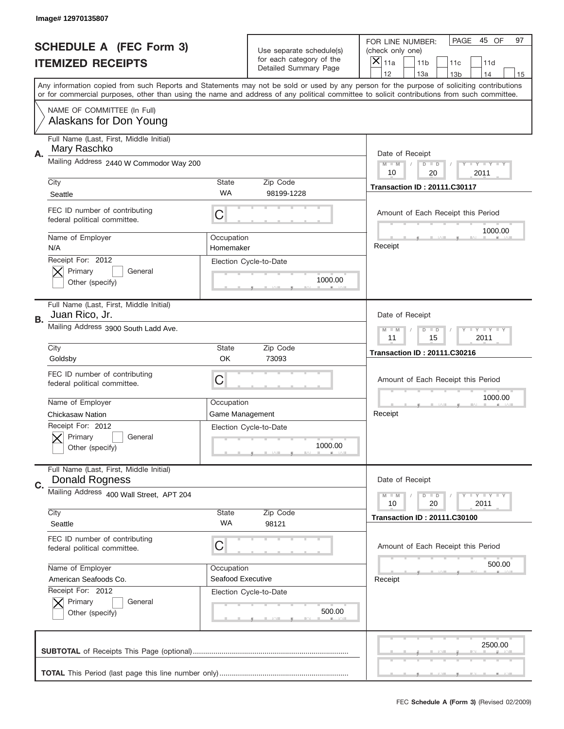|    | Image# 12970135807                                               |                         |                                                   |                                                                                                                                                                                                                                                                                         |
|----|------------------------------------------------------------------|-------------------------|---------------------------------------------------|-----------------------------------------------------------------------------------------------------------------------------------------------------------------------------------------------------------------------------------------------------------------------------------------|
|    | <b>SCHEDULE A (FEC Form 3)</b>                                   |                         | Use separate schedule(s)                          | PAGE<br>45 OF<br>97<br>FOR LINE NUMBER:<br>(check only one)                                                                                                                                                                                                                             |
|    | <b>ITEMIZED RECEIPTS</b>                                         |                         | for each category of the<br>Detailed Summary Page | ×<br>11a<br>11 <sub>b</sub><br>11c<br>11d                                                                                                                                                                                                                                               |
|    |                                                                  |                         |                                                   | 12<br>13a<br>14<br>13 <sub>b</sub><br>15                                                                                                                                                                                                                                                |
|    |                                                                  |                         |                                                   | Any information copied from such Reports and Statements may not be sold or used by any person for the purpose of soliciting contributions<br>or for commercial purposes, other than using the name and address of any political committee to solicit contributions from such committee. |
|    | NAME OF COMMITTEE (In Full)<br>Alaskans for Don Young            |                         |                                                   |                                                                                                                                                                                                                                                                                         |
| А. | Full Name (Last, First, Middle Initial)<br>Mary Raschko          |                         |                                                   | Date of Receipt                                                                                                                                                                                                                                                                         |
|    | Mailing Address 2440 W Commodor Way 200                          |                         |                                                   | $M$ $M$<br>Y I Y I Y I Y<br>$D$ $D$<br>20<br>10<br>2011                                                                                                                                                                                                                                 |
|    | City                                                             | State                   | Zip Code                                          | <b>Transaction ID: 20111.C30117</b>                                                                                                                                                                                                                                                     |
|    | Seattle                                                          | WA                      | 98199-1228                                        |                                                                                                                                                                                                                                                                                         |
|    | FEC ID number of contributing<br>federal political committee.    | C                       |                                                   | Amount of Each Receipt this Period<br>1000.00                                                                                                                                                                                                                                           |
|    | Name of Employer<br>N/A                                          | Occupation<br>Homemaker |                                                   | Receipt                                                                                                                                                                                                                                                                                 |
|    | Receipt For: 2012                                                |                         | Election Cycle-to-Date                            |                                                                                                                                                                                                                                                                                         |
|    | Primary<br>General<br>Other (specify)                            |                         | 1000.00                                           |                                                                                                                                                                                                                                                                                         |
| В. | Full Name (Last, First, Middle Initial)<br>Juan Rico, Jr.        |                         |                                                   | Date of Receipt                                                                                                                                                                                                                                                                         |
|    | Mailing Address 3900 South Ladd Ave.                             |                         |                                                   | $T$ $Y$ $Y$ $Y$ $Y$<br>$M - M$<br>$D$ $D$<br>11<br>15<br>2011                                                                                                                                                                                                                           |
|    | City                                                             | State                   | Zip Code                                          | <b>Transaction ID: 20111.C30216</b>                                                                                                                                                                                                                                                     |
|    | Goldsby                                                          | OK                      | 73093                                             |                                                                                                                                                                                                                                                                                         |
|    | FEC ID number of contributing<br>federal political committee.    | C                       |                                                   | Amount of Each Receipt this Period                                                                                                                                                                                                                                                      |
|    | Name of Employer                                                 | Occupation              |                                                   | 1000.00                                                                                                                                                                                                                                                                                 |
|    | <b>Chickasaw Nation</b>                                          | <b>Game Management</b>  |                                                   | Receipt                                                                                                                                                                                                                                                                                 |
|    | Receipt For: 2012<br>General<br>Primary<br>Other (specify)       |                         | Election Cycle-to-Date<br>1000.00                 |                                                                                                                                                                                                                                                                                         |
| C. | Full Name (Last, First, Middle Initial)<br><b>Donald Rogness</b> |                         |                                                   | Date of Receipt                                                                                                                                                                                                                                                                         |
|    | Mailing Address 400 Wall Street, APT 204                         |                         |                                                   | $T$ $Y$ $Y$ $Y$ $Y$<br>$M - M$<br>$D$ $D$<br>2011<br>10<br>20                                                                                                                                                                                                                           |
|    | City                                                             | State                   | Zip Code                                          | <b>Transaction ID: 20111.C30100</b>                                                                                                                                                                                                                                                     |
|    | Seattle                                                          | WA                      | 98121                                             |                                                                                                                                                                                                                                                                                         |
|    | FEC ID number of contributing<br>federal political committee.    | C                       |                                                   | Amount of Each Receipt this Period                                                                                                                                                                                                                                                      |
|    | Name of Employer                                                 | Occupation              |                                                   | 500.00                                                                                                                                                                                                                                                                                  |
|    | American Seafoods Co.                                            | Seafood Executive       |                                                   | Receipt                                                                                                                                                                                                                                                                                 |
|    | Receipt For: 2012                                                |                         | Election Cycle-to-Date                            |                                                                                                                                                                                                                                                                                         |
|    | Primary<br>General<br>Other (specify)                            |                         | 500.00                                            |                                                                                                                                                                                                                                                                                         |
|    |                                                                  |                         |                                                   | 2500.00                                                                                                                                                                                                                                                                                 |
|    |                                                                  |                         |                                                   |                                                                                                                                                                                                                                                                                         |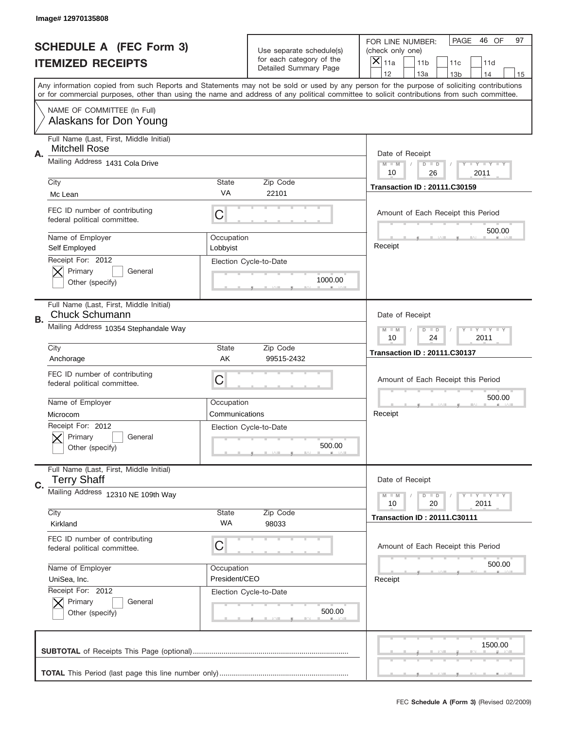|    | Image# 12970135808                                               |                                                               |                                                   |                                                                                                                                                                                                                                                                                         |
|----|------------------------------------------------------------------|---------------------------------------------------------------|---------------------------------------------------|-----------------------------------------------------------------------------------------------------------------------------------------------------------------------------------------------------------------------------------------------------------------------------------------|
|    | <b>SCHEDULE A (FEC Form 3)</b>                                   |                                                               | Use separate schedule(s)                          | PAGE<br>46 OF<br>97<br>FOR LINE NUMBER:<br>(check only one)                                                                                                                                                                                                                             |
|    | <b>ITEMIZED RECEIPTS</b>                                         |                                                               | for each category of the<br>Detailed Summary Page | ×<br>11a<br>11 <sub>b</sub><br>11c<br>11d                                                                                                                                                                                                                                               |
|    |                                                                  |                                                               |                                                   | 12<br>13a<br>13 <sub>b</sub><br>14<br>15                                                                                                                                                                                                                                                |
|    |                                                                  |                                                               |                                                   | Any information copied from such Reports and Statements may not be sold or used by any person for the purpose of soliciting contributions<br>or for commercial purposes, other than using the name and address of any political committee to solicit contributions from such committee. |
|    | NAME OF COMMITTEE (In Full)<br>Alaskans for Don Young            |                                                               |                                                   |                                                                                                                                                                                                                                                                                         |
| Α. | Full Name (Last, First, Middle Initial)<br><b>Mitchell Rose</b>  |                                                               |                                                   | Date of Receipt                                                                                                                                                                                                                                                                         |
|    | Mailing Address 1431 Cola Drive                                  |                                                               |                                                   | $M$ $M$<br>Y I Y I Y I Y<br>$D$ $D$<br>10<br>26<br>2011                                                                                                                                                                                                                                 |
|    | City                                                             | State                                                         | Zip Code                                          | <b>Transaction ID: 20111.C30159</b>                                                                                                                                                                                                                                                     |
|    | Mc Lean                                                          | VA                                                            | 22101                                             |                                                                                                                                                                                                                                                                                         |
|    | FEC ID number of contributing<br>federal political committee.    | C                                                             |                                                   | Amount of Each Receipt this Period<br>500.00                                                                                                                                                                                                                                            |
|    | Name of Employer<br>Self Employed                                | Occupation<br>Lobbyist                                        |                                                   | Receipt                                                                                                                                                                                                                                                                                 |
|    | Receipt For: 2012<br>Primary<br>General<br>Other (specify)       |                                                               | Election Cycle-to-Date<br>1000.00                 |                                                                                                                                                                                                                                                                                         |
| В. | Full Name (Last, First, Middle Initial)<br><b>Chuck Schumann</b> |                                                               |                                                   | Date of Receipt                                                                                                                                                                                                                                                                         |
|    | Mailing Address 10354 Stephandale Way                            | $T$ $Y$ $Y$ $Y$ $Y$<br>$M$ $M$<br>$D$ $D$<br>10<br>24<br>2011 |                                                   |                                                                                                                                                                                                                                                                                         |
|    | City                                                             | State                                                         | Zip Code                                          | <b>Transaction ID: 20111.C30137</b>                                                                                                                                                                                                                                                     |
|    | Anchorage                                                        | AK                                                            | 99515-2432                                        |                                                                                                                                                                                                                                                                                         |
|    | FEC ID number of contributing<br>federal political committee.    | C                                                             |                                                   | Amount of Each Receipt this Period                                                                                                                                                                                                                                                      |
|    |                                                                  |                                                               |                                                   | 500.00                                                                                                                                                                                                                                                                                  |
|    | Name of Employer                                                 | Occupation                                                    |                                                   |                                                                                                                                                                                                                                                                                         |
|    | Microcom                                                         | Communications                                                |                                                   | Receipt                                                                                                                                                                                                                                                                                 |
|    | Receipt For: 2012<br>General<br>Primary<br>Other (specify)       |                                                               | Election Cycle-to-Date<br>500.00                  |                                                                                                                                                                                                                                                                                         |
|    | Full Name (Last, First, Middle Initial)<br><b>Terry Shaff</b>    |                                                               |                                                   | Date of Receipt                                                                                                                                                                                                                                                                         |
| C. | Mailing Address 12310 NE 109th Way                               |                                                               |                                                   | Y FY FY FY<br>$M - M$<br>$D$ $D$<br>2011<br>10<br>20                                                                                                                                                                                                                                    |
|    | City                                                             | State                                                         | Zip Code                                          | <b>Transaction ID: 20111.C30111</b>                                                                                                                                                                                                                                                     |
|    | Kirkland                                                         | WA                                                            | 98033                                             |                                                                                                                                                                                                                                                                                         |
|    | FEC ID number of contributing<br>federal political committee.    | C                                                             |                                                   | Amount of Each Receipt this Period                                                                                                                                                                                                                                                      |
|    | Name of Employer                                                 | Occupation                                                    |                                                   | 500.00                                                                                                                                                                                                                                                                                  |
|    | UniSea, Inc.                                                     | President/CEO                                                 |                                                   | Receipt                                                                                                                                                                                                                                                                                 |
|    | Receipt For: 2012<br>Primary<br>General<br>Other (specify)       |                                                               | Election Cycle-to-Date<br>500.00                  |                                                                                                                                                                                                                                                                                         |
|    |                                                                  |                                                               |                                                   | 1500.00                                                                                                                                                                                                                                                                                 |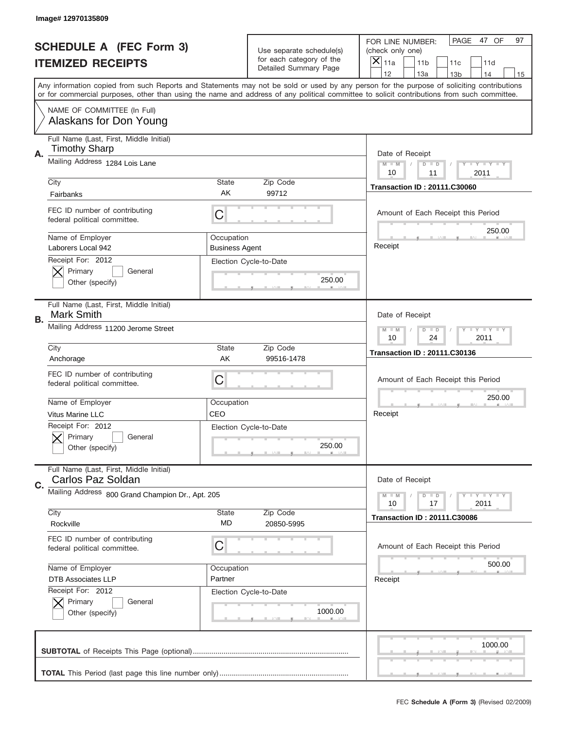|    | Image# 12970135809                                              |                                           |                                                   |                                                                                                                                                                                                                                                                                         |
|----|-----------------------------------------------------------------|-------------------------------------------|---------------------------------------------------|-----------------------------------------------------------------------------------------------------------------------------------------------------------------------------------------------------------------------------------------------------------------------------------------|
|    | <b>SCHEDULE A (FEC Form 3)</b>                                  |                                           | Use separate schedule(s)                          | PAGE<br>47 OF<br>97<br>FOR LINE NUMBER:<br>(check only one)                                                                                                                                                                                                                             |
|    | <b>ITEMIZED RECEIPTS</b>                                        |                                           | for each category of the<br>Detailed Summary Page | ×<br>11a<br>11 <sub>b</sub><br>11c<br>11d                                                                                                                                                                                                                                               |
|    |                                                                 |                                           |                                                   | 12<br>13a<br>14<br>13 <sub>b</sub><br>15                                                                                                                                                                                                                                                |
|    |                                                                 |                                           |                                                   | Any information copied from such Reports and Statements may not be sold or used by any person for the purpose of soliciting contributions<br>or for commercial purposes, other than using the name and address of any political committee to solicit contributions from such committee. |
|    | NAME OF COMMITTEE (In Full)<br>Alaskans for Don Young           |                                           |                                                   |                                                                                                                                                                                                                                                                                         |
| А. | Full Name (Last, First, Middle Initial)<br><b>Timothy Sharp</b> |                                           |                                                   | Date of Receipt                                                                                                                                                                                                                                                                         |
|    | Mailing Address 1284 Lois Lane                                  |                                           |                                                   | $M$ $M$<br>Y I Y I Y I Y<br>$D$ $D$<br>10<br>2011<br>11                                                                                                                                                                                                                                 |
|    | City                                                            | State                                     | Zip Code                                          | <b>Transaction ID: 20111.C30060</b>                                                                                                                                                                                                                                                     |
|    | Fairbanks                                                       | AK                                        | 99712                                             |                                                                                                                                                                                                                                                                                         |
|    | FEC ID number of contributing<br>federal political committee.   | C                                         |                                                   | Amount of Each Receipt this Period<br>250.00                                                                                                                                                                                                                                            |
|    | Name of Employer                                                | Occupation                                |                                                   |                                                                                                                                                                                                                                                                                         |
|    | Laborers Local 942                                              | <b>Business Agent</b>                     |                                                   | Receipt                                                                                                                                                                                                                                                                                 |
|    | Receipt For: 2012<br>Primary<br>General                         |                                           | Election Cycle-to-Date                            |                                                                                                                                                                                                                                                                                         |
|    | Other (specify)                                                 |                                           | 250.00                                            |                                                                                                                                                                                                                                                                                         |
|    |                                                                 |                                           |                                                   |                                                                                                                                                                                                                                                                                         |
| В. | Full Name (Last, First, Middle Initial)<br><b>Mark Smith</b>    |                                           |                                                   | Date of Receipt                                                                                                                                                                                                                                                                         |
|    | Mailing Address 11200 Jerome Street                             | $T$ $Y$ $Y$ $Y$ $Y$<br>$M$ $M$<br>$D$ $D$ |                                                   |                                                                                                                                                                                                                                                                                         |
|    | City                                                            | Zip Code                                  | 10<br>24<br>2011                                  |                                                                                                                                                                                                                                                                                         |
|    | Anchorage                                                       | State<br>AK                               | 99516-1478                                        | <b>Transaction ID: 20111.C30136</b>                                                                                                                                                                                                                                                     |
|    |                                                                 |                                           |                                                   |                                                                                                                                                                                                                                                                                         |
|    |                                                                 |                                           |                                                   |                                                                                                                                                                                                                                                                                         |
|    | FEC ID number of contributing<br>federal political committee.   | C                                         |                                                   | Amount of Each Receipt this Period                                                                                                                                                                                                                                                      |
|    |                                                                 |                                           |                                                   |                                                                                                                                                                                                                                                                                         |
|    | Name of Employer                                                | Occupation                                |                                                   | 250.00                                                                                                                                                                                                                                                                                  |
|    | Vitus Marine LLC                                                | CEO                                       |                                                   | Receipt                                                                                                                                                                                                                                                                                 |
|    | Receipt For: 2012                                               |                                           | Election Cycle-to-Date                            |                                                                                                                                                                                                                                                                                         |
|    | General<br>Primary<br>Other (specify)                           |                                           | 250.00                                            |                                                                                                                                                                                                                                                                                         |
|    |                                                                 |                                           |                                                   |                                                                                                                                                                                                                                                                                         |
| C. | Full Name (Last, First, Middle Initial)<br>Carlos Paz Soldan    |                                           |                                                   | Date of Receipt                                                                                                                                                                                                                                                                         |
|    | Mailing Address 800 Grand Champion Dr., Apt. 205                |                                           |                                                   | Y FY FY FY<br>$M - M$<br>$D$ $D$                                                                                                                                                                                                                                                        |
|    |                                                                 |                                           |                                                   | 2011<br>10<br>17                                                                                                                                                                                                                                                                        |
|    | City<br>Rockville                                               | State<br>MD                               | Zip Code<br>20850-5995                            | <b>Transaction ID: 20111.C30086</b>                                                                                                                                                                                                                                                     |
|    |                                                                 |                                           |                                                   |                                                                                                                                                                                                                                                                                         |
|    | FEC ID number of contributing<br>federal political committee.   | C                                         |                                                   | Amount of Each Receipt this Period                                                                                                                                                                                                                                                      |
|    |                                                                 |                                           |                                                   |                                                                                                                                                                                                                                                                                         |
|    | Name of Employer                                                | Occupation                                |                                                   | 500.00                                                                                                                                                                                                                                                                                  |
|    | <b>DTB Associates LLP</b>                                       | Partner                                   |                                                   | Receipt                                                                                                                                                                                                                                                                                 |
|    | Receipt For: 2012<br>Primary<br>General                         |                                           | Election Cycle-to-Date                            |                                                                                                                                                                                                                                                                                         |
|    | Other (specify)                                                 |                                           | 1000.00                                           |                                                                                                                                                                                                                                                                                         |
|    |                                                                 |                                           |                                                   |                                                                                                                                                                                                                                                                                         |
|    |                                                                 |                                           |                                                   | 1000.00                                                                                                                                                                                                                                                                                 |
|    |                                                                 |                                           |                                                   |                                                                                                                                                                                                                                                                                         |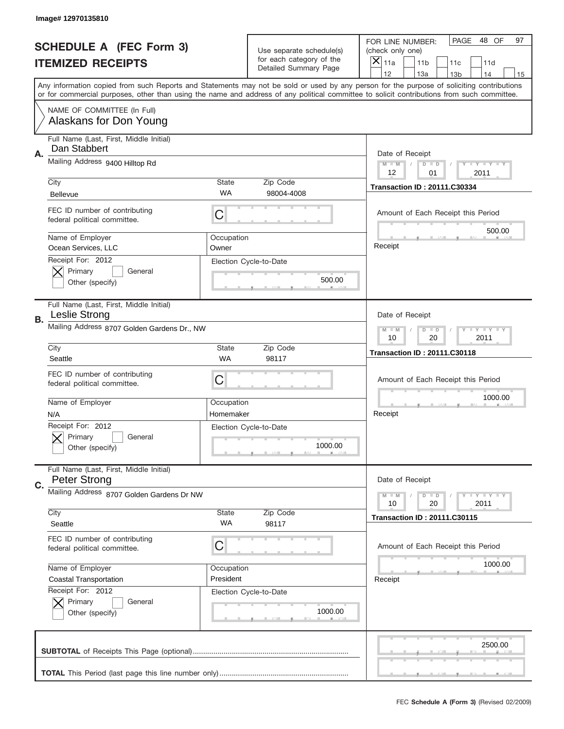|    | Image# 12970135810                                             |                                                                   |                                                   |                                                                                                                                                                                       |
|----|----------------------------------------------------------------|-------------------------------------------------------------------|---------------------------------------------------|---------------------------------------------------------------------------------------------------------------------------------------------------------------------------------------|
|    | <b>SCHEDULE A (FEC Form 3)</b>                                 |                                                                   | Use separate schedule(s)                          | PAGE<br>48 OF<br>97<br>FOR LINE NUMBER:<br>(check only one)                                                                                                                           |
|    | <b>ITEMIZED RECEIPTS</b>                                       |                                                                   | for each category of the<br>Detailed Summary Page | X<br>11a<br>11 <sub>b</sub><br>11c<br>11d                                                                                                                                             |
|    |                                                                |                                                                   |                                                   | 12<br>13a<br>14<br>13 <sub>b</sub><br>15<br>Any information copied from such Reports and Statements may not be sold or used by any person for the purpose of soliciting contributions |
|    |                                                                |                                                                   |                                                   | or for commercial purposes, other than using the name and address of any political committee to solicit contributions from such committee.                                            |
|    | NAME OF COMMITTEE (In Full)<br>Alaskans for Don Young          |                                                                   |                                                   |                                                                                                                                                                                       |
| Α. | Full Name (Last, First, Middle Initial)<br>Dan Stabbert        |                                                                   |                                                   | Date of Receipt                                                                                                                                                                       |
|    | Mailing Address 9400 Hilltop Rd                                |                                                                   |                                                   | $M - M$<br>Y I Y I Y I Y<br>$D$ $D$<br>12<br>01<br>2011                                                                                                                               |
|    | City                                                           | <b>State</b>                                                      | Zip Code                                          | <b>Transaction ID: 20111.C30334</b>                                                                                                                                                   |
|    | <b>Bellevue</b>                                                | <b>WA</b>                                                         | 98004-4008                                        |                                                                                                                                                                                       |
|    | FEC ID number of contributing<br>federal political committee.  | C                                                                 |                                                   | Amount of Each Receipt this Period<br>500.00                                                                                                                                          |
|    | Name of Employer<br>Ocean Services, LLC                        | Occupation<br>Owner                                               |                                                   | Receipt                                                                                                                                                                               |
|    | Receipt For: 2012                                              |                                                                   | Election Cycle-to-Date                            |                                                                                                                                                                                       |
|    | Primary<br>General                                             |                                                                   |                                                   |                                                                                                                                                                                       |
|    | Other (specify)                                                |                                                                   | 500.00                                            |                                                                                                                                                                                       |
| В. | Full Name (Last, First, Middle Initial)<br>Leslie Strong       |                                                                   |                                                   | Date of Receipt                                                                                                                                                                       |
|    | Mailing Address 8707 Golden Gardens Dr., NW                    | $T$ $Y$ $T$ $Y$ $T$ $Y$<br>$M - M$<br>$D$ $D$<br>10<br>20<br>2011 |                                                   |                                                                                                                                                                                       |
|    | City                                                           | <b>State</b>                                                      | Zip Code                                          | <b>Transaction ID: 20111.C30118</b>                                                                                                                                                   |
|    | Seattle                                                        | <b>WA</b>                                                         | 98117                                             |                                                                                                                                                                                       |
|    | FEC ID number of contributing<br>federal political committee.  | C                                                                 |                                                   | Amount of Each Receipt this Period                                                                                                                                                    |
|    | Name of Employer                                               | Occupation                                                        |                                                   | 1000.00                                                                                                                                                                               |
|    | N/A                                                            | Homemaker                                                         |                                                   | Receipt                                                                                                                                                                               |
|    | Receipt For: 2012                                              |                                                                   | Election Cycle-to-Date                            |                                                                                                                                                                                       |
|    | General<br>Primary                                             |                                                                   | 1000.00                                           |                                                                                                                                                                                       |
|    | Other (specify)                                                |                                                                   |                                                   |                                                                                                                                                                                       |
| C. | Full Name (Last, First, Middle Initial)<br><b>Peter Strong</b> |                                                                   |                                                   | Date of Receipt                                                                                                                                                                       |
|    | Mailing Address 8707 Golden Gardens Dr NW                      |                                                                   |                                                   | <b>TEY TEY TEY</b><br>$M - M$<br>$D$ $D$                                                                                                                                              |
|    |                                                                |                                                                   |                                                   | 20<br>2011<br>10                                                                                                                                                                      |
|    | City                                                           | State                                                             | Zip Code                                          | <b>Transaction ID: 20111.C30115</b>                                                                                                                                                   |
|    | Seattle                                                        | WA                                                                | 98117                                             |                                                                                                                                                                                       |
|    | FEC ID number of contributing<br>federal political committee.  | C                                                                 |                                                   | Amount of Each Receipt this Period                                                                                                                                                    |
|    | Name of Employer                                               | Occupation                                                        |                                                   | 1000.00                                                                                                                                                                               |
|    | <b>Coastal Transportation</b>                                  | President                                                         |                                                   | Receipt                                                                                                                                                                               |
|    | Receipt For: 2012                                              |                                                                   | Election Cycle-to-Date                            |                                                                                                                                                                                       |
|    | Primary<br>General                                             |                                                                   |                                                   |                                                                                                                                                                                       |
|    | Other (specify)                                                |                                                                   | 1000.00                                           |                                                                                                                                                                                       |
|    |                                                                |                                                                   |                                                   | 2500.00                                                                                                                                                                               |
|    |                                                                |                                                                   |                                                   |                                                                                                                                                                                       |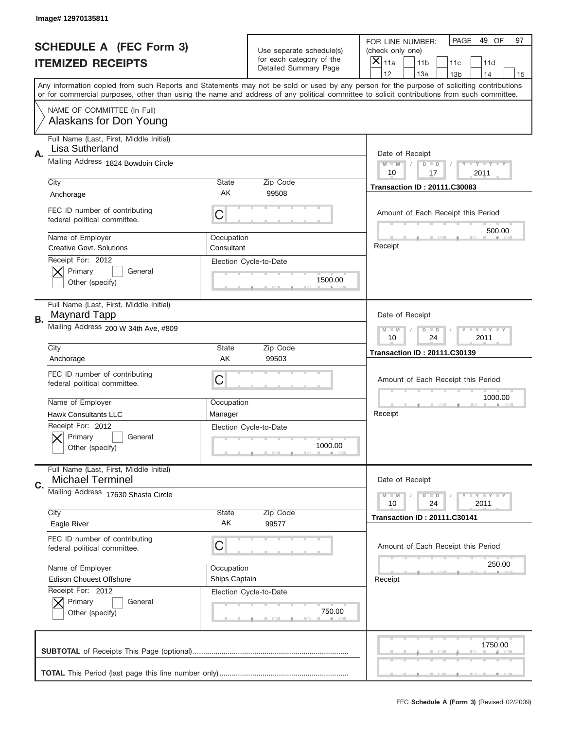|    | Image# 12970135811                                                 |                                                           |                                                   |                                                                                                                                                                                       |
|----|--------------------------------------------------------------------|-----------------------------------------------------------|---------------------------------------------------|---------------------------------------------------------------------------------------------------------------------------------------------------------------------------------------|
|    | <b>SCHEDULE A (FEC Form 3)</b>                                     |                                                           | Use separate schedule(s)                          | PAGE<br>49 OF<br>97<br>FOR LINE NUMBER:<br>(check only one)                                                                                                                           |
|    | <b>ITEMIZED RECEIPTS</b>                                           |                                                           | for each category of the<br>Detailed Summary Page | ×<br>11a<br>11 <sub>b</sub><br>11c<br>11d                                                                                                                                             |
|    |                                                                    |                                                           |                                                   | 12<br>13a<br>14<br>13 <sub>b</sub><br>15<br>Any information copied from such Reports and Statements may not be sold or used by any person for the purpose of soliciting contributions |
|    |                                                                    |                                                           |                                                   | or for commercial purposes, other than using the name and address of any political committee to solicit contributions from such committee.                                            |
|    | NAME OF COMMITTEE (In Full)<br>Alaskans for Don Young              |                                                           |                                                   |                                                                                                                                                                                       |
| Α. | Full Name (Last, First, Middle Initial)<br>Lisa Sutherland         |                                                           |                                                   | Date of Receipt                                                                                                                                                                       |
|    | Mailing Address 1824 Bowdoin Circle                                |                                                           |                                                   | $M - M$<br>Y I Y I Y I Y<br>$D$ $D$<br>10<br>17<br>2011                                                                                                                               |
|    | City                                                               | <b>State</b>                                              | Zip Code                                          | <b>Transaction ID: 20111.C30083</b>                                                                                                                                                   |
|    | Anchorage                                                          | AK                                                        | 99508                                             |                                                                                                                                                                                       |
|    | FEC ID number of contributing<br>federal political committee.      | C                                                         |                                                   | Amount of Each Receipt this Period<br>500.00                                                                                                                                          |
|    | Name of Employer<br><b>Creative Govt. Solutions</b>                | Occupation<br>Consultant                                  |                                                   | Receipt                                                                                                                                                                               |
|    | Receipt For: 2012<br>Primary<br>General                            |                                                           | Election Cycle-to-Date                            |                                                                                                                                                                                       |
|    | Other (specify)                                                    |                                                           | 1500.00                                           |                                                                                                                                                                                       |
| В. | Full Name (Last, First, Middle Initial)<br>Maynard Tapp            |                                                           |                                                   | Date of Receipt                                                                                                                                                                       |
|    | Mailing Address 200 W 34th Ave, #809                               | <b>LY LY LY</b><br>$M - M$<br>$D$ $D$<br>10<br>24<br>2011 |                                                   |                                                                                                                                                                                       |
|    | City                                                               | <b>State</b>                                              | Zip Code                                          | <b>Transaction ID: 20111.C30139</b>                                                                                                                                                   |
|    | Anchorage                                                          | AK                                                        | 99503                                             |                                                                                                                                                                                       |
|    | FEC ID number of contributing<br>federal political committee.      | C                                                         |                                                   | Amount of Each Receipt this Period                                                                                                                                                    |
|    | Name of Employer                                                   | Occupation                                                |                                                   | 1000.00                                                                                                                                                                               |
|    | <b>Hawk Consultants LLC</b>                                        | Manager                                                   |                                                   | Receipt                                                                                                                                                                               |
|    | Receipt For: 2012<br>General<br>Primary<br>Other (specify)         |                                                           | Election Cycle-to-Date<br>1000.00                 |                                                                                                                                                                                       |
| C. | Full Name (Last, First, Middle Initial)<br><b>Michael Terminel</b> |                                                           |                                                   | Date of Receipt                                                                                                                                                                       |
|    | Mailing Address 17630 Shasta Circle                                |                                                           |                                                   | $T + Y = Y + Y$<br>$M - M$<br>$D$ $D$<br>24<br>2011<br>10                                                                                                                             |
|    | City                                                               | State                                                     | Zip Code                                          | <b>Transaction ID: 20111.C30141</b>                                                                                                                                                   |
|    | Eagle River                                                        | AK                                                        | 99577                                             |                                                                                                                                                                                       |
|    | FEC ID number of contributing<br>federal political committee.      | C                                                         |                                                   | Amount of Each Receipt this Period                                                                                                                                                    |
|    | Name of Employer                                                   | Occupation                                                |                                                   | 250.00                                                                                                                                                                                |
|    | <b>Edison Chouest Offshore</b>                                     | Ships Captain                                             |                                                   | Receipt                                                                                                                                                                               |
|    | Receipt For: 2012                                                  |                                                           | Election Cycle-to-Date                            |                                                                                                                                                                                       |
|    | Primary<br>General<br>Other (specify)                              |                                                           | 750.00                                            |                                                                                                                                                                                       |
|    |                                                                    |                                                           |                                                   | 1750.00                                                                                                                                                                               |
|    |                                                                    |                                                           |                                                   |                                                                                                                                                                                       |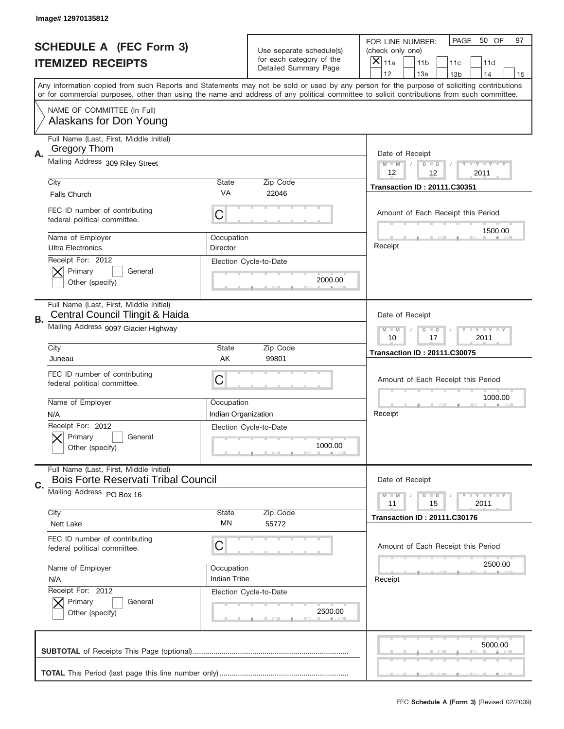|    | Image# 12970135812                                                                    |                                                                   |                                                   |                                                                                                                                                                                                                                                                                                                                     |
|----|---------------------------------------------------------------------------------------|-------------------------------------------------------------------|---------------------------------------------------|-------------------------------------------------------------------------------------------------------------------------------------------------------------------------------------------------------------------------------------------------------------------------------------------------------------------------------------|
|    | <b>SCHEDULE A (FEC Form 3)</b>                                                        |                                                                   | Use separate schedule(s)                          | PAGE<br>50 OF<br>97<br>FOR LINE NUMBER:<br>(check only one)                                                                                                                                                                                                                                                                         |
|    | <b>ITEMIZED RECEIPTS</b>                                                              |                                                                   | for each category of the<br>Detailed Summary Page | ×<br>11a<br>11 <sub>b</sub><br>11c<br>11d                                                                                                                                                                                                                                                                                           |
|    |                                                                                       |                                                                   |                                                   | 12<br>13a<br>14<br>13 <sub>b</sub><br>15<br>Any information copied from such Reports and Statements may not be sold or used by any person for the purpose of soliciting contributions<br>or for commercial purposes, other than using the name and address of any political committee to solicit contributions from such committee. |
|    | NAME OF COMMITTEE (In Full)<br>Alaskans for Don Young                                 |                                                                   |                                                   |                                                                                                                                                                                                                                                                                                                                     |
| Α. | Full Name (Last, First, Middle Initial)<br><b>Gregory Thom</b>                        |                                                                   |                                                   | Date of Receipt                                                                                                                                                                                                                                                                                                                     |
|    | Mailing Address 309 Riley Street                                                      |                                                                   |                                                   | $M - M$<br>$T - Y = -Y$<br>$D$ $D$<br>12<br>12<br>2011                                                                                                                                                                                                                                                                              |
|    | City<br><b>Falls Church</b>                                                           | <b>State</b><br>VA                                                | Zip Code<br>22046                                 | <b>Transaction ID: 20111.C30351</b>                                                                                                                                                                                                                                                                                                 |
|    | FEC ID number of contributing<br>federal political committee.                         | C                                                                 |                                                   | Amount of Each Receipt this Period                                                                                                                                                                                                                                                                                                  |
|    | Name of Employer<br><b>Ultra Electronics</b>                                          | Occupation<br>Director                                            |                                                   | 1500.00<br>Receipt                                                                                                                                                                                                                                                                                                                  |
|    | Receipt For: 2012<br>Primary<br>General<br>Other (specify)                            |                                                                   | Election Cycle-to-Date<br>2000.00                 |                                                                                                                                                                                                                                                                                                                                     |
| В. | Full Name (Last, First, Middle Initial)<br>Central Council Tlingit & Haida            |                                                                   |                                                   | Date of Receipt                                                                                                                                                                                                                                                                                                                     |
|    | Mailing Address 9097 Glacier Highway                                                  | $T$ $Y$ $T$ $Y$ $T$ $Y$<br>$M - M$<br>$D$ $D$<br>10<br>17<br>2011 |                                                   |                                                                                                                                                                                                                                                                                                                                     |
|    | City<br>Juneau                                                                        | <b>State</b><br>AK                                                | Zip Code<br>99801                                 | <b>Transaction ID: 20111.C30075</b>                                                                                                                                                                                                                                                                                                 |
|    | FEC ID number of contributing<br>federal political committee.                         | C                                                                 |                                                   | Amount of Each Receipt this Period                                                                                                                                                                                                                                                                                                  |
|    | Name of Employer<br>N/A                                                               | Occupation<br>Indian Organization                                 |                                                   | 1000.00<br>Receipt                                                                                                                                                                                                                                                                                                                  |
|    | Receipt For: 2012<br>Primary<br>General<br>Other (specify)                            |                                                                   | Election Cycle-to-Date<br>1000.00                 |                                                                                                                                                                                                                                                                                                                                     |
| C. | Full Name (Last, First, Middle Initial)<br><b>Bois Forte Reservati Tribal Council</b> |                                                                   |                                                   | Date of Receipt                                                                                                                                                                                                                                                                                                                     |
|    | Mailing Address PO Box 16                                                             |                                                                   |                                                   | <b>TEY TEY TEY</b><br>$M - M$<br>$D$ $D$<br>2011<br>11<br>15                                                                                                                                                                                                                                                                        |
|    | City<br><b>Nett Lake</b>                                                              | <b>State</b><br>MN                                                | Zip Code<br>55772                                 | <b>Transaction ID: 20111.C30176</b>                                                                                                                                                                                                                                                                                                 |
|    | FEC ID number of contributing<br>federal political committee.                         | C                                                                 |                                                   | Amount of Each Receipt this Period                                                                                                                                                                                                                                                                                                  |
|    | Name of Employer<br>N/A                                                               | Occupation<br>Indian Tribe                                        |                                                   | 2500.00<br>Receipt                                                                                                                                                                                                                                                                                                                  |
|    | Receipt For: 2012<br>Primary<br>General<br>Other (specify)                            |                                                                   | Election Cycle-to-Date<br>2500.00                 |                                                                                                                                                                                                                                                                                                                                     |
|    |                                                                                       |                                                                   |                                                   | 5000.00                                                                                                                                                                                                                                                                                                                             |
|    |                                                                                       |                                                                   |                                                   |                                                                                                                                                                                                                                                                                                                                     |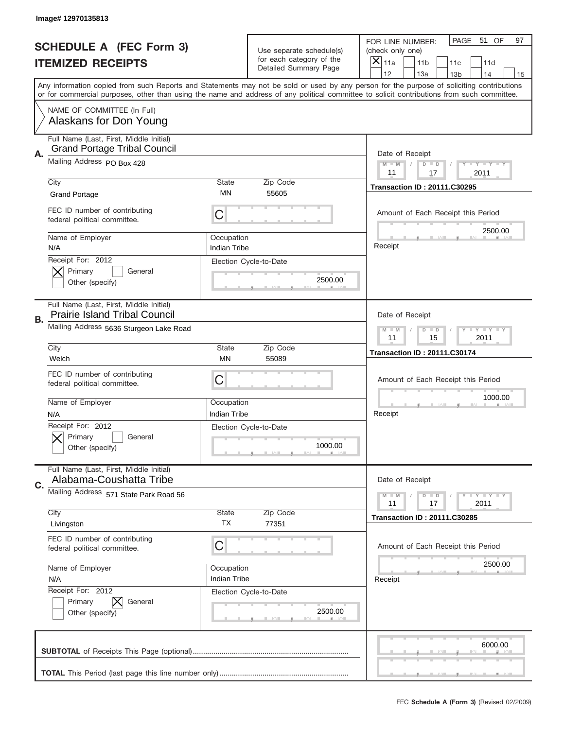|    | Image# 12970135813                                                              |                                                           |                                                      |                                                                                                                                                                                                                                                                                                                               |
|----|---------------------------------------------------------------------------------|-----------------------------------------------------------|------------------------------------------------------|-------------------------------------------------------------------------------------------------------------------------------------------------------------------------------------------------------------------------------------------------------------------------------------------------------------------------------|
|    | <b>SCHEDULE A (FEC Form 3)</b>                                                  |                                                           | Use separate schedule(s)<br>for each category of the | PAGE<br>51 OF<br>97<br>FOR LINE NUMBER:<br>(check only one)                                                                                                                                                                                                                                                                   |
|    | <b>ITEMIZED RECEIPTS</b>                                                        |                                                           | Detailed Summary Page                                | ×<br>11a<br>11 <sub>b</sub><br>11c<br>11d<br>12                                                                                                                                                                                                                                                                               |
|    |                                                                                 |                                                           |                                                      | 13a<br>14<br>13 <sub>b</sub><br>15<br>Any information copied from such Reports and Statements may not be sold or used by any person for the purpose of soliciting contributions<br>or for commercial purposes, other than using the name and address of any political committee to solicit contributions from such committee. |
|    | NAME OF COMMITTEE (In Full)<br>Alaskans for Don Young                           |                                                           |                                                      |                                                                                                                                                                                                                                                                                                                               |
| Α. | Full Name (Last, First, Middle Initial)<br><b>Grand Portage Tribal Council</b>  |                                                           |                                                      | Date of Receipt                                                                                                                                                                                                                                                                                                               |
|    | Mailing Address PO Box 428                                                      |                                                           |                                                      | $M - M$<br><b>THEY THEY</b><br>$D$ $D$<br>11<br>17<br>2011                                                                                                                                                                                                                                                                    |
|    | City<br><b>Grand Portage</b>                                                    | <b>State</b><br>ΜN                                        | Zip Code<br>55605                                    | <b>Transaction ID: 20111.C30295</b>                                                                                                                                                                                                                                                                                           |
|    | FEC ID number of contributing<br>federal political committee.                   | C                                                         |                                                      | Amount of Each Receipt this Period                                                                                                                                                                                                                                                                                            |
|    | Name of Employer<br>N/A                                                         | Occupation<br>Indian Tribe                                |                                                      | 2500.00<br>Receipt                                                                                                                                                                                                                                                                                                            |
|    | Receipt For: 2012<br>Primary<br>General<br>Other (specify)                      |                                                           | Election Cycle-to-Date<br>2500.00                    |                                                                                                                                                                                                                                                                                                                               |
| В. | Full Name (Last, First, Middle Initial)<br><b>Prairie Island Tribal Council</b> |                                                           |                                                      | Date of Receipt                                                                                                                                                                                                                                                                                                               |
|    | Mailing Address 5636 Sturgeon Lake Road                                         | <b>LY LY LY</b><br>$M - M$<br>$D$ $D$<br>11<br>15<br>2011 |                                                      |                                                                                                                                                                                                                                                                                                                               |
|    | City<br>Welch                                                                   | <b>State</b><br>ΜN                                        | Zip Code<br>55089                                    | <b>Transaction ID: 20111.C30174</b>                                                                                                                                                                                                                                                                                           |
|    | FEC ID number of contributing<br>federal political committee.                   | C                                                         |                                                      | Amount of Each Receipt this Period                                                                                                                                                                                                                                                                                            |
|    |                                                                                 |                                                           |                                                      | 1000.00                                                                                                                                                                                                                                                                                                                       |
|    | Name of Employer<br>N/A                                                         | Occupation<br>Indian Tribe                                |                                                      | Receipt                                                                                                                                                                                                                                                                                                                       |
|    | Receipt For: 2012<br>General<br>Primary<br>Other (specify)                      |                                                           | Election Cycle-to-Date<br>1000.00                    |                                                                                                                                                                                                                                                                                                                               |
| C. | Full Name (Last, First, Middle Initial)<br>Alabama-Coushatta Tribe              |                                                           |                                                      | Date of Receipt                                                                                                                                                                                                                                                                                                               |
|    | Mailing Address 571 State Park Road 56                                          |                                                           |                                                      | Y FY FY FY<br>$M - M$<br>$D$ $D$<br>17<br>2011<br>11                                                                                                                                                                                                                                                                          |
|    | City<br>Livingston                                                              | <b>State</b><br>ТX                                        | Zip Code<br>77351                                    | <b>Transaction ID: 20111.C30285</b>                                                                                                                                                                                                                                                                                           |
|    | FEC ID number of contributing<br>federal political committee.                   | C                                                         |                                                      | Amount of Each Receipt this Period                                                                                                                                                                                                                                                                                            |
|    | Name of Employer<br>N/A                                                         | Occupation<br>Indian Tribe                                |                                                      | 2500.00<br>Receipt                                                                                                                                                                                                                                                                                                            |
|    | Receipt For: 2012<br>Primary<br>General<br>Other (specify)                      |                                                           | Election Cycle-to-Date<br>2500.00                    |                                                                                                                                                                                                                                                                                                                               |
|    |                                                                                 |                                                           |                                                      | 6000.00                                                                                                                                                                                                                                                                                                                       |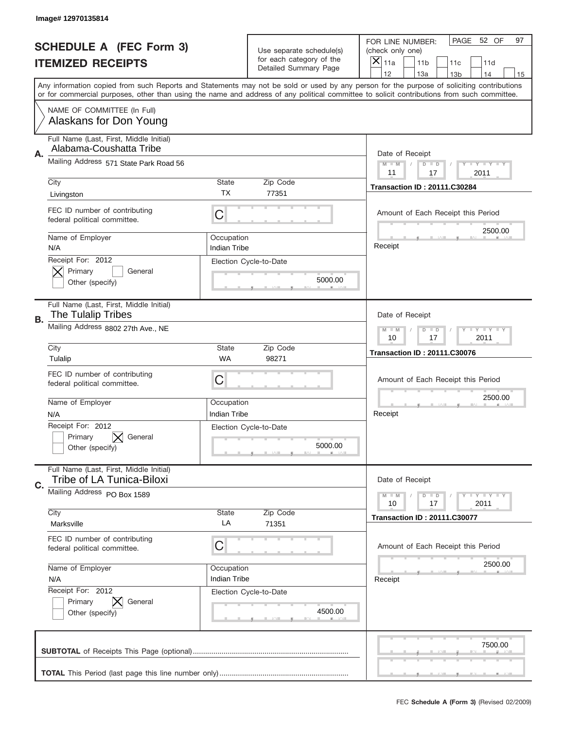|    | Image# 12970135814                                                   |                                                         |                                                      |                                                                                                                                                                                                                                                                                         |
|----|----------------------------------------------------------------------|---------------------------------------------------------|------------------------------------------------------|-----------------------------------------------------------------------------------------------------------------------------------------------------------------------------------------------------------------------------------------------------------------------------------------|
|    | <b>SCHEDULE A (FEC Form 3)</b>                                       |                                                         | Use separate schedule(s)<br>for each category of the | PAGE<br>52 OF<br>97<br>FOR LINE NUMBER:<br>(check only one)                                                                                                                                                                                                                             |
|    | <b>ITEMIZED RECEIPTS</b>                                             |                                                         | Detailed Summary Page                                | $\overline{X} _{11a}$<br>11 <sub>b</sub><br>11c<br>11d<br>12<br>13a<br>14<br>13 <sub>b</sub><br>15                                                                                                                                                                                      |
|    |                                                                      |                                                         |                                                      | Any information copied from such Reports and Statements may not be sold or used by any person for the purpose of soliciting contributions<br>or for commercial purposes, other than using the name and address of any political committee to solicit contributions from such committee. |
|    | NAME OF COMMITTEE (In Full)<br>Alaskans for Don Young                |                                                         |                                                      |                                                                                                                                                                                                                                                                                         |
| Α. | Full Name (Last, First, Middle Initial)<br>Alabama-Coushatta Tribe   |                                                         |                                                      | Date of Receipt                                                                                                                                                                                                                                                                         |
|    | Mailing Address 571 State Park Road 56                               |                                                         |                                                      | <b>LEY LEY LEY</b><br>$M - M$<br>$D$ $D$<br>11<br>17<br>2011                                                                                                                                                                                                                            |
|    | City<br>Livingston                                                   | State<br><b>TX</b>                                      | Zip Code<br>77351                                    | <b>Transaction ID: 20111.C30284</b>                                                                                                                                                                                                                                                     |
|    | FEC ID number of contributing<br>federal political committee.        | C                                                       |                                                      | Amount of Each Receipt this Period<br>2500.00                                                                                                                                                                                                                                           |
|    | Name of Employer<br>N/A                                              | Occupation<br><b>Indian Tribe</b>                       |                                                      | Receipt                                                                                                                                                                                                                                                                                 |
|    | Receipt For: 2012<br>Primary<br>General<br>Other (specify)           |                                                         | Election Cycle-to-Date<br>5000.00                    |                                                                                                                                                                                                                                                                                         |
| В. | Full Name (Last, First, Middle Initial)<br><b>The Tulalip Tribes</b> |                                                         |                                                      | Date of Receipt                                                                                                                                                                                                                                                                         |
|    | Mailing Address 8802 27th Ave., NE                                   | $D$ $D$<br><b>LYLYLY</b><br>$M - M$<br>10<br>17<br>2011 |                                                      |                                                                                                                                                                                                                                                                                         |
|    | City<br>Tulalip                                                      | <b>State</b><br><b>WA</b>                               | Zip Code<br>98271                                    | <b>Transaction ID: 20111.C30076</b>                                                                                                                                                                                                                                                     |
|    | FEC ID number of contributing<br>federal political committee.        | C                                                       |                                                      | Amount of Each Receipt this Period                                                                                                                                                                                                                                                      |
|    | Name of Employer<br>N/A                                              | Occupation<br><b>Indian Tribe</b>                       |                                                      | 2500.00<br>Receipt                                                                                                                                                                                                                                                                      |
|    | Receipt For: 2012<br>Primary<br>General<br>Other (specify)           |                                                         | Election Cycle-to-Date<br>5000.00                    |                                                                                                                                                                                                                                                                                         |
| C. | Full Name (Last, First, Middle Initial)<br>Tribe of LA Tunica-Biloxi |                                                         |                                                      | Date of Receipt                                                                                                                                                                                                                                                                         |
|    | Mailing Address PO Box 1589<br>City                                  | State                                                   | Zip Code                                             | $D$ $D$<br>$T + Y = Y + Y$<br>$M - M$<br>2011<br>10<br>17                                                                                                                                                                                                                               |
|    | Marksville                                                           | LA                                                      | 71351                                                | <b>Transaction ID: 20111.C30077</b>                                                                                                                                                                                                                                                     |
|    | FEC ID number of contributing<br>federal political committee.        | С                                                       |                                                      | Amount of Each Receipt this Period                                                                                                                                                                                                                                                      |
|    | Name of Employer<br>N/A                                              | Occupation<br><b>Indian Tribe</b>                       |                                                      | 2500.00<br>Receipt                                                                                                                                                                                                                                                                      |
|    | Receipt For: 2012<br>Primary<br>General<br>Other (specify)           |                                                         | Election Cycle-to-Date<br>4500.00                    |                                                                                                                                                                                                                                                                                         |
|    |                                                                      |                                                         |                                                      | 7500.00                                                                                                                                                                                                                                                                                 |
|    |                                                                      |                                                         |                                                      |                                                                                                                                                                                                                                                                                         |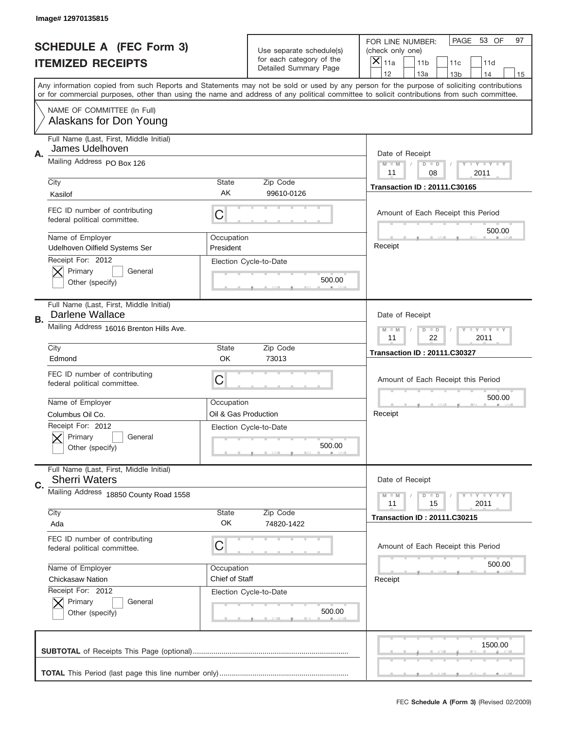|    | Image# 12970135815                                              |                         |                                                                   |                                                                                                                                                                                                                                                                                                                                     |
|----|-----------------------------------------------------------------|-------------------------|-------------------------------------------------------------------|-------------------------------------------------------------------------------------------------------------------------------------------------------------------------------------------------------------------------------------------------------------------------------------------------------------------------------------|
|    | <b>SCHEDULE A (FEC Form 3)</b>                                  |                         | Use separate schedule(s)                                          | PAGE<br>53 OF<br>97<br>FOR LINE NUMBER:<br>(check only one)                                                                                                                                                                                                                                                                         |
|    | <b>ITEMIZED RECEIPTS</b>                                        |                         | for each category of the<br>Detailed Summary Page                 | ×<br>11a<br>11 <sub>b</sub><br>11c<br>11d                                                                                                                                                                                                                                                                                           |
|    |                                                                 |                         |                                                                   | 12<br>13a<br>14<br>13 <sub>b</sub><br>15<br>Any information copied from such Reports and Statements may not be sold or used by any person for the purpose of soliciting contributions<br>or for commercial purposes, other than using the name and address of any political committee to solicit contributions from such committee. |
|    | NAME OF COMMITTEE (In Full)<br>Alaskans for Don Young           |                         |                                                                   |                                                                                                                                                                                                                                                                                                                                     |
| Α. | Full Name (Last, First, Middle Initial)<br>James Udelhoven      |                         |                                                                   | Date of Receipt                                                                                                                                                                                                                                                                                                                     |
|    | Mailing Address PO Box 126                                      |                         |                                                                   | $M - M$<br>Y FY FY FY<br>$D$ $D$<br>11<br>08<br>2011                                                                                                                                                                                                                                                                                |
|    | City<br>Kasilof                                                 | State<br>AK             | Zip Code<br>99610-0126                                            | <b>Transaction ID: 20111.C30165</b>                                                                                                                                                                                                                                                                                                 |
|    | FEC ID number of contributing<br>federal political committee.   | C                       |                                                                   | Amount of Each Receipt this Period                                                                                                                                                                                                                                                                                                  |
|    | Name of Employer<br>Udelhoven Oilfield Systems Ser              | Occupation<br>President |                                                                   | 500.00<br>Receipt                                                                                                                                                                                                                                                                                                                   |
|    | Receipt For: 2012<br>Primary<br>General<br>Other (specify)      |                         | Election Cycle-to-Date<br>500.00                                  |                                                                                                                                                                                                                                                                                                                                     |
| В. | Full Name (Last, First, Middle Initial)<br>Darlene Wallace      |                         |                                                                   | Date of Receipt                                                                                                                                                                                                                                                                                                                     |
|    | Mailing Address 16016 Brenton Hills Ave.                        |                         | $T$ $Y$ $T$ $Y$ $T$ $Y$<br>$M - M$<br>$D$ $D$<br>11<br>22<br>2011 |                                                                                                                                                                                                                                                                                                                                     |
|    | City<br>Edmond                                                  | State<br>OK             | Zip Code<br>73013                                                 | <b>Transaction ID: 20111.C30327</b>                                                                                                                                                                                                                                                                                                 |
|    | FEC ID number of contributing<br>federal political committee.   | C                       |                                                                   | Amount of Each Receipt this Period                                                                                                                                                                                                                                                                                                  |
|    | Name of Employer                                                | Occupation              |                                                                   | 500.00                                                                                                                                                                                                                                                                                                                              |
|    | Columbus Oil Co.                                                | Oil & Gas Production    |                                                                   | Receipt                                                                                                                                                                                                                                                                                                                             |
|    | Receipt For: 2012<br>General<br>Primary<br>Other (specify)      |                         | Election Cycle-to-Date<br>500.00                                  |                                                                                                                                                                                                                                                                                                                                     |
| C. | Full Name (Last, First, Middle Initial)<br><b>Sherri Waters</b> |                         |                                                                   | Date of Receipt                                                                                                                                                                                                                                                                                                                     |
|    | Mailing Address 18850 County Road 1558                          |                         |                                                                   | <b>TEY LY LY</b><br>$M - M$<br>$D$ $D$<br>2011<br>11<br>15                                                                                                                                                                                                                                                                          |
|    | City<br>Ada                                                     | State<br>OK             | Zip Code<br>74820-1422                                            | <b>Transaction ID: 20111.C30215</b>                                                                                                                                                                                                                                                                                                 |
|    | FEC ID number of contributing<br>federal political committee.   | C                       |                                                                   | Amount of Each Receipt this Period                                                                                                                                                                                                                                                                                                  |
|    | Name of Employer                                                | Occupation              |                                                                   | 500.00                                                                                                                                                                                                                                                                                                                              |
|    | Chickasaw Nation                                                | Chief of Staff          |                                                                   | Receipt                                                                                                                                                                                                                                                                                                                             |
|    | Receipt For: 2012<br>Primary<br>General<br>Other (specify)      |                         | Election Cycle-to-Date<br>500.00                                  |                                                                                                                                                                                                                                                                                                                                     |
|    |                                                                 |                         |                                                                   | 1500.00                                                                                                                                                                                                                                                                                                                             |
|    |                                                                 |                         |                                                                   |                                                                                                                                                                                                                                                                                                                                     |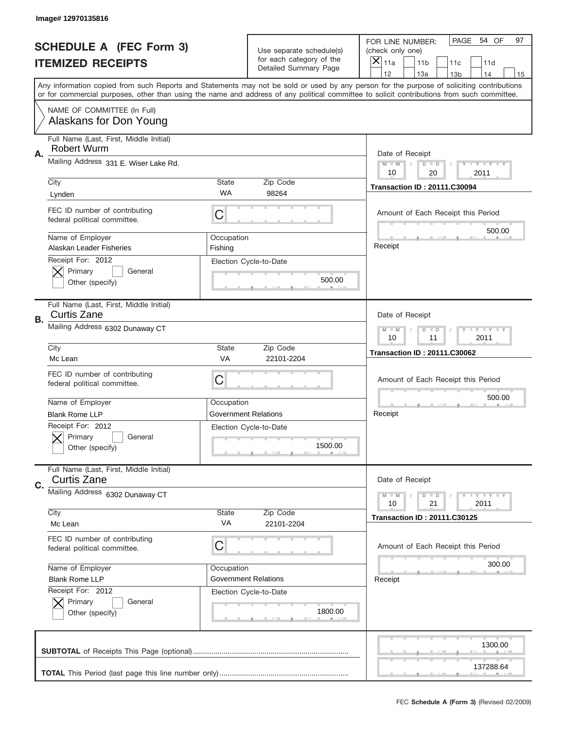|    | Image# 12970135816                                            |                                                      |                                                   |                                                                                                                                                                                                                                                                                         |
|----|---------------------------------------------------------------|------------------------------------------------------|---------------------------------------------------|-----------------------------------------------------------------------------------------------------------------------------------------------------------------------------------------------------------------------------------------------------------------------------------------|
|    | <b>SCHEDULE A (FEC Form 3)</b>                                |                                                      | Use separate schedule(s)                          | PAGE<br>54 OF<br>97<br>FOR LINE NUMBER:<br>(check only one)                                                                                                                                                                                                                             |
|    | <b>ITEMIZED RECEIPTS</b>                                      |                                                      | for each category of the<br>Detailed Summary Page | ×<br>11a<br>11 <sub>b</sub><br>11c<br>11d                                                                                                                                                                                                                                               |
|    |                                                               |                                                      |                                                   | 12<br>13a<br>13 <sub>b</sub><br>14<br>15                                                                                                                                                                                                                                                |
|    |                                                               |                                                      |                                                   | Any information copied from such Reports and Statements may not be sold or used by any person for the purpose of soliciting contributions<br>or for commercial purposes, other than using the name and address of any political committee to solicit contributions from such committee. |
|    | NAME OF COMMITTEE (In Full)<br>Alaskans for Don Young         |                                                      |                                                   |                                                                                                                                                                                                                                                                                         |
| А. | Full Name (Last, First, Middle Initial)<br>Robert Wurm        |                                                      |                                                   | Date of Receipt                                                                                                                                                                                                                                                                         |
|    | Mailing Address 331 E. Wiser Lake Rd.                         |                                                      |                                                   | $M$ $M$<br>Y I Y I Y I Y<br>$D$ $D$<br>10<br>20<br>2011                                                                                                                                                                                                                                 |
|    | City                                                          | State                                                | Zip Code                                          | <b>Transaction ID: 20111.C30094</b>                                                                                                                                                                                                                                                     |
|    | Lynden                                                        | <b>WA</b>                                            | 98264                                             |                                                                                                                                                                                                                                                                                         |
|    | FEC ID number of contributing<br>federal political committee. | C                                                    |                                                   | Amount of Each Receipt this Period<br>500.00                                                                                                                                                                                                                                            |
|    | Name of Employer<br>Alaskan Leader Fisheries                  | Occupation                                           |                                                   | Receipt                                                                                                                                                                                                                                                                                 |
|    | Receipt For: 2012                                             | Fishing                                              | Election Cycle-to-Date                            |                                                                                                                                                                                                                                                                                         |
|    | Primary<br>General                                            |                                                      |                                                   |                                                                                                                                                                                                                                                                                         |
|    | Other (specify)                                               |                                                      | 500.00                                            |                                                                                                                                                                                                                                                                                         |
|    |                                                               |                                                      |                                                   |                                                                                                                                                                                                                                                                                         |
| В. | Full Name (Last, First, Middle Initial)<br><b>Curtis Zane</b> |                                                      |                                                   | Date of Receipt                                                                                                                                                                                                                                                                         |
|    | Mailing Address 6302 Dunaway CT                               | Y TY TY TY<br>$M - M$<br>$D$ $D$<br>10<br>11<br>2011 |                                                   |                                                                                                                                                                                                                                                                                         |
|    | City                                                          | State                                                | Zip Code                                          |                                                                                                                                                                                                                                                                                         |
|    | Mc Lean                                                       | <b>VA</b>                                            | 22101-2204                                        | <b>Transaction ID: 20111.C30062</b>                                                                                                                                                                                                                                                     |
|    | FEC ID number of contributing<br>federal political committee. | C                                                    |                                                   | Amount of Each Receipt this Period                                                                                                                                                                                                                                                      |
|    |                                                               |                                                      |                                                   |                                                                                                                                                                                                                                                                                         |
|    | Name of Employer                                              | Occupation                                           |                                                   | 500.00                                                                                                                                                                                                                                                                                  |
|    | <b>Blank Rome LLP</b>                                         |                                                      | Government Relations                              | Receipt                                                                                                                                                                                                                                                                                 |
|    | Receipt For: 2012                                             |                                                      | Election Cycle-to-Date                            |                                                                                                                                                                                                                                                                                         |
|    | General<br>Primary                                            |                                                      |                                                   |                                                                                                                                                                                                                                                                                         |
|    | Other (specify)                                               |                                                      | 1500.00                                           |                                                                                                                                                                                                                                                                                         |
|    | Full Name (Last, First, Middle Initial)<br><b>Curtis Zane</b> |                                                      |                                                   | Date of Receipt                                                                                                                                                                                                                                                                         |
| C. |                                                               |                                                      |                                                   | <b>TEY LY LY</b><br>$M - M$<br>$D$ $D$                                                                                                                                                                                                                                                  |
|    | Mailing Address 6302 Dunaway CT                               |                                                      |                                                   | 2011<br>10<br>21                                                                                                                                                                                                                                                                        |
|    | City                                                          | State                                                | Zip Code                                          | <b>Transaction ID: 20111.C30125</b>                                                                                                                                                                                                                                                     |
|    | Mc Lean                                                       | VA                                                   | 22101-2204                                        |                                                                                                                                                                                                                                                                                         |
|    | FEC ID number of contributing<br>federal political committee. | C                                                    |                                                   | Amount of Each Receipt this Period                                                                                                                                                                                                                                                      |
|    | Name of Employer                                              | Occupation                                           |                                                   | 300.00                                                                                                                                                                                                                                                                                  |
|    | <b>Blank Rome LLP</b>                                         |                                                      | <b>Government Relations</b>                       | Receipt                                                                                                                                                                                                                                                                                 |
|    | Receipt For: 2012                                             |                                                      | Election Cycle-to-Date                            |                                                                                                                                                                                                                                                                                         |
|    | Primary<br>General                                            |                                                      |                                                   |                                                                                                                                                                                                                                                                                         |
|    | Other (specify)                                               |                                                      | 1800.00                                           |                                                                                                                                                                                                                                                                                         |
|    |                                                               |                                                      |                                                   | 1300.00                                                                                                                                                                                                                                                                                 |
|    |                                                               |                                                      |                                                   |                                                                                                                                                                                                                                                                                         |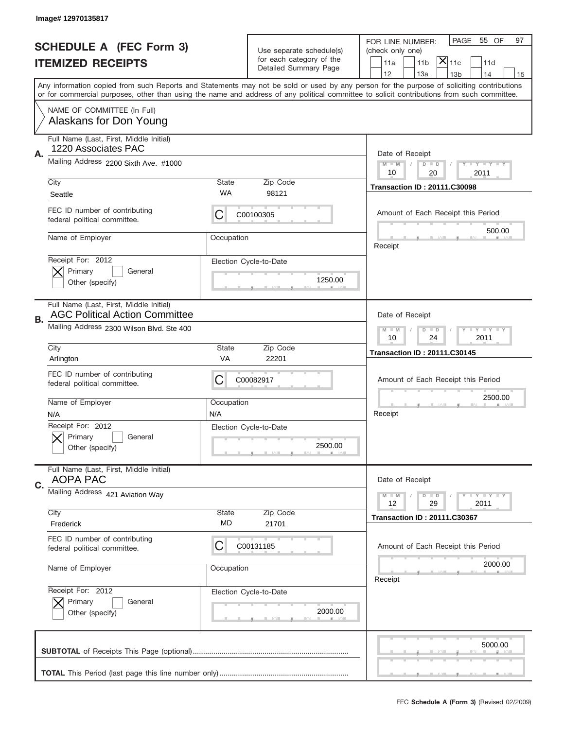|                                | Image# 12970135817                                                               |                                                              |                                   |                                                                                                                                                                                                                                                                                         |  |
|--------------------------------|----------------------------------------------------------------------------------|--------------------------------------------------------------|-----------------------------------|-----------------------------------------------------------------------------------------------------------------------------------------------------------------------------------------------------------------------------------------------------------------------------------------|--|
| <b>SCHEDULE A (FEC Form 3)</b> |                                                                                  | Use separate schedule(s)<br>for each category of the         |                                   | PAGE<br>55 OF<br>97<br>FOR LINE NUMBER:<br>(check only one)                                                                                                                                                                                                                             |  |
|                                | <b>ITEMIZED RECEIPTS</b>                                                         |                                                              | Detailed Summary Page             | $\mathsf{\bar{X}}\vert_{\mathsf{11c}}$<br>11a<br>11 <sub>b</sub><br>11d<br>12<br>13a<br>14<br>13 <sub>b</sub><br>15                                                                                                                                                                     |  |
|                                |                                                                                  |                                                              |                                   | Any information copied from such Reports and Statements may not be sold or used by any person for the purpose of soliciting contributions<br>or for commercial purposes, other than using the name and address of any political committee to solicit contributions from such committee. |  |
|                                | NAME OF COMMITTEE (In Full)<br>Alaskans for Don Young                            |                                                              |                                   |                                                                                                                                                                                                                                                                                         |  |
| Α.                             | Full Name (Last, First, Middle Initial)<br>1220 Associates PAC                   |                                                              |                                   | Date of Receipt                                                                                                                                                                                                                                                                         |  |
|                                | Mailing Address 2200 Sixth Ave. #1000                                            |                                                              |                                   | $M - M$<br><b>LEY LEY LEY</b><br>$D$ $D$<br>10<br>20<br>2011                                                                                                                                                                                                                            |  |
|                                | City<br>Seattle                                                                  | <b>State</b><br>WA                                           | Zip Code<br>98121                 | <b>Transaction ID: 20111.C30098</b>                                                                                                                                                                                                                                                     |  |
|                                | FEC ID number of contributing<br>federal political committee.                    | C                                                            | C00100305                         | Amount of Each Receipt this Period<br>500.00                                                                                                                                                                                                                                            |  |
|                                | Name of Employer                                                                 | Occupation                                                   |                                   | Receipt                                                                                                                                                                                                                                                                                 |  |
|                                | Receipt For: 2012<br>Primary<br>General<br>Other (specify)                       |                                                              | Election Cycle-to-Date<br>1250.00 |                                                                                                                                                                                                                                                                                         |  |
| В.                             | Full Name (Last, First, Middle Initial)<br><b>AGC Political Action Committee</b> |                                                              |                                   | Date of Receipt                                                                                                                                                                                                                                                                         |  |
|                                | Mailing Address 2300 Wilson Blvd. Ste 400                                        | <b>LEY LEY LEY</b><br>$M - M$<br>$D$ $D$<br>10<br>2011<br>24 |                                   |                                                                                                                                                                                                                                                                                         |  |
|                                | City<br>Arlington                                                                | <b>State</b><br>VA                                           | Zip Code<br>22201                 | <b>Transaction ID: 20111.C30145</b>                                                                                                                                                                                                                                                     |  |
|                                | FEC ID number of contributing<br>federal political committee.                    | C                                                            | C00082917                         | Amount of Each Receipt this Period                                                                                                                                                                                                                                                      |  |
|                                | Name of Employer<br>N/A                                                          | Occupation<br>N/A                                            |                                   | 2500.00<br>Receipt                                                                                                                                                                                                                                                                      |  |
|                                | Receipt For: 2012<br>General<br>Primary<br>Other (specify)                       |                                                              | Election Cycle-to-Date<br>2500.00 |                                                                                                                                                                                                                                                                                         |  |
| C.                             | Full Name (Last, First, Middle Initial)<br><b>AOPA PAC</b>                       |                                                              |                                   | Date of Receipt                                                                                                                                                                                                                                                                         |  |
|                                | Mailing Address 421 Aviation Way                                                 |                                                              |                                   | <b>LYLYLY</b><br>$M - M$<br>$D$ $D$<br>12<br>29<br>2011                                                                                                                                                                                                                                 |  |
|                                | City<br>Frederick                                                                | State<br>MD                                                  | Zip Code<br>21701                 | <b>Transaction ID: 20111.C30367</b>                                                                                                                                                                                                                                                     |  |
|                                | FEC ID number of contributing<br>federal political committee.                    | C                                                            | C00131185                         | Amount of Each Receipt this Period                                                                                                                                                                                                                                                      |  |
|                                | Name of Employer                                                                 | Occupation                                                   |                                   | 2000.00<br>Receipt                                                                                                                                                                                                                                                                      |  |
|                                | Receipt For: 2012<br>Primary<br>General<br>Other (specify)                       |                                                              | Election Cycle-to-Date<br>2000.00 |                                                                                                                                                                                                                                                                                         |  |
|                                |                                                                                  |                                                              |                                   | 5000.00                                                                                                                                                                                                                                                                                 |  |
|                                |                                                                                  |                                                              |                                   |                                                                                                                                                                                                                                                                                         |  |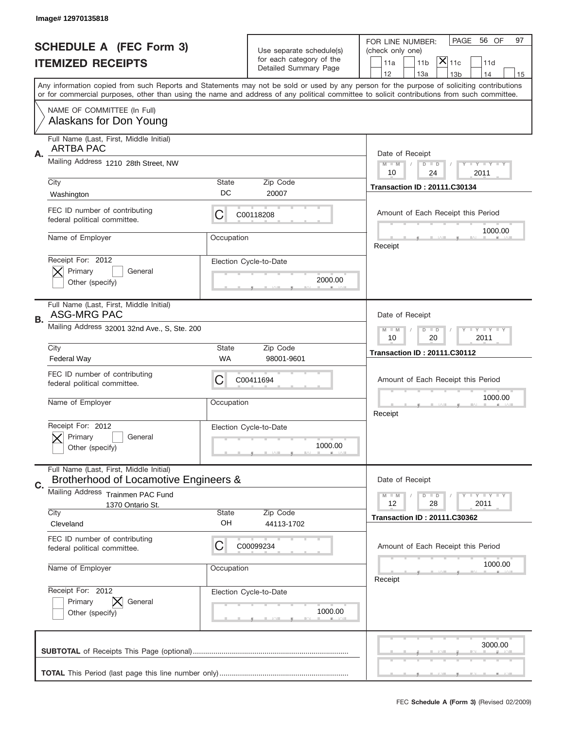|                                | Image# 12970135818                                                               |                                                               |                                                      |                                                                                                                                                                                                                                                                                         |
|--------------------------------|----------------------------------------------------------------------------------|---------------------------------------------------------------|------------------------------------------------------|-----------------------------------------------------------------------------------------------------------------------------------------------------------------------------------------------------------------------------------------------------------------------------------------|
|                                |                                                                                  |                                                               |                                                      | PAGE<br>56 OF<br>97<br>FOR LINE NUMBER:                                                                                                                                                                                                                                                 |
| <b>SCHEDULE A (FEC Form 3)</b> |                                                                                  |                                                               | Use separate schedule(s)<br>for each category of the | (check only one)                                                                                                                                                                                                                                                                        |
|                                | <b>ITEMIZED RECEIPTS</b>                                                         |                                                               | Detailed Summary Page                                | $\overline{\mathsf{x}} _{\text{11c}}$<br>11 <sub>b</sub><br>11a<br>11d<br>12<br>13a<br>13 <sub>b</sub><br>14<br>15                                                                                                                                                                      |
|                                |                                                                                  |                                                               |                                                      | Any information copied from such Reports and Statements may not be sold or used by any person for the purpose of soliciting contributions<br>or for commercial purposes, other than using the name and address of any political committee to solicit contributions from such committee. |
|                                | NAME OF COMMITTEE (In Full)<br>Alaskans for Don Young                            |                                                               |                                                      |                                                                                                                                                                                                                                                                                         |
| А.                             | Full Name (Last, First, Middle Initial)<br><b>ARTBA PAC</b>                      |                                                               |                                                      | Date of Receipt                                                                                                                                                                                                                                                                         |
|                                | Mailing Address 1210 28th Street, NW                                             |                                                               |                                                      | $T$ $Y$ $Y$ $Y$ $Y$<br>$M - M$<br>$D$ $D$<br>10<br>24<br>2011                                                                                                                                                                                                                           |
|                                | City<br>Washington                                                               | State<br>DC                                                   | Zip Code<br>20007                                    | <b>Transaction ID: 20111.C30134</b>                                                                                                                                                                                                                                                     |
|                                | FEC ID number of contributing<br>federal political committee.                    | C                                                             | C00118208                                            | Amount of Each Receipt this Period<br>1000.00                                                                                                                                                                                                                                           |
|                                | Name of Employer                                                                 | Occupation                                                    |                                                      | Receipt                                                                                                                                                                                                                                                                                 |
|                                | Receipt For: 2012<br>Primary<br>General<br>Other (specify)                       |                                                               | Election Cycle-to-Date<br>2000.00                    |                                                                                                                                                                                                                                                                                         |
| В.                             | Full Name (Last, First, Middle Initial)<br><b>ASG-MRG PAC</b>                    |                                                               |                                                      | Date of Receipt                                                                                                                                                                                                                                                                         |
|                                | Mailing Address 32001 32nd Ave., S, Ste. 200                                     | $T$ $Y$ $Y$ $Y$ $Y$<br>$M - M$<br>$D$ $D$<br>10<br>20<br>2011 |                                                      |                                                                                                                                                                                                                                                                                         |
|                                | City<br><b>Federal Way</b>                                                       | <b>State</b><br>WA                                            | Zip Code<br>98001-9601                               | <b>Transaction ID: 20111.C30112</b>                                                                                                                                                                                                                                                     |
|                                | FEC ID number of contributing<br>federal political committee.                    | C                                                             | C00411694                                            | Amount of Each Receipt this Period                                                                                                                                                                                                                                                      |
|                                | Name of Employer                                                                 | Occupation                                                    |                                                      | 1000.00<br>Receipt                                                                                                                                                                                                                                                                      |
|                                | Receipt For: 2012<br>Primary<br>General<br>Other (specify)                       |                                                               | Election Cycle-to-Date<br>1000.00                    |                                                                                                                                                                                                                                                                                         |
| C.                             | Full Name (Last, First, Middle Initial)<br>Brotherhood of Locamotive Engineers & |                                                               |                                                      | Date of Receipt                                                                                                                                                                                                                                                                         |
|                                | Mailing Address Trainmen PAC Fund                                                |                                                               |                                                      | <b>LYLYLY</b><br>$M - M$<br>$D$ $D$                                                                                                                                                                                                                                                     |
|                                | 1370 Ontario St.<br>City                                                         | <b>State</b>                                                  | Zip Code                                             | 12<br>2011<br>28                                                                                                                                                                                                                                                                        |
|                                | Cleveland                                                                        | OH                                                            | 44113-1702                                           | <b>Transaction ID: 20111.C30362</b>                                                                                                                                                                                                                                                     |
|                                | FEC ID number of contributing<br>federal political committee.                    | C                                                             | C00099234                                            | Amount of Each Receipt this Period                                                                                                                                                                                                                                                      |
|                                | Name of Employer                                                                 | Occupation                                                    |                                                      | 1000.00<br>Receipt                                                                                                                                                                                                                                                                      |
|                                | Receipt For: 2012<br>Primary<br>General<br>Other (specify)                       |                                                               | Election Cycle-to-Date<br>1000.00                    |                                                                                                                                                                                                                                                                                         |
|                                |                                                                                  |                                                               |                                                      | 3000.00                                                                                                                                                                                                                                                                                 |
|                                |                                                                                  |                                                               |                                                      |                                                                                                                                                                                                                                                                                         |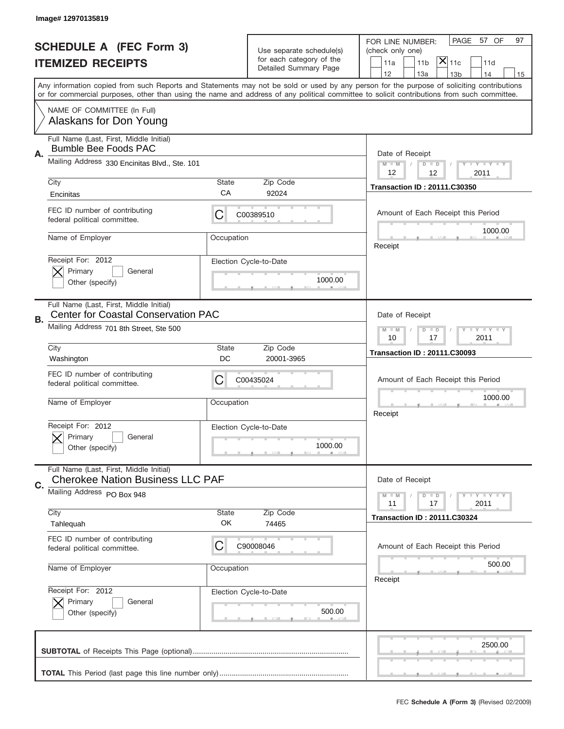|                          | Image#12970135819                                                                     |                                                             |                                                      |                                                                                                                                                                                                                                                                                         |
|--------------------------|---------------------------------------------------------------------------------------|-------------------------------------------------------------|------------------------------------------------------|-----------------------------------------------------------------------------------------------------------------------------------------------------------------------------------------------------------------------------------------------------------------------------------------|
|                          | <b>SCHEDULE A (FEC Form 3)</b>                                                        |                                                             |                                                      | PAGE<br>57 OF<br>97<br>FOR LINE NUMBER:                                                                                                                                                                                                                                                 |
| <b>ITEMIZED RECEIPTS</b> |                                                                                       |                                                             | Use separate schedule(s)<br>for each category of the | (check only one)<br>$ \mathsf{\overline{X}} _{\mathsf{11c}}$<br>11 <sub>b</sub>                                                                                                                                                                                                         |
|                          |                                                                                       |                                                             | Detailed Summary Page                                | 11a<br>11d<br>12<br>13a<br>14<br>13 <sub>b</sub><br>15                                                                                                                                                                                                                                  |
|                          |                                                                                       |                                                             |                                                      | Any information copied from such Reports and Statements may not be sold or used by any person for the purpose of soliciting contributions<br>or for commercial purposes, other than using the name and address of any political committee to solicit contributions from such committee. |
|                          | NAME OF COMMITTEE (In Full)<br>Alaskans for Don Young                                 |                                                             |                                                      |                                                                                                                                                                                                                                                                                         |
| Α.                       | Full Name (Last, First, Middle Initial)<br><b>Bumble Bee Foods PAC</b>                |                                                             |                                                      | Date of Receipt                                                                                                                                                                                                                                                                         |
|                          | Mailing Address 330 Encinitas Blvd., Ste. 101                                         |                                                             |                                                      | $M - M$<br>Y I Y I Y I Y<br>$D$ $D$<br>12<br>12<br>2011                                                                                                                                                                                                                                 |
|                          | City<br>Encinitas                                                                     | State<br>CA                                                 | Zip Code<br>92024                                    | <b>Transaction ID: 20111.C30350</b>                                                                                                                                                                                                                                                     |
|                          | FEC ID number of contributing<br>federal political committee.                         | C                                                           | C00389510                                            | Amount of Each Receipt this Period<br>1000.00                                                                                                                                                                                                                                           |
|                          | Name of Employer                                                                      | Occupation                                                  |                                                      | Receipt                                                                                                                                                                                                                                                                                 |
|                          | Receipt For: 2012<br>Primary<br>General<br>Other (specify)                            |                                                             | Election Cycle-to-Date<br>1000.00                    |                                                                                                                                                                                                                                                                                         |
| В.                       | Full Name (Last, First, Middle Initial)<br><b>Center for Coastal Conservation PAC</b> | Date of Receipt                                             |                                                      |                                                                                                                                                                                                                                                                                         |
|                          | Mailing Address 701 8th Street, Ste 500                                               | $T - Y = Y - T Y$<br>$M - M$<br>$D$ $D$<br>10<br>2011<br>17 |                                                      |                                                                                                                                                                                                                                                                                         |
|                          | City<br>Washington                                                                    | State<br>DC                                                 | Zip Code<br>20001-3965                               | <b>Transaction ID: 20111.C30093</b>                                                                                                                                                                                                                                                     |
|                          | FEC ID number of contributing<br>federal political committee.                         | C                                                           | C00435024                                            | Amount of Each Receipt this Period                                                                                                                                                                                                                                                      |
|                          | Name of Employer                                                                      | Occupation                                                  |                                                      | 1000.00<br>Receipt                                                                                                                                                                                                                                                                      |
|                          | Receipt For: 2012<br>General<br>Primary<br>Other (specify)                            |                                                             | Election Cycle-to-Date<br>1000.00                    |                                                                                                                                                                                                                                                                                         |
| C.                       | Full Name (Last, First, Middle Initial)<br><b>Cherokee Nation Business LLC PAF</b>    |                                                             |                                                      | Date of Receipt                                                                                                                                                                                                                                                                         |
|                          | Mailing Address PO Box 948                                                            |                                                             |                                                      | <b>TEY LY LY</b><br>$M - M$<br>$D$ $D$<br>2011<br>11<br>17                                                                                                                                                                                                                              |
|                          | City<br>Tahlequah                                                                     | State<br>OK                                                 | Zip Code<br>74465                                    | <b>Transaction ID: 20111.C30324</b>                                                                                                                                                                                                                                                     |
|                          | FEC ID number of contributing<br>federal political committee.                         | C                                                           | C90008046                                            | Amount of Each Receipt this Period                                                                                                                                                                                                                                                      |
|                          | Name of Employer                                                                      | Occupation                                                  |                                                      | 500.00<br>Receipt                                                                                                                                                                                                                                                                       |
|                          | Receipt For: 2012<br>Primary<br>General<br>Other (specify)                            |                                                             | Election Cycle-to-Date<br>500.00                     |                                                                                                                                                                                                                                                                                         |
|                          |                                                                                       |                                                             |                                                      | 2500.00                                                                                                                                                                                                                                                                                 |
|                          |                                                                                       |                                                             |                                                      |                                                                                                                                                                                                                                                                                         |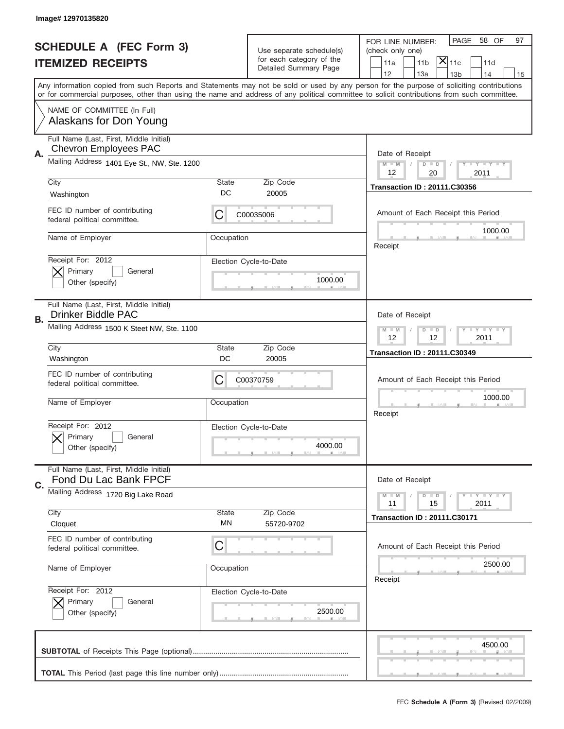|    | Image# 12970135820                                                      |                                                               |                                                      |                                                                                                                                                                                                                                                                                         |
|----|-------------------------------------------------------------------------|---------------------------------------------------------------|------------------------------------------------------|-----------------------------------------------------------------------------------------------------------------------------------------------------------------------------------------------------------------------------------------------------------------------------------------|
|    | <b>SCHEDULE A (FEC Form 3)</b>                                          |                                                               |                                                      | PAGE<br>58 OF<br>97<br>FOR LINE NUMBER:                                                                                                                                                                                                                                                 |
|    |                                                                         |                                                               | Use separate schedule(s)<br>for each category of the | (check only one)<br>$ \mathsf{X} _{\mathsf{11c}}$                                                                                                                                                                                                                                       |
|    | <b>ITEMIZED RECEIPTS</b>                                                |                                                               | Detailed Summary Page                                | 11 <sub>b</sub><br>11a<br>11d<br>12<br>13a<br>13 <sub>b</sub><br>14<br>15                                                                                                                                                                                                               |
|    |                                                                         |                                                               |                                                      | Any information copied from such Reports and Statements may not be sold or used by any person for the purpose of soliciting contributions<br>or for commercial purposes, other than using the name and address of any political committee to solicit contributions from such committee. |
|    | NAME OF COMMITTEE (In Full)<br>Alaskans for Don Young                   |                                                               |                                                      |                                                                                                                                                                                                                                                                                         |
| А. | Full Name (Last, First, Middle Initial)<br><b>Chevron Employees PAC</b> |                                                               |                                                      | Date of Receipt                                                                                                                                                                                                                                                                         |
|    | Mailing Address 1401 Eye St., NW, Ste. 1200                             |                                                               |                                                      | $M$ $M$<br>Y I Y I Y I Y<br>$D$ $D$<br>12<br>20<br>2011                                                                                                                                                                                                                                 |
|    | City<br>Washington                                                      | State<br>DC                                                   | Zip Code<br>20005                                    | <b>Transaction ID: 20111.C30356</b>                                                                                                                                                                                                                                                     |
|    | FEC ID number of contributing<br>federal political committee.           | C                                                             | C00035006                                            | Amount of Each Receipt this Period<br>1000.00                                                                                                                                                                                                                                           |
|    | Name of Employer                                                        | Occupation                                                    |                                                      | Receipt                                                                                                                                                                                                                                                                                 |
|    | Receipt For: 2012<br>Primary<br>General<br>Other (specify)              |                                                               | Election Cycle-to-Date<br>1000.00                    |                                                                                                                                                                                                                                                                                         |
| В. | Full Name (Last, First, Middle Initial)<br>Drinker Biddle PAC           |                                                               |                                                      | Date of Receipt                                                                                                                                                                                                                                                                         |
|    | Mailing Address 1500 K Steet NW, Ste. 1100                              | $T$ $Y$ $Y$ $Y$ $Y$<br>$M - M$<br>$D$ $D$<br>12<br>12<br>2011 |                                                      |                                                                                                                                                                                                                                                                                         |
|    | City<br>Washington                                                      | State<br>DC                                                   | Zip Code<br>20005                                    | <b>Transaction ID: 20111.C30349</b>                                                                                                                                                                                                                                                     |
|    |                                                                         |                                                               |                                                      |                                                                                                                                                                                                                                                                                         |
|    | FEC ID number of contributing<br>federal political committee.           | C                                                             | C00370759                                            | Amount of Each Receipt this Period                                                                                                                                                                                                                                                      |
|    | Name of Employer                                                        | Occupation                                                    |                                                      | 1000.00<br>Receipt                                                                                                                                                                                                                                                                      |
|    | Receipt For: 2012<br>General<br>Primary<br>Other (specify)              |                                                               | Election Cycle-to-Date<br>4000.00                    |                                                                                                                                                                                                                                                                                         |
|    | Full Name (Last, First, Middle Initial)<br>Fond Du Lac Bank FPCF        |                                                               |                                                      | Date of Receipt                                                                                                                                                                                                                                                                         |
| C. | Mailing Address 1720 Big Lake Road                                      |                                                               |                                                      | $T + Y = Y + Y$<br>$M$ $M$<br>$D$ $D$<br>2011<br>11<br>15                                                                                                                                                                                                                               |
|    | City<br>Cloquet                                                         | State<br>ΜN                                                   | Zip Code<br>55720-9702                               | <b>Transaction ID: 20111.C30171</b>                                                                                                                                                                                                                                                     |
|    | FEC ID number of contributing<br>federal political committee.           | C                                                             |                                                      | Amount of Each Receipt this Period                                                                                                                                                                                                                                                      |
|    | Name of Employer                                                        | Occupation                                                    |                                                      | 2500.00<br>Receipt                                                                                                                                                                                                                                                                      |
|    | Receipt For: 2012<br>Primary<br>General<br>Other (specify)              |                                                               | Election Cycle-to-Date<br>2500.00                    |                                                                                                                                                                                                                                                                                         |
|    |                                                                         |                                                               |                                                      | 4500.00                                                                                                                                                                                                                                                                                 |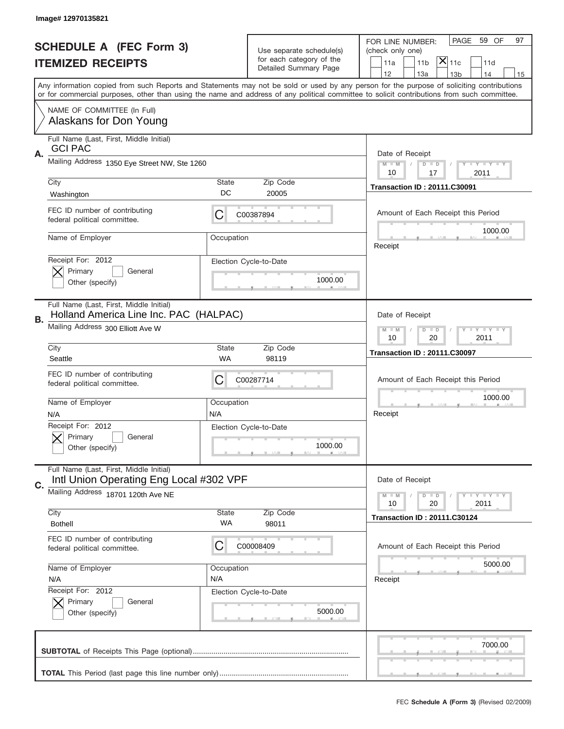|    | Image# 12970135821                                                                 |                                                         |                                                      |                                                                                                                                                                                       |
|----|------------------------------------------------------------------------------------|---------------------------------------------------------|------------------------------------------------------|---------------------------------------------------------------------------------------------------------------------------------------------------------------------------------------|
|    | <b>SCHEDULE A (FEC Form 3)</b>                                                     |                                                         |                                                      | PAGE<br>59 OF<br>97<br>FOR LINE NUMBER:                                                                                                                                               |
|    |                                                                                    |                                                         | Use separate schedule(s)<br>for each category of the | (check only one)                                                                                                                                                                      |
|    | <b>ITEMIZED RECEIPTS</b>                                                           |                                                         | Detailed Summary Page                                | $ \overline{\mathsf{X}} _{\mathsf{11c}}$<br>11a<br>11 <sub>b</sub><br>11d                                                                                                             |
|    |                                                                                    |                                                         |                                                      | 12<br>13a<br>14<br>13 <sub>b</sub><br>15<br>Any information copied from such Reports and Statements may not be sold or used by any person for the purpose of soliciting contributions |
|    |                                                                                    |                                                         |                                                      | or for commercial purposes, other than using the name and address of any political committee to solicit contributions from such committee.                                            |
|    | NAME OF COMMITTEE (In Full)<br>Alaskans for Don Young                              |                                                         |                                                      |                                                                                                                                                                                       |
|    | Full Name (Last, First, Middle Initial)<br><b>GCI PAC</b>                          |                                                         |                                                      |                                                                                                                                                                                       |
| Α. | Mailing Address 1350 Eye Street NW, Ste 1260                                       |                                                         |                                                      | Date of Receipt<br>$M - M$<br><b>LEY LEY LEY</b><br>$D$ $D$<br>10<br>17<br>2011                                                                                                       |
|    | City                                                                               | State                                                   | Zip Code                                             |                                                                                                                                                                                       |
|    | Washington                                                                         | DC                                                      | 20005                                                | <b>Transaction ID: 20111.C30091</b>                                                                                                                                                   |
|    | FEC ID number of contributing<br>federal political committee.                      | C                                                       | C00387894                                            | Amount of Each Receipt this Period                                                                                                                                                    |
|    | Name of Employer                                                                   | Occupation                                              |                                                      | 1000.00<br>Receipt                                                                                                                                                                    |
|    | Receipt For: 2012<br>Primary<br>General<br>Other (specify)                         |                                                         | Election Cycle-to-Date<br>1000.00                    |                                                                                                                                                                                       |
| В. | Full Name (Last, First, Middle Initial)<br>Holland America Line Inc. PAC (HALPAC)  |                                                         |                                                      | Date of Receipt                                                                                                                                                                       |
|    | Mailing Address 300 Elliott Ave W                                                  | <b>LYLYLY</b><br>$M - M$<br>$D$ $D$<br>10<br>20<br>2011 |                                                      |                                                                                                                                                                                       |
|    | City<br>Seattle                                                                    | State<br>WA                                             | Zip Code<br>98119                                    | <b>Transaction ID: 20111.C30097</b>                                                                                                                                                   |
|    |                                                                                    |                                                         |                                                      |                                                                                                                                                                                       |
|    | FEC ID number of contributing<br>federal political committee.                      | C                                                       | C00287714                                            | Amount of Each Receipt this Period                                                                                                                                                    |
|    | Name of Employer                                                                   | Occupation                                              |                                                      | 1000.00                                                                                                                                                                               |
|    | N/A                                                                                | N/A                                                     |                                                      | Receipt                                                                                                                                                                               |
|    | Receipt For: 2012<br>General<br>Primary<br>Other (specify)                         |                                                         | Election Cycle-to-Date<br>1000.00                    |                                                                                                                                                                                       |
| C. | Full Name (Last, First, Middle Initial)<br>Intl Union Operating Eng Local #302 VPF |                                                         |                                                      | Date of Receipt                                                                                                                                                                       |
|    | Mailing Address 18701 120th Ave NE                                                 |                                                         |                                                      | <b>LYLYLY</b><br>$M - M$<br>$D$ $D$<br>10                                                                                                                                             |
|    | City                                                                               | <b>State</b>                                            | Zip Code                                             | 2011<br>20                                                                                                                                                                            |
|    | <b>Bothell</b>                                                                     | WA                                                      | 98011                                                | <b>Transaction ID: 20111.C30124</b>                                                                                                                                                   |
|    | FEC ID number of contributing<br>federal political committee.                      | C                                                       | C00008409                                            | Amount of Each Receipt this Period                                                                                                                                                    |
|    | Name of Employer                                                                   | Occupation                                              |                                                      | 5000.00                                                                                                                                                                               |
|    | N/A                                                                                | N/A                                                     |                                                      | Receipt                                                                                                                                                                               |
|    | Receipt For: 2012<br>Primary<br>General<br>Other (specify)                         |                                                         | Election Cycle-to-Date<br>5000.00                    |                                                                                                                                                                                       |
|    |                                                                                    |                                                         |                                                      | 7000.00                                                                                                                                                                               |
|    |                                                                                    |                                                         |                                                      |                                                                                                                                                                                       |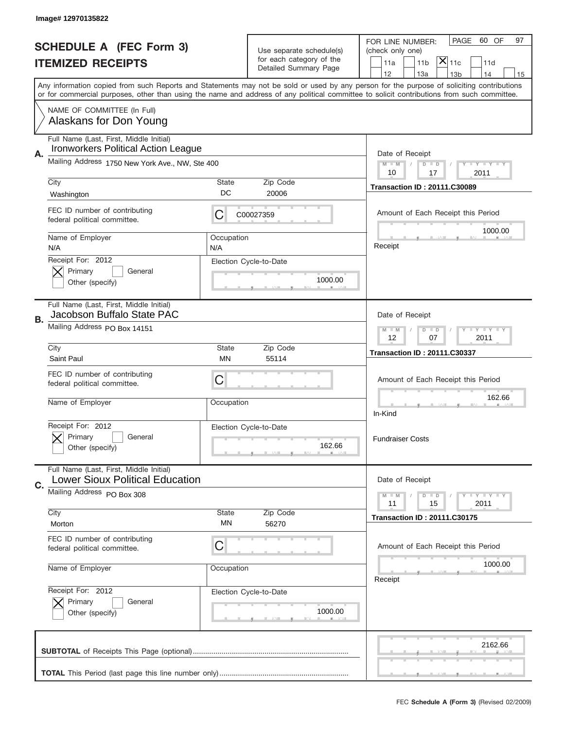|                                | Image# 12970135822                                                                    |                   |                                                                   |                                                                                                                                                                                                                                                                                         |
|--------------------------------|---------------------------------------------------------------------------------------|-------------------|-------------------------------------------------------------------|-----------------------------------------------------------------------------------------------------------------------------------------------------------------------------------------------------------------------------------------------------------------------------------------|
|                                |                                                                                       |                   |                                                                   | PAGE<br>60 OF<br>97<br>FOR LINE NUMBER:                                                                                                                                                                                                                                                 |
| <b>SCHEDULE A (FEC Form 3)</b> |                                                                                       |                   | Use separate schedule(s)<br>for each category of the              | (check only one)                                                                                                                                                                                                                                                                        |
|                                | <b>ITEMIZED RECEIPTS</b>                                                              |                   | Detailed Summary Page                                             | $ \mathsf{\overline{X}} _{\mathsf{11c}}$<br>11 <sub>b</sub><br>11a<br>11d<br>12<br>13a<br>13 <sub>b</sub><br>14<br>15                                                                                                                                                                   |
|                                |                                                                                       |                   |                                                                   | Any information copied from such Reports and Statements may not be sold or used by any person for the purpose of soliciting contributions<br>or for commercial purposes, other than using the name and address of any political committee to solicit contributions from such committee. |
|                                | NAME OF COMMITTEE (In Full)<br>Alaskans for Don Young                                 |                   |                                                                   |                                                                                                                                                                                                                                                                                         |
| А.                             | Full Name (Last, First, Middle Initial)<br><b>Ironworkers Political Action League</b> |                   |                                                                   | Date of Receipt                                                                                                                                                                                                                                                                         |
|                                | Mailing Address 1750 New York Ave., NW, Ste 400                                       |                   |                                                                   | $M$ $M$<br>Y I Y I Y I Y<br>$D$ $D$<br>10<br>17<br>2011                                                                                                                                                                                                                                 |
|                                | City<br>Washington                                                                    | State<br>DC       | Zip Code<br>20006                                                 | <b>Transaction ID: 20111.C30089</b>                                                                                                                                                                                                                                                     |
|                                | FEC ID number of contributing<br>federal political committee.                         | C                 | C00027359                                                         | Amount of Each Receipt this Period                                                                                                                                                                                                                                                      |
|                                | Name of Employer<br>N/A                                                               | Occupation<br>N/A |                                                                   | 1000.00<br>Receipt                                                                                                                                                                                                                                                                      |
|                                | Receipt For: 2012<br>Primary<br>General<br>Other (specify)                            |                   | Election Cycle-to-Date<br>1000.00                                 |                                                                                                                                                                                                                                                                                         |
| В.                             | Full Name (Last, First, Middle Initial)<br>Jacobson Buffalo State PAC                 |                   |                                                                   | Date of Receipt                                                                                                                                                                                                                                                                         |
|                                | Mailing Address PO Box 14151                                                          |                   | $T$ $Y$ $T$ $Y$ $T$ $Y$<br>$M - M$<br>$D$ $D$<br>12<br>07<br>2011 |                                                                                                                                                                                                                                                                                         |
|                                | City<br>Saint Paul                                                                    | State<br>MN       | Zip Code<br>55114                                                 | <b>Transaction ID: 20111.C30337</b>                                                                                                                                                                                                                                                     |
|                                | FEC ID number of contributing<br>federal political committee.                         | C                 |                                                                   | Amount of Each Receipt this Period                                                                                                                                                                                                                                                      |
|                                | Name of Employer                                                                      | Occupation        |                                                                   | 162.66<br>In-Kind                                                                                                                                                                                                                                                                       |
|                                | Receipt For: 2012<br>Primary<br>General<br>Other (specify)                            |                   | Election Cycle-to-Date<br>162.66                                  | <b>Fundraiser Costs</b>                                                                                                                                                                                                                                                                 |
| C.                             | Full Name (Last, First, Middle Initial)<br><b>Lower Sioux Political Education</b>     |                   |                                                                   | Date of Receipt                                                                                                                                                                                                                                                                         |
|                                | Mailing Address PO Box 308                                                            |                   |                                                                   | $T + Y = Y + Y$<br>$M$ M<br>$D$ $D$<br>2011<br>11<br>15                                                                                                                                                                                                                                 |
|                                | City<br>Morton                                                                        | State<br>ΜN       | Zip Code<br>56270                                                 | <b>Transaction ID: 20111.C30175</b>                                                                                                                                                                                                                                                     |
|                                | FEC ID number of contributing<br>federal political committee.                         | C                 |                                                                   | Amount of Each Receipt this Period                                                                                                                                                                                                                                                      |
|                                | Name of Employer                                                                      | Occupation        |                                                                   | 1000.00<br>Receipt                                                                                                                                                                                                                                                                      |
|                                | Receipt For: 2012<br>Primary<br>General<br>Other (specify)                            |                   | Election Cycle-to-Date<br>1000.00                                 |                                                                                                                                                                                                                                                                                         |
|                                |                                                                                       |                   |                                                                   | 2162.66                                                                                                                                                                                                                                                                                 |
|                                |                                                                                       |                   |                                                                   |                                                                                                                                                                                                                                                                                         |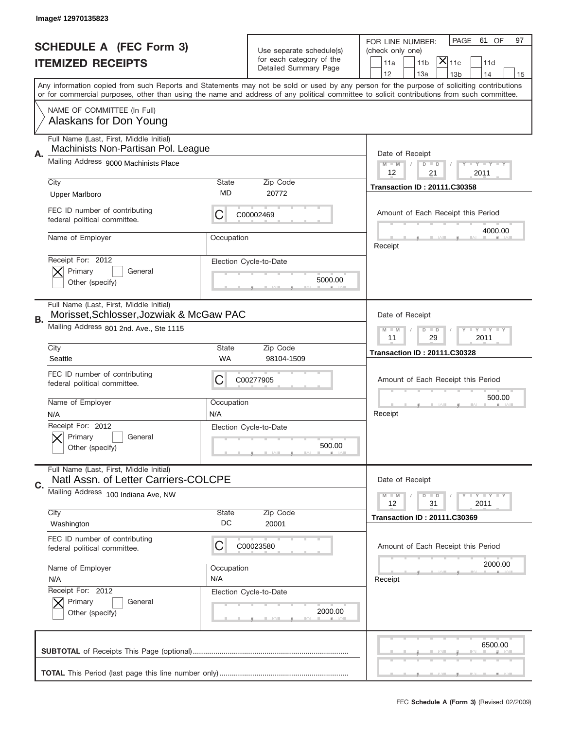|    | Image# 12970135823                                                                  |                                                         |                                                      |                                                                                                                                                                                                                                                                                         |
|----|-------------------------------------------------------------------------------------|---------------------------------------------------------|------------------------------------------------------|-----------------------------------------------------------------------------------------------------------------------------------------------------------------------------------------------------------------------------------------------------------------------------------------|
|    | <b>SCHEDULE A (FEC Form 3)</b>                                                      |                                                         |                                                      | PAGE<br>61 OF<br>97<br>FOR LINE NUMBER:                                                                                                                                                                                                                                                 |
|    |                                                                                     |                                                         | Use separate schedule(s)<br>for each category of the | (check only one)<br>$ \mathsf{X} _{\mathsf{11c}}$                                                                                                                                                                                                                                       |
|    | <b>ITEMIZED RECEIPTS</b>                                                            |                                                         | Detailed Summary Page                                | 11 <sub>b</sub><br>11a<br>11d<br>12<br>13a<br>14<br>13 <sub>b</sub><br>15                                                                                                                                                                                                               |
|    |                                                                                     |                                                         |                                                      | Any information copied from such Reports and Statements may not be sold or used by any person for the purpose of soliciting contributions<br>or for commercial purposes, other than using the name and address of any political committee to solicit contributions from such committee. |
|    | NAME OF COMMITTEE (In Full)                                                         |                                                         |                                                      |                                                                                                                                                                                                                                                                                         |
|    | Alaskans for Don Young                                                              |                                                         |                                                      |                                                                                                                                                                                                                                                                                         |
| Α. | Full Name (Last, First, Middle Initial)<br>Machinists Non-Partisan Pol. League      |                                                         |                                                      | Date of Receipt                                                                                                                                                                                                                                                                         |
|    | Mailing Address 9000 Machinists Place                                               |                                                         |                                                      | <b>LEY LEY LEY</b><br>$M - M$<br>$D$ $D$<br>12<br>21<br>2011                                                                                                                                                                                                                            |
|    | City                                                                                | <b>State</b>                                            | Zip Code                                             | <b>Transaction ID: 20111.C30358</b>                                                                                                                                                                                                                                                     |
|    | <b>Upper Marlboro</b>                                                               | MD                                                      | 20772                                                |                                                                                                                                                                                                                                                                                         |
|    | FEC ID number of contributing<br>federal political committee.                       | С                                                       | C00002469                                            | Amount of Each Receipt this Period                                                                                                                                                                                                                                                      |
|    | Name of Employer                                                                    | Occupation                                              |                                                      | 4000.00<br>Receipt                                                                                                                                                                                                                                                                      |
|    | Receipt For: 2012                                                                   |                                                         | Election Cycle-to-Date                               |                                                                                                                                                                                                                                                                                         |
|    | Primary<br>General<br>Other (specify)                                               |                                                         | 5000.00                                              |                                                                                                                                                                                                                                                                                         |
|    |                                                                                     |                                                         |                                                      |                                                                                                                                                                                                                                                                                         |
| В. | Full Name (Last, First, Middle Initial)<br>Morisset, Schlosser, Jozwiak & McGaw PAC |                                                         |                                                      | Date of Receipt                                                                                                                                                                                                                                                                         |
|    | Mailing Address 801 2nd. Ave., Ste 1115                                             | <b>LYLYLY</b><br>$M - M$<br>$D$ $D$<br>11<br>29<br>2011 |                                                      |                                                                                                                                                                                                                                                                                         |
|    | City                                                                                | <b>State</b>                                            | Zip Code                                             | <b>Transaction ID: 20111.C30328</b>                                                                                                                                                                                                                                                     |
|    | Seattle                                                                             | <b>WA</b>                                               | 98104-1509                                           |                                                                                                                                                                                                                                                                                         |
|    | FEC ID number of contributing<br>federal political committee.                       | С                                                       | C00277905                                            | Amount of Each Receipt this Period                                                                                                                                                                                                                                                      |
|    | Name of Employer                                                                    | Occupation                                              |                                                      | 500.00                                                                                                                                                                                                                                                                                  |
|    | N/A                                                                                 | N/A                                                     |                                                      | Receipt                                                                                                                                                                                                                                                                                 |
|    | Receipt For: 2012                                                                   |                                                         | Election Cycle-to-Date                               |                                                                                                                                                                                                                                                                                         |
|    | General<br>Primary<br>Other (specify)                                               |                                                         | 500.00                                               |                                                                                                                                                                                                                                                                                         |
| C. | Full Name (Last, First, Middle Initial)<br>Natl Assn. of Letter Carriers-COLCPE     |                                                         |                                                      | Date of Receipt                                                                                                                                                                                                                                                                         |
|    |                                                                                     |                                                         |                                                      |                                                                                                                                                                                                                                                                                         |
|    | Mailing Address 100 Indiana Ave, NW                                                 |                                                         |                                                      | <b>LEY LEY LEY</b><br>$M - M$<br>$D$ $D$<br>12<br>31<br>2011                                                                                                                                                                                                                            |
|    | City                                                                                | <b>State</b>                                            | Zip Code                                             | <b>Transaction ID: 20111.C30369</b>                                                                                                                                                                                                                                                     |
|    | Washington                                                                          | DC                                                      | 20001                                                |                                                                                                                                                                                                                                                                                         |
|    | FEC ID number of contributing<br>federal political committee.                       | C                                                       | C00023580                                            | Amount of Each Receipt this Period                                                                                                                                                                                                                                                      |
|    | Name of Employer                                                                    | Occupation                                              |                                                      | 2000.00                                                                                                                                                                                                                                                                                 |
|    | N/A                                                                                 | N/A                                                     |                                                      | Receipt                                                                                                                                                                                                                                                                                 |
|    | Receipt For: 2012                                                                   |                                                         | Election Cycle-to-Date                               |                                                                                                                                                                                                                                                                                         |
|    | Primary<br>General<br>Other (specify)                                               |                                                         | 2000.00                                              |                                                                                                                                                                                                                                                                                         |
|    |                                                                                     |                                                         |                                                      | 6500.00                                                                                                                                                                                                                                                                                 |
|    |                                                                                     |                                                         |                                                      |                                                                                                                                                                                                                                                                                         |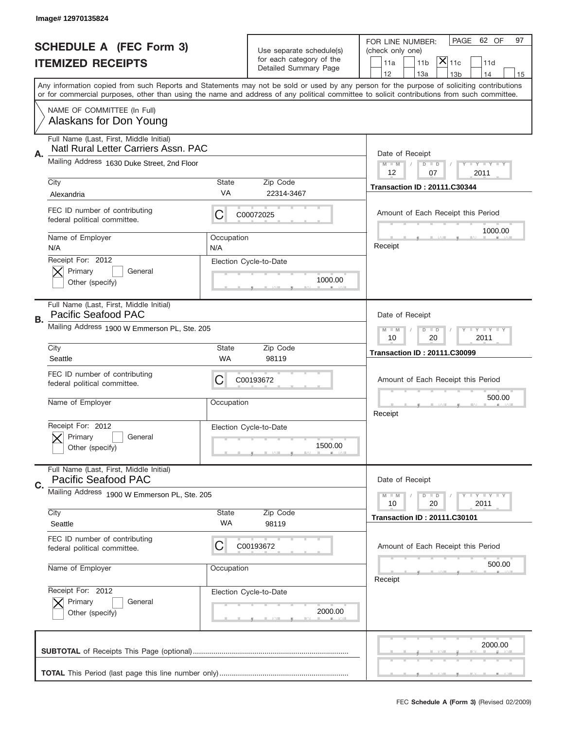|                                | Image# 12970135824                                                    |                                       |                                                      |                                                                                                                                                                                                                                                                                         |
|--------------------------------|-----------------------------------------------------------------------|---------------------------------------|------------------------------------------------------|-----------------------------------------------------------------------------------------------------------------------------------------------------------------------------------------------------------------------------------------------------------------------------------------|
| <b>SCHEDULE A (FEC Form 3)</b> |                                                                       |                                       |                                                      | PAGE 62 OF<br>97<br>FOR LINE NUMBER:                                                                                                                                                                                                                                                    |
|                                |                                                                       |                                       | Use separate schedule(s)<br>for each category of the | (check only one)<br>$ \mathsf{\overline{X}} _{\mathsf{11c}}$                                                                                                                                                                                                                            |
|                                | <b>ITEMIZED RECEIPTS</b>                                              |                                       | Detailed Summary Page                                | 11 <sub>b</sub><br>11d<br>11a<br>12<br>13a<br>13 <sub>b</sub><br>14<br>15                                                                                                                                                                                                               |
|                                |                                                                       |                                       |                                                      | Any information copied from such Reports and Statements may not be sold or used by any person for the purpose of soliciting contributions<br>or for commercial purposes, other than using the name and address of any political committee to solicit contributions from such committee. |
|                                | NAME OF COMMITTEE (In Full)<br>Alaskans for Don Young                 |                                       |                                                      |                                                                                                                                                                                                                                                                                         |
|                                | Full Name (Last, First, Middle Initial)                               |                                       |                                                      |                                                                                                                                                                                                                                                                                         |
| Α.                             | Natl Rural Letter Carriers Assn. PAC                                  |                                       |                                                      | Date of Receipt                                                                                                                                                                                                                                                                         |
|                                | Mailing Address 1630 Duke Street, 2nd Floor                           |                                       |                                                      | $M - M$<br><b>TEY LY LY</b><br>$D$ $D$                                                                                                                                                                                                                                                  |
|                                | City                                                                  | State                                 | Zip Code                                             | 12<br>07<br>2011                                                                                                                                                                                                                                                                        |
|                                | Alexandria                                                            | <b>VA</b>                             | 22314-3467                                           | <b>Transaction ID: 20111.C30344</b>                                                                                                                                                                                                                                                     |
|                                | FEC ID number of contributing<br>federal political committee.         | C                                     | C00072025                                            | Amount of Each Receipt this Period                                                                                                                                                                                                                                                      |
|                                | Name of Employer<br>N/A                                               | Occupation<br>N/A                     |                                                      | 1000.00<br>Receipt                                                                                                                                                                                                                                                                      |
|                                | Receipt For: 2012<br>Primary<br>General<br>Other (specify)            |                                       | Election Cycle-to-Date<br>1000.00                    |                                                                                                                                                                                                                                                                                         |
| В.                             | Full Name (Last, First, Middle Initial)<br><b>Pacific Seafood PAC</b> |                                       |                                                      | Date of Receipt                                                                                                                                                                                                                                                                         |
|                                | Mailing Address 1900 W Emmerson PL, Ste. 205                          | $D$ $D$<br><b>LY LY LY</b><br>$M - M$ |                                                      |                                                                                                                                                                                                                                                                                         |
|                                | City                                                                  | <b>State</b>                          | Zip Code                                             | 10<br>20<br>2011                                                                                                                                                                                                                                                                        |
|                                | Seattle                                                               | <b>WA</b>                             | 98119                                                | <b>Transaction ID: 20111.C30099</b>                                                                                                                                                                                                                                                     |
|                                | FEC ID number of contributing<br>federal political committee.         | C                                     | C00193672                                            | Amount of Each Receipt this Period                                                                                                                                                                                                                                                      |
|                                | Name of Employer                                                      | Occupation                            |                                                      | 500.00<br>Receipt                                                                                                                                                                                                                                                                       |
|                                | Receipt For: 2012<br>Primary<br>General<br>Other (specify)            |                                       | Election Cycle-to-Date<br>1500.00                    |                                                                                                                                                                                                                                                                                         |
| C.                             | Full Name (Last, First, Middle Initial)<br>Pacific Seafood PAC        |                                       |                                                      | Date of Receipt                                                                                                                                                                                                                                                                         |
|                                | Mailing Address 1900 W Emmerson PL, Ste. 205                          |                                       |                                                      | $M - M$<br>$D$ $D$<br>$\bot$ $\gamma$ $\bot$ $\gamma$ $\bot$ $\gamma$<br>2011<br>10<br>20                                                                                                                                                                                               |
|                                | City<br>Seattle                                                       | State<br>WA                           | Zip Code<br>98119                                    | <b>Transaction ID: 20111.C30101</b>                                                                                                                                                                                                                                                     |
|                                | FEC ID number of contributing<br>federal political committee.         | C                                     | C00193672                                            | Amount of Each Receipt this Period                                                                                                                                                                                                                                                      |
|                                | Name of Employer                                                      | Occupation                            |                                                      | 500.00<br>Receipt                                                                                                                                                                                                                                                                       |
|                                | Receipt For: 2012<br>Primary<br>General<br>Other (specify)            |                                       | Election Cycle-to-Date<br>2000.00                    |                                                                                                                                                                                                                                                                                         |
|                                |                                                                       |                                       |                                                      |                                                                                                                                                                                                                                                                                         |
|                                |                                                                       |                                       |                                                      | 2000.00                                                                                                                                                                                                                                                                                 |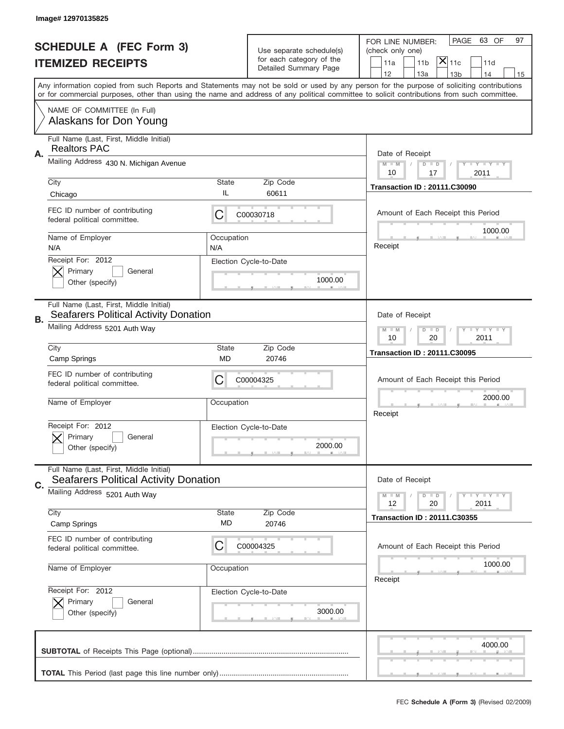|                                | Image# 12970135825                                                                      |                                                                   |                                                      |                                                                                                                                                                                                                                                                                         |  |  |
|--------------------------------|-----------------------------------------------------------------------------------------|-------------------------------------------------------------------|------------------------------------------------------|-----------------------------------------------------------------------------------------------------------------------------------------------------------------------------------------------------------------------------------------------------------------------------------------|--|--|
| <b>SCHEDULE A (FEC Form 3)</b> |                                                                                         |                                                                   |                                                      | PAGE<br>63 OF<br>97<br>FOR LINE NUMBER:                                                                                                                                                                                                                                                 |  |  |
|                                | <b>ITEMIZED RECEIPTS</b>                                                                |                                                                   | Use separate schedule(s)<br>for each category of the | (check only one)<br>$ \mathsf{\overline{X}} _{\mathsf{11c}}$<br>11 <sub>b</sub><br>11a<br>11d                                                                                                                                                                                           |  |  |
|                                |                                                                                         |                                                                   | Detailed Summary Page                                | 12<br>13a<br>13 <sub>b</sub><br>14<br>15                                                                                                                                                                                                                                                |  |  |
|                                |                                                                                         |                                                                   |                                                      | Any information copied from such Reports and Statements may not be sold or used by any person for the purpose of soliciting contributions<br>or for commercial purposes, other than using the name and address of any political committee to solicit contributions from such committee. |  |  |
|                                | NAME OF COMMITTEE (In Full)<br>Alaskans for Don Young                                   |                                                                   |                                                      |                                                                                                                                                                                                                                                                                         |  |  |
|                                | Full Name (Last, First, Middle Initial)<br><b>Realtors PAC</b>                          |                                                                   |                                                      |                                                                                                                                                                                                                                                                                         |  |  |
| Α.                             | Mailing Address 430 N. Michigan Avenue                                                  |                                                                   |                                                      | Date of Receipt<br>$M$ $M$<br>Y I Y I Y I Y<br>$D$ $D$<br>10<br>17<br>2011                                                                                                                                                                                                              |  |  |
|                                | City<br>Chicago                                                                         | State<br>IL                                                       | Zip Code<br>60611                                    | <b>Transaction ID: 20111.C30090</b>                                                                                                                                                                                                                                                     |  |  |
|                                | FEC ID number of contributing<br>federal political committee.                           | C                                                                 | C00030718                                            | Amount of Each Receipt this Period                                                                                                                                                                                                                                                      |  |  |
|                                | Name of Employer<br>N/A                                                                 | Occupation<br>N/A                                                 |                                                      | 1000.00<br>Receipt                                                                                                                                                                                                                                                                      |  |  |
|                                | Receipt For: 2012<br>Primary<br>General<br>Other (specify)                              |                                                                   | Election Cycle-to-Date<br>1000.00                    |                                                                                                                                                                                                                                                                                         |  |  |
| В.                             | Full Name (Last, First, Middle Initial)<br><b>Seafarers Political Activity Donation</b> |                                                                   |                                                      | Date of Receipt                                                                                                                                                                                                                                                                         |  |  |
|                                | Mailing Address 5201 Auth Way                                                           | $T$ $Y$ $T$ $Y$ $T$ $Y$<br>$M - M$<br>$D$ $D$<br>10<br>20<br>2011 |                                                      |                                                                                                                                                                                                                                                                                         |  |  |
|                                | City<br>Camp Springs                                                                    | State<br>MD                                                       | Zip Code<br>20746                                    | <b>Transaction ID: 20111.C30095</b>                                                                                                                                                                                                                                                     |  |  |
|                                | FEC ID number of contributing<br>federal political committee.                           | C                                                                 | C00004325                                            | Amount of Each Receipt this Period                                                                                                                                                                                                                                                      |  |  |
|                                | Name of Employer                                                                        | Occupation                                                        |                                                      | 2000.00<br>Receipt                                                                                                                                                                                                                                                                      |  |  |
|                                | Receipt For: 2012<br>General<br>Primary<br>Other (specify)                              |                                                                   | Election Cycle-to-Date<br>2000.00                    |                                                                                                                                                                                                                                                                                         |  |  |
|                                | Full Name (Last, First, Middle Initial)<br><b>Seafarers Political Activity Donation</b> |                                                                   |                                                      | Date of Receipt                                                                                                                                                                                                                                                                         |  |  |
| C.                             | Mailing Address 5201 Auth Way                                                           |                                                                   |                                                      | $T + Y = Y + Y$<br>$M - M$<br>$D$ $D$<br>2011<br>12<br>20                                                                                                                                                                                                                               |  |  |
|                                | City<br>Camp Springs                                                                    | State<br>MD                                                       | Zip Code<br>20746                                    | <b>Transaction ID: 20111.C30355</b>                                                                                                                                                                                                                                                     |  |  |
|                                | FEC ID number of contributing<br>federal political committee.                           | C                                                                 | C00004325                                            | Amount of Each Receipt this Period                                                                                                                                                                                                                                                      |  |  |
|                                | Name of Employer                                                                        | Occupation                                                        |                                                      | 1000.00<br>Receipt                                                                                                                                                                                                                                                                      |  |  |
|                                | Receipt For: 2012<br>Primary<br>General<br>Other (specify)                              |                                                                   | Election Cycle-to-Date<br>3000.00                    |                                                                                                                                                                                                                                                                                         |  |  |
|                                |                                                                                         |                                                                   |                                                      | 4000.00                                                                                                                                                                                                                                                                                 |  |  |
|                                |                                                                                         |                                                                   |                                                      |                                                                                                                                                                                                                                                                                         |  |  |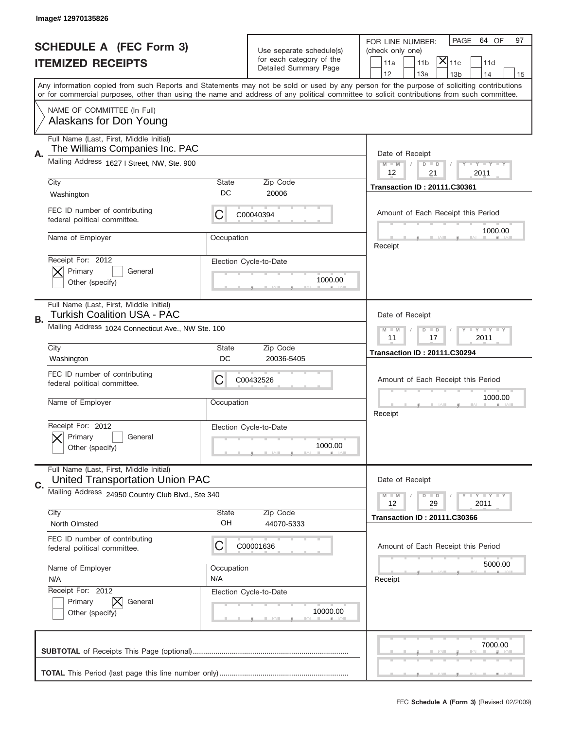|    | Image#12970135826                                                                 |                                     |                                                      |                                                                                                                                                                                                                                                                                         |
|----|-----------------------------------------------------------------------------------|-------------------------------------|------------------------------------------------------|-----------------------------------------------------------------------------------------------------------------------------------------------------------------------------------------------------------------------------------------------------------------------------------------|
|    | <b>SCHEDULE A (FEC Form 3)</b>                                                    |                                     |                                                      | PAGE<br>64 OF<br>97<br>FOR LINE NUMBER:                                                                                                                                                                                                                                                 |
|    |                                                                                   |                                     | Use separate schedule(s)<br>for each category of the | (check only one)<br>$ \overline{\mathsf{X}} _{\mathsf{11c}}$                                                                                                                                                                                                                            |
|    | <b>ITEMIZED RECEIPTS</b>                                                          |                                     | Detailed Summary Page                                | 11a<br>11 <sub>b</sub><br>11d<br>12<br>13a<br>14<br>13 <sub>b</sub><br>15                                                                                                                                                                                                               |
|    |                                                                                   |                                     |                                                      | Any information copied from such Reports and Statements may not be sold or used by any person for the purpose of soliciting contributions<br>or for commercial purposes, other than using the name and address of any political committee to solicit contributions from such committee. |
|    | NAME OF COMMITTEE (In Full)                                                       |                                     |                                                      |                                                                                                                                                                                                                                                                                         |
|    | Alaskans for Don Young                                                            |                                     |                                                      |                                                                                                                                                                                                                                                                                         |
| Α. | Full Name (Last, First, Middle Initial)<br>The Williams Companies Inc. PAC        |                                     |                                                      | Date of Receipt                                                                                                                                                                                                                                                                         |
|    | Mailing Address 1627   Street, NW, Ste. 900                                       |                                     |                                                      | $M - M$<br><b>LY LY LY</b><br>$D$ $D$<br>12<br>21<br>2011                                                                                                                                                                                                                               |
|    | City                                                                              | State                               | Zip Code                                             | <b>Transaction ID: 20111.C30361</b>                                                                                                                                                                                                                                                     |
|    | Washington                                                                        | DC                                  | 20006                                                |                                                                                                                                                                                                                                                                                         |
|    | FEC ID number of contributing<br>federal political committee.                     | C                                   | C00040394                                            | Amount of Each Receipt this Period                                                                                                                                                                                                                                                      |
|    | Name of Employer                                                                  | Occupation                          |                                                      | 1000.00<br>Receipt                                                                                                                                                                                                                                                                      |
|    | Receipt For: 2012                                                                 |                                     | Election Cycle-to-Date                               |                                                                                                                                                                                                                                                                                         |
|    | Primary<br>General                                                                |                                     |                                                      |                                                                                                                                                                                                                                                                                         |
|    | Other (specify)                                                                   |                                     | 1000.00                                              |                                                                                                                                                                                                                                                                                         |
|    | Full Name (Last, First, Middle Initial)<br><b>Turkish Coalition USA - PAC</b>     |                                     |                                                      | Date of Receipt                                                                                                                                                                                                                                                                         |
| В. | Mailing Address 1024 Connecticut Ave., NW Ste. 100                                | $D$ $D$<br><b>LYLYLY</b><br>$M - M$ |                                                      |                                                                                                                                                                                                                                                                                         |
|    |                                                                                   | 11<br>17<br>2011                    |                                                      |                                                                                                                                                                                                                                                                                         |
|    | City<br>Washington                                                                | State<br>DC                         | Zip Code<br>20036-5405                               | <b>Transaction ID: 20111.C30294</b>                                                                                                                                                                                                                                                     |
|    | FEC ID number of contributing                                                     |                                     |                                                      |                                                                                                                                                                                                                                                                                         |
|    | federal political committee.                                                      | C                                   | C00432526                                            | Amount of Each Receipt this Period                                                                                                                                                                                                                                                      |
|    | Name of Employer                                                                  | Occupation                          |                                                      | 1000.00                                                                                                                                                                                                                                                                                 |
|    |                                                                                   |                                     |                                                      | Receipt                                                                                                                                                                                                                                                                                 |
|    | Receipt For: 2012                                                                 |                                     | Election Cycle-to-Date                               |                                                                                                                                                                                                                                                                                         |
|    | General<br>Primary                                                                |                                     |                                                      |                                                                                                                                                                                                                                                                                         |
|    | Other (specify)                                                                   |                                     | 1000.00                                              |                                                                                                                                                                                                                                                                                         |
|    | Full Name (Last, First, Middle Initial)<br><b>United Transportation Union PAC</b> |                                     |                                                      | Date of Receipt                                                                                                                                                                                                                                                                         |
| C. | Mailing Address 24950 Country Club Blvd., Ste 340                                 |                                     |                                                      | <b>LYLYLY</b><br>$M - M$<br>$D$ $D$                                                                                                                                                                                                                                                     |
|    |                                                                                   |                                     |                                                      | 12<br>2011<br>29                                                                                                                                                                                                                                                                        |
|    | City<br>North Olmsted                                                             | <b>State</b><br>OH                  | Zip Code<br>44070-5333                               | <b>Transaction ID: 20111.C30366</b>                                                                                                                                                                                                                                                     |
|    | FEC ID number of contributing                                                     |                                     |                                                      |                                                                                                                                                                                                                                                                                         |
|    | federal political committee.                                                      | C                                   | C00001636                                            | Amount of Each Receipt this Period                                                                                                                                                                                                                                                      |
|    | Name of Employer                                                                  | Occupation                          |                                                      | 5000.00                                                                                                                                                                                                                                                                                 |
|    | N/A                                                                               | N/A                                 |                                                      | Receipt                                                                                                                                                                                                                                                                                 |
|    | Receipt For: 2012                                                                 |                                     | Election Cycle-to-Date                               |                                                                                                                                                                                                                                                                                         |
|    | Primary<br>General                                                                |                                     |                                                      |                                                                                                                                                                                                                                                                                         |
|    | Other (specify)                                                                   |                                     | 10000.00                                             |                                                                                                                                                                                                                                                                                         |
|    |                                                                                   |                                     |                                                      |                                                                                                                                                                                                                                                                                         |
|    |                                                                                   |                                     |                                                      | 7000.00                                                                                                                                                                                                                                                                                 |
|    |                                                                                   |                                     |                                                      |                                                                                                                                                                                                                                                                                         |
|    |                                                                                   |                                     |                                                      |                                                                                                                                                                                                                                                                                         |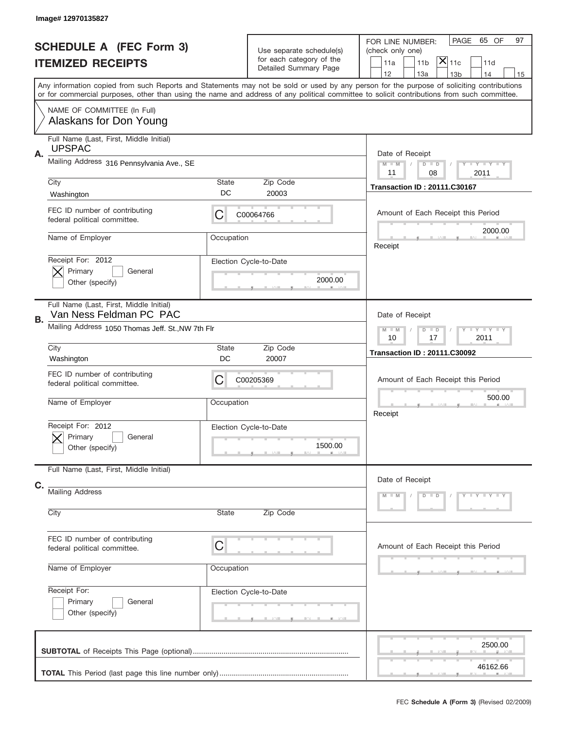|    | Image# 12970135827                                                 |                                                         |                                                                               |                                                                                                                                                                                                                                                                                         |
|----|--------------------------------------------------------------------|---------------------------------------------------------|-------------------------------------------------------------------------------|-----------------------------------------------------------------------------------------------------------------------------------------------------------------------------------------------------------------------------------------------------------------------------------------|
|    | <b>SCHEDULE A (FEC Form 3)</b><br><b>ITEMIZED RECEIPTS</b>         |                                                         | Use separate schedule(s)<br>for each category of the<br>Detailed Summary Page | PAGE<br>65 OF<br>97<br>FOR LINE NUMBER:<br>(check only one)<br>$ \mathsf{X} _{\mathsf{11c}}$<br>11 <sub>b</sub><br>11a<br>11d<br>12<br>13a<br>14<br>13 <sub>b</sub><br>15                                                                                                               |
|    |                                                                    |                                                         |                                                                               | Any information copied from such Reports and Statements may not be sold or used by any person for the purpose of soliciting contributions<br>or for commercial purposes, other than using the name and address of any political committee to solicit contributions from such committee. |
|    | NAME OF COMMITTEE (In Full)<br>Alaskans for Don Young              |                                                         |                                                                               |                                                                                                                                                                                                                                                                                         |
| Α. | Full Name (Last, First, Middle Initial)<br><b>UPSPAC</b>           |                                                         |                                                                               | Date of Receipt                                                                                                                                                                                                                                                                         |
|    | Mailing Address 316 Pennsylvania Ave., SE                          |                                                         |                                                                               | $M$ M<br>Y FY FY FY<br>$D$ $D$<br>11<br>08<br>2011                                                                                                                                                                                                                                      |
|    | City<br>Washington                                                 | State<br>DC                                             | Zip Code<br>20003                                                             | <b>Transaction ID: 20111.C30167</b>                                                                                                                                                                                                                                                     |
|    | FEC ID number of contributing<br>federal political committee.      | С                                                       | C00064766                                                                     | Amount of Each Receipt this Period                                                                                                                                                                                                                                                      |
|    | Name of Employer                                                   | Occupation                                              |                                                                               | 2000.00<br>Receipt                                                                                                                                                                                                                                                                      |
|    | Receipt For: 2012<br>Primary<br>General<br>Other (specify)         |                                                         | Election Cycle-to-Date<br>2000.00                                             |                                                                                                                                                                                                                                                                                         |
| В. | Full Name (Last, First, Middle Initial)<br>Van Ness Feldman PC PAC |                                                         |                                                                               | Date of Receipt                                                                                                                                                                                                                                                                         |
|    | Mailing Address 1050 Thomas Jeff. St., NW 7th Flr                  | Y I Y I Y I Y<br>$M - M$<br>$D$ $D$<br>10<br>17<br>2011 |                                                                               |                                                                                                                                                                                                                                                                                         |
|    | City<br>Washington                                                 | State<br>DC                                             | Zip Code<br>20007                                                             | <b>Transaction ID: 20111.C30092</b>                                                                                                                                                                                                                                                     |
|    |                                                                    |                                                         |                                                                               |                                                                                                                                                                                                                                                                                         |
|    | FEC ID number of contributing<br>federal political committee.      | С                                                       | C00205369                                                                     | Amount of Each Receipt this Period                                                                                                                                                                                                                                                      |
|    | Name of Employer                                                   | Occupation                                              |                                                                               | 500.00<br>Receipt                                                                                                                                                                                                                                                                       |
|    | Receipt For: 2012<br>General<br>Primary<br>Other (specify)         |                                                         | Election Cycle-to-Date<br>1500.00                                             |                                                                                                                                                                                                                                                                                         |
|    | Full Name (Last, First, Middle Initial)                            |                                                         |                                                                               | Date of Receipt                                                                                                                                                                                                                                                                         |
| C. | <b>Mailing Address</b>                                             | State                                                   |                                                                               | Y LY LY LY<br>$M - M$<br>$D$ $D$                                                                                                                                                                                                                                                        |
|    | City                                                               |                                                         | Zip Code                                                                      |                                                                                                                                                                                                                                                                                         |
|    | FEC ID number of contributing<br>federal political committee.      | C                                                       |                                                                               | Amount of Each Receipt this Period                                                                                                                                                                                                                                                      |
|    | Name of Employer                                                   | Occupation                                              |                                                                               |                                                                                                                                                                                                                                                                                         |
|    | Receipt For:<br>Primary<br>General<br>Other (specify)              |                                                         | Election Cycle-to-Date                                                        |                                                                                                                                                                                                                                                                                         |
|    |                                                                    |                                                         |                                                                               | 2500.00                                                                                                                                                                                                                                                                                 |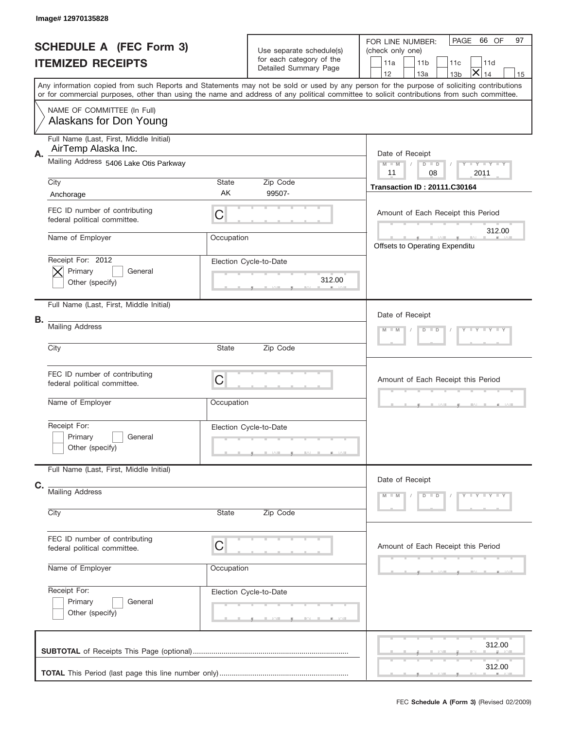|    | Image# 12970135828                                             |            |                                                      |                                                                                                                                                                                                                                                                                         |  |
|----|----------------------------------------------------------------|------------|------------------------------------------------------|-----------------------------------------------------------------------------------------------------------------------------------------------------------------------------------------------------------------------------------------------------------------------------------------|--|
|    | <b>SCHEDULE A (FEC Form 3)</b>                                 |            | Use separate schedule(s)<br>for each category of the | PAGE<br>66 OF<br>97<br>FOR LINE NUMBER:<br>(check only one)<br>11 <sub>b</sub>                                                                                                                                                                                                          |  |
|    | <b>ITEMIZED RECEIPTS</b>                                       |            | Detailed Summary Page                                | 11a<br>11d<br>11c<br>$\bm{\times}$<br>12<br>13a<br>14<br>13 <sub>b</sub><br>15                                                                                                                                                                                                          |  |
|    |                                                                |            |                                                      | Any information copied from such Reports and Statements may not be sold or used by any person for the purpose of soliciting contributions<br>or for commercial purposes, other than using the name and address of any political committee to solicit contributions from such committee. |  |
|    | NAME OF COMMITTEE (In Full)<br>Alaskans for Don Young          |            |                                                      |                                                                                                                                                                                                                                                                                         |  |
| Α. | Full Name (Last, First, Middle Initial)<br>AirTemp Alaska Inc. |            |                                                      | Date of Receipt                                                                                                                                                                                                                                                                         |  |
|    | Mailing Address 5406 Lake Otis Parkway                         |            |                                                      | Y TY TY TY<br>$M$ M<br>$D$ $D$<br>11<br>08<br>2011                                                                                                                                                                                                                                      |  |
|    | City                                                           | State      | Zip Code                                             | <b>Transaction ID: 20111.C30164</b>                                                                                                                                                                                                                                                     |  |
|    | Anchorage                                                      | AK         | 99507-                                               |                                                                                                                                                                                                                                                                                         |  |
|    | FEC ID number of contributing<br>federal political committee.  | C          |                                                      | Amount of Each Receipt this Period                                                                                                                                                                                                                                                      |  |
|    | Name of Employer                                               | Occupation |                                                      | 312.00<br>Offsets to Operating Expenditu                                                                                                                                                                                                                                                |  |
|    | Receipt For: 2012<br>Primary<br>General<br>Other (specify)     |            | Election Cycle-to-Date<br>312.00                     |                                                                                                                                                                                                                                                                                         |  |
| В. | Full Name (Last, First, Middle Initial)                        |            |                                                      | Date of Receipt                                                                                                                                                                                                                                                                         |  |
|    | <b>Mailing Address</b>                                         |            | Y TY TY TY<br>$M - M$<br>$D$ $D$                     |                                                                                                                                                                                                                                                                                         |  |
|    | City                                                           | State      | Zip Code                                             |                                                                                                                                                                                                                                                                                         |  |
|    | FEC ID number of contributing<br>federal political committee.  | C          |                                                      | Amount of Each Receipt this Period                                                                                                                                                                                                                                                      |  |
|    | Name of Employer                                               | Occupation |                                                      |                                                                                                                                                                                                                                                                                         |  |
|    | Receipt For:<br>Primary<br>General<br>Other (specify)          |            | Election Cycle-to-Date                               |                                                                                                                                                                                                                                                                                         |  |
|    | Full Name (Last, First, Middle Initial)                        |            |                                                      | Date of Receipt                                                                                                                                                                                                                                                                         |  |
| C. | <b>Mailing Address</b>                                         |            |                                                      | Y TY TY TY<br>$M - M$<br>$D$ $D$                                                                                                                                                                                                                                                        |  |
|    | City                                                           | State      | Zip Code                                             |                                                                                                                                                                                                                                                                                         |  |
|    | FEC ID number of contributing<br>federal political committee.  | C          |                                                      | Amount of Each Receipt this Period                                                                                                                                                                                                                                                      |  |
|    | Name of Employer                                               | Occupation |                                                      |                                                                                                                                                                                                                                                                                         |  |
|    | Receipt For:<br>Primary<br>General<br>Other (specify)          |            | Election Cycle-to-Date                               |                                                                                                                                                                                                                                                                                         |  |
|    |                                                                |            |                                                      | 312.00                                                                                                                                                                                                                                                                                  |  |
|    |                                                                |            |                                                      | 312.00                                                                                                                                                                                                                                                                                  |  |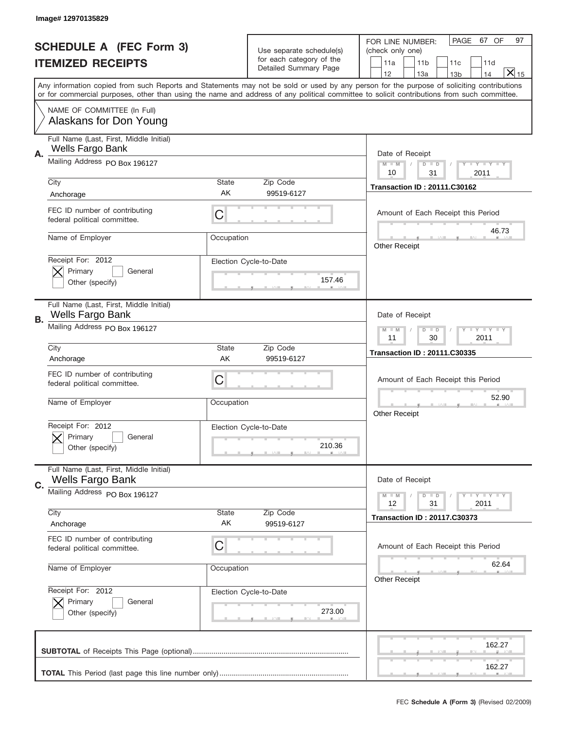|                                | Image# 12970135829                                                 |                                                         |                                                   |                                                                                                                                                                                                                                                                                                                               |
|--------------------------------|--------------------------------------------------------------------|---------------------------------------------------------|---------------------------------------------------|-------------------------------------------------------------------------------------------------------------------------------------------------------------------------------------------------------------------------------------------------------------------------------------------------------------------------------|
| <b>SCHEDULE A (FEC Form 3)</b> |                                                                    | Use separate schedule(s)                                |                                                   | PAGE 67 OF<br>97<br>FOR LINE NUMBER:<br>(check only one)                                                                                                                                                                                                                                                                      |
|                                | <b>ITEMIZED RECEIPTS</b>                                           |                                                         | for each category of the<br>Detailed Summary Page | 11a<br>11 <sub>b</sub><br>11c<br>11d<br>$\overline{X} _{15}$                                                                                                                                                                                                                                                                  |
|                                |                                                                    |                                                         |                                                   | 12<br>13a<br>14<br>13 <sub>b</sub><br>Any information copied from such Reports and Statements may not be sold or used by any person for the purpose of soliciting contributions<br>or for commercial purposes, other than using the name and address of any political committee to solicit contributions from such committee. |
|                                | NAME OF COMMITTEE (In Full)<br>Alaskans for Don Young              |                                                         |                                                   |                                                                                                                                                                                                                                                                                                                               |
| А.                             | Full Name (Last, First, Middle Initial)<br>Wells Fargo Bank        |                                                         |                                                   | Date of Receipt                                                                                                                                                                                                                                                                                                               |
|                                | Mailing Address PO Box 196127                                      |                                                         |                                                   | $M - M$<br><b>LEY LEY LEY</b><br>$D$ $D$<br>10<br>2011<br>31                                                                                                                                                                                                                                                                  |
|                                | City<br>Anchorage                                                  | State<br>AK                                             | Zip Code<br>99519-6127                            | <b>Transaction ID: 20111.C30162</b>                                                                                                                                                                                                                                                                                           |
|                                | FEC ID number of contributing<br>federal political committee.      | C                                                       |                                                   | Amount of Each Receipt this Period                                                                                                                                                                                                                                                                                            |
|                                | Name of Employer                                                   | Occupation                                              |                                                   | 46.73<br><b>Other Receipt</b>                                                                                                                                                                                                                                                                                                 |
|                                | Receipt For: 2012<br>Primary<br>General<br>Other (specify)         |                                                         | Election Cycle-to-Date<br>157.46                  |                                                                                                                                                                                                                                                                                                                               |
| В.                             | Full Name (Last, First, Middle Initial)<br><b>Wells Fargo Bank</b> |                                                         |                                                   | Date of Receipt                                                                                                                                                                                                                                                                                                               |
|                                | Mailing Address PO Box 196127                                      | $D$ $D$<br><b>LYLYLY</b><br>$M - M$<br>11<br>30<br>2011 |                                                   |                                                                                                                                                                                                                                                                                                                               |
|                                | City<br>Anchorage                                                  | State<br>AK                                             | Zip Code<br>99519-6127                            | <b>Transaction ID: 20111.C30335</b>                                                                                                                                                                                                                                                                                           |
|                                | FEC ID number of contributing<br>federal political committee.      | C                                                       |                                                   | Amount of Each Receipt this Period                                                                                                                                                                                                                                                                                            |
|                                | Name of Employer                                                   | Occupation                                              |                                                   | 52.90<br><b>Other Receipt</b>                                                                                                                                                                                                                                                                                                 |
|                                | Receipt For: 2012<br>General<br>Primary<br>Other (specify)         |                                                         | Election Cycle-to-Date<br>210.36                  |                                                                                                                                                                                                                                                                                                                               |
| C.                             | Full Name (Last, First, Middle Initial)<br><b>Wells Fargo Bank</b> |                                                         |                                                   | Date of Receipt                                                                                                                                                                                                                                                                                                               |
|                                | Mailing Address PO Box 196127                                      |                                                         |                                                   | <b>LYLYLY</b><br>$M - M$<br>$D$ $D$<br>12<br>2011<br>31                                                                                                                                                                                                                                                                       |
|                                | City<br>Anchorage                                                  | State<br>AK                                             | Zip Code<br>99519-6127                            | <b>Transaction ID: 20117.C30373</b>                                                                                                                                                                                                                                                                                           |
|                                | FEC ID number of contributing<br>federal political committee.      | C                                                       |                                                   | Amount of Each Receipt this Period                                                                                                                                                                                                                                                                                            |
|                                | Name of Employer                                                   | Occupation                                              |                                                   | 62.64<br><b>Other Receipt</b>                                                                                                                                                                                                                                                                                                 |
|                                | Receipt For: 2012<br>Primary<br>General<br>Other (specify)         |                                                         | Election Cycle-to-Date<br>273.00                  |                                                                                                                                                                                                                                                                                                                               |
|                                |                                                                    |                                                         |                                                   | 162.27                                                                                                                                                                                                                                                                                                                        |
|                                |                                                                    |                                                         |                                                   | 162.27                                                                                                                                                                                                                                                                                                                        |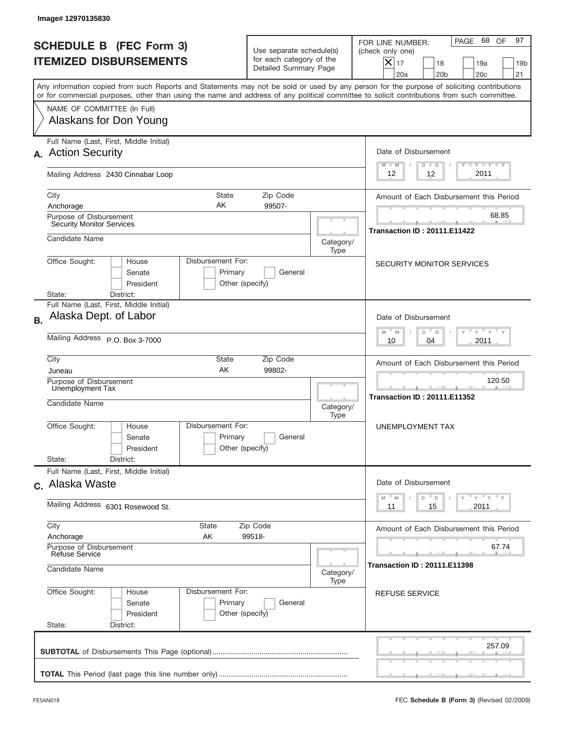|           | Image#12970135830                                                                                                                                                                                                                                                                       |                                                                                        |                                                     |                                                                                                                                                                |  |  |  |
|-----------|-----------------------------------------------------------------------------------------------------------------------------------------------------------------------------------------------------------------------------------------------------------------------------------------|----------------------------------------------------------------------------------------|-----------------------------------------------------|----------------------------------------------------------------------------------------------------------------------------------------------------------------|--|--|--|
|           | <b>SCHEDULE B (FEC Form 3)</b><br><b>ITEMIZED DISBURSEMENTS</b>                                                                                                                                                                                                                         | Use separate schedule(s)<br>for each category of the<br>Detailed Summary Page          |                                                     | 97<br>68<br>OF<br>PAGE<br>FOR LINE NUMBER:<br>(check only one)<br>$X _{17}$<br>18<br>19a<br>19 <sub>b</sub><br>20a<br>20 <sub>b</sub><br>20 <sub>c</sub><br>21 |  |  |  |
|           | Any information copied from such Reports and Statements may not be sold or used by any person for the purpose of soliciting contributions<br>or for commercial purposes, other than using the name and address of any political committee to solicit contributions from such committee. |                                                                                        |                                                     |                                                                                                                                                                |  |  |  |
|           | NAME OF COMMITTEE (In Full)<br>Alaskans for Don Young                                                                                                                                                                                                                                   |                                                                                        |                                                     |                                                                                                                                                                |  |  |  |
|           | Full Name (Last, First, Middle Initial)<br>A. Action Security                                                                                                                                                                                                                           |                                                                                        |                                                     | Date of Disbursement<br>$T - Y$ $T - Y$<br>$M - M$<br>$D$ $D$                                                                                                  |  |  |  |
|           | Mailing Address 2430 Cinnabar Loop                                                                                                                                                                                                                                                      |                                                                                        |                                                     |                                                                                                                                                                |  |  |  |
|           | City<br><b>State</b><br>AK<br>Anchorage<br>Purpose of Disbursement                                                                                                                                                                                                                      | Zip Code<br>99507-                                                                     |                                                     | Amount of Each Disbursement this Period<br>68.85                                                                                                               |  |  |  |
|           | <b>Security Monitor Services</b><br>Candidate Name                                                                                                                                                                                                                                      |                                                                                        | Category/                                           | <b>Transaction ID: 20111.E11422</b>                                                                                                                            |  |  |  |
|           | Disbursement For:<br>Office Sought:<br>House<br>Senate<br>Primary<br>President<br>State:<br>District:                                                                                                                                                                                   | General<br>Other (specify)                                                             | Type                                                | SECURITY MONITOR SERVICES                                                                                                                                      |  |  |  |
| <b>B.</b> | Full Name (Last, First, Middle Initial)<br>Alaska Dept. of Labor                                                                                                                                                                                                                        |                                                                                        |                                                     | Date of Disbursement<br>$-$ M<br>$Y = Y$<br>M<br>D<br>$\Box$                                                                                                   |  |  |  |
|           | Mailing Address P.O. Box 3-7000                                                                                                                                                                                                                                                         | 2011<br>10<br>04                                                                       |                                                     |                                                                                                                                                                |  |  |  |
|           | City<br>State<br>AK<br>Juneau                                                                                                                                                                                                                                                           | Zip Code<br>99802-                                                                     |                                                     | Amount of Each Disbursement this Period                                                                                                                        |  |  |  |
|           | Purpose of Disbursement<br>Unemployment Tax<br>Candidate Name                                                                                                                                                                                                                           | Category/<br>Type                                                                      | 120.50<br>--<br><b>Transaction ID: 20111.E11352</b> |                                                                                                                                                                |  |  |  |
|           | Disbursement For:<br>Office Sought:<br>House<br>Primary<br>Senate<br>President<br>State:<br>District:                                                                                                                                                                                   | General<br>Other (specify)                                                             |                                                     | UNEMPLOYMENT TAX                                                                                                                                               |  |  |  |
|           | Full Name (Last, First, Middle Initial)<br>c. Alaska Waste                                                                                                                                                                                                                              | Date of Disbursement                                                                   |                                                     |                                                                                                                                                                |  |  |  |
|           | Mailing Address 6301 Rosewood St.                                                                                                                                                                                                                                                       | γ <sup>=</sup> γ <sup>=</sup> γ <sup>=</sup> γ<br>M<br>D<br>M<br>D<br>15<br>2011<br>11 |                                                     |                                                                                                                                                                |  |  |  |
|           | City<br>State<br>Anchorage<br>AK                                                                                                                                                                                                                                                        | Zip Code<br>99518-                                                                     |                                                     | Amount of Each Disbursement this Period                                                                                                                        |  |  |  |
|           | Purpose of Disbursement<br>Refuse Service<br>Candidate Name                                                                                                                                                                                                                             | 67.74<br><b>Transaction ID: 20111.E11398</b>                                           |                                                     |                                                                                                                                                                |  |  |  |
|           | Office Sought:<br>Disbursement For:<br>House<br>Primary<br>Senate<br>President<br>State:<br>District:                                                                                                                                                                                   | General<br>Other (specify)                                                             | Type                                                | <b>REFUSE SERVICE</b>                                                                                                                                          |  |  |  |
|           |                                                                                                                                                                                                                                                                                         |                                                                                        |                                                     | 257.09                                                                                                                                                         |  |  |  |
|           |                                                                                                                                                                                                                                                                                         |                                                                                        |                                                     |                                                                                                                                                                |  |  |  |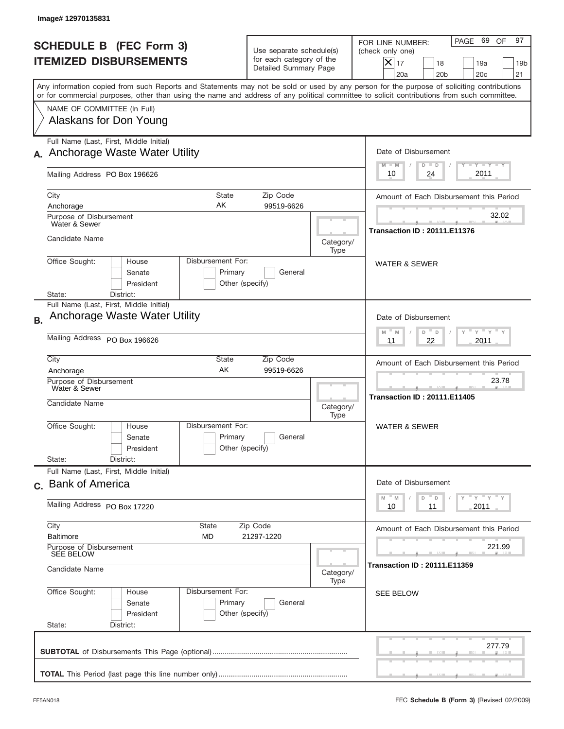|           | Image#12970135831                                                        |                                                                                                |                                                                               |                   |                                                                                                                                                                                                                                                                                         |
|-----------|--------------------------------------------------------------------------|------------------------------------------------------------------------------------------------|-------------------------------------------------------------------------------|-------------------|-----------------------------------------------------------------------------------------------------------------------------------------------------------------------------------------------------------------------------------------------------------------------------------------|
|           | <b>SCHEDULE B (FEC Form 3)</b><br><b>ITEMIZED DISBURSEMENTS</b>          |                                                                                                | Use separate schedule(s)<br>for each category of the<br>Detailed Summary Page |                   | PAGE 69 OF<br>97<br>FOR LINE NUMBER:<br>(check only one)<br>$X _{17}$<br>18<br>19a<br>19 <sub>b</sub><br>20a<br>20 <sub>b</sub><br>20 <sub>c</sub><br>21                                                                                                                                |
|           |                                                                          |                                                                                                |                                                                               |                   | Any information copied from such Reports and Statements may not be sold or used by any person for the purpose of soliciting contributions<br>or for commercial purposes, other than using the name and address of any political committee to solicit contributions from such committee. |
|           | NAME OF COMMITTEE (In Full)<br>Alaskans for Don Young                    |                                                                                                |                                                                               |                   |                                                                                                                                                                                                                                                                                         |
|           | Full Name (Last, First, Middle Initial)<br>Anchorage Waste Water Utility |                                                                                                |                                                                               |                   | Date of Disbursement                                                                                                                                                                                                                                                                    |
|           | Mailing Address PO Box 196626                                            |                                                                                                |                                                                               |                   | Y TY TY TY<br>$M - M$<br>$D$ $D$<br>2011<br>24<br>10                                                                                                                                                                                                                                    |
|           | City<br>Anchorage                                                        | State<br>AΚ                                                                                    | Zip Code<br>99519-6626                                                        |                   | Amount of Each Disbursement this Period                                                                                                                                                                                                                                                 |
|           | Purpose of Disbursement<br>Water & Sewer                                 |                                                                                                |                                                                               |                   | 32.02<br><b>Transaction ID: 20111.E11376</b>                                                                                                                                                                                                                                            |
|           | Candidate Name<br>Office Sought:<br>House                                | Disbursement For:                                                                              |                                                                               | Category/<br>Type |                                                                                                                                                                                                                                                                                         |
|           | Senate<br>President<br>District:<br>State:                               | Primary<br>Other (specify)                                                                     | General                                                                       |                   | <b>WATER &amp; SEWER</b>                                                                                                                                                                                                                                                                |
| <b>B.</b> | Full Name (Last, First, Middle Initial)<br>Anchorage Waste Water Utility |                                                                                                |                                                                               |                   | Date of Disbursement                                                                                                                                                                                                                                                                    |
|           | Mailing Address PO Box 196626                                            | $\cdots$ $\gamma$ $\cdots$ $\gamma$ $\cdots$<br>M<br>D<br>M<br>D<br>2011<br>11<br>22           |                                                                               |                   |                                                                                                                                                                                                                                                                                         |
|           | City<br>Anchorage                                                        | Amount of Each Disbursement this Period                                                        |                                                                               |                   |                                                                                                                                                                                                                                                                                         |
|           | Purpose of Disbursement<br>Water & Sewer<br>Candidate Name               |                                                                                                |                                                                               | Category/<br>Type | 23.78<br><b>Transaction ID: 20111.E11405</b>                                                                                                                                                                                                                                            |
|           | Office Sought:<br>House<br>Senate<br>President<br>State:<br>District:    | Disbursement For:<br>Primary<br>Other (specify)                                                | General                                                                       |                   | <b>WATER &amp; SEWER</b>                                                                                                                                                                                                                                                                |
|           | Full Name (Last, First, Middle Initial)<br>c. Bank of America            | Date of Disbursement                                                                           |                                                                               |                   |                                                                                                                                                                                                                                                                                         |
|           | Mailing Address PO Box 17220                                             | $\gamma$ $\gamma$ $\gamma$ $\gamma$ $\gamma$<br>M<br>M<br>D<br>$\mathsf D$<br>2011<br>10<br>11 |                                                                               |                   |                                                                                                                                                                                                                                                                                         |
|           | City<br><b>Baltimore</b>                                                 | State<br><b>MD</b>                                                                             | Zip Code<br>21297-1220                                                        |                   | Amount of Each Disbursement this Period                                                                                                                                                                                                                                                 |
|           | Purpose of Disbursement<br><b>SEE BELOW</b><br>Candidate Name            |                                                                                                |                                                                               |                   | 221.99<br><b>Transaction ID: 20111.E11359</b>                                                                                                                                                                                                                                           |
|           | Office Sought:<br>House<br>Senate<br>President<br>State:<br>District:    | Disbursement For:<br>Primary<br>Other (specify)                                                | General                                                                       | Category/<br>Type | <b>SEE BELOW</b>                                                                                                                                                                                                                                                                        |
|           |                                                                          |                                                                                                |                                                                               |                   | 277.79                                                                                                                                                                                                                                                                                  |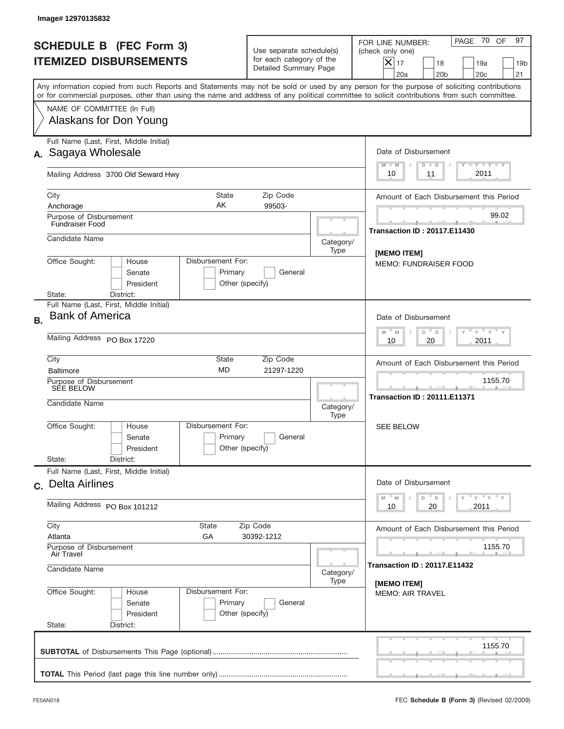| PAGE 70 OF<br>97<br>FOR LINE NUMBER:<br>(check only one)<br>$\boldsymbol{\times}$<br>17<br>18<br>19a<br>19 <sub>b</sub><br>20a<br>20 <sub>b</sub><br>20 <sub>c</sub><br>21                                                                                                              |
|-----------------------------------------------------------------------------------------------------------------------------------------------------------------------------------------------------------------------------------------------------------------------------------------|
| Any information copied from such Reports and Statements may not be sold or used by any person for the purpose of soliciting contributions<br>or for commercial purposes, other than using the name and address of any political committee to solicit contributions from such committee. |
|                                                                                                                                                                                                                                                                                         |
| Date of Disbursement<br>Y TY TY TY                                                                                                                                                                                                                                                      |
| $M - M$<br>$D$ $D$<br>2011<br>10<br>11                                                                                                                                                                                                                                                  |
| Amount of Each Disbursement this Period                                                                                                                                                                                                                                                 |
| 99.02<br><b>Transaction ID: 20117.E11430</b>                                                                                                                                                                                                                                            |
| Category/<br><b>IMEMO ITEMI</b>                                                                                                                                                                                                                                                         |
| <b>MEMO: FUNDRAISER FOOD</b>                                                                                                                                                                                                                                                            |
|                                                                                                                                                                                                                                                                                         |
| Date of Disbursement<br>$\cdots$ $\gamma$ $\cdots$ $\gamma$ $\cdots$<br>$M - M$<br>D<br>$\Box$<br>2011<br>10<br>20                                                                                                                                                                      |
| Amount of Each Disbursement this Period                                                                                                                                                                                                                                                 |
| 1155.70                                                                                                                                                                                                                                                                                 |
| <b>Transaction ID: 20111.E11371</b><br>Category/                                                                                                                                                                                                                                        |
| <b>SEE BELOW</b>                                                                                                                                                                                                                                                                        |
|                                                                                                                                                                                                                                                                                         |
| Date of Disbursement<br>$Y$ $Y$ $Y$ $Y$ $Y$                                                                                                                                                                                                                                             |
| M<br>D<br>M<br>D<br>2011<br>10<br>20                                                                                                                                                                                                                                                    |
| Amount of Each Disbursement this Period                                                                                                                                                                                                                                                 |
| 1155.70<br><b>Transaction ID: 20117.E11432</b>                                                                                                                                                                                                                                          |
| Category/<br>[MEMO ITEM]                                                                                                                                                                                                                                                                |
| <b>MEMO: AIR TRAVEL</b>                                                                                                                                                                                                                                                                 |
| 1155.70                                                                                                                                                                                                                                                                                 |
|                                                                                                                                                                                                                                                                                         |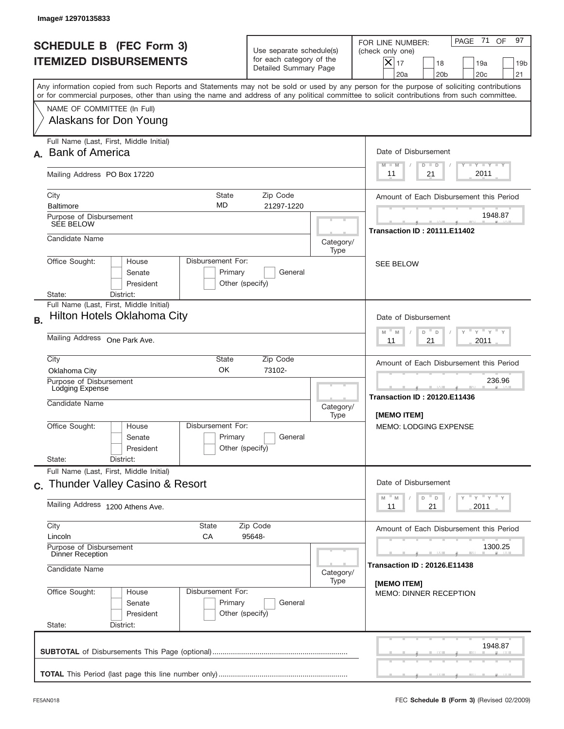|                                                                 | Image# 12970135833                                                                                                                                                                                                                                                                      |                                                                                                                |           |                                                                                                                                                             |
|-----------------------------------------------------------------|-----------------------------------------------------------------------------------------------------------------------------------------------------------------------------------------------------------------------------------------------------------------------------------------|----------------------------------------------------------------------------------------------------------------|-----------|-------------------------------------------------------------------------------------------------------------------------------------------------------------|
| <b>SCHEDULE B (FEC Form 3)</b><br><b>ITEMIZED DISBURSEMENTS</b> |                                                                                                                                                                                                                                                                                         | Use separate schedule(s)<br>for each category of the<br>Detailed Summary Page                                  |           | PAGE 71<br>97<br>OF<br>FOR LINE NUMBER:<br>(check only one)<br>$X _{17}$<br>18<br>19a<br>19 <sub>b</sub><br>20a<br>20 <sub>b</sub><br>20 <sub>c</sub><br>21 |
|                                                                 | Any information copied from such Reports and Statements may not be sold or used by any person for the purpose of soliciting contributions<br>or for commercial purposes, other than using the name and address of any political committee to solicit contributions from such committee. |                                                                                                                |           |                                                                                                                                                             |
|                                                                 | NAME OF COMMITTEE (In Full)<br>Alaskans for Don Young                                                                                                                                                                                                                                   |                                                                                                                |           |                                                                                                                                                             |
|                                                                 | Full Name (Last, First, Middle Initial)<br><b>Bank of America</b>                                                                                                                                                                                                                       |                                                                                                                |           | Date of Disbursement<br>$T - Y$ $T - Y$<br>$M - M$<br>$D$ $D$                                                                                               |
|                                                                 | Mailing Address PO Box 17220                                                                                                                                                                                                                                                            |                                                                                                                |           | 2011<br>21<br>11                                                                                                                                            |
|                                                                 | City<br><b>State</b><br><b>MD</b><br><b>Baltimore</b><br>Purpose of Disbursement                                                                                                                                                                                                        | Amount of Each Disbursement this Period<br>1948.87                                                             |           |                                                                                                                                                             |
|                                                                 | <b>SEE BELOW</b><br>Candidate Name                                                                                                                                                                                                                                                      |                                                                                                                | Category/ | <b>Transaction ID: 20111.E11402</b>                                                                                                                         |
|                                                                 | Disbursement For:<br>Office Sought:<br>House<br>Senate<br>President                                                                                                                                                                                                                     | Primary<br>General<br>Other (specify)                                                                          | Type      | <b>SEE BELOW</b>                                                                                                                                            |
| <b>B.</b>                                                       | District:<br>State:<br>Full Name (Last, First, Middle Initial)<br>Hilton Hotels Oklahoma City                                                                                                                                                                                           |                                                                                                                |           | Date of Disbursement<br>$Y = Y$<br>$-M$<br>D<br>M<br>D                                                                                                      |
|                                                                 | Mailing Address One Park Ave.                                                                                                                                                                                                                                                           | 2011<br>11<br>21                                                                                               |           |                                                                                                                                                             |
|                                                                 | City<br>State<br>OK<br>Oklahoma City<br>Purpose of Disbursement<br>Lodging Expense<br>Candidate Name                                                                                                                                                                                    | Zip Code<br>73102-                                                                                             | Category/ | Amount of Each Disbursement this Period<br>236.96<br><b>STATISTICS</b><br><b>Transaction ID: 20120.E11436</b>                                               |
|                                                                 | Disbursement For:<br>Office Sought:<br>House<br>Senate<br>President<br>State:<br>District:                                                                                                                                                                                              | Primary<br>General<br>Other (specify)                                                                          | Type      | [MEMO ITEM]<br><b>MEMO: LODGING EXPENSE</b>                                                                                                                 |
|                                                                 | Full Name (Last, First, Middle Initial)<br>c. Thunder Valley Casino & Resort                                                                                                                                                                                                            |                                                                                                                |           | Date of Disbursement                                                                                                                                        |
|                                                                 | Mailing Address 1200 Athens Ave.                                                                                                                                                                                                                                                        | $=\frac{1}{\gamma}+\frac{1}{\gamma}+\frac{1}{\gamma}+\frac{1}{\gamma}$<br>M<br>D<br>M<br>D<br>21<br>2011<br>11 |           |                                                                                                                                                             |
|                                                                 | City<br>State<br>Lincoln<br>СA                                                                                                                                                                                                                                                          | Zip Code<br>95648-                                                                                             |           | Amount of Each Disbursement this Period                                                                                                                     |
|                                                                 | Purpose of Disbursement<br>Dinner Reception<br>Candidate Name                                                                                                                                                                                                                           | 1300.25<br><b>Transaction ID: 20126.E11438</b>                                                                 |           |                                                                                                                                                             |
|                                                                 | Disbursement For:<br>Office Sought:<br>House<br>Senate<br>President<br>State:<br>District:                                                                                                                                                                                              | Primary<br>General<br>Other (specify)                                                                          | Type      | [MEMO ITEM]<br><b>MEMO: DINNER RECEPTION</b>                                                                                                                |
|                                                                 |                                                                                                                                                                                                                                                                                         |                                                                                                                |           | 1948.87                                                                                                                                                     |
|                                                                 |                                                                                                                                                                                                                                                                                         |                                                                                                                |           |                                                                                                                                                             |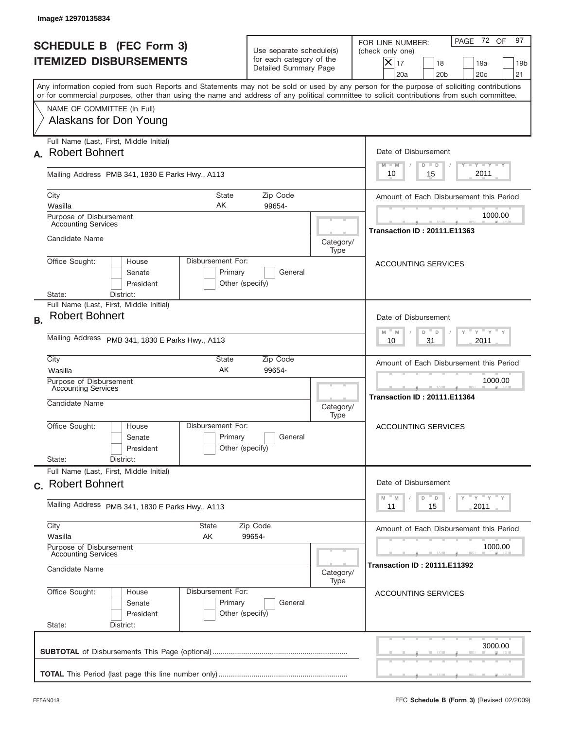|           | Image# 12970135834                                                                                                                                                                                                                                                                      |                                                                               |                                                 |                                                                                                                                                          |
|-----------|-----------------------------------------------------------------------------------------------------------------------------------------------------------------------------------------------------------------------------------------------------------------------------------------|-------------------------------------------------------------------------------|-------------------------------------------------|----------------------------------------------------------------------------------------------------------------------------------------------------------|
|           | <b>SCHEDULE B (FEC Form 3)</b><br><b>ITEMIZED DISBURSEMENTS</b>                                                                                                                                                                                                                         | Use separate schedule(s)<br>for each category of the<br>Detailed Summary Page |                                                 | PAGE 72 OF<br>97<br>FOR LINE NUMBER:<br>(check only one)<br>$X _{17}$<br>18<br>19a<br>19 <sub>b</sub><br>20 <sub>c</sub><br>20a<br>20 <sub>b</sub><br>21 |
|           | Any information copied from such Reports and Statements may not be sold or used by any person for the purpose of soliciting contributions<br>or for commercial purposes, other than using the name and address of any political committee to solicit contributions from such committee. |                                                                               |                                                 |                                                                                                                                                          |
|           | NAME OF COMMITTEE (In Full)<br>Alaskans for Don Young                                                                                                                                                                                                                                   |                                                                               |                                                 |                                                                                                                                                          |
|           | Full Name (Last, First, Middle Initial)<br>A. Robert Bohnert                                                                                                                                                                                                                            |                                                                               |                                                 | Date of Disbursement<br>$T - Y$ $T - Y$ $T - Y$<br>$M - M$<br>$D$ $D$                                                                                    |
|           | Mailing Address PMB 341, 1830 E Parks Hwy., A113                                                                                                                                                                                                                                        |                                                                               |                                                 | 2011<br>10<br>15                                                                                                                                         |
|           | City<br>State<br>AK<br>Wasilla<br>Purpose of Disbursement                                                                                                                                                                                                                               | Zip Code<br>99654-                                                            |                                                 | Amount of Each Disbursement this Period<br>1000.00                                                                                                       |
|           | <b>Accounting Services</b><br>Candidate Name                                                                                                                                                                                                                                            |                                                                               | Category/<br>Type                               | <b>Transaction ID: 20111.E11363</b>                                                                                                                      |
|           | Office Sought:<br>Disbursement For:<br>House<br>Senate<br>President<br>State:<br>District:                                                                                                                                                                                              | Primary<br>General<br>Other (specify)                                         |                                                 | <b>ACCOUNTING SERVICES</b>                                                                                                                               |
| <b>B.</b> | Full Name (Last, First, Middle Initial)<br><b>Robert Bohnert</b>                                                                                                                                                                                                                        |                                                                               |                                                 | Date of Disbursement<br>$\cdots$ $\gamma$ $\cdots$ $\gamma$ $\cdots$<br>$M - M$<br>D<br>$\Box$                                                           |
|           | Mailing Address PMB 341, 1830 E Parks Hwy., A113                                                                                                                                                                                                                                        | 2011<br>10<br>31                                                              |                                                 |                                                                                                                                                          |
|           | City<br>State<br>AK<br>Wasilla<br>Purpose of Disbursement                                                                                                                                                                                                                               | Zip Code<br>99654-                                                            |                                                 | Amount of Each Disbursement this Period<br>1000.00                                                                                                       |
|           | <b>Accounting Services</b><br>Candidate Name                                                                                                                                                                                                                                            |                                                                               | Category/<br>Type                               | --<br><b>Transaction ID: 20111.E11364</b>                                                                                                                |
|           | Disbursement For:<br>Office Sought:<br>House<br>Senate<br>President                                                                                                                                                                                                                     | Primary<br>General<br>Other (specify)                                         |                                                 | ACCOUNTING SERVICES                                                                                                                                      |
|           | State:<br>District:<br>Full Name (Last, First, Middle Initial)                                                                                                                                                                                                                          |                                                                               |                                                 |                                                                                                                                                          |
|           | c. Robert Bohnert                                                                                                                                                                                                                                                                       |                                                                               |                                                 | Date of Disbursement<br>γ <sup>=</sup> γ <sup>=</sup> γ <sup>=</sup> γ<br>$-M$<br>D<br>M<br>D                                                            |
|           | Mailing Address PMB 341, 1830 E Parks Hwy., A113                                                                                                                                                                                                                                        | 15<br>2011<br>11                                                              |                                                 |                                                                                                                                                          |
|           | City<br>State<br>Wasilla<br>AK                                                                                                                                                                                                                                                          | Zip Code<br>99654-                                                            |                                                 | Amount of Each Disbursement this Period                                                                                                                  |
|           | Purpose of Disbursement<br><b>Accounting Services</b><br>Candidate Name                                                                                                                                                                                                                 | Category/                                                                     | 1000.00<br><b>Transaction ID : 20111.E11392</b> |                                                                                                                                                          |
|           | Office Sought:<br>Disbursement For:<br>House<br>Senate<br>President<br>State:<br>District:                                                                                                                                                                                              | Primary<br>General<br>Other (specify)                                         | Type                                            | <b>ACCOUNTING SERVICES</b>                                                                                                                               |
|           |                                                                                                                                                                                                                                                                                         |                                                                               |                                                 | 3000.00                                                                                                                                                  |
|           |                                                                                                                                                                                                                                                                                         |                                                                               |                                                 |                                                                                                                                                          |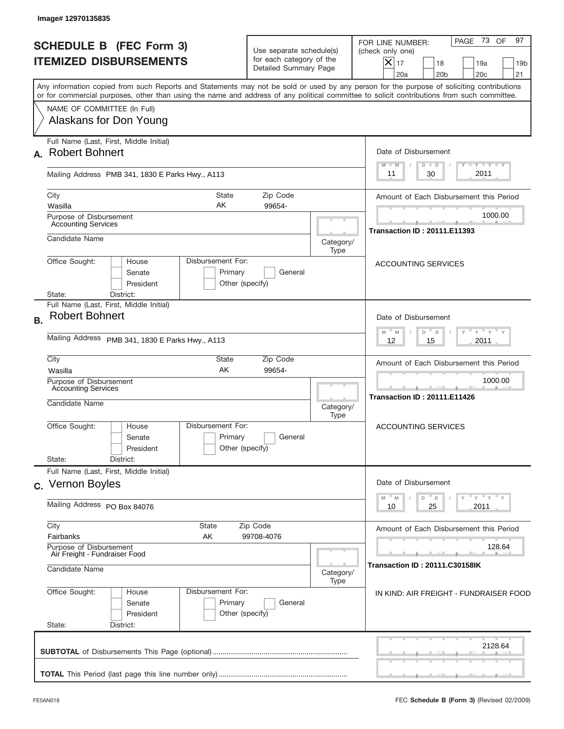|           | Image#12970135835                                                          |                                                 |                                                                               |                                         |                                                                                                                                                                                                                                                                                         |
|-----------|----------------------------------------------------------------------------|-------------------------------------------------|-------------------------------------------------------------------------------|-----------------------------------------|-----------------------------------------------------------------------------------------------------------------------------------------------------------------------------------------------------------------------------------------------------------------------------------------|
|           | <b>SCHEDULE B (FEC Form 3)</b><br><b>ITEMIZED DISBURSEMENTS</b>            |                                                 | Use separate schedule(s)<br>for each category of the<br>Detailed Summary Page |                                         | PAGE 73<br>97<br>OF<br>FOR LINE NUMBER:<br>(check only one)<br>$X _{17}$<br>18<br>19a<br>19 <sub>b</sub><br>20 <sub>c</sub><br>20a<br>20 <sub>b</sub><br>21                                                                                                                             |
|           |                                                                            |                                                 |                                                                               |                                         | Any information copied from such Reports and Statements may not be sold or used by any person for the purpose of soliciting contributions<br>or for commercial purposes, other than using the name and address of any political committee to solicit contributions from such committee. |
|           | NAME OF COMMITTEE (In Full)<br>Alaskans for Don Young                      |                                                 |                                                                               |                                         |                                                                                                                                                                                                                                                                                         |
|           | Full Name (Last, First, Middle Initial)<br>A. Robert Bohnert               |                                                 |                                                                               |                                         | Date of Disbursement<br>$T - Y$ $T - Y$ $T - Y$<br>$D$ $D$<br>$M - M$                                                                                                                                                                                                                   |
|           | Mailing Address PMB 341, 1830 E Parks Hwy., A113                           |                                                 |                                                                               |                                         | 2011<br>30<br>11                                                                                                                                                                                                                                                                        |
|           | City<br>Wasilla<br>Purpose of Disbursement                                 | State<br>AK                                     | Zip Code<br>99654-                                                            |                                         | Amount of Each Disbursement this Period<br>1000.00                                                                                                                                                                                                                                      |
|           | <b>Accounting Services</b><br>Candidate Name                               |                                                 |                                                                               | Category/<br>Type                       | <b>Transaction ID: 20111.E11393</b>                                                                                                                                                                                                                                                     |
|           | Office Sought:<br>House<br>Senate<br>President<br>State:<br>District:      | Disbursement For:<br>Primary<br>Other (specify) | General                                                                       |                                         | <b>ACCOUNTING SERVICES</b>                                                                                                                                                                                                                                                              |
| <b>B.</b> | Full Name (Last, First, Middle Initial)<br><b>Robert Bohnert</b>           |                                                 |                                                                               |                                         | Date of Disbursement<br>$\cdots$ $\gamma$ $\cdots$ $\gamma$ $\cdots$<br>$M - M$<br>D<br>D                                                                                                                                                                                               |
|           | Mailing Address PMB 341, 1830 E Parks Hwy., A113                           |                                                 |                                                                               |                                         | 2011<br>12<br>15                                                                                                                                                                                                                                                                        |
|           | City<br>Wasilla                                                            | State<br>AK                                     | Zip Code<br>99654-                                                            | Amount of Each Disbursement this Period |                                                                                                                                                                                                                                                                                         |
|           | Purpose of Disbursement<br><b>Accounting Services</b><br>Candidate Name    |                                                 |                                                                               | Category/<br>Type                       | 1000.00<br>--<br><b>Transaction ID: 20111.E11426</b>                                                                                                                                                                                                                                    |
|           | Office Sought:<br>House<br>Senate<br>President                             | Disbursement For:<br>Primary<br>Other (specify) | General                                                                       |                                         | ACCOUNTING SERVICES                                                                                                                                                                                                                                                                     |
|           | State:<br>District:<br>Full Name (Last, First, Middle Initial)             |                                                 |                                                                               |                                         |                                                                                                                                                                                                                                                                                         |
|           | c. Vernon Boyles                                                           | Date of Disbursement                            |                                                                               |                                         |                                                                                                                                                                                                                                                                                         |
|           | Mailing Address PO Box 84076                                               |                                                 |                                                                               |                                         | ≡ γ ≡ γ ≡ γ<br>D<br>M<br>M<br>D<br>25<br>2011<br>10                                                                                                                                                                                                                                     |
|           | City<br>Fairbanks                                                          | <b>State</b><br>AΚ                              | Zip Code<br>99708-4076                                                        |                                         | Amount of Each Disbursement this Period                                                                                                                                                                                                                                                 |
|           | Purpose of Disbursement<br>Air Freight - Fundraiser Food<br>Candidate Name |                                                 |                                                                               | Category/                               | 128.64<br>Transaction ID : 20111.C30158IK                                                                                                                                                                                                                                               |
|           | Office Sought:<br>House<br>Senate<br>President<br>State:<br>District:      | Disbursement For:<br>Primary<br>Other (specify) | General                                                                       | Type                                    | IN KIND: AIR FREIGHT - FUNDRAISER FOOD                                                                                                                                                                                                                                                  |
|           |                                                                            |                                                 |                                                                               |                                         | 2128.64                                                                                                                                                                                                                                                                                 |
|           |                                                                            |                                                 |                                                                               |                                         |                                                                                                                                                                                                                                                                                         |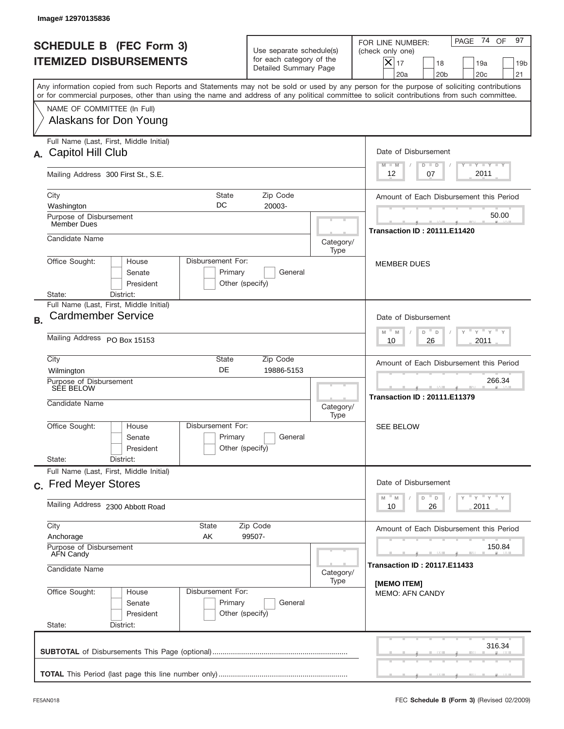|           | Image#12970135836                                                                                                                                                                                                                                                                       |                                                                                         |           |                                                                                                                                                        |
|-----------|-----------------------------------------------------------------------------------------------------------------------------------------------------------------------------------------------------------------------------------------------------------------------------------------|-----------------------------------------------------------------------------------------|-----------|--------------------------------------------------------------------------------------------------------------------------------------------------------|
|           | <b>SCHEDULE B</b> (FEC Form 3)<br><b>ITEMIZED DISBURSEMENTS</b>                                                                                                                                                                                                                         | Use separate schedule(s)<br>for each category of the<br>Detailed Summary Page           |           | PAGE 74 OF<br>97<br>FOR LINE NUMBER:<br>(check only one)<br>X<br>17<br>18<br>19a<br>19 <sub>b</sub><br>20 <sub>c</sub><br>21<br>20a<br>20 <sub>b</sub> |
|           | Any information copied from such Reports and Statements may not be sold or used by any person for the purpose of soliciting contributions<br>or for commercial purposes, other than using the name and address of any political committee to solicit contributions from such committee. |                                                                                         |           |                                                                                                                                                        |
|           | NAME OF COMMITTEE (In Full)<br>Alaskans for Don Young                                                                                                                                                                                                                                   |                                                                                         |           |                                                                                                                                                        |
| А.        | Full Name (Last, First, Middle Initial)<br>Capitol Hill Club                                                                                                                                                                                                                            |                                                                                         |           | Date of Disbursement<br>$T - Y$ $T - Y$<br>$M - M$<br>$D$ $D$                                                                                          |
|           | Mailing Address 300 First St., S.E.                                                                                                                                                                                                                                                     |                                                                                         |           | 2011<br>12<br>07                                                                                                                                       |
|           | City<br><b>State</b><br>DC<br>Washington<br>Purpose of Disbursement                                                                                                                                                                                                                     | Zip Code<br>20003-                                                                      |           | Amount of Each Disbursement this Period<br>50.00                                                                                                       |
|           | <b>Member Dues</b><br>Candidate Name                                                                                                                                                                                                                                                    |                                                                                         | Category/ | <b>Transaction ID: 20111.E11420</b>                                                                                                                    |
|           | Disbursement For:<br>Office Sought:<br>House<br>Senate<br>Primary<br>President<br>Other (specify)<br>State:<br>District:                                                                                                                                                                | <b>MEMBER DUES</b>                                                                      |           |                                                                                                                                                        |
|           | Full Name (Last, First, Middle Initial)                                                                                                                                                                                                                                                 |                                                                                         |           |                                                                                                                                                        |
| <b>B.</b> | <b>Cardmember Service</b><br>Mailing Address PO Box 15153                                                                                                                                                                                                                               | Date of Disbursement<br>$-\gamma + \gamma -$<br>$M - M$<br>D<br>D<br>2011<br>10<br>26   |           |                                                                                                                                                        |
|           | City<br>State<br>DE<br>Wilmington<br>Purpose of Disbursement<br>SÉE BELOW<br>Candidate Name                                                                                                                                                                                             | Zip Code<br>19886-5153                                                                  | Category/ | Amount of Each Disbursement this Period<br>266.34<br><b>Transaction ID: 20111.E11379</b>                                                               |
|           | Disbursement For:<br>Office Sought:<br>House<br>Primary<br>Senate<br>President<br>State:<br>District:                                                                                                                                                                                   | General<br>Other (specify)                                                              | Type      | <b>SEE BELOW</b>                                                                                                                                       |
|           | Full Name (Last, First, Middle Initial)<br>c. Fred Meyer Stores                                                                                                                                                                                                                         |                                                                                         |           | Date of Disbursement                                                                                                                                   |
|           | Mailing Address 2300 Abbott Road                                                                                                                                                                                                                                                        | γ <sup>=</sup> γ <sup>=</sup> γ <sup>=</sup> γ<br>$M$ $M$<br>D<br>D<br>26<br>2011<br>10 |           |                                                                                                                                                        |
|           | City<br>State<br>Anchorage<br>AK                                                                                                                                                                                                                                                        | Amount of Each Disbursement this Period                                                 |           |                                                                                                                                                        |
|           | Purpose of Disbursement<br>AFN Candy<br>Candidate Name                                                                                                                                                                                                                                  | 150.84<br><b>Transaction ID: 20117.E11433</b>                                           |           |                                                                                                                                                        |
|           | Office Sought:<br>Disbursement For:<br>House<br>Primary<br>Senate<br>President<br>State:<br>District:                                                                                                                                                                                   | General<br>Other (specify)                                                              | Type      | [MEMO ITEM]<br><b>MEMO: AFN CANDY</b>                                                                                                                  |
|           |                                                                                                                                                                                                                                                                                         |                                                                                         |           | 316.34                                                                                                                                                 |
|           |                                                                                                                                                                                                                                                                                         |                                                                                         |           |                                                                                                                                                        |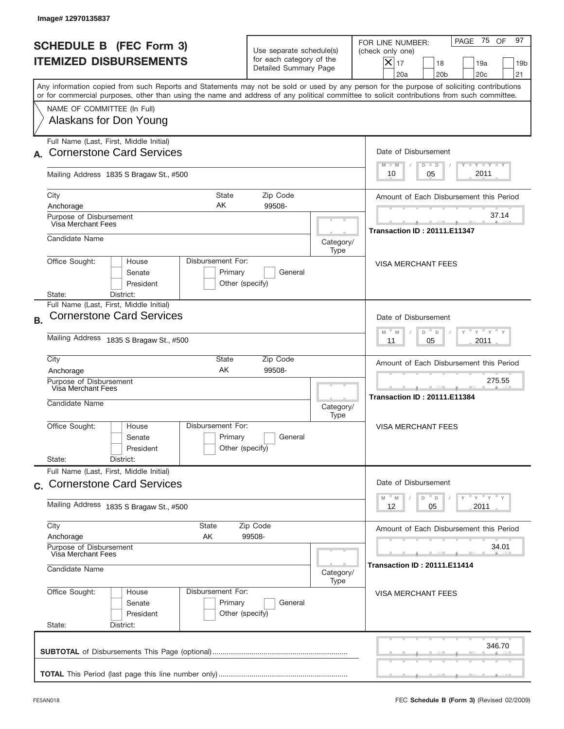| Image# 12970135837                                                                                                                                                                                                                                                                      |                                                                                                              |                                               |                                                                                                                                                          |  |  |
|-----------------------------------------------------------------------------------------------------------------------------------------------------------------------------------------------------------------------------------------------------------------------------------------|--------------------------------------------------------------------------------------------------------------|-----------------------------------------------|----------------------------------------------------------------------------------------------------------------------------------------------------------|--|--|
| <b>SCHEDULE B (FEC Form 3)</b><br><b>ITEMIZED DISBURSEMENTS</b>                                                                                                                                                                                                                         | Use separate schedule(s)<br>for each category of the<br>Detailed Summary Page                                |                                               | PAGE 75 OF<br>97<br>FOR LINE NUMBER:<br>(check only one)<br>$X _{17}$<br>18<br>19a<br>19 <sub>b</sub><br>20a<br>20 <sub>b</sub><br>20 <sub>c</sub><br>21 |  |  |
| Any information copied from such Reports and Statements may not be sold or used by any person for the purpose of soliciting contributions<br>or for commercial purposes, other than using the name and address of any political committee to solicit contributions from such committee. |                                                                                                              |                                               |                                                                                                                                                          |  |  |
| NAME OF COMMITTEE (In Full)<br>Alaskans for Don Young                                                                                                                                                                                                                                   |                                                                                                              |                                               |                                                                                                                                                          |  |  |
| Full Name (Last, First, Middle Initial)<br><b>Cornerstone Card Services</b>                                                                                                                                                                                                             |                                                                                                              |                                               | Date of Disbursement                                                                                                                                     |  |  |
| Mailing Address 1835 S Bragaw St., #500                                                                                                                                                                                                                                                 |                                                                                                              |                                               |                                                                                                                                                          |  |  |
| City<br>Anchorage                                                                                                                                                                                                                                                                       | State<br>Zip Code<br>AK<br>99508-                                                                            |                                               |                                                                                                                                                          |  |  |
| Purpose of Disbursement<br>Visa Merchant Fees                                                                                                                                                                                                                                           |                                                                                                              |                                               | 37.14<br><b>Transaction ID: 20111.E11347</b>                                                                                                             |  |  |
| Candidate Name                                                                                                                                                                                                                                                                          |                                                                                                              | Category/<br>Type                             |                                                                                                                                                          |  |  |
| Office Sought:<br>Disbursement For:<br>House<br><b>VISA MERCHANT FEES</b><br>Senate<br>Primary<br>General<br>President<br>Other (specify)                                                                                                                                               |                                                                                                              |                                               |                                                                                                                                                          |  |  |
| District:<br>State:<br>Full Name (Last, First, Middle Initial)<br><b>Cornerstone Card Services</b><br><b>B.</b>                                                                                                                                                                         | Date of Disbursement                                                                                         |                                               |                                                                                                                                                          |  |  |
| Mailing Address 1835 S Bragaw St., #500                                                                                                                                                                                                                                                 | $\cdots$ $\gamma$ $\cdots$ $\gamma$ $\cdots$<br>M<br>D<br>M<br>D<br>2011<br>05<br>11                         |                                               |                                                                                                                                                          |  |  |
| City<br>State<br>AK<br>Anchorage                                                                                                                                                                                                                                                        |                                                                                                              | Amount of Each Disbursement this Period       |                                                                                                                                                          |  |  |
| Purpose of Disbursement<br>Visa Merchant Fees<br>Candidate Name                                                                                                                                                                                                                         | Category/<br>Type                                                                                            | 275.55<br><b>Transaction ID: 20111.E11384</b> |                                                                                                                                                          |  |  |
| Office Sought:<br>House<br>Senate<br>President                                                                                                                                                                                                                                          | Disbursement For:<br>Primary<br>General<br>Other (specify)                                                   |                                               |                                                                                                                                                          |  |  |
| State:<br>District:<br>Full Name (Last, First, Middle Initial)                                                                                                                                                                                                                          |                                                                                                              |                                               |                                                                                                                                                          |  |  |
| c. Cornerstone Card Services<br>Mailing Address 1835 S Bragaw St., #500                                                                                                                                                                                                                 | Date of Disbursement<br>$\gamma$ = $\gamma$ = $\gamma$ = $\gamma$<br>$-M$<br>M<br>D<br>D<br>2011<br>12<br>05 |                                               |                                                                                                                                                          |  |  |
| City<br>State                                                                                                                                                                                                                                                                           | Zip Code                                                                                                     |                                               | Amount of Each Disbursement this Period                                                                                                                  |  |  |
| Anchorage<br>Purpose of Disbursement<br>Visa Merchant Fees                                                                                                                                                                                                                              | AΚ<br>99508-                                                                                                 |                                               |                                                                                                                                                          |  |  |
| Candidate Name                                                                                                                                                                                                                                                                          | <b>Transaction ID: 20111.E11414</b>                                                                          |                                               |                                                                                                                                                          |  |  |
| Office Sought:<br>Disbursement For:<br>House<br>Senate<br>President<br>State:<br>District:                                                                                                                                                                                              | Primary<br>General<br>Other (specify)                                                                        | Type                                          | VISA MERCHANT FEES                                                                                                                                       |  |  |
|                                                                                                                                                                                                                                                                                         |                                                                                                              |                                               | 346.70                                                                                                                                                   |  |  |
|                                                                                                                                                                                                                                                                                         |                                                                                                              |                                               |                                                                                                                                                          |  |  |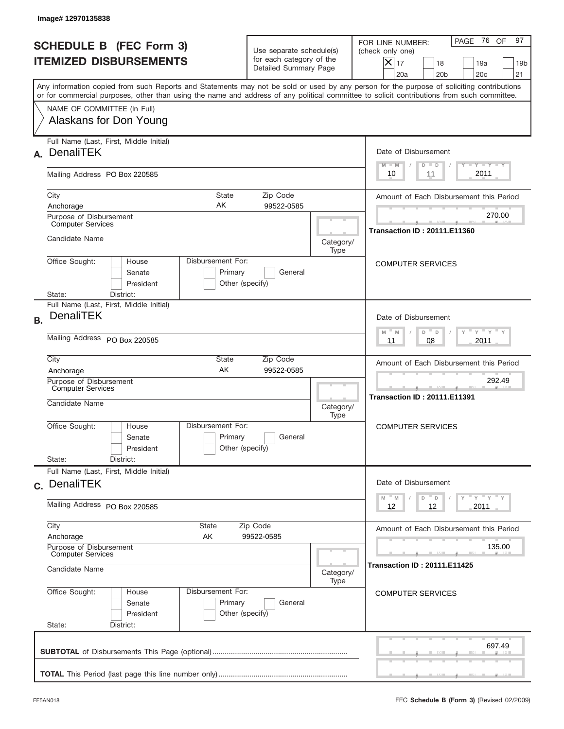|           | Image#12970135838                                                                                                                                                                                                                                                                       |                            |                                                                               |                   |                                                                                                                                                          |
|-----------|-----------------------------------------------------------------------------------------------------------------------------------------------------------------------------------------------------------------------------------------------------------------------------------------|----------------------------|-------------------------------------------------------------------------------|-------------------|----------------------------------------------------------------------------------------------------------------------------------------------------------|
|           | <b>SCHEDULE B (FEC Form 3)</b><br><b>ITEMIZED DISBURSEMENTS</b>                                                                                                                                                                                                                         |                            | Use separate schedule(s)<br>for each category of the<br>Detailed Summary Page |                   | PAGE 76 OF<br>97<br>FOR LINE NUMBER:<br>(check only one)<br>$X _{17}$<br>18<br>19a<br>19 <sub>b</sub><br>20 <sub>c</sub><br>20a<br>20 <sub>b</sub><br>21 |
|           | Any information copied from such Reports and Statements may not be sold or used by any person for the purpose of soliciting contributions<br>or for commercial purposes, other than using the name and address of any political committee to solicit contributions from such committee. |                            |                                                                               |                   |                                                                                                                                                          |
|           | NAME OF COMMITTEE (In Full)<br>Alaskans for Don Young                                                                                                                                                                                                                                   |                            |                                                                               |                   |                                                                                                                                                          |
| А.        | Full Name (Last, First, Middle Initial)<br><b>DenaliTEK</b>                                                                                                                                                                                                                             |                            |                                                                               |                   | Date of Disbursement<br>$T - Y$ $T - Y$<br>$M - M$<br>$D$ $D$                                                                                            |
|           | Mailing Address PO Box 220585                                                                                                                                                                                                                                                           |                            |                                                                               |                   | 2011<br>10<br>11                                                                                                                                         |
|           | City<br>Anchorage<br>Purpose of Disbursement                                                                                                                                                                                                                                            | State<br>AK                | Zip Code<br>99522-0585                                                        |                   | Amount of Each Disbursement this Period<br>270.00                                                                                                        |
|           | <b>Computer Services</b><br>Candidate Name                                                                                                                                                                                                                                              |                            |                                                                               | Category/<br>Type | <b>Transaction ID: 20111.E11360</b>                                                                                                                      |
|           | Disbursement For:<br>Office Sought:<br>House<br>Senate<br>President<br>State:<br>District:                                                                                                                                                                                              | Primary<br>Other (specify) | General                                                                       |                   | <b>COMPUTER SERVICES</b>                                                                                                                                 |
| <b>B.</b> | Full Name (Last, First, Middle Initial)<br><b>DenaliTEK</b>                                                                                                                                                                                                                             |                            |                                                                               |                   | Date of Disbursement<br>$\cdots$ $\gamma$ $\cdots$ $\gamma$ $\cdots$<br>$-M$<br>M<br>D<br>$\Box$                                                         |
|           | Mailing Address PO Box 220585                                                                                                                                                                                                                                                           | 2011<br>11<br>08           |                                                                               |                   |                                                                                                                                                          |
|           | City<br>State<br>Zip Code<br>AK<br>99522-0585<br>Anchorage<br>Purpose of Disbursement                                                                                                                                                                                                   |                            |                                                                               |                   | Amount of Each Disbursement this Period<br>292.49                                                                                                        |
|           | Computer Services<br>Candidate Name                                                                                                                                                                                                                                                     |                            |                                                                               | Category/<br>Type | <b>STATISTICS</b><br><b>Transaction ID: 20111.E11391</b>                                                                                                 |
|           | Disbursement For:<br>Office Sought:<br>House<br>Senate<br>President                                                                                                                                                                                                                     | Primary<br>Other (specify) | General                                                                       |                   | <b>COMPUTER SERVICES</b>                                                                                                                                 |
|           | State:<br>District:<br>Full Name (Last, First, Middle Initial)                                                                                                                                                                                                                          |                            |                                                                               |                   |                                                                                                                                                          |
|           | c. DenaliTEK                                                                                                                                                                                                                                                                            |                            |                                                                               |                   | Date of Disbursement<br>γ <sup>=</sup> γ <sup>=</sup> γ <sup>=</sup> γ<br>$-M$<br>M<br>D<br>D                                                            |
|           | Mailing Address PO Box 220585                                                                                                                                                                                                                                                           | 12<br>12<br>2011           |                                                                               |                   |                                                                                                                                                          |
|           | City<br>State<br>Anchorage<br>AΚ                                                                                                                                                                                                                                                        |                            | Zip Code<br>99522-0585                                                        |                   | Amount of Each Disbursement this Period                                                                                                                  |
|           | Purpose of Disbursement<br><b>Computer Services</b><br>Candidate Name<br>Category/                                                                                                                                                                                                      |                            |                                                                               |                   | 135.00<br><b>Transaction ID : 20111.E11425</b>                                                                                                           |
|           | Office Sought:<br>Disbursement For:<br>House<br>Senate<br>President<br>State:<br>District:                                                                                                                                                                                              | Primary<br>Other (specify) | General                                                                       | Type              | <b>COMPUTER SERVICES</b>                                                                                                                                 |
|           |                                                                                                                                                                                                                                                                                         |                            |                                                                               |                   | 697.49                                                                                                                                                   |
|           |                                                                                                                                                                                                                                                                                         |                            |                                                                               |                   |                                                                                                                                                          |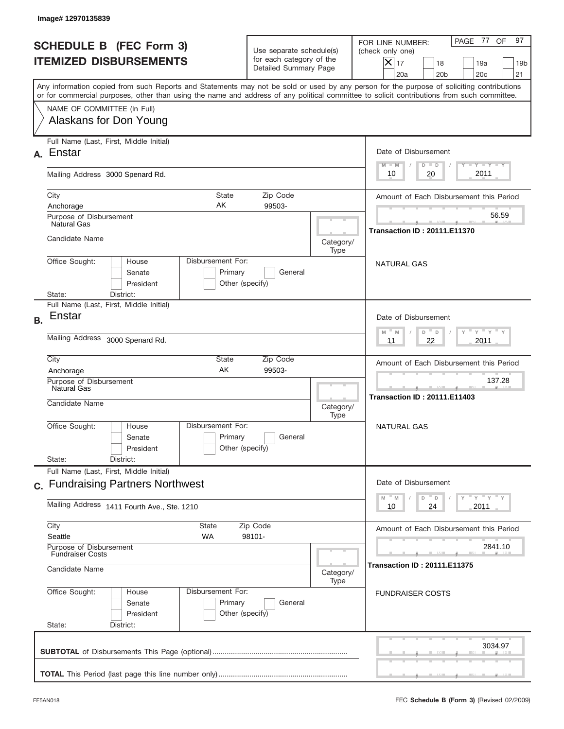|           | Image#12970135839                                                                                                                                                                                                                                                                       |                                                                                                               |                   |                                                                                                                                                             |
|-----------|-----------------------------------------------------------------------------------------------------------------------------------------------------------------------------------------------------------------------------------------------------------------------------------------|---------------------------------------------------------------------------------------------------------------|-------------------|-------------------------------------------------------------------------------------------------------------------------------------------------------------|
|           | <b>SCHEDULE B (FEC Form 3)</b><br><b>ITEMIZED DISBURSEMENTS</b>                                                                                                                                                                                                                         | Use separate schedule(s)<br>for each category of the<br>Detailed Summary Page                                 |                   | 97<br>PAGE 77<br>OF<br>FOR LINE NUMBER:<br>(check only one)<br>$X _{17}$<br>18<br>19a<br>19 <sub>b</sub><br>20a<br>20 <sub>b</sub><br>20 <sub>c</sub><br>21 |
|           | Any information copied from such Reports and Statements may not be sold or used by any person for the purpose of soliciting contributions<br>or for commercial purposes, other than using the name and address of any political committee to solicit contributions from such committee. |                                                                                                               |                   |                                                                                                                                                             |
|           | NAME OF COMMITTEE (In Full)<br>Alaskans for Don Young                                                                                                                                                                                                                                   |                                                                                                               |                   |                                                                                                                                                             |
| А.        | Full Name (Last, First, Middle Initial)<br>Enstar                                                                                                                                                                                                                                       |                                                                                                               |                   | Date of Disbursement<br>$T - Y$ $T - Y$<br>$M - M$<br>$D$ $D$                                                                                               |
|           | Mailing Address 3000 Spenard Rd.                                                                                                                                                                                                                                                        |                                                                                                               |                   | 2011<br>10<br>20                                                                                                                                            |
|           | City<br><b>State</b><br>AK<br>Anchorage<br>Purpose of Disbursement                                                                                                                                                                                                                      | Amount of Each Disbursement this Period<br>56.59                                                              |                   |                                                                                                                                                             |
|           | Natural Gas<br>Candidate Name                                                                                                                                                                                                                                                           |                                                                                                               | Category/<br>Type | <b>Transaction ID: 20111.E11370</b>                                                                                                                         |
|           | Disbursement For:<br>Office Sought:<br>House<br>Senate<br>Primary<br>President<br>Other (specify)<br>District:<br>State:                                                                                                                                                                | <b>NATURAL GAS</b>                                                                                            |                   |                                                                                                                                                             |
| <b>B.</b> | Full Name (Last, First, Middle Initial)<br>Enstar                                                                                                                                                                                                                                       |                                                                                                               |                   | Date of Disbursement<br>$\cdots$ $\gamma$ $\cdots$ $\gamma$ $\cdots$<br>$-$ M                                                                               |
|           | Mailing Address 3000 Spenard Rd.                                                                                                                                                                                                                                                        | M<br>D<br>D<br>22<br>2011<br>11                                                                               |                   |                                                                                                                                                             |
|           | City<br>State<br>AK<br>Anchorage<br>Purpose of Disbursement<br>Natural Gas                                                                                                                                                                                                              | Amount of Each Disbursement this Period<br>137.28<br><b>STATISTICS</b><br><b>Transaction ID: 20111.E11403</b> |                   |                                                                                                                                                             |
|           | Candidate Name<br>Disbursement For:<br>Office Sought:<br>House<br>Senate<br>President                                                                                                                                                                                                   | Primary<br>General<br>Other (specify)                                                                         | Category/<br>Type | NATURAL GAS                                                                                                                                                 |
|           | State:<br>District:<br>Full Name (Last, First, Middle Initial)                                                                                                                                                                                                                          |                                                                                                               |                   |                                                                                                                                                             |
|           | c. Fundraising Partners Northwest<br>Mailing Address 1411 Fourth Ave., Ste. 1210                                                                                                                                                                                                        |                                                                                                               |                   | Date of Disbursement<br>γ <sup>=</sup> γ <sup>=</sup> γ <sup>=</sup> γ<br>$M - M$<br>D<br>$\mathsf D$<br>2011<br>10<br>24                                   |
|           | City<br>State<br>Seattle<br>WA                                                                                                                                                                                                                                                          | Amount of Each Disbursement this Period                                                                       |                   |                                                                                                                                                             |
|           | Purpose of Disbursement<br><b>Fundraiser Costs</b><br>Candidate Name                                                                                                                                                                                                                    | 2841.10<br><b>Transaction ID: 20111.E11375</b>                                                                |                   |                                                                                                                                                             |
|           | Office Sought:<br>Disbursement For:<br>House<br>Senate<br>President<br>State:<br>District:                                                                                                                                                                                              | Primary<br>General<br>Other (specify)                                                                         | Category/<br>Type | <b>FUNDRAISER COSTS</b>                                                                                                                                     |
|           |                                                                                                                                                                                                                                                                                         |                                                                                                               |                   | 3034.97                                                                                                                                                     |
|           |                                                                                                                                                                                                                                                                                         |                                                                                                               |                   |                                                                                                                                                             |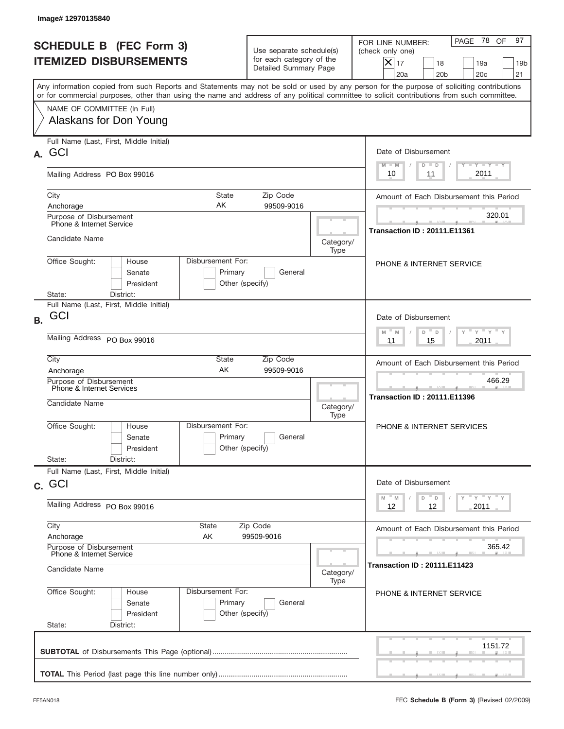|           | Image# 12970135840                                                                                                                          |                                                 |                                                                               |                   |                                                                                                                                                             |
|-----------|---------------------------------------------------------------------------------------------------------------------------------------------|-------------------------------------------------|-------------------------------------------------------------------------------|-------------------|-------------------------------------------------------------------------------------------------------------------------------------------------------------|
|           | <b>SCHEDULE B (FEC Form 3)</b><br><b>ITEMIZED DISBURSEMENTS</b>                                                                             |                                                 | Use separate schedule(s)<br>for each category of the<br>Detailed Summary Page |                   | PAGE 78<br>97<br>OF<br>FOR LINE NUMBER:<br>(check only one)<br>$X _{17}$<br>18<br>19a<br>19 <sub>b</sub><br>20 <sub>c</sub><br>20a<br>20 <sub>b</sub><br>21 |
|           | or for commercial purposes, other than using the name and address of any political committee to solicit contributions from such committee.  |                                                 |                                                                               |                   | Any information copied from such Reports and Statements may not be sold or used by any person for the purpose of soliciting contributions                   |
|           | NAME OF COMMITTEE (In Full)<br>Alaskans for Don Young                                                                                       |                                                 |                                                                               |                   |                                                                                                                                                             |
| А.        | Full Name (Last, First, Middle Initial)<br>GCI                                                                                              |                                                 |                                                                               |                   | Date of Disbursement<br>$T - Y$ $T - Y$<br>$M - M$<br>$D$ $D$                                                                                               |
|           | Mailing Address PO Box 99016                                                                                                                |                                                 |                                                                               |                   | 2011<br>10<br>11                                                                                                                                            |
|           | City<br>State<br>Zip Code<br>AΚ<br>99509-9016<br>Anchorage<br>Purpose of Disbursement                                                       |                                                 |                                                                               |                   | Amount of Each Disbursement this Period<br>320.01                                                                                                           |
|           | Phone & Internet Service<br>Candidate Name                                                                                                  |                                                 |                                                                               | Category/         | <b>Transaction ID: 20111.E11361</b>                                                                                                                         |
|           | Type<br>Disbursement For:<br>Office Sought:<br>House<br>Senate<br>Primary<br>General<br>President<br>Other (specify)<br>State:<br>District: |                                                 |                                                                               |                   | <b>PHONE &amp; INTERNET SERVICE</b>                                                                                                                         |
| <b>B.</b> | Full Name (Last, First, Middle Initial)<br>GCI                                                                                              |                                                 |                                                                               |                   | Date of Disbursement<br>$\cdots$ $\gamma$ $\cdots$ $\gamma$ $\cdots$<br>$-M$<br>M<br>D<br>D                                                                 |
|           | Mailing Address PO Box 99016                                                                                                                | 2011<br>11<br>15                                |                                                                               |                   |                                                                                                                                                             |
|           | City<br>State<br>Zip Code<br>AK<br>99509-9016<br>Anchorage<br>Purpose of Disbursement                                                       |                                                 |                                                                               |                   | Amount of Each Disbursement this Period<br>466.29                                                                                                           |
|           | Phone & Internet Services<br>Candidate Name                                                                                                 |                                                 |                                                                               | Category/<br>Type | --<br><b>Transaction ID: 20111.E11396</b>                                                                                                                   |
|           | Office Sought:<br>House<br>Senate<br>President                                                                                              | Disbursement For:<br>Primary<br>Other (specify) | General                                                                       |                   | <b>PHONE &amp; INTERNET SERVICES</b>                                                                                                                        |
|           | State:<br>District:<br>Full Name (Last, First, Middle Initial)                                                                              |                                                 |                                                                               |                   |                                                                                                                                                             |
|           | c. GCI                                                                                                                                      |                                                 |                                                                               |                   | Date of Disbursement<br>γ <sup>=</sup> γ <sup>=</sup> γ <sup>=</sup> γ<br>$-M$<br>M<br>D<br>D                                                               |
|           | Mailing Address PO Box 99016                                                                                                                | 12<br>2011<br>12                                |                                                                               |                   |                                                                                                                                                             |
|           | City<br>State<br>Anchorage<br>AΚ                                                                                                            |                                                 | Zip Code<br>99509-9016                                                        |                   | Amount of Each Disbursement this Period                                                                                                                     |
|           | Purpose of Disbursement<br>Phone & Internet Service<br>Candidate Name<br>Category/                                                          |                                                 |                                                                               |                   | 365.42<br><b>Transaction ID : 20111.E11423</b>                                                                                                              |
|           | Office Sought:<br>House<br>Senate<br>President<br>State:<br>District:                                                                       | Disbursement For:<br>Primary<br>Other (specify) | General                                                                       | Type              | <b>PHONE &amp; INTERNET SERVICE</b>                                                                                                                         |
|           |                                                                                                                                             |                                                 |                                                                               |                   | 1151.72                                                                                                                                                     |
|           |                                                                                                                                             |                                                 |                                                                               |                   |                                                                                                                                                             |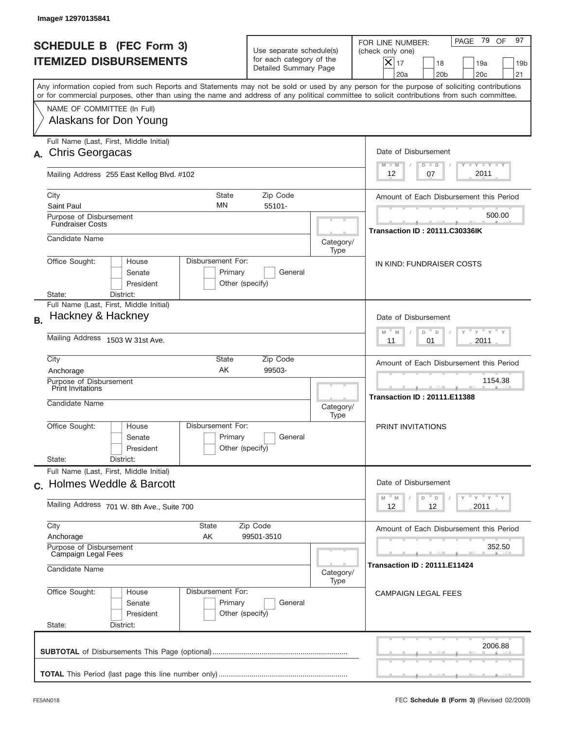|           | Image# 12970135841                                                                                                                                                                                                                                                                      |                                                             |                                                      |                                                                                                                                                             |
|-----------|-----------------------------------------------------------------------------------------------------------------------------------------------------------------------------------------------------------------------------------------------------------------------------------------|-------------------------------------------------------------|------------------------------------------------------|-------------------------------------------------------------------------------------------------------------------------------------------------------------|
|           | <b>SCHEDULE B (FEC Form 3)</b><br><b>ITEMIZED DISBURSEMENTS</b>                                                                                                                                                                                                                         | Detailed Summary Page                                       | Use separate schedule(s)<br>for each category of the | PAGE 79<br>97<br>OF<br>FOR LINE NUMBER:<br>(check only one)<br>$X _{17}$<br>18<br>19a<br>19 <sub>b</sub><br>20 <sub>c</sub><br>20a<br>20 <sub>b</sub><br>21 |
|           | Any information copied from such Reports and Statements may not be sold or used by any person for the purpose of soliciting contributions<br>or for commercial purposes, other than using the name and address of any political committee to solicit contributions from such committee. |                                                             |                                                      |                                                                                                                                                             |
|           | NAME OF COMMITTEE (In Full)<br>Alaskans for Don Young                                                                                                                                                                                                                                   |                                                             |                                                      |                                                                                                                                                             |
| А.        | Full Name (Last, First, Middle Initial)<br><b>Chris Georgacas</b>                                                                                                                                                                                                                       |                                                             |                                                      | Date of Disbursement<br>$T - Y$ $T - Y$ $T - Y$<br>$M - M$<br>$D$ $D$                                                                                       |
|           | Mailing Address 255 East Kellog Blvd. #102                                                                                                                                                                                                                                              |                                                             |                                                      | 2011<br>12<br>07                                                                                                                                            |
|           | City<br>State<br>MN<br>Saint Paul<br>Purpose of Disbursement                                                                                                                                                                                                                            | Amount of Each Disbursement this Period<br>500.00           |                                                      |                                                                                                                                                             |
|           | <b>Fundraiser Costs</b><br>Candidate Name                                                                                                                                                                                                                                               |                                                             | Category/<br>Type                                    | <b>Transaction ID: 20111.C30336IK</b>                                                                                                                       |
|           | Disbursement For:<br>Office Sought:<br>House<br>Senate<br>Primary<br>President<br>Other (specify)<br>State:<br>District:                                                                                                                                                                | IN KIND: FUNDRAISER COSTS                                   |                                                      |                                                                                                                                                             |
| <b>B.</b> | Full Name (Last, First, Middle Initial)<br>Hackney & Hackney                                                                                                                                                                                                                            |                                                             |                                                      | Date of Disbursement<br>$\cdots$ $\gamma$ $\cdots$ $\gamma$ $\cdots$<br>$W^{\top}$<br>M<br>D<br>$\Box$                                                      |
|           | Mailing Address 1503 W 31st Ave.<br>City<br><b>State</b>                                                                                                                                                                                                                                | 2011<br>11<br>01<br>Amount of Each Disbursement this Period |                                                      |                                                                                                                                                             |
|           | AK<br>Anchorage<br>Purpose of Disbursement<br><b>Print Invitations</b><br>Candidate Name                                                                                                                                                                                                | 99503-                                                      | Category/<br>Type                                    | 1154.38<br>-<br><b>Transaction ID: 20111.E11388</b>                                                                                                         |
|           | Disbursement For:<br>Office Sought:<br>House<br>Senate<br>President<br>State:<br>District:                                                                                                                                                                                              | Primary<br>General<br>Other (specify)                       |                                                      | PRINT INVITATIONS                                                                                                                                           |
|           | Full Name (Last, First, Middle Initial)<br>c. Holmes Weddle & Barcott                                                                                                                                                                                                                   |                                                             |                                                      | Date of Disbursement<br>γ <sup>=</sup> γ <sup>=</sup> γ <sup>=</sup> γ<br>$-M$<br>D<br>M<br>D                                                               |
|           | Mailing Address 701 W. 8th Ave., Suite 700                                                                                                                                                                                                                                              | 12<br>2011<br>12                                            |                                                      |                                                                                                                                                             |
|           | City<br>State<br>Anchorage<br>AΚ<br>Purpose of Disbursement                                                                                                                                                                                                                             | Amount of Each Disbursement this Period<br>352.50           |                                                      |                                                                                                                                                             |
|           | Campaign Legal Fees<br>Candidate Name                                                                                                                                                                                                                                                   | <b>Transaction ID : 20111.E11424</b><br>Category/           |                                                      |                                                                                                                                                             |
|           | Office Sought:<br>Disbursement For:<br>House<br>Senate<br>President<br>State:<br>District:                                                                                                                                                                                              | Primary<br>General<br>Other (specify)                       | Type                                                 | <b>CAMPAIGN LEGAL FEES</b>                                                                                                                                  |
|           |                                                                                                                                                                                                                                                                                         |                                                             |                                                      | 2006.88                                                                                                                                                     |
|           |                                                                                                                                                                                                                                                                                         |                                                             |                                                      |                                                                                                                                                             |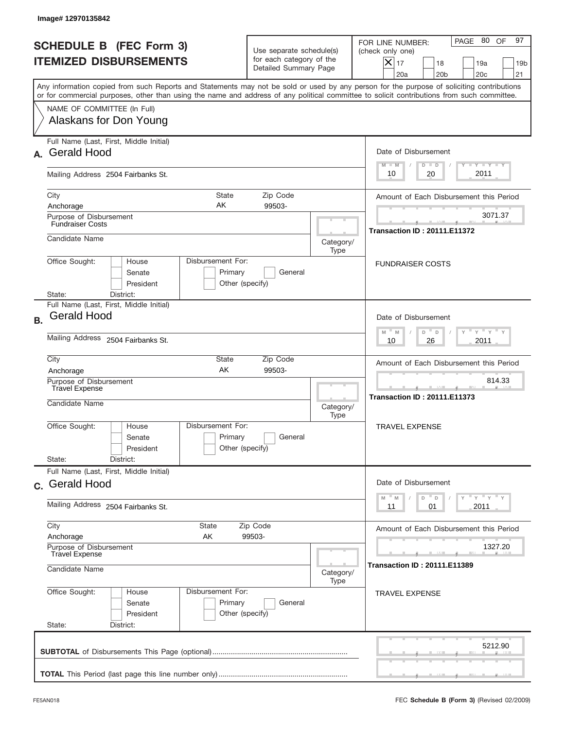|           | Image# 12970135842                                                                                                                                                                                                                                                                      |                                                                    |                                                                               |           |                                                                                                                                                             |
|-----------|-----------------------------------------------------------------------------------------------------------------------------------------------------------------------------------------------------------------------------------------------------------------------------------------|--------------------------------------------------------------------|-------------------------------------------------------------------------------|-----------|-------------------------------------------------------------------------------------------------------------------------------------------------------------|
|           | <b>SCHEDULE B (FEC Form 3)</b><br><b>ITEMIZED DISBURSEMENTS</b>                                                                                                                                                                                                                         |                                                                    | Use separate schedule(s)<br>for each category of the<br>Detailed Summary Page |           | 97<br>PAGE 80<br>OF<br>FOR LINE NUMBER:<br>(check only one)<br>$X _{17}$<br>18<br>19a<br>19 <sub>b</sub><br>20a<br>20 <sub>b</sub><br>20 <sub>c</sub><br>21 |
|           | Any information copied from such Reports and Statements may not be sold or used by any person for the purpose of soliciting contributions<br>or for commercial purposes, other than using the name and address of any political committee to solicit contributions from such committee. |                                                                    |                                                                               |           |                                                                                                                                                             |
|           | NAME OF COMMITTEE (In Full)<br>Alaskans for Don Young                                                                                                                                                                                                                                   |                                                                    |                                                                               |           |                                                                                                                                                             |
| А.        | Full Name (Last, First, Middle Initial)<br><b>Gerald Hood</b>                                                                                                                                                                                                                           | Date of Disbursement<br>$T - Y$ $T - Y$<br>$M - M$<br>$D$ $D$      |                                                                               |           |                                                                                                                                                             |
|           | Mailing Address 2504 Fairbanks St.                                                                                                                                                                                                                                                      |                                                                    |                                                                               |           | 2011<br>10<br>20                                                                                                                                            |
|           | City<br><b>State</b><br>AK<br>Anchorage<br>Purpose of Disbursement                                                                                                                                                                                                                      | Amount of Each Disbursement this Period<br>3071.37                 |                                                                               |           |                                                                                                                                                             |
|           | <b>Fundraiser Costs</b><br>Candidate Name                                                                                                                                                                                                                                               |                                                                    |                                                                               | Category/ | <b>Transaction ID: 20111.E11372</b>                                                                                                                         |
|           | Office Sought:<br>House<br>Senate<br>President<br>State:<br>District:                                                                                                                                                                                                                   | Type<br>Disbursement For:<br>Primary<br>General<br>Other (specify) |                                                                               |           |                                                                                                                                                             |
| <b>B.</b> | Full Name (Last, First, Middle Initial)<br><b>Gerald Hood</b>                                                                                                                                                                                                                           |                                                                    |                                                                               |           | Date of Disbursement<br>$\cdots$ $\gamma$ $\cdots$ $\gamma$ $\cdots$<br>$M - M$<br>D<br>D                                                                   |
|           | Mailing Address 2504 Fairbanks St.<br>City<br>State<br>Zip Code                                                                                                                                                                                                                         |                                                                    |                                                                               |           | 2011<br>10<br>26<br>Amount of Each Disbursement this Period                                                                                                 |
|           | AK<br>99503-<br>Anchorage<br>Purpose of Disbursement<br>Travel Expense<br>Candidate Name<br>Category/<br>Type                                                                                                                                                                           |                                                                    |                                                                               |           | 814.33<br>--<br><b>Transaction ID: 20111.E11373</b>                                                                                                         |
|           | Office Sought:<br>House<br>Senate<br>President<br>State:<br>District:                                                                                                                                                                                                                   | Disbursement For:<br>Primary<br>Other (specify)                    | General                                                                       |           | <b>TRAVEL EXPENSE</b>                                                                                                                                       |
|           | Full Name (Last, First, Middle Initial)<br>c. Gerald Hood                                                                                                                                                                                                                               |                                                                    |                                                                               |           | Date of Disbursement<br>γ <sup>=</sup> γ <sup>=</sup> γ <sup>=</sup> γ<br>$-M$<br>M<br>D<br>$\mathsf D$                                                     |
|           | Mailing Address 2504 Fairbanks St.                                                                                                                                                                                                                                                      | 2011<br>11<br>01                                                   |                                                                               |           |                                                                                                                                                             |
|           | City<br>State<br>Zip Code<br>Anchorage<br>AK<br>99503-<br>Purpose of Disbursement<br><b>Travel Expense</b>                                                                                                                                                                              |                                                                    |                                                                               |           | Amount of Each Disbursement this Period<br>1327.20                                                                                                          |
|           | Candidate Name<br>Category/<br>Type                                                                                                                                                                                                                                                     |                                                                    |                                                                               |           | <b>Transaction ID: 20111.E11389</b>                                                                                                                         |
|           | Office Sought:<br>House<br>Senate<br>President<br>State:<br>District:                                                                                                                                                                                                                   | Disbursement For:<br>Primary<br>Other (specify)                    | General                                                                       |           | <b>TRAVEL EXPENSE</b>                                                                                                                                       |
|           |                                                                                                                                                                                                                                                                                         |                                                                    |                                                                               |           | 5212.90                                                                                                                                                     |
|           |                                                                                                                                                                                                                                                                                         |                                                                    |                                                                               |           |                                                                                                                                                             |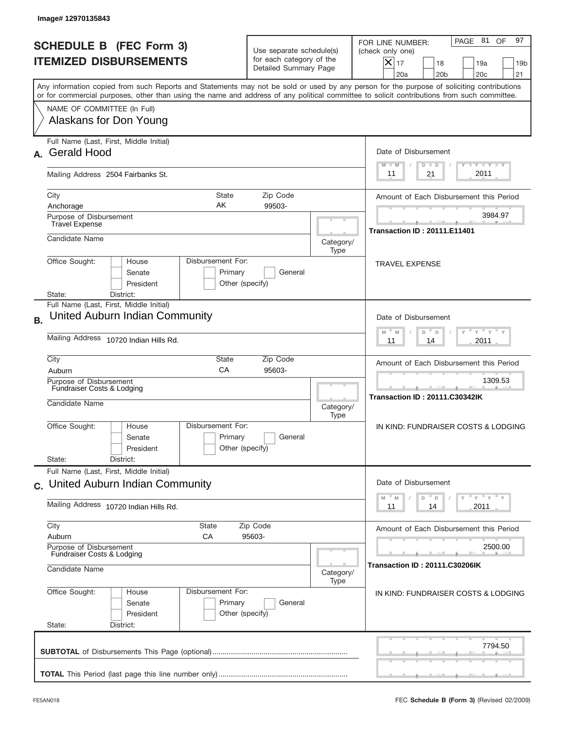|           | Image# 12970135843                                                                                                                                                                                                                                                                      |                                                                               |                   |                                                                                                                                                           |
|-----------|-----------------------------------------------------------------------------------------------------------------------------------------------------------------------------------------------------------------------------------------------------------------------------------------|-------------------------------------------------------------------------------|-------------------|-----------------------------------------------------------------------------------------------------------------------------------------------------------|
|           | <b>SCHEDULE B (FEC Form 3)</b><br><b>ITEMIZED DISBURSEMENTS</b>                                                                                                                                                                                                                         | Use separate schedule(s)<br>for each category of the<br>Detailed Summary Page |                   | 97<br>PAGE 81<br>OF<br>FOR LINE NUMBER:<br>(check only one)<br>X<br>17<br>18<br>19a<br>19 <sub>b</sub><br>21<br>20a<br>20 <sub>b</sub><br>20 <sub>c</sub> |
|           | Any information copied from such Reports and Statements may not be sold or used by any person for the purpose of soliciting contributions<br>or for commercial purposes, other than using the name and address of any political committee to solicit contributions from such committee. |                                                                               |                   |                                                                                                                                                           |
|           | NAME OF COMMITTEE (In Full)<br>Alaskans for Don Young                                                                                                                                                                                                                                   |                                                                               |                   |                                                                                                                                                           |
| А.        | Full Name (Last, First, Middle Initial)<br><b>Gerald Hood</b>                                                                                                                                                                                                                           |                                                                               |                   | Date of Disbursement<br>$\mathbf{I}$ $\mathbf{Y}$ $\mathbf{I}$ $\mathbf{Y}$ $\mathbf{I}$ $\mathbf{Y}$<br>$M - M$<br>$D$ $D$                               |
|           | Mailing Address 2504 Fairbanks St.                                                                                                                                                                                                                                                      |                                                                               |                   | 2011<br>21<br>11                                                                                                                                          |
|           | City<br><b>State</b><br>AK<br>Anchorage<br>Purpose of Disbursement                                                                                                                                                                                                                      | Amount of Each Disbursement this Period<br>3984.97                            |                   |                                                                                                                                                           |
|           | <b>Travel Expense</b><br>Candidate Name                                                                                                                                                                                                                                                 |                                                                               | Category/<br>Type | <b>Transaction ID: 20111.E11401</b>                                                                                                                       |
|           | Disbursement For:<br>Office Sought:<br>House<br>Primary<br>Senate<br>President<br>Other (specify)<br>District:<br>State:                                                                                                                                                                | <b>TRAVEL EXPENSE</b>                                                         |                   |                                                                                                                                                           |
| <b>B.</b> | Full Name (Last, First, Middle Initial)<br>United Auburn Indian Community                                                                                                                                                                                                               |                                                                               |                   | Date of Disbursement<br>$-\gamma + \gamma -$<br>$M - M$<br>D<br>$\Box$                                                                                    |
|           | Mailing Address 10720 Indian Hills Rd.                                                                                                                                                                                                                                                  | 2011<br>11<br>14                                                              |                   |                                                                                                                                                           |
|           | City<br>State<br>CA<br>Auburn                                                                                                                                                                                                                                                           | Zip Code<br>95603-                                                            |                   | Amount of Each Disbursement this Period                                                                                                                   |
|           | Purpose of Disbursement<br>Fundraiser Costs & Lodging<br>Candidate Name<br>Category/                                                                                                                                                                                                    |                                                                               |                   | 1309.53<br><b>Transaction ID: 20111.C30342IK</b>                                                                                                          |
|           | Disbursement For:<br>Office Sought:<br>House<br>Primary<br>Senate<br>President                                                                                                                                                                                                          | General<br>Other (specify)                                                    |                   | IN KIND: FUNDRAISER COSTS & LODGING                                                                                                                       |
|           | State:<br>District:<br>Full Name (Last, First, Middle Initial)                                                                                                                                                                                                                          |                                                                               |                   |                                                                                                                                                           |
|           | c. United Auburn Indian Community                                                                                                                                                                                                                                                       |                                                                               |                   | Date of Disbursement<br>$-\gamma + \gamma + \gamma$<br>$-M$<br>D<br>M<br>D                                                                                |
|           | Mailing Address 10720 Indian Hills Rd.                                                                                                                                                                                                                                                  | 2011<br>11<br>14                                                              |                   |                                                                                                                                                           |
|           | City<br><b>State</b><br>Auburn<br>СA                                                                                                                                                                                                                                                    | Zip Code<br>95603-                                                            |                   | Amount of Each Disbursement this Period                                                                                                                   |
|           | Purpose of Disbursement<br>Fundraiser Costs & Lodging<br>Candidate Name<br>Category/                                                                                                                                                                                                    |                                                                               |                   | 2500.00<br>Transaction ID: 20111.C30206IK                                                                                                                 |
|           | Office Sought:<br>Disbursement For:<br>House<br>Primary<br>Senate<br>President<br>State:<br>District:                                                                                                                                                                                   | General<br>Other (specify)                                                    | Type              | IN KIND: FUNDRAISER COSTS & LODGING                                                                                                                       |
|           |                                                                                                                                                                                                                                                                                         |                                                                               |                   | 7794.50                                                                                                                                                   |
|           |                                                                                                                                                                                                                                                                                         |                                                                               |                   |                                                                                                                                                           |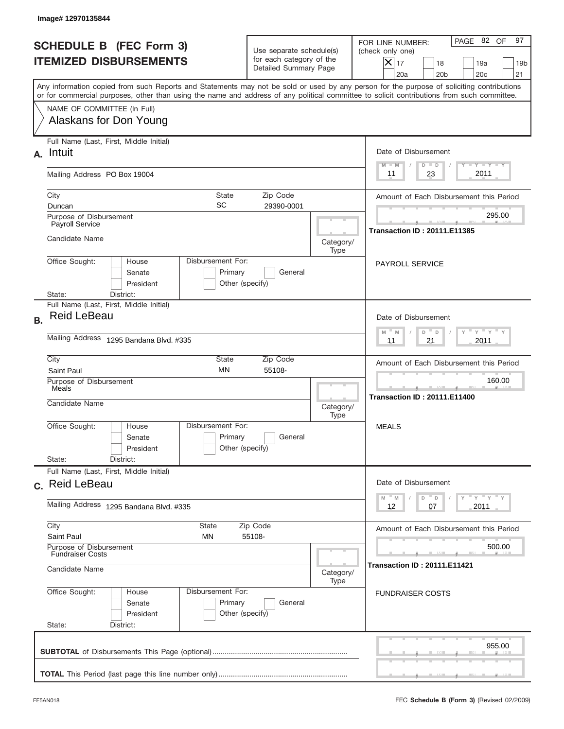|           | Image# 12970135844                                                                                                                                                                                                                                                                      |                                                                                                               |           |                                                                                                                                                          |
|-----------|-----------------------------------------------------------------------------------------------------------------------------------------------------------------------------------------------------------------------------------------------------------------------------------------|---------------------------------------------------------------------------------------------------------------|-----------|----------------------------------------------------------------------------------------------------------------------------------------------------------|
|           | <b>SCHEDULE B (FEC Form 3)</b><br><b>ITEMIZED DISBURSEMENTS</b>                                                                                                                                                                                                                         | Use separate schedule(s)<br>for each category of the<br>Detailed Summary Page                                 |           | 97<br>PAGE 82 OF<br>FOR LINE NUMBER:<br>(check only one)<br>$X _{17}$<br>18<br>19a<br>19 <sub>b</sub><br>20a<br>20 <sub>b</sub><br>20 <sub>c</sub><br>21 |
|           | Any information copied from such Reports and Statements may not be sold or used by any person for the purpose of soliciting contributions<br>or for commercial purposes, other than using the name and address of any political committee to solicit contributions from such committee. |                                                                                                               |           |                                                                                                                                                          |
|           | NAME OF COMMITTEE (In Full)<br>Alaskans for Don Young                                                                                                                                                                                                                                   |                                                                                                               |           |                                                                                                                                                          |
| А.        | Full Name (Last, First, Middle Initial)<br>Intuit                                                                                                                                                                                                                                       |                                                                                                               |           | Date of Disbursement<br><b>TANK TANK</b><br>$M - M$<br>$D$ $D$                                                                                           |
|           | Mailing Address PO Box 19004                                                                                                                                                                                                                                                            |                                                                                                               |           | 2011<br>23<br>11                                                                                                                                         |
|           | City<br><b>State</b><br><b>SC</b><br>Duncan<br>Purpose of Disbursement                                                                                                                                                                                                                  | Amount of Each Disbursement this Period<br>295.00                                                             |           |                                                                                                                                                          |
|           | Payroll Service<br>Candidate Name                                                                                                                                                                                                                                                       |                                                                                                               | Category/ | <b>Transaction ID: 20111.E11385</b>                                                                                                                      |
|           | Type<br>Disbursement For:<br>Office Sought:<br>House<br>Senate<br>Primary<br>General<br>President<br>Other (specify)<br>State:                                                                                                                                                          |                                                                                                               |           | <b>PAYROLL SERVICE</b>                                                                                                                                   |
| <b>B.</b> | District:<br>Full Name (Last, First, Middle Initial)<br><b>Reid LeBeau</b>                                                                                                                                                                                                              | Date of Disbursement<br>$\mathbb{F}$ $\mathbb{Y}$ $\mathbb{F}$ $\mathbb{Y}$ $\mathbb{F}$<br>$M - M$<br>D<br>D |           |                                                                                                                                                          |
|           | Mailing Address 1295 Bandana Blvd. #335                                                                                                                                                                                                                                                 | 21<br>2011<br>11                                                                                              |           |                                                                                                                                                          |
|           | City<br>State<br><b>MN</b><br>Saint Paul<br>Purpose of Disbursement                                                                                                                                                                                                                     | Amount of Each Disbursement this Period<br>160.00<br>--                                                       |           |                                                                                                                                                          |
|           | Meals<br>Candidate Name                                                                                                                                                                                                                                                                 |                                                                                                               |           | <b>Transaction ID: 20111.E11400</b>                                                                                                                      |
|           | Disbursement For:<br>Office Sought:<br>House<br>Senate<br>President<br>State:<br>District:                                                                                                                                                                                              | Primary<br>General<br>Other (specify)                                                                         |           | <b>MEALS</b>                                                                                                                                             |
|           | Full Name (Last, First, Middle Initial)<br>c. Reid LeBeau                                                                                                                                                                                                                               | Date of Disbursement                                                                                          |           |                                                                                                                                                          |
|           | Mailing Address 1295 Bandana Blvd. #335                                                                                                                                                                                                                                                 | γ <sup>=</sup> γ <sup>=</sup> γ <sup>=</sup> γ<br>$M$ M<br>D<br>D<br>2011<br>12<br>07                         |           |                                                                                                                                                          |
|           | City<br>State<br>Saint Paul<br>ΜN                                                                                                                                                                                                                                                       | Amount of Each Disbursement this Period                                                                       |           |                                                                                                                                                          |
|           | Purpose of Disbursement<br><b>Fundraiser Costs</b><br>Candidate Name<br>Category/                                                                                                                                                                                                       |                                                                                                               |           | 500.00<br><b>Transaction ID: 20111.E11421</b>                                                                                                            |
|           | Office Sought:<br>Disbursement For:<br>House<br>Senate<br>President<br>State:<br>District:                                                                                                                                                                                              | Primary<br>General<br>Other (specify)                                                                         | Type      | <b>FUNDRAISER COSTS</b>                                                                                                                                  |
|           |                                                                                                                                                                                                                                                                                         |                                                                                                               |           | 955.00                                                                                                                                                   |
|           |                                                                                                                                                                                                                                                                                         |                                                                                                               |           |                                                                                                                                                          |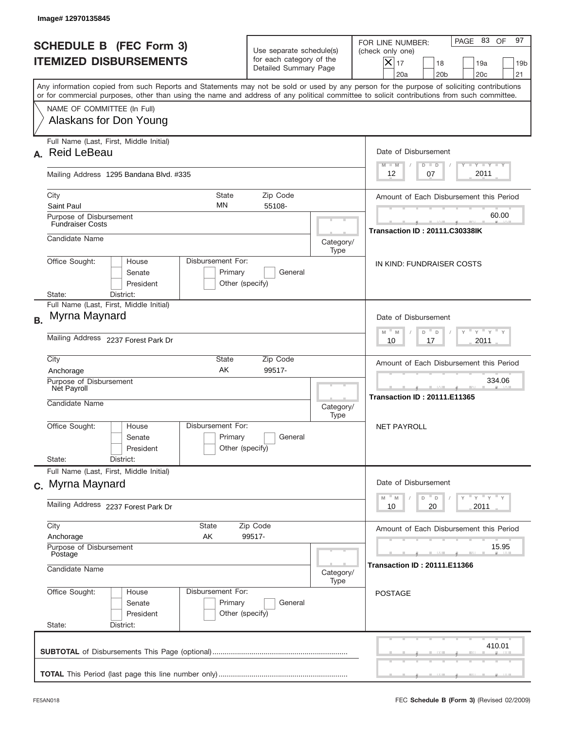|           | Image# 12970135845                                                                                                                                                                                                                                                                      |                                                                               |           |                                                                                                                                                             |
|-----------|-----------------------------------------------------------------------------------------------------------------------------------------------------------------------------------------------------------------------------------------------------------------------------------------|-------------------------------------------------------------------------------|-----------|-------------------------------------------------------------------------------------------------------------------------------------------------------------|
|           | <b>SCHEDULE B (FEC Form 3)</b><br><b>ITEMIZED DISBURSEMENTS</b>                                                                                                                                                                                                                         | Use separate schedule(s)<br>for each category of the<br>Detailed Summary Page |           | 97<br>PAGE 83<br>OF<br>FOR LINE NUMBER:<br>(check only one)<br>$X _{17}$<br>18<br>19a<br>19 <sub>b</sub><br>20a<br>20 <sub>b</sub><br>20 <sub>c</sub><br>21 |
|           | Any information copied from such Reports and Statements may not be sold or used by any person for the purpose of soliciting contributions<br>or for commercial purposes, other than using the name and address of any political committee to solicit contributions from such committee. |                                                                               |           |                                                                                                                                                             |
|           | NAME OF COMMITTEE (In Full)<br>Alaskans for Don Young                                                                                                                                                                                                                                   |                                                                               |           |                                                                                                                                                             |
| А.        | Full Name (Last, First, Middle Initial)<br><b>Reid LeBeau</b>                                                                                                                                                                                                                           |                                                                               |           | Date of Disbursement<br><b>TANK TANK</b><br>$M - M$<br>$D$ $D$                                                                                              |
|           | Mailing Address 1295 Bandana Blvd. #335                                                                                                                                                                                                                                                 |                                                                               |           | 2011<br>12<br>07                                                                                                                                            |
|           | City<br><b>State</b><br><b>MN</b><br>Saint Paul                                                                                                                                                                                                                                         | Amount of Each Disbursement this Period                                       |           |                                                                                                                                                             |
|           | Purpose of Disbursement<br><b>Fundraiser Costs</b><br>Candidate Name                                                                                                                                                                                                                    |                                                                               | Category/ | 60.00<br><b>Transaction ID: 20111.C30338IK</b>                                                                                                              |
|           | Disbursement For:<br>Office Sought:<br>House<br>Primary<br>Senate<br>President<br>Other (specify)<br>District:<br>State:                                                                                                                                                                | IN KIND: FUNDRAISER COSTS                                                     |           |                                                                                                                                                             |
| <b>B.</b> | Full Name (Last, First, Middle Initial)<br>Myrna Maynard                                                                                                                                                                                                                                |                                                                               |           | Date of Disbursement<br>$\cdots$ $\gamma$ $\cdots$ $\gamma$ $\cdots$<br>$M - M$<br>D<br>D                                                                   |
|           | Mailing Address 2237 Forest Park Dr<br>City<br>State                                                                                                                                                                                                                                    | 2011<br>10<br>17<br>Amount of Each Disbursement this Period                   |           |                                                                                                                                                             |
|           | AK<br>99517-<br>Anchorage<br>Purpose of Disbursement<br>Net Payroll<br>Candidate Name<br>Category/<br>Type                                                                                                                                                                              |                                                                               |           | 334.06<br>___<br><b>Transaction ID: 20111.E11365</b>                                                                                                        |
|           | Disbursement For:<br>Office Sought:<br>House<br>Senate<br>President<br>State:<br>District:                                                                                                                                                                                              | Primary<br>General<br>Other (specify)                                         |           | NET PAYROLL                                                                                                                                                 |
|           | Full Name (Last, First, Middle Initial)<br>c. Myrna Maynard                                                                                                                                                                                                                             | Date of Disbursement<br>$Y$ $Y$ $Y$ $Y$ $Y$<br>$M$ M<br>D                     |           |                                                                                                                                                             |
|           | Mailing Address 2237 Forest Park Dr                                                                                                                                                                                                                                                     | $\mathsf D$<br>20<br>2011<br>10                                               |           |                                                                                                                                                             |
|           | City<br>State<br>Anchorage<br>AK<br>Purpose of Disbursement                                                                                                                                                                                                                             | Amount of Each Disbursement this Period<br>15.95                              |           |                                                                                                                                                             |
|           | Postage<br>Candidate Name                                                                                                                                                                                                                                                               | <b>Transaction ID: 20111.E11366</b>                                           |           |                                                                                                                                                             |
|           | Office Sought:<br>Disbursement For:<br>House<br>Senate<br>President<br>State:<br>District:                                                                                                                                                                                              | Primary<br>General<br>Other (specify)                                         | Type      | <b>POSTAGE</b>                                                                                                                                              |
|           |                                                                                                                                                                                                                                                                                         |                                                                               |           | 410.01                                                                                                                                                      |
|           |                                                                                                                                                                                                                                                                                         |                                                                               |           |                                                                                                                                                             |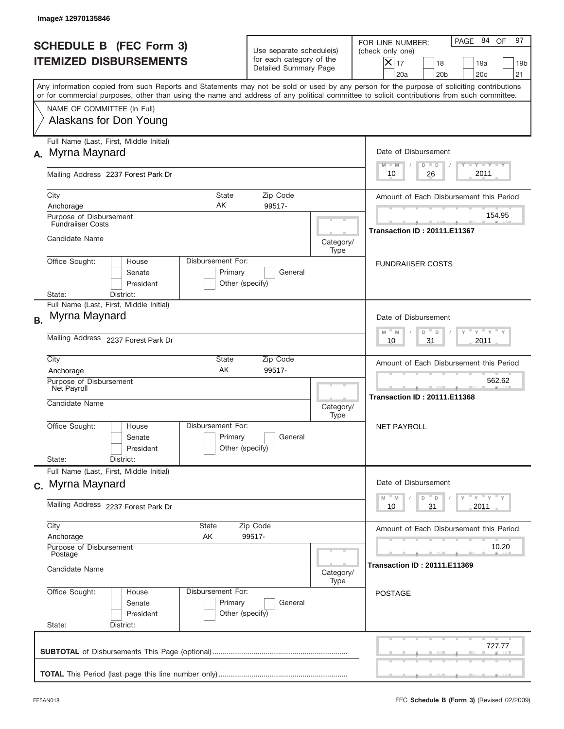|           | Image# 12970135846                                                                                                                                                                                                                                                                      |                                                   |                                                                               |                   |                                                                                                                                                             |
|-----------|-----------------------------------------------------------------------------------------------------------------------------------------------------------------------------------------------------------------------------------------------------------------------------------------|---------------------------------------------------|-------------------------------------------------------------------------------|-------------------|-------------------------------------------------------------------------------------------------------------------------------------------------------------|
|           | <b>SCHEDULE B (FEC Form 3)</b><br><b>ITEMIZED DISBURSEMENTS</b>                                                                                                                                                                                                                         |                                                   | Use separate schedule(s)<br>for each category of the<br>Detailed Summary Page |                   | 97<br>PAGE 84<br>OF<br>FOR LINE NUMBER:<br>(check only one)<br>$X _{17}$<br>18<br>19a<br>19 <sub>b</sub><br>20 <sub>c</sub><br>20a<br>20 <sub>b</sub><br>21 |
|           | Any information copied from such Reports and Statements may not be sold or used by any person for the purpose of soliciting contributions<br>or for commercial purposes, other than using the name and address of any political committee to solicit contributions from such committee. |                                                   |                                                                               |                   |                                                                                                                                                             |
|           | NAME OF COMMITTEE (In Full)<br>Alaskans for Don Young                                                                                                                                                                                                                                   |                                                   |                                                                               |                   |                                                                                                                                                             |
|           | Full Name (Last, First, Middle Initial)<br>A. Myrna Maynard                                                                                                                                                                                                                             |                                                   |                                                                               |                   | Date of Disbursement<br>$T - Y$ $T - Y$<br>$D$ $D$<br>$M - M$                                                                                               |
|           | Mailing Address 2237 Forest Park Dr                                                                                                                                                                                                                                                     |                                                   |                                                                               |                   | 2011<br>10<br>26                                                                                                                                            |
|           | City<br>State<br>AΚ<br>Anchorage<br>Purpose of Disbursement                                                                                                                                                                                                                             |                                                   | Zip Code<br>99517-                                                            |                   | Amount of Each Disbursement this Period<br>154.95                                                                                                           |
|           | <b>Fundrailser Costs</b><br>Candidate Name                                                                                                                                                                                                                                              |                                                   |                                                                               | Category/<br>Type | <b>Transaction ID: 20111.E11367</b>                                                                                                                         |
|           | Disbursement For:<br>Office Sought:<br>House<br>Senate<br>Primary<br>General<br>President<br>Other (specify)<br>State:<br>District:                                                                                                                                                     |                                                   |                                                                               |                   | <b>FUNDRAIISER COSTS</b>                                                                                                                                    |
| <b>B.</b> | Full Name (Last, First, Middle Initial)<br>Myrna Maynard                                                                                                                                                                                                                                |                                                   |                                                                               |                   | Date of Disbursement<br>$\cdots$ $\gamma$ $\cdots$ $\gamma$ $\cdots$<br>$M - M$<br>D<br>D                                                                   |
|           | Mailing Address 2237 Forest Park Dr                                                                                                                                                                                                                                                     | 2011<br>10<br>31                                  |                                                                               |                   |                                                                                                                                                             |
|           | City<br>State<br>AK<br>Anchorage<br>Purpose of Disbursement                                                                                                                                                                                                                             | Amount of Each Disbursement this Period<br>562.62 |                                                                               |                   |                                                                                                                                                             |
|           | Net Payroll<br>Candidate Name                                                                                                                                                                                                                                                           |                                                   |                                                                               | Category/<br>Type | ___<br><b>Transaction ID: 20111.E11368</b>                                                                                                                  |
|           | Disbursement For:<br>Office Sought:<br>House<br>Senate<br>President                                                                                                                                                                                                                     | Primary<br>Other (specify)                        | General                                                                       |                   | NET PAYROLL                                                                                                                                                 |
|           | State:<br>District:<br>Full Name (Last, First, Middle Initial)                                                                                                                                                                                                                          |                                                   |                                                                               |                   |                                                                                                                                                             |
|           | c. Myrna Maynard<br>Mailing Address 2237 Forest Park Dr                                                                                                                                                                                                                                 |                                                   |                                                                               |                   | Date of Disbursement<br>γ <sup>=</sup> γ <sup>=</sup> γ <sup>=</sup> γ<br>$-M$<br>D<br>M<br>D<br>31<br>2011<br>10                                           |
|           | City<br>State                                                                                                                                                                                                                                                                           |                                                   |                                                                               |                   |                                                                                                                                                             |
|           | Anchorage<br>AΚ                                                                                                                                                                                                                                                                         | Zip Code<br>99517-                                |                                                                               |                   | Amount of Each Disbursement this Period<br>10.20                                                                                                            |
|           | Purpose of Disbursement<br>Postage<br>Candidate Name<br>Category/                                                                                                                                                                                                                       |                                                   |                                                                               |                   | Transaction ID : 20111.E11369                                                                                                                               |
|           | Office Sought:<br>Disbursement For:<br>House<br>Senate<br>President<br>State:<br>District:                                                                                                                                                                                              | Primary<br>Other (specify)                        | General                                                                       | Type              | <b>POSTAGE</b>                                                                                                                                              |
|           |                                                                                                                                                                                                                                                                                         |                                                   |                                                                               |                   | 727.77                                                                                                                                                      |
|           |                                                                                                                                                                                                                                                                                         |                                                   |                                                                               |                   |                                                                                                                                                             |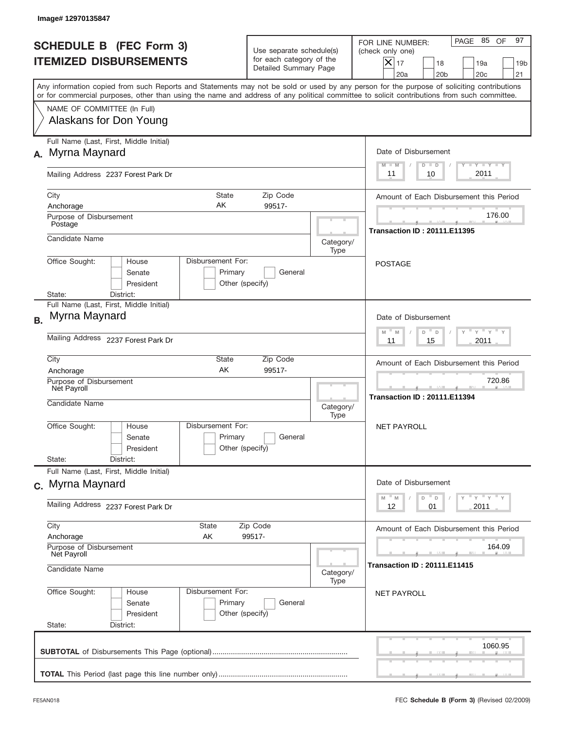|                                                                 | Image# 12970135847                                                                                                                                                                                                                                                                      |                                                                               |      |                                                                                                                                                           |
|-----------------------------------------------------------------|-----------------------------------------------------------------------------------------------------------------------------------------------------------------------------------------------------------------------------------------------------------------------------------------|-------------------------------------------------------------------------------|------|-----------------------------------------------------------------------------------------------------------------------------------------------------------|
| <b>SCHEDULE B (FEC Form 3)</b><br><b>ITEMIZED DISBURSEMENTS</b> |                                                                                                                                                                                                                                                                                         | Use separate schedule(s)<br>for each category of the<br>Detailed Summary Page |      | 97<br>PAGE 85<br>OF<br>FOR LINE NUMBER:<br>(check only one)<br>X<br>17<br>18<br>19a<br>19 <sub>b</sub><br>20 <sub>c</sub><br>21<br>20a<br>20 <sub>b</sub> |
|                                                                 | Any information copied from such Reports and Statements may not be sold or used by any person for the purpose of soliciting contributions<br>or for commercial purposes, other than using the name and address of any political committee to solicit contributions from such committee. |                                                                               |      |                                                                                                                                                           |
|                                                                 | NAME OF COMMITTEE (In Full)<br>Alaskans for Don Young                                                                                                                                                                                                                                   |                                                                               |      |                                                                                                                                                           |
|                                                                 | Full Name (Last, First, Middle Initial)<br>A. Myrna Maynard                                                                                                                                                                                                                             |                                                                               |      | Date of Disbursement<br>$T - Y$ $T - Y$<br>$M - M$<br>$D$ $D$                                                                                             |
|                                                                 | Mailing Address 2237 Forest Park Dr                                                                                                                                                                                                                                                     | 2011<br>10<br>11                                                              |      |                                                                                                                                                           |
|                                                                 | <b>State</b><br>City<br>AK<br>Anchorage<br>Purpose of Disbursement                                                                                                                                                                                                                      | Zip Code<br>99517-                                                            |      | Amount of Each Disbursement this Period<br>176.00                                                                                                         |
|                                                                 | Postage<br>Candidate Name                                                                                                                                                                                                                                                               | <b>Transaction ID: 20111.E11395</b>                                           |      |                                                                                                                                                           |
|                                                                 | Disbursement For:<br>Office Sought:<br>House<br>Senate<br>Primary<br>President<br>State:<br>District:                                                                                                                                                                                   | General<br>Other (specify)                                                    |      | <b>POSTAGE</b>                                                                                                                                            |
| <b>B.</b>                                                       | Full Name (Last, First, Middle Initial)<br>Myrna Maynard                                                                                                                                                                                                                                |                                                                               |      | Date of Disbursement<br>$-\gamma + \gamma -$<br>$M - M$<br>D<br>D                                                                                         |
|                                                                 | Mailing Address 2237 Forest Park Dr                                                                                                                                                                                                                                                     | 2011<br>11<br>15                                                              |      |                                                                                                                                                           |
|                                                                 | City<br>State<br>AK<br>Anchorage                                                                                                                                                                                                                                                        | Amount of Each Disbursement this Period<br>720.86                             |      |                                                                                                                                                           |
|                                                                 | Purpose of Disbursement<br>Net Payroll<br>Candidate Name<br>Category/                                                                                                                                                                                                                   |                                                                               |      | <b>Transaction ID: 20111.E11394</b>                                                                                                                       |
|                                                                 | Disbursement For:<br>Office Sought:<br>House<br>Primary<br>Senate<br>President                                                                                                                                                                                                          | General<br>Other (specify)                                                    |      | <b>NET PAYROLL</b>                                                                                                                                        |
|                                                                 | State:<br>District:<br>Full Name (Last, First, Middle Initial)                                                                                                                                                                                                                          |                                                                               |      |                                                                                                                                                           |
|                                                                 | c. Myrna Maynard                                                                                                                                                                                                                                                                        |                                                                               |      | Date of Disbursement<br>γ <sup>=</sup> γ <sup>=</sup> γ <sup>=</sup> γ<br>$M$ $M$<br>D<br>D                                                               |
|                                                                 | Mailing Address 2237 Forest Park Dr                                                                                                                                                                                                                                                     | 12<br>01<br>2011                                                              |      |                                                                                                                                                           |
|                                                                 | City<br>State<br>Zip Code<br>Anchorage<br>AK                                                                                                                                                                                                                                            | Amount of Each Disbursement this Period                                       |      |                                                                                                                                                           |
|                                                                 | 99517-<br>Purpose of Disbursement<br>Net Payroll<br>Candidate Name<br>Category/                                                                                                                                                                                                         |                                                                               |      | 164.09<br><b>Transaction ID: 20111.E11415</b>                                                                                                             |
|                                                                 | Office Sought:<br>Disbursement For:<br>House<br>Primary<br>Senate<br>President<br>State:<br>District:                                                                                                                                                                                   | General<br>Other (specify)                                                    | Type | <b>NET PAYROLL</b>                                                                                                                                        |
|                                                                 |                                                                                                                                                                                                                                                                                         |                                                                               |      | 1060.95                                                                                                                                                   |
|                                                                 |                                                                                                                                                                                                                                                                                         |                                                                               |      |                                                                                                                                                           |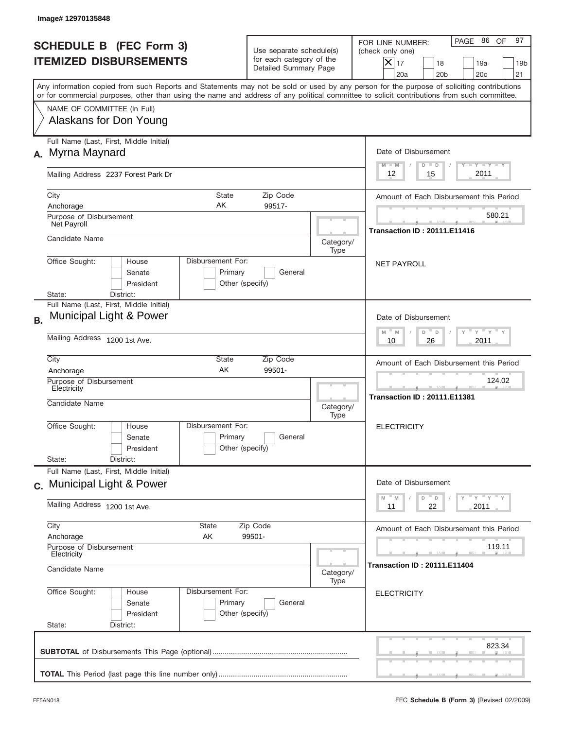|                                                                 | Image#12970135848                                                                                                                                                                                                                                                                       |                                                                               |                                           |                                                                                                                                                             |  |
|-----------------------------------------------------------------|-----------------------------------------------------------------------------------------------------------------------------------------------------------------------------------------------------------------------------------------------------------------------------------------|-------------------------------------------------------------------------------|-------------------------------------------|-------------------------------------------------------------------------------------------------------------------------------------------------------------|--|
| <b>SCHEDULE B</b> (FEC Form 3)<br><b>ITEMIZED DISBURSEMENTS</b> |                                                                                                                                                                                                                                                                                         | Use separate schedule(s)<br>for each category of the<br>Detailed Summary Page |                                           | 97<br>PAGE 86<br>OF<br>FOR LINE NUMBER:<br>(check only one)<br>$X _{17}$<br>18<br>19a<br>19 <sub>b</sub><br>20a<br>20 <sub>b</sub><br>20 <sub>c</sub><br>21 |  |
|                                                                 | Any information copied from such Reports and Statements may not be sold or used by any person for the purpose of soliciting contributions<br>or for commercial purposes, other than using the name and address of any political committee to solicit contributions from such committee. |                                                                               |                                           |                                                                                                                                                             |  |
|                                                                 | NAME OF COMMITTEE (In Full)<br>Alaskans for Don Young                                                                                                                                                                                                                                   |                                                                               |                                           |                                                                                                                                                             |  |
| А.                                                              | Full Name (Last, First, Middle Initial)<br>Myrna Maynard                                                                                                                                                                                                                                |                                                                               |                                           | Date of Disbursement<br>$T - Y$ $T - Y$<br>$M - M$<br>$D$ $D$                                                                                               |  |
|                                                                 | Mailing Address 2237 Forest Park Dr                                                                                                                                                                                                                                                     | 2011<br>12<br>15                                                              |                                           |                                                                                                                                                             |  |
|                                                                 | City<br><b>State</b><br>AK<br>Anchorage<br>Purpose of Disbursement                                                                                                                                                                                                                      | Amount of Each Disbursement this Period<br>580.21                             |                                           |                                                                                                                                                             |  |
|                                                                 | Net Payroll<br>Candidate Name                                                                                                                                                                                                                                                           | Category/                                                                     | <b>Transaction ID: 20111.E11416</b>       |                                                                                                                                                             |  |
|                                                                 | Disbursement For:<br>Office Sought:<br>House<br>Senate<br>President<br>District:<br>State:                                                                                                                                                                                              | Primary<br>General<br>Other (specify)                                         | Type                                      | <b>NET PAYROLL</b>                                                                                                                                          |  |
| <b>B.</b>                                                       | Full Name (Last, First, Middle Initial)<br>Municipal Light & Power                                                                                                                                                                                                                      |                                                                               |                                           | Date of Disbursement<br>$\mathbb{F}$ $\mathbb{Y}$ $\mathbb{F}$ $\mathbb{Y}$ $\mathbb{F}$<br>$M - M$<br>D<br>D                                               |  |
|                                                                 | Mailing Address 1200 1st Ave.                                                                                                                                                                                                                                                           | 2011<br>10<br>26                                                              |                                           |                                                                                                                                                             |  |
|                                                                 | City<br>State<br>AK<br>Anchorage<br>Purpose of Disbursement                                                                                                                                                                                                                             | Amount of Each Disbursement this Period<br>124.02                             |                                           |                                                                                                                                                             |  |
|                                                                 | Electricity<br>Candidate Name                                                                                                                                                                                                                                                           | Category/<br>Type                                                             | --<br><b>Transaction ID: 20111.E11381</b> |                                                                                                                                                             |  |
|                                                                 | Disbursement For:<br>Office Sought:<br>House<br>Senate<br>President<br>State:<br>District:                                                                                                                                                                                              | Primary<br>General<br>Other (specify)                                         |                                           | <b>ELECTRICITY</b>                                                                                                                                          |  |
|                                                                 | Full Name (Last, First, Middle Initial)<br>c. Municipal Light & Power                                                                                                                                                                                                                   |                                                                               |                                           | Date of Disbursement                                                                                                                                        |  |
|                                                                 | Mailing Address 1200 1st Ave.                                                                                                                                                                                                                                                           | $Y$ $Y$ $Y$ $Y$ $Y$<br>M<br>M<br>D<br>$\mathsf D$<br>22<br>2011<br>11         |                                           |                                                                                                                                                             |  |
|                                                                 | City<br>State<br>Anchorage<br>AK<br>Purpose of Disbursement                                                                                                                                                                                                                             | Amount of Each Disbursement this Period<br>119.11                             |                                           |                                                                                                                                                             |  |
|                                                                 | Electricity<br>Candidate Name                                                                                                                                                                                                                                                           | <b>Transaction ID: 20111.E11404</b>                                           |                                           |                                                                                                                                                             |  |
|                                                                 | Office Sought:<br>Disbursement For:<br>House<br>Senate<br>President<br>State:<br>District:                                                                                                                                                                                              | Primary<br>General<br>Other (specify)                                         | Type                                      | <b>ELECTRICITY</b>                                                                                                                                          |  |
|                                                                 |                                                                                                                                                                                                                                                                                         |                                                                               |                                           | 823.34                                                                                                                                                      |  |
|                                                                 |                                                                                                                                                                                                                                                                                         |                                                                               |                                           |                                                                                                                                                             |  |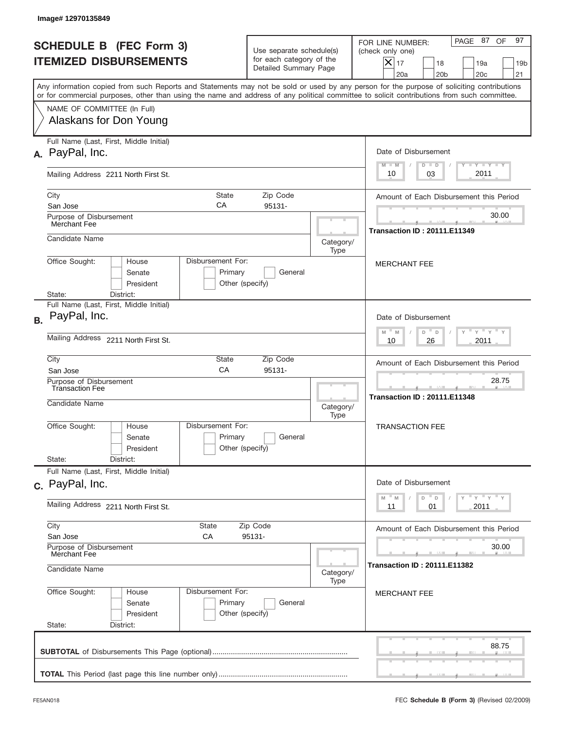|                                                                 | Image#12970135849                                                                                                                                                                                                                                                                       |                                                                               |                                     |                                                                                                                                                             |  |
|-----------------------------------------------------------------|-----------------------------------------------------------------------------------------------------------------------------------------------------------------------------------------------------------------------------------------------------------------------------------------|-------------------------------------------------------------------------------|-------------------------------------|-------------------------------------------------------------------------------------------------------------------------------------------------------------|--|
| <b>SCHEDULE B (FEC Form 3)</b><br><b>ITEMIZED DISBURSEMENTS</b> |                                                                                                                                                                                                                                                                                         | Use separate schedule(s)<br>for each category of the<br>Detailed Summary Page |                                     | 97<br>PAGE 87<br>OF<br>FOR LINE NUMBER:<br>(check only one)<br>$X _{17}$<br>18<br>19a<br>19 <sub>b</sub><br>21<br>20a<br>20 <sub>b</sub><br>20 <sub>c</sub> |  |
|                                                                 | Any information copied from such Reports and Statements may not be sold or used by any person for the purpose of soliciting contributions<br>or for commercial purposes, other than using the name and address of any political committee to solicit contributions from such committee. |                                                                               |                                     |                                                                                                                                                             |  |
|                                                                 | NAME OF COMMITTEE (In Full)<br>Alaskans for Don Young                                                                                                                                                                                                                                   |                                                                               |                                     |                                                                                                                                                             |  |
| А.                                                              | Full Name (Last, First, Middle Initial)<br>PayPal, Inc.                                                                                                                                                                                                                                 |                                                                               |                                     | Date of Disbursement<br><b>TANK TANK</b><br>$M - M$<br>$D$ $D$                                                                                              |  |
|                                                                 | Mailing Address 2211 North First St.                                                                                                                                                                                                                                                    | 2011<br>03<br>10                                                              |                                     |                                                                                                                                                             |  |
|                                                                 | City<br>State<br>СA<br>San Jose<br>Purpose of Disbursement                                                                                                                                                                                                                              | Amount of Each Disbursement this Period<br>30.00                              |                                     |                                                                                                                                                             |  |
|                                                                 | Merchant Fee<br>Candidate Name                                                                                                                                                                                                                                                          | Category/                                                                     | <b>Transaction ID: 20111.E11349</b> |                                                                                                                                                             |  |
|                                                                 | Disbursement For:<br>Office Sought:<br>House<br>Senate<br>Primary<br>President<br>District:<br>State:                                                                                                                                                                                   | General<br>Other (specify)                                                    | Type                                | <b>MERCHANT FEE</b>                                                                                                                                         |  |
| <b>B.</b>                                                       | Full Name (Last, First, Middle Initial)<br>PayPal, Inc.                                                                                                                                                                                                                                 |                                                                               |                                     | Date of Disbursement<br>$\cdots$ $\gamma$ $\cdots$ $\gamma$ $\cdots$ $\gamma$                                                                               |  |
|                                                                 | Mailing Address 2211 North First St.                                                                                                                                                                                                                                                    | $M - M$<br>$D$ $D$<br>2011<br>10<br>26                                        |                                     |                                                                                                                                                             |  |
|                                                                 | City<br>State<br>CA<br>San Jose<br>Purpose of Disbursement<br><b>Transaction Fee</b>                                                                                                                                                                                                    | Amount of Each Disbursement this Period<br>28.75                              |                                     |                                                                                                                                                             |  |
|                                                                 | Candidate Name                                                                                                                                                                                                                                                                          | <b>Transaction ID: 20111.E11348</b>                                           |                                     |                                                                                                                                                             |  |
|                                                                 | Disbursement For:<br>Office Sought:<br>House<br>Primary<br>Senate<br>President<br>State:<br>District:                                                                                                                                                                                   | General<br>Other (specify)                                                    | <b>TRANSACTION FEE</b>              |                                                                                                                                                             |  |
|                                                                 | Full Name (Last, First, Middle Initial)<br>c. PayPal, Inc.                                                                                                                                                                                                                              |                                                                               |                                     | Date of Disbursement                                                                                                                                        |  |
|                                                                 | Mailing Address 2211 North First St.                                                                                                                                                                                                                                                    |                                                                               |                                     | γ <sup>=</sup> γ <sup>=</sup> γ <sup>=</sup> γ<br>M<br>D<br>M<br>D<br>01<br>2011<br>11                                                                      |  |
|                                                                 | City<br>State<br>San Jose<br>СA                                                                                                                                                                                                                                                         | Amount of Each Disbursement this Period                                       |                                     |                                                                                                                                                             |  |
|                                                                 | Purpose of Disbursement<br>Merchant Fee<br>Candidate Name<br>Category/<br>Type                                                                                                                                                                                                          |                                                                               |                                     | 30.00<br><b>Transaction ID: 20111.E11382</b>                                                                                                                |  |
|                                                                 | Office Sought:<br>Disbursement For:<br>House<br>Primary<br>Senate<br>President<br>State:<br>District:                                                                                                                                                                                   | General<br>Other (specify)                                                    |                                     | <b>MERCHANT FEE</b>                                                                                                                                         |  |
|                                                                 |                                                                                                                                                                                                                                                                                         |                                                                               |                                     | 88.75                                                                                                                                                       |  |
|                                                                 |                                                                                                                                                                                                                                                                                         |                                                                               |                                     |                                                                                                                                                             |  |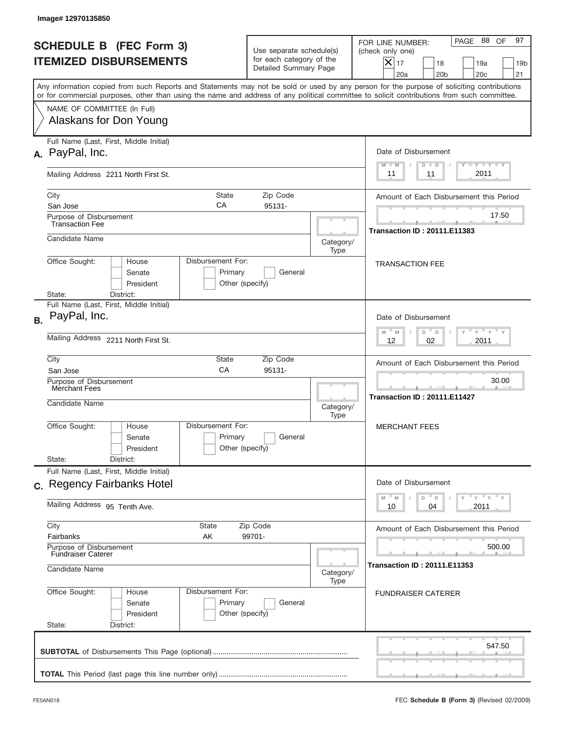|                                                                 | Image#12970135850                                                                                                                          |                                                                                                                |                                                                               |                   |                                                                                                                                                             |  |
|-----------------------------------------------------------------|--------------------------------------------------------------------------------------------------------------------------------------------|----------------------------------------------------------------------------------------------------------------|-------------------------------------------------------------------------------|-------------------|-------------------------------------------------------------------------------------------------------------------------------------------------------------|--|
| <b>SCHEDULE B (FEC Form 3)</b><br><b>ITEMIZED DISBURSEMENTS</b> |                                                                                                                                            |                                                                                                                | Use separate schedule(s)<br>for each category of the<br>Detailed Summary Page |                   | 97<br>PAGE 88<br>OF<br>FOR LINE NUMBER:<br>(check only one)<br>$X _{17}$<br>18<br>19a<br>19 <sub>b</sub><br>20a<br>20 <sub>b</sub><br>20 <sub>c</sub><br>21 |  |
|                                                                 | or for commercial purposes, other than using the name and address of any political committee to solicit contributions from such committee. |                                                                                                                |                                                                               |                   | Any information copied from such Reports and Statements may not be sold or used by any person for the purpose of soliciting contributions                   |  |
|                                                                 | NAME OF COMMITTEE (In Full)<br>Alaskans for Don Young<br>Full Name (Last, First, Middle Initial)                                           |                                                                                                                |                                                                               |                   |                                                                                                                                                             |  |
| А.                                                              | PayPal, Inc.                                                                                                                               |                                                                                                                |                                                                               |                   | Date of Disbursement<br><b>TANK TANK</b><br>$M - M$<br>$D$ $D$                                                                                              |  |
|                                                                 | Mailing Address 2211 North First St.                                                                                                       | 2011<br>11<br>11                                                                                               |                                                                               |                   |                                                                                                                                                             |  |
|                                                                 | City<br>San Jose<br>Purpose of Disbursement                                                                                                | <b>State</b><br>CA                                                                                             | Zip Code<br>95131-                                                            |                   | Amount of Each Disbursement this Period<br>17.50                                                                                                            |  |
|                                                                 | <b>Transaction Fee</b><br>Candidate Name<br>Category/<br>Type                                                                              |                                                                                                                |                                                                               |                   | <b>Transaction ID: 20111.E11383</b>                                                                                                                         |  |
|                                                                 | Office Sought:<br>House<br>Senate<br>President<br>State:<br>District:                                                                      | Disbursement For:<br>Primary<br>Other (specify)                                                                | General                                                                       |                   | <b>TRANSACTION FEE</b>                                                                                                                                      |  |
| <b>B.</b>                                                       | Full Name (Last, First, Middle Initial)<br>PayPal, Inc.                                                                                    |                                                                                                                |                                                                               |                   | Date of Disbursement                                                                                                                                        |  |
|                                                                 | Mailing Address 2211 North First St.                                                                                                       | $\mathbb{F}$ $\mathbb{Y}$ $\mathbb{F}$ $\mathbb{Y}$ $\mathbb{F}$<br>$M - M$<br>D<br>$\Box$<br>02<br>2011<br>12 |                                                                               |                   |                                                                                                                                                             |  |
|                                                                 | City<br>State<br>Zip Code<br>CA<br>95131-<br>San Jose<br>Purpose of Disbursement                                                           |                                                                                                                |                                                                               |                   | Amount of Each Disbursement this Period<br>30.00                                                                                                            |  |
|                                                                 | Merchant Fees<br>Candidate Name                                                                                                            |                                                                                                                |                                                                               | Category/<br>Type | --<br><b>Transaction ID: 20111.E11427</b>                                                                                                                   |  |
|                                                                 | Office Sought:<br>House<br>Senate<br>President                                                                                             | Disbursement For:<br>Primary<br>General<br>Other (specify)                                                     |                                                                               |                   | <b>MERCHANT FEES</b>                                                                                                                                        |  |
|                                                                 | State:<br>District:<br>Full Name (Last, First, Middle Initial)                                                                             |                                                                                                                |                                                                               |                   |                                                                                                                                                             |  |
|                                                                 | c. Regency Fairbanks Hotel<br>Mailing Address 95 Tenth Ave.                                                                                |                                                                                                                |                                                                               |                   | Date of Disbursement<br>γ <sup>=</sup> γ <sup>=</sup> γ <sup>=</sup> γ<br>M<br>D<br>M<br>$\mathsf D$<br>2011<br>10<br>04                                    |  |
|                                                                 | City<br>State<br>Zip Code                                                                                                                  |                                                                                                                |                                                                               |                   | Amount of Each Disbursement this Period                                                                                                                     |  |
|                                                                 | Fairbanks<br>AK<br>99701-<br>Purpose of Disbursement<br><b>Fundraiser Caterer</b>                                                          |                                                                                                                |                                                                               | 500.00            |                                                                                                                                                             |  |
|                                                                 | Candidate Name<br>Category/<br>Type                                                                                                        |                                                                                                                |                                                                               |                   | <b>Transaction ID: 20111.E11353</b>                                                                                                                         |  |
|                                                                 | Office Sought:<br>House<br>Senate<br>President<br>State:<br>District:                                                                      | Disbursement For:<br>Primary<br>Other (specify)                                                                | General                                                                       |                   | <b>FUNDRAISER CATERER</b>                                                                                                                                   |  |
|                                                                 |                                                                                                                                            |                                                                                                                |                                                                               |                   | 547.50                                                                                                                                                      |  |
|                                                                 |                                                                                                                                            |                                                                                                                |                                                                               |                   |                                                                                                                                                             |  |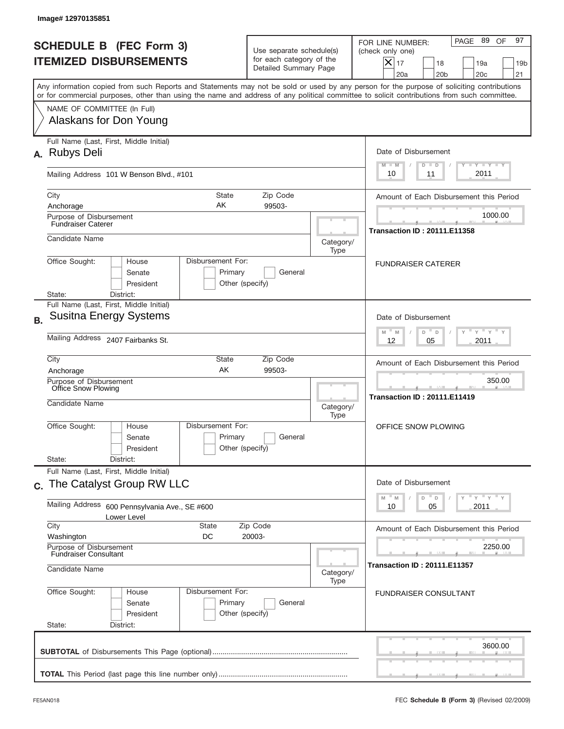|           | Image# 12970135851                                                                                                                                                                                                                                                                      |                                                   |                                                                               |                                                                                                                                                                  |  |
|-----------|-----------------------------------------------------------------------------------------------------------------------------------------------------------------------------------------------------------------------------------------------------------------------------------------|---------------------------------------------------|-------------------------------------------------------------------------------|------------------------------------------------------------------------------------------------------------------------------------------------------------------|--|
|           | <b>SCHEDULE B (FEC Form 3)</b><br><b>ITEMIZED DISBURSEMENTS</b>                                                                                                                                                                                                                         |                                                   | Use separate schedule(s)<br>for each category of the<br>Detailed Summary Page | 97<br>PAGE 89<br>OF<br>FOR LINE NUMBER:<br>(check only one)<br>$\times$<br>17<br>18<br>19a<br>19 <sub>b</sub><br>20a<br>20 <sub>b</sub><br>20 <sub>c</sub><br>21 |  |
|           | Any information copied from such Reports and Statements may not be sold or used by any person for the purpose of soliciting contributions<br>or for commercial purposes, other than using the name and address of any political committee to solicit contributions from such committee. |                                                   |                                                                               |                                                                                                                                                                  |  |
|           | NAME OF COMMITTEE (In Full)<br>Alaskans for Don Young                                                                                                                                                                                                                                   |                                                   |                                                                               |                                                                                                                                                                  |  |
| А.        | Full Name (Last, First, Middle Initial)<br><b>Rubys Deli</b>                                                                                                                                                                                                                            |                                                   |                                                                               | Date of Disbursement<br>$T - Y$ $T - Y$<br>$M - M$<br>$D$ $D$                                                                                                    |  |
|           | Mailing Address 101 W Benson Blvd., #101                                                                                                                                                                                                                                                | 2011<br>10<br>11                                  |                                                                               |                                                                                                                                                                  |  |
|           | City<br><b>State</b><br>AK<br>Anchorage<br>Purpose of Disbursement                                                                                                                                                                                                                      | Zip Code<br>99503-                                |                                                                               | Amount of Each Disbursement this Period<br>1000.00                                                                                                               |  |
|           | <b>Fundraiser Caterer</b><br>Candidate Name                                                                                                                                                                                                                                             | <b>Transaction ID: 20111.E11358</b><br>Category/  |                                                                               |                                                                                                                                                                  |  |
|           | Disbursement For:<br>Office Sought:<br>House<br>Senate<br>President<br>District:<br>State:                                                                                                                                                                                              | Primary<br>General<br>Other (specify)             | Type                                                                          | <b>FUNDRAISER CATERER</b>                                                                                                                                        |  |
| <b>B.</b> | Full Name (Last, First, Middle Initial)<br><b>Susitna Energy Systems</b>                                                                                                                                                                                                                |                                                   |                                                                               | Date of Disbursement<br>$M - M$<br>≡ γ ≡ γ ≡<br>D<br>D                                                                                                           |  |
|           | Mailing Address 2407 Fairbanks St.                                                                                                                                                                                                                                                      | 2011<br>12<br>05                                  |                                                                               |                                                                                                                                                                  |  |
|           | City<br>State<br>AK<br>Anchorage                                                                                                                                                                                                                                                        | Amount of Each Disbursement this Period<br>350.00 |                                                                               |                                                                                                                                                                  |  |
|           | Purpose of Disbursement<br>Office Snow Plowing<br>Candidate Name                                                                                                                                                                                                                        |                                                   | Category/<br>Type                                                             | <b>Transaction ID: 20111.E11419</b>                                                                                                                              |  |
|           | Disbursement For:<br>Office Sought:<br>House<br>Senate<br>President                                                                                                                                                                                                                     | Primary<br>General<br>Other (specify)             |                                                                               | OFFICE SNOW PLOWING                                                                                                                                              |  |
|           | State:<br>District:<br>Full Name (Last, First, Middle Initial)                                                                                                                                                                                                                          |                                                   |                                                                               |                                                                                                                                                                  |  |
|           | c. The Catalyst Group RW LLC<br>Mailing Address<br>600 Pennsylvania Ave., SE #600                                                                                                                                                                                                       |                                                   |                                                                               | Date of Disbursement<br>≡ γ ≡ γ ≡ γ<br>$-M$<br>D<br>M<br>D<br>2011<br>10<br>05                                                                                   |  |
|           | Lower Level<br>City<br>State                                                                                                                                                                                                                                                            | Zip Code                                          |                                                                               | Amount of Each Disbursement this Period                                                                                                                          |  |
|           | Washington<br>DC<br>Purpose of Disbursement                                                                                                                                                                                                                                             | 20003-                                            |                                                                               | 2250.00                                                                                                                                                          |  |
|           | <b>Fundraiser Consultant</b><br>Candidate Name<br>Category/                                                                                                                                                                                                                             |                                                   |                                                                               | <b>Transaction ID: 20111.E11357</b>                                                                                                                              |  |
|           | Office Sought:<br>Disbursement For:<br>House<br>Senate<br>President<br>State:<br>District:                                                                                                                                                                                              | Primary<br>Other (specify)                        | Type<br>General                                                               | <b>FUNDRAISER CONSULTANT</b>                                                                                                                                     |  |
|           |                                                                                                                                                                                                                                                                                         |                                                   |                                                                               | 3600.00                                                                                                                                                          |  |
|           |                                                                                                                                                                                                                                                                                         |                                                   |                                                                               |                                                                                                                                                                  |  |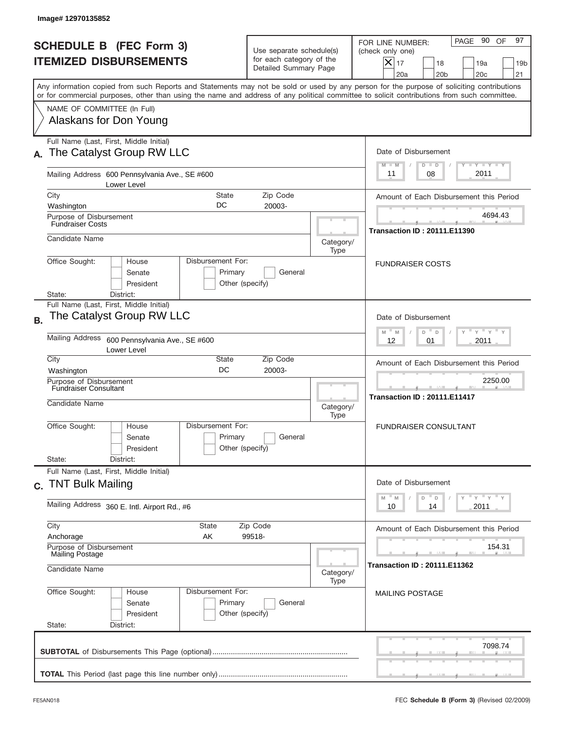| PAGE 90 OF<br>97<br>FOR LINE NUMBER:<br>(check only one)<br>$ \boldsymbol{\times} $<br>17<br>18<br>19a<br>19 <sub>b</sub><br>20a<br>20 <sub>b</sub><br>20c<br>21<br>Any information copied from such Reports and Statements may not be sold or used by any person for the purpose of soliciting contributions<br>or for commercial purposes, other than using the name and address of any political committee to solicit contributions from such committee.<br>Date of Disbursement<br>$T$ $T$ $T$ $T$ $T$ $T$ $T$ $T$ $T$<br>$M - M$<br>$D$ $D$<br>2011<br>08<br>11<br>Amount of Each Disbursement this Period<br>4694.43<br><b>Transaction ID : 20111.E11390</b><br><b>FUNDRAISER COSTS</b> |
|-----------------------------------------------------------------------------------------------------------------------------------------------------------------------------------------------------------------------------------------------------------------------------------------------------------------------------------------------------------------------------------------------------------------------------------------------------------------------------------------------------------------------------------------------------------------------------------------------------------------------------------------------------------------------------------------------|
|                                                                                                                                                                                                                                                                                                                                                                                                                                                                                                                                                                                                                                                                                               |
|                                                                                                                                                                                                                                                                                                                                                                                                                                                                                                                                                                                                                                                                                               |
|                                                                                                                                                                                                                                                                                                                                                                                                                                                                                                                                                                                                                                                                                               |
|                                                                                                                                                                                                                                                                                                                                                                                                                                                                                                                                                                                                                                                                                               |
|                                                                                                                                                                                                                                                                                                                                                                                                                                                                                                                                                                                                                                                                                               |
|                                                                                                                                                                                                                                                                                                                                                                                                                                                                                                                                                                                                                                                                                               |
|                                                                                                                                                                                                                                                                                                                                                                                                                                                                                                                                                                                                                                                                                               |
|                                                                                                                                                                                                                                                                                                                                                                                                                                                                                                                                                                                                                                                                                               |
|                                                                                                                                                                                                                                                                                                                                                                                                                                                                                                                                                                                                                                                                                               |
| Date of Disbursement<br>$\cdots$ $\gamma$ $\cdots$ $\gamma$ $\cdots$<br>D =<br>M<br>D                                                                                                                                                                                                                                                                                                                                                                                                                                                                                                                                                                                                         |
| 2011<br>12<br>01                                                                                                                                                                                                                                                                                                                                                                                                                                                                                                                                                                                                                                                                              |
| Amount of Each Disbursement this Period                                                                                                                                                                                                                                                                                                                                                                                                                                                                                                                                                                                                                                                       |
| 2250.00<br><b>Transaction ID: 20111.E11417</b>                                                                                                                                                                                                                                                                                                                                                                                                                                                                                                                                                                                                                                                |
| <b>FUNDRAISER CONSULTANT</b>                                                                                                                                                                                                                                                                                                                                                                                                                                                                                                                                                                                                                                                                  |
|                                                                                                                                                                                                                                                                                                                                                                                                                                                                                                                                                                                                                                                                                               |
| Date of Disbursement<br>ү "ү "ү "ү<br>$- M$<br>D<br>D                                                                                                                                                                                                                                                                                                                                                                                                                                                                                                                                                                                                                                         |
| 2011<br>14                                                                                                                                                                                                                                                                                                                                                                                                                                                                                                                                                                                                                                                                                    |
| Amount of Each Disbursement this Period                                                                                                                                                                                                                                                                                                                                                                                                                                                                                                                                                                                                                                                       |
| 154.31                                                                                                                                                                                                                                                                                                                                                                                                                                                                                                                                                                                                                                                                                        |
| <b>Transaction ID: 20111.E11362</b>                                                                                                                                                                                                                                                                                                                                                                                                                                                                                                                                                                                                                                                           |
| <b>MAILING POSTAGE</b>                                                                                                                                                                                                                                                                                                                                                                                                                                                                                                                                                                                                                                                                        |
| 10                                                                                                                                                                                                                                                                                                                                                                                                                                                                                                                                                                                                                                                                                            |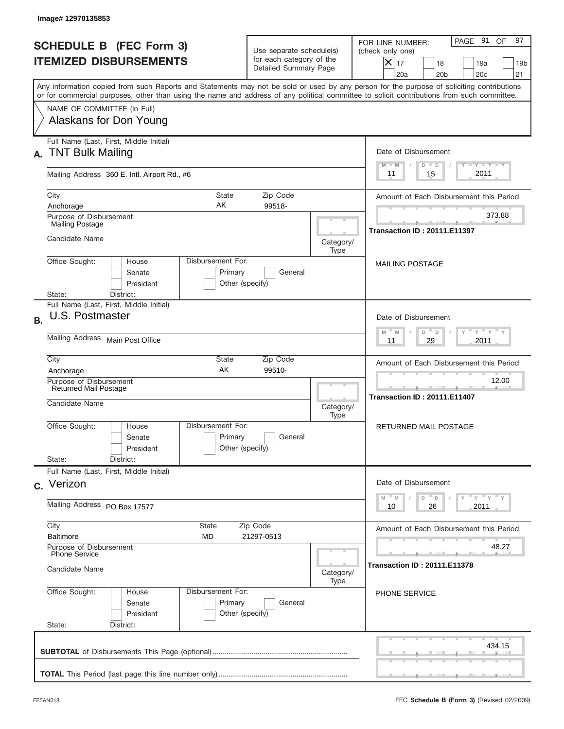|           | Image#12970135853                                                                                                                                                                                                                                                                       |                                                 |                                                                               |                   |                                                                                                                                                             |
|-----------|-----------------------------------------------------------------------------------------------------------------------------------------------------------------------------------------------------------------------------------------------------------------------------------------|-------------------------------------------------|-------------------------------------------------------------------------------|-------------------|-------------------------------------------------------------------------------------------------------------------------------------------------------------|
|           | <b>SCHEDULE B (FEC Form 3)</b><br><b>ITEMIZED DISBURSEMENTS</b>                                                                                                                                                                                                                         |                                                 | Use separate schedule(s)<br>for each category of the<br>Detailed Summary Page |                   | 97<br>PAGE 91<br>OF<br>FOR LINE NUMBER:<br>(check only one)<br>$X _{17}$<br>18<br>19a<br>19 <sub>b</sub><br>20 <sub>c</sub><br>20a<br>20 <sub>b</sub><br>21 |
|           | Any information copied from such Reports and Statements may not be sold or used by any person for the purpose of soliciting contributions<br>or for commercial purposes, other than using the name and address of any political committee to solicit contributions from such committee. |                                                 |                                                                               |                   |                                                                                                                                                             |
|           | NAME OF COMMITTEE (In Full)<br>Alaskans for Don Young                                                                                                                                                                                                                                   |                                                 |                                                                               |                   |                                                                                                                                                             |
| А.        | Full Name (Last, First, Middle Initial)<br><b>TNT Bulk Mailing</b>                                                                                                                                                                                                                      |                                                 |                                                                               |                   | Date of Disbursement<br>$T - Y$ $T - Y$ $T - Y$<br>$M - M$<br>$D$ $D$                                                                                       |
|           | Mailing Address 360 E. Intl. Airport Rd., #6                                                                                                                                                                                                                                            | 2011<br>15<br>11                                |                                                                               |                   |                                                                                                                                                             |
|           | City<br>State<br>Zip Code<br>AΚ<br>99518-<br>Anchorage<br>Purpose of Disbursement                                                                                                                                                                                                       |                                                 |                                                                               |                   | Amount of Each Disbursement this Period<br>373.88                                                                                                           |
|           | <b>Mailing Postage</b><br>Candidate Name                                                                                                                                                                                                                                                |                                                 |                                                                               | Category/<br>Type | <b>Transaction ID: 20111.E11397</b>                                                                                                                         |
|           | Disbursement For:<br>Office Sought:<br>House<br>Senate<br>Primary<br>General<br>President<br>Other (specify)<br>State:<br>District:                                                                                                                                                     |                                                 |                                                                               |                   | <b>MAILING POSTAGE</b>                                                                                                                                      |
| <b>B.</b> | Full Name (Last, First, Middle Initial)<br>U.S. Postmaster                                                                                                                                                                                                                              |                                                 |                                                                               |                   | Date of Disbursement<br>$\cdots$ $\gamma$ $\cdots$ $\gamma$ $\cdots$<br>$-$ M<br>M<br>D<br>D                                                                |
|           | Mailing Address Main Post Office<br>City<br>State<br>Zip Code                                                                                                                                                                                                                           |                                                 |                                                                               |                   | 2011<br>11<br>29                                                                                                                                            |
|           | AK<br>99510-<br>Anchorage<br>Purpose of Disbursement                                                                                                                                                                                                                                    |                                                 |                                                                               |                   | Amount of Each Disbursement this Period<br>12.00                                                                                                            |
|           | Returned Mail Postage<br>Candidate Name<br>Disbursement For:<br>Office Sought:<br>House<br>Primary<br>General<br>Senate<br>Other (specify)<br>President                                                                                                                                 |                                                 |                                                                               | Category/<br>Type | <b>Transaction ID: 20111.E11407</b>                                                                                                                         |
|           |                                                                                                                                                                                                                                                                                         |                                                 |                                                                               |                   | RETURNED MAIL POSTAGE                                                                                                                                       |
|           | State:<br>District:<br>Full Name (Last, First, Middle Initial)                                                                                                                                                                                                                          |                                                 |                                                                               |                   |                                                                                                                                                             |
|           | c. Verizon                                                                                                                                                                                                                                                                              |                                                 |                                                                               |                   | Date of Disbursement<br>γ <sup>=</sup> γ <sup>=</sup> γ <sup>=</sup> γ<br>$-M$<br>D<br>M<br>D                                                               |
|           | Mailing Address PO Box 17577                                                                                                                                                                                                                                                            |                                                 |                                                                               |                   | 2011<br>10<br>26                                                                                                                                            |
|           | City<br>State<br>Zip Code<br><b>Baltimore</b><br>MD<br>21297-0513                                                                                                                                                                                                                       |                                                 |                                                                               |                   | Amount of Each Disbursement this Period                                                                                                                     |
|           | Purpose of Disbursement<br>Phone Service<br>Candidate Name                                                                                                                                                                                                                              |                                                 |                                                                               | Category/         | 48.27<br><b>Transaction ID : 20111.E11378</b>                                                                                                               |
|           | Office Sought:<br>House<br>Senate<br>President<br>State:<br>District:                                                                                                                                                                                                                   | Disbursement For:<br>Primary<br>Other (specify) | General                                                                       | Type              | PHONE SERVICE                                                                                                                                               |
|           |                                                                                                                                                                                                                                                                                         |                                                 |                                                                               |                   | 434.15                                                                                                                                                      |
|           |                                                                                                                                                                                                                                                                                         |                                                 |                                                                               |                   |                                                                                                                                                             |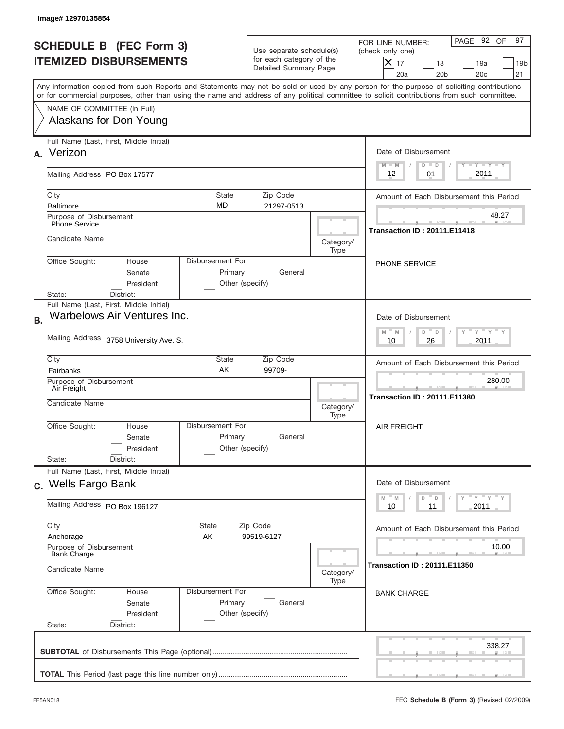|           | Image# 12970135854                                                                                                                                                                                                                                                                      |                                                                                        |                                                   |                                                                                                                                                                            |  |
|-----------|-----------------------------------------------------------------------------------------------------------------------------------------------------------------------------------------------------------------------------------------------------------------------------------------|----------------------------------------------------------------------------------------|---------------------------------------------------|----------------------------------------------------------------------------------------------------------------------------------------------------------------------------|--|
|           | <b>SCHEDULE B (FEC Form 3)</b><br><b>ITEMIZED DISBURSEMENTS</b>                                                                                                                                                                                                                         | Use separate schedule(s)<br>for each category of the<br>Detailed Summary Page          |                                                   | 97<br>PAGE 92 OF<br>FOR LINE NUMBER:<br>(check only one)<br>$\boldsymbol{\times}$<br>17<br>18<br>19a<br>19 <sub>b</sub><br>21<br>20a<br>20 <sub>b</sub><br>20 <sub>c</sub> |  |
|           | Any information copied from such Reports and Statements may not be sold or used by any person for the purpose of soliciting contributions<br>or for commercial purposes, other than using the name and address of any political committee to solicit contributions from such committee. |                                                                                        |                                                   |                                                                                                                                                                            |  |
|           | NAME OF COMMITTEE (In Full)<br>Alaskans for Don Young                                                                                                                                                                                                                                   |                                                                                        |                                                   |                                                                                                                                                                            |  |
| А.        | Full Name (Last, First, Middle Initial)<br>Verizon                                                                                                                                                                                                                                      |                                                                                        |                                                   | Date of Disbursement<br>$\mathbf{I}$ $\mathbf{Y}$ $\mathbf{I}$ $\mathbf{Y}$ $\mathbf{I}$ $\mathbf{Y}$<br>$M - M$<br>$D$ $D$                                                |  |
|           | Mailing Address PO Box 17577                                                                                                                                                                                                                                                            | 2011<br>12<br>01                                                                       |                                                   |                                                                                                                                                                            |  |
|           | State<br>City<br><b>MD</b><br><b>Baltimore</b>                                                                                                                                                                                                                                          | Zip Code<br>21297-0513                                                                 |                                                   | Amount of Each Disbursement this Period<br>48.27                                                                                                                           |  |
|           | Purpose of Disbursement<br><b>Phone Service</b><br>Candidate Name                                                                                                                                                                                                                       |                                                                                        |                                                   | <b>Transaction ID: 20111.E11418</b>                                                                                                                                        |  |
|           | Disbursement For:<br>Office Sought:<br>House<br>Primary<br>Senate<br>President<br>District:<br>State:                                                                                                                                                                                   | Category/<br>Type<br>General<br>Other (specify)                                        |                                                   | <b>PHONE SERVICE</b>                                                                                                                                                       |  |
| <b>B.</b> | Full Name (Last, First, Middle Initial)<br>Warbelows Air Ventures Inc.<br>Mailing Address 3758 University Ave. S.                                                                                                                                                                       |                                                                                        |                                                   | Date of Disbursement<br>$-\gamma + \gamma -$<br>$M - M$<br>D<br>$\Box$<br>2011<br>10<br>26                                                                                 |  |
|           | City<br>State<br>AK<br>Fairbanks                                                                                                                                                                                                                                                        |                                                                                        | Amount of Each Disbursement this Period<br>280.00 |                                                                                                                                                                            |  |
|           | Purpose of Disbursement<br>Air Freight<br>Candidate Name                                                                                                                                                                                                                                |                                                                                        |                                                   | <b>Transaction ID: 20111.E11380</b>                                                                                                                                        |  |
|           | Disbursement For:<br>Office Sought:<br>House<br>Primary<br>Senate<br>Other (specify)<br>President<br>State:<br>District:                                                                                                                                                                |                                                                                        | <b>AIR FREIGHT</b>                                |                                                                                                                                                                            |  |
|           | Full Name (Last, First, Middle Initial)<br>c. Wells Fargo Bank                                                                                                                                                                                                                          |                                                                                        |                                                   | Date of Disbursement                                                                                                                                                       |  |
|           | Mailing Address PO Box 196127                                                                                                                                                                                                                                                           | γ <sup>=</sup> γ <sup>=</sup> γ <sup>=</sup> γ<br>M<br>D<br>M<br>D<br>2011<br>10<br>11 |                                                   |                                                                                                                                                                            |  |
|           | City<br>State<br>Zip Code<br>Anchorage<br>AK                                                                                                                                                                                                                                            | Amount of Each Disbursement this Period                                                |                                                   |                                                                                                                                                                            |  |
|           | Purpose of Disbursement<br><b>Bank Charge</b><br>Candidate Name<br>Category/                                                                                                                                                                                                            |                                                                                        |                                                   | 10.00<br><b>Transaction ID: 20111.E11350</b>                                                                                                                               |  |
|           | Office Sought:<br>Disbursement For:<br>House<br>Primary<br>Senate<br>President<br>State:<br>District:                                                                                                                                                                                   | General<br>Other (specify)                                                             | Type                                              | <b>BANK CHARGE</b>                                                                                                                                                         |  |
|           |                                                                                                                                                                                                                                                                                         |                                                                                        |                                                   | 338.27                                                                                                                                                                     |  |
|           |                                                                                                                                                                                                                                                                                         |                                                                                        |                                                   |                                                                                                                                                                            |  |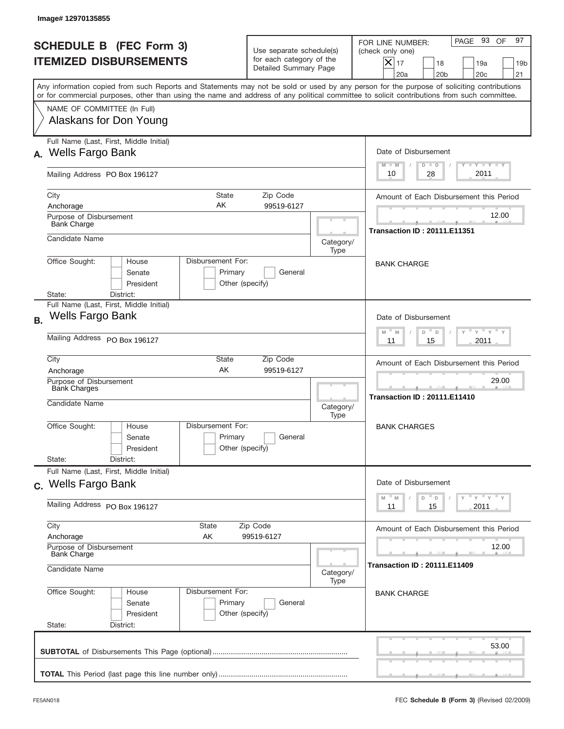|           | Image# 12970135855                                                                                                                                                                                                                                                                      |                            |                                                                               |                                                                                           |                                                                                                                                                             |
|-----------|-----------------------------------------------------------------------------------------------------------------------------------------------------------------------------------------------------------------------------------------------------------------------------------------|----------------------------|-------------------------------------------------------------------------------|-------------------------------------------------------------------------------------------|-------------------------------------------------------------------------------------------------------------------------------------------------------------|
|           | <b>SCHEDULE B (FEC Form 3)</b><br><b>ITEMIZED DISBURSEMENTS</b>                                                                                                                                                                                                                         |                            | Use separate schedule(s)<br>for each category of the<br>Detailed Summary Page |                                                                                           | 97<br>PAGE 93<br>OF<br>FOR LINE NUMBER:<br>(check only one)<br>$X _{17}$<br>18<br>19a<br>19 <sub>b</sub><br>20 <sub>c</sub><br>20a<br>20 <sub>b</sub><br>21 |
|           | Any information copied from such Reports and Statements may not be sold or used by any person for the purpose of soliciting contributions<br>or for commercial purposes, other than using the name and address of any political committee to solicit contributions from such committee. |                            |                                                                               |                                                                                           |                                                                                                                                                             |
|           | NAME OF COMMITTEE (In Full)<br>Alaskans for Don Young                                                                                                                                                                                                                                   |                            |                                                                               |                                                                                           |                                                                                                                                                             |
| А.        | Full Name (Last, First, Middle Initial)<br><b>Wells Fargo Bank</b>                                                                                                                                                                                                                      |                            |                                                                               |                                                                                           | Date of Disbursement<br>$T - Y$ $T - Y$ $T - Y$<br>$D$ $D$<br>$M - M$                                                                                       |
|           | Mailing Address PO Box 196127                                                                                                                                                                                                                                                           | 2011<br>28<br>10           |                                                                               |                                                                                           |                                                                                                                                                             |
|           | City<br>AΚ<br>Anchorage<br>Purpose of Disbursement                                                                                                                                                                                                                                      | State                      | Zip Code<br>99519-6127                                                        |                                                                                           | Amount of Each Disbursement this Period<br>12.00                                                                                                            |
|           | <b>Bank Charge</b><br>Candidate Name<br>Category/<br>Type<br>Disbursement For:<br>Office Sought:<br>House<br>Senate<br>Primary<br>General<br>President<br>Other (specify)<br>State:<br>District:                                                                                        |                            |                                                                               |                                                                                           | <b>Transaction ID: 20111.E11351</b>                                                                                                                         |
|           |                                                                                                                                                                                                                                                                                         |                            |                                                                               |                                                                                           | <b>BANK CHARGE</b>                                                                                                                                          |
| <b>B.</b> | Full Name (Last, First, Middle Initial)<br>Wells Fargo Bank                                                                                                                                                                                                                             |                            |                                                                               |                                                                                           | Date of Disbursement<br>$\cdots$ $\gamma$ $\cdots$ $\gamma$ $\cdots$<br>$-M$                                                                                |
|           | Mailing Address PO Box 196127                                                                                                                                                                                                                                                           |                            |                                                                               |                                                                                           | M<br>D<br>$\Box$<br>2011<br>11<br>15                                                                                                                        |
|           | City<br>State<br>Zip Code<br>AK<br>99519-6127<br>Anchorage                                                                                                                                                                                                                              |                            |                                                                               |                                                                                           | Amount of Each Disbursement this Period<br>29.00                                                                                                            |
|           | Purpose of Disbursement<br>Bank Charges<br>Candidate Name                                                                                                                                                                                                                               |                            |                                                                               | Category/<br>Type                                                                         | ___<br><b>Transaction ID: 20111.E11410</b>                                                                                                                  |
|           | Disbursement For:<br>Office Sought:<br>House<br>Senate<br>President                                                                                                                                                                                                                     | Primary<br>Other (specify) | General                                                                       |                                                                                           | <b>BANK CHARGES</b>                                                                                                                                         |
|           | State:<br>District:<br>Full Name (Last, First, Middle Initial)<br>c. Wells Fargo Bank                                                                                                                                                                                                   |                            |                                                                               |                                                                                           | Date of Disbursement                                                                                                                                        |
|           | Mailing Address PO Box 196127                                                                                                                                                                                                                                                           |                            |                                                                               | γ <sup>=</sup> γ <sup>=</sup> γ <sup>=</sup> γ<br>$-M$<br>D<br>M<br>D<br>15<br>2011<br>11 |                                                                                                                                                             |
|           | City<br>State<br>Zip Code<br>Anchorage<br>AK<br>99519-6127                                                                                                                                                                                                                              |                            |                                                                               |                                                                                           | Amount of Each Disbursement this Period                                                                                                                     |
|           | Purpose of Disbursement<br><b>Bank Charge</b><br>Candidate Name                                                                                                                                                                                                                         |                            |                                                                               | Category/                                                                                 | 12.00<br>Transaction ID : 20111.E11409                                                                                                                      |
|           | Office Sought:<br>Disbursement For:<br>House<br>Senate<br>President<br>State:<br>District:                                                                                                                                                                                              | Primary<br>Other (specify) | General                                                                       | Type                                                                                      | <b>BANK CHARGE</b>                                                                                                                                          |
|           |                                                                                                                                                                                                                                                                                         |                            |                                                                               |                                                                                           | 53.00                                                                                                                                                       |
|           |                                                                                                                                                                                                                                                                                         |                            |                                                                               |                                                                                           |                                                                                                                                                             |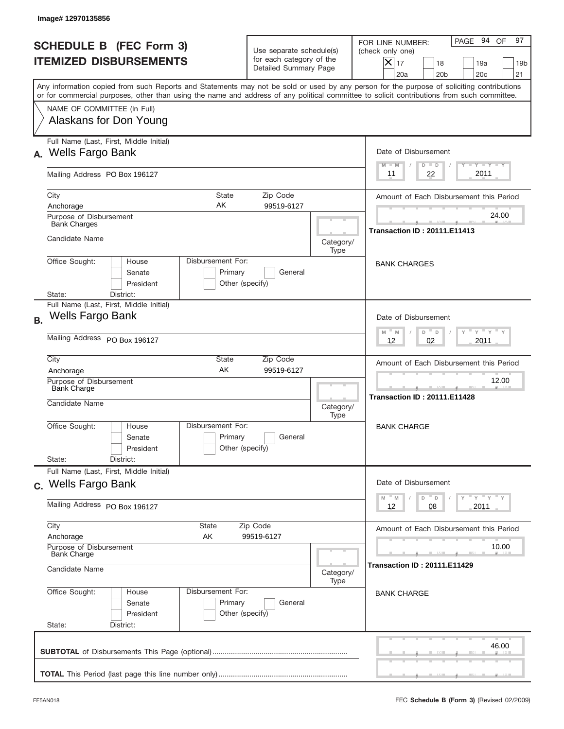|           | Image# 12970135856                                                                                                                                                                                                                                                                      |                                                                               |                                     |                                                                                                                                                        |
|-----------|-----------------------------------------------------------------------------------------------------------------------------------------------------------------------------------------------------------------------------------------------------------------------------------------|-------------------------------------------------------------------------------|-------------------------------------|--------------------------------------------------------------------------------------------------------------------------------------------------------|
|           | <b>SCHEDULE B</b> (FEC Form 3)<br><b>ITEMIZED DISBURSEMENTS</b>                                                                                                                                                                                                                         | Use separate schedule(s)<br>for each category of the<br>Detailed Summary Page |                                     | 97<br>PAGE 94 OF<br>FOR LINE NUMBER:<br>(check only one)<br>X<br>17<br>18<br>19a<br>19 <sub>b</sub><br>20 <sub>c</sub><br>21<br>20a<br>20 <sub>b</sub> |
|           | Any information copied from such Reports and Statements may not be sold or used by any person for the purpose of soliciting contributions<br>or for commercial purposes, other than using the name and address of any political committee to solicit contributions from such committee. |                                                                               |                                     |                                                                                                                                                        |
|           | NAME OF COMMITTEE (In Full)<br>Alaskans for Don Young                                                                                                                                                                                                                                   |                                                                               |                                     |                                                                                                                                                        |
| А.        | Full Name (Last, First, Middle Initial)<br><b>Wells Fargo Bank</b>                                                                                                                                                                                                                      |                                                                               |                                     | Date of Disbursement<br>$T - Y$ $T - Y$<br>$M - M$<br>$D$ $D$                                                                                          |
|           | Mailing Address PO Box 196127                                                                                                                                                                                                                                                           | 2011<br>22<br>11                                                              |                                     |                                                                                                                                                        |
|           | <b>State</b><br>City<br>AΚ<br>Anchorage<br>Purpose of Disbursement                                                                                                                                                                                                                      | Zip Code<br>99519-6127                                                        |                                     | Amount of Each Disbursement this Period<br>24.00                                                                                                       |
|           | <b>Bank Charges</b><br>Candidate Name                                                                                                                                                                                                                                                   | Category/                                                                     | <b>Transaction ID: 20111.E11413</b> |                                                                                                                                                        |
|           | Disbursement For:<br>Office Sought:<br>House<br>Senate<br>Primary<br>President<br>State:<br>District:                                                                                                                                                                                   | General<br>Other (specify)                                                    | Type                                | <b>BANK CHARGES</b>                                                                                                                                    |
| <b>B.</b> | Full Name (Last, First, Middle Initial)<br>Wells Fargo Bank                                                                                                                                                                                                                             |                                                                               |                                     | Date of Disbursement<br>$-\gamma + \gamma -$                                                                                                           |
|           | Mailing Address PO Box 196127                                                                                                                                                                                                                                                           | $M - M$<br>D<br>$\Box$<br>02<br>2011<br>12                                    |                                     |                                                                                                                                                        |
|           | City<br>State<br>AK<br>Anchorage                                                                                                                                                                                                                                                        | Amount of Each Disbursement this Period<br>12.00                              |                                     |                                                                                                                                                        |
|           | Purpose of Disbursement<br>Bank Charge<br>Candidate Name<br>Category/<br>Type                                                                                                                                                                                                           |                                                                               |                                     | <b>Transaction ID: 20111.E11428</b>                                                                                                                    |
|           | Disbursement For:<br>Office Sought:<br>House<br>Primary<br>Senate<br>President                                                                                                                                                                                                          | General<br>Other (specify)                                                    |                                     | <b>BANK CHARGE</b>                                                                                                                                     |
|           | State:<br>District:<br>Full Name (Last, First, Middle Initial)                                                                                                                                                                                                                          |                                                                               |                                     |                                                                                                                                                        |
|           | c. Wells Fargo Bank<br>Mailing Address PO Box 196127                                                                                                                                                                                                                                    |                                                                               |                                     | Date of Disbursement<br>γ <sup>=</sup> γ <sup>=</sup> γ <sup>=</sup> γ<br>$M$ $M$<br>D<br>D<br>08<br>2011<br>12                                        |
|           | City<br>State<br>Zip Code<br>Anchorage<br>AK                                                                                                                                                                                                                                            | Amount of Each Disbursement this Period                                       |                                     |                                                                                                                                                        |
|           | 99519-6127<br>Purpose of Disbursement<br><b>Bank Charge</b><br>Candidate Name                                                                                                                                                                                                           |                                                                               |                                     | 10.00<br><b>Transaction ID: 20111.E11429</b>                                                                                                           |
|           | Office Sought:<br>Disbursement For:<br>House<br>Primary<br>Senate<br>President<br>State:<br>District:                                                                                                                                                                                   | General<br>Other (specify)                                                    | Category/<br>Type                   | <b>BANK CHARGE</b>                                                                                                                                     |
|           |                                                                                                                                                                                                                                                                                         |                                                                               |                                     | 46.00                                                                                                                                                  |
|           |                                                                                                                                                                                                                                                                                         |                                                                               |                                     |                                                                                                                                                        |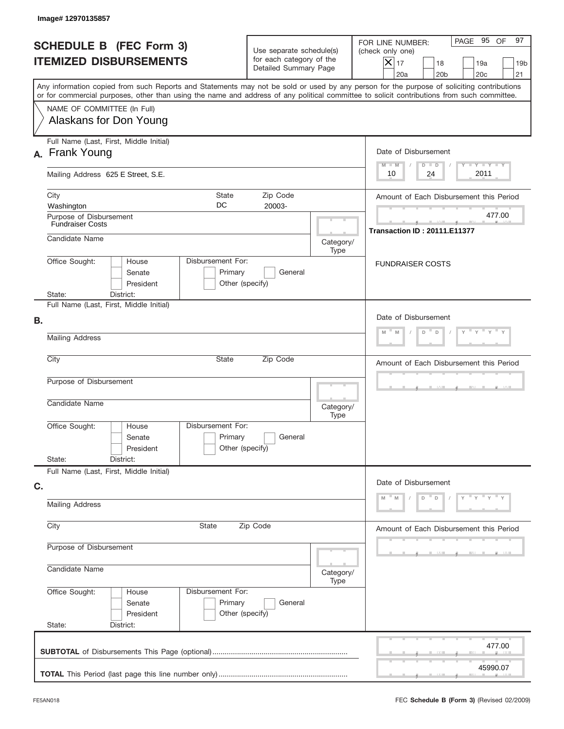| Image# 12970135857                                                                                                                                                                                                                                                                      |                                                                               |                         |                                                                                                                                                                    |  |  |
|-----------------------------------------------------------------------------------------------------------------------------------------------------------------------------------------------------------------------------------------------------------------------------------------|-------------------------------------------------------------------------------|-------------------------|--------------------------------------------------------------------------------------------------------------------------------------------------------------------|--|--|
| <b>SCHEDULE B (FEC Form 3)</b><br><b>ITEMIZED DISBURSEMENTS</b>                                                                                                                                                                                                                         | Use separate schedule(s)<br>for each category of the<br>Detailed Summary Page |                         | PAGE 95 OF<br>97<br>FOR LINE NUMBER:<br>(check only one)<br>$ \mathsf{X} _{17}$<br>18<br>19a<br>19 <sub>b</sub><br>20 <sub>c</sub><br>21<br>20a<br>20 <sub>b</sub> |  |  |
| Any information copied from such Reports and Statements may not be sold or used by any person for the purpose of soliciting contributions<br>or for commercial purposes, other than using the name and address of any political committee to solicit contributions from such committee. |                                                                               |                         |                                                                                                                                                                    |  |  |
| NAME OF COMMITTEE (In Full)<br>Alaskans for Don Young                                                                                                                                                                                                                                   |                                                                               |                         |                                                                                                                                                                    |  |  |
| Full Name (Last, First, Middle Initial)<br>A. Frank Young                                                                                                                                                                                                                               |                                                                               |                         | Date of Disbursement<br>Y FY FY FY<br>$M - M$<br>$D$ $D$                                                                                                           |  |  |
| Mailing Address 625 E Street, S.E.                                                                                                                                                                                                                                                      |                                                                               |                         |                                                                                                                                                                    |  |  |
| City<br>State<br>DC<br>Washington                                                                                                                                                                                                                                                       | Amount of Each Disbursement this Period                                       |                         |                                                                                                                                                                    |  |  |
| Purpose of Disbursement<br><b>Fundraiser Costs</b><br>Candidate Name                                                                                                                                                                                                                    |                                                                               | Category/               | 477.00<br><b>Transaction ID: 20111.E11377</b>                                                                                                                      |  |  |
| Disbursement For:<br>Office Sought:<br>House<br>Primary<br>Senate<br>Other (specify)<br>President<br>State:<br>District:                                                                                                                                                                | Type                                                                          | <b>FUNDRAISER COSTS</b> |                                                                                                                                                                    |  |  |
| Full Name (Last, First, Middle Initial)<br>В.                                                                                                                                                                                                                                           |                                                                               |                         | Date of Disbursement                                                                                                                                               |  |  |
| <b>Mailing Address</b>                                                                                                                                                                                                                                                                  | D<br>D<br>M<br>M                                                              |                         |                                                                                                                                                                    |  |  |
| City<br><b>State</b>                                                                                                                                                                                                                                                                    | Amount of Each Disbursement this Period                                       |                         |                                                                                                                                                                    |  |  |
| Purpose of Disbursement<br>Candidate Name                                                                                                                                                                                                                                               | Category/<br>Type                                                             |                         |                                                                                                                                                                    |  |  |
| Disbursement For:<br>Office Sought:<br>House<br>Primary<br>Senate<br>President                                                                                                                                                                                                          | General<br>Other (specify)                                                    |                         |                                                                                                                                                                    |  |  |
| State:<br>District:<br>Full Name (Last, First, Middle Initial)                                                                                                                                                                                                                          |                                                                               |                         |                                                                                                                                                                    |  |  |
| C.<br><b>Mailing Address</b>                                                                                                                                                                                                                                                            |                                                                               |                         | Date of Disbursement<br>$Y = Y + Y$<br>D<br>$\mathsf D$                                                                                                            |  |  |
| City<br>State                                                                                                                                                                                                                                                                           | Zip Code                                                                      |                         |                                                                                                                                                                    |  |  |
| Purpose of Disbursement                                                                                                                                                                                                                                                                 |                                                                               |                         |                                                                                                                                                                    |  |  |
| Candidate Name                                                                                                                                                                                                                                                                          |                                                                               |                         |                                                                                                                                                                    |  |  |
| Office Sought:<br>Disbursement For:<br>House<br>Primary<br>Senate<br>President<br>State:<br>District:                                                                                                                                                                                   | General<br>Other (specify)                                                    | Type                    |                                                                                                                                                                    |  |  |
|                                                                                                                                                                                                                                                                                         |                                                                               |                         | 477.00                                                                                                                                                             |  |  |
|                                                                                                                                                                                                                                                                                         |                                                                               |                         | 45990.07                                                                                                                                                           |  |  |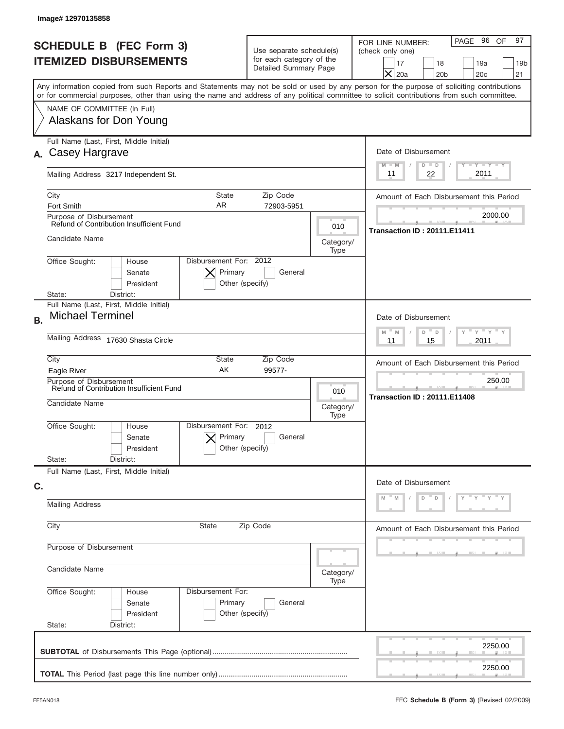|           | Image# 12970135858                                                                                                                                                                                                                                                                      |                                                                               |                   |                                                                                                                                                                  |
|-----------|-----------------------------------------------------------------------------------------------------------------------------------------------------------------------------------------------------------------------------------------------------------------------------------------|-------------------------------------------------------------------------------|-------------------|------------------------------------------------------------------------------------------------------------------------------------------------------------------|
|           | <b>SCHEDULE B (FEC Form 3)</b><br><b>ITEMIZED DISBURSEMENTS</b>                                                                                                                                                                                                                         | Use separate schedule(s)<br>for each category of the<br>Detailed Summary Page |                   | 97<br>PAGE 96<br>OF<br>FOR LINE NUMBER:<br>(check only one)<br>18<br>19a<br>19 <sub>b</sub><br>17<br>$\times$<br>20a<br>20 <sub>b</sub><br>20 <sub>c</sub><br>21 |
|           | Any information copied from such Reports and Statements may not be sold or used by any person for the purpose of soliciting contributions<br>or for commercial purposes, other than using the name and address of any political committee to solicit contributions from such committee. |                                                                               |                   |                                                                                                                                                                  |
|           | NAME OF COMMITTEE (In Full)<br>Alaskans for Don Young                                                                                                                                                                                                                                   |                                                                               |                   |                                                                                                                                                                  |
| А.        | Full Name (Last, First, Middle Initial)<br>Casey Hargrave                                                                                                                                                                                                                               |                                                                               |                   | Date of Disbursement<br>$T - Y$ $T - Y$<br>$D$ $D$<br>$M - M$                                                                                                    |
|           | Mailing Address 3217 Independent St.                                                                                                                                                                                                                                                    | 2011<br>22<br>11                                                              |                   |                                                                                                                                                                  |
|           | City<br><b>State</b><br>AR.<br>Fort Smith                                                                                                                                                                                                                                               | Zip Code<br>72903-5951                                                        |                   | Amount of Each Disbursement this Period                                                                                                                          |
|           | Purpose of Disbursement<br>Refund of Contribution Insufficient Fund                                                                                                                                                                                                                     |                                                                               | 010               | 2000.00<br><b>Transaction ID: 20111.E11411</b>                                                                                                                   |
|           | Candidate Name                                                                                                                                                                                                                                                                          |                                                                               | Category/<br>Type |                                                                                                                                                                  |
|           | Disbursement For: 2012<br>Office Sought:<br>House<br>Primary<br>Senate<br>President                                                                                                                                                                                                     | General<br>Other (specify)                                                    |                   |                                                                                                                                                                  |
|           | State:<br>District:<br>Full Name (Last, First, Middle Initial)                                                                                                                                                                                                                          |                                                                               |                   |                                                                                                                                                                  |
| <b>B.</b> | <b>Michael Terminel</b>                                                                                                                                                                                                                                                                 | Date of Disbursement<br>$-$ M<br>$Y = Y$<br>M<br>D<br>D                       |                   |                                                                                                                                                                  |
|           | Mailing Address 17630 Shasta Circle                                                                                                                                                                                                                                                     | 2011<br>11<br>15                                                              |                   |                                                                                                                                                                  |
|           | City<br>State<br>AK<br>Eagle River                                                                                                                                                                                                                                                      | Zip Code<br>99577-                                                            |                   | Amount of Each Disbursement this Period                                                                                                                          |
|           | Purpose of Disbursement<br>Refund of Contribution Insufficient Fund<br>Candidate Name                                                                                                                                                                                                   |                                                                               |                   | 250.00<br><b>Transaction ID: 20111.E11408</b>                                                                                                                    |
|           | Disbursement For:<br>Office Sought:<br>House<br>Primary<br>Senate<br>President                                                                                                                                                                                                          | 2012<br>General<br>Other (specify)                                            | Type              |                                                                                                                                                                  |
|           | State:<br>District:<br>Full Name (Last, First, Middle Initial)                                                                                                                                                                                                                          |                                                                               |                   |                                                                                                                                                                  |
| C.        |                                                                                                                                                                                                                                                                                         |                                                                               |                   | Date of Disbursement                                                                                                                                             |
|           | <b>Mailing Address</b>                                                                                                                                                                                                                                                                  | "Y<br>D<br>D                                                                  |                   |                                                                                                                                                                  |
|           | City<br>State<br>Zip Code                                                                                                                                                                                                                                                               | Amount of Each Disbursement this Period                                       |                   |                                                                                                                                                                  |
|           | Purpose of Disbursement                                                                                                                                                                                                                                                                 |                                                                               |                   |                                                                                                                                                                  |
|           | Candidate Name<br>Category/<br>Type                                                                                                                                                                                                                                                     |                                                                               |                   |                                                                                                                                                                  |
|           | Office Sought:<br>Disbursement For:<br>House<br>Primary<br>Senate<br>President                                                                                                                                                                                                          | General<br>Other (specify)                                                    |                   |                                                                                                                                                                  |
|           | State:<br>District:                                                                                                                                                                                                                                                                     |                                                                               |                   |                                                                                                                                                                  |
|           |                                                                                                                                                                                                                                                                                         |                                                                               |                   | 2250.00                                                                                                                                                          |
|           |                                                                                                                                                                                                                                                                                         |                                                                               |                   | 2250.00                                                                                                                                                          |